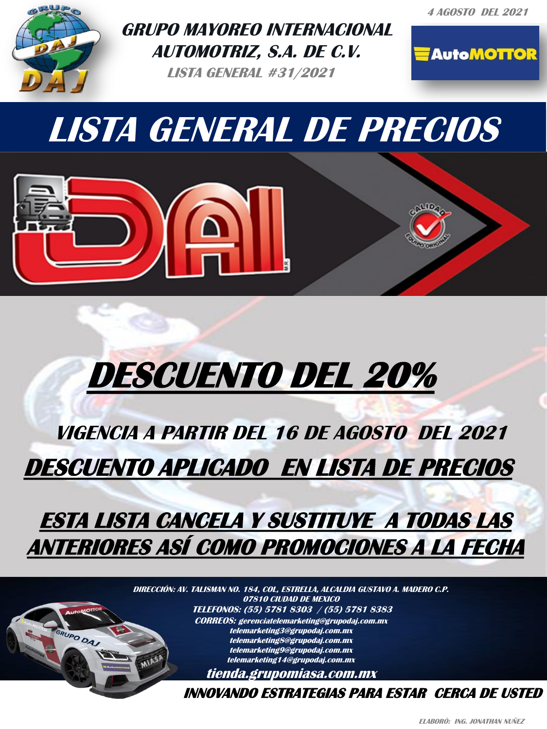**4 AGOSTO DEL 2021**



**SRUPO DAJ** 

**GRUPO MAYOREO INTERNACIONAL AUTOMOTRIZ, S.A. DE C.V.** 

**LISTA GENERAL #31/2021**

**AutoMOTTOR** 

**LISTA GENERAL DE PRECIOS**

# **DESCUENTO DEL 20%**

## **VIGENCIA A PARTIR DEL 16 DE AGOSTO DEL 2021 DESCUENTO APLICADO EN LISTA DE PRECIOS**

## **ESTA LISTA CANCELA Y SUSTITUYE A TODAS LAS ANTERIORES ASÍ COMO PROMOCIONES A LA FECHA**

**DIRECCIÓN: AV. TALISMAN NO. 184, COL, ESTRELLA, ALCALDIA GUSTAVO A. MADERO C.P. 07810 CIUDAD DE MEXICO TELEFONOS: (55) 5781 8303 / (55) 5781 8383 CORREOS: gerenciatelemarketing@grupodaj.com.mx INTERNACIONAL AUTOMOTRIZ, telemarketing3@grupodaj.com.mx telemarketing8@grupodaj.com.mx telemarketing9@grupodaj.com.mx**  MIAS **telemarketing14@grupodaj.com.mx tienda.grupomiasa.com.mx**

> **EMAIL: gerenciatelemarketing@grupodaj.com.mx gerenciaventas@grupomiasa.com.mx INNOVANDO ESTRATEGIAS PARA ESTAR CERCA DE USTED**

**FAX: 5750 1944 NEXTEL: 4610 1944 NEXTEL: 4610 1944 NEXTEL: 4610 1944 NEXTEL: 4610 1944 NEXTEL: 4610 1944 NEXTE**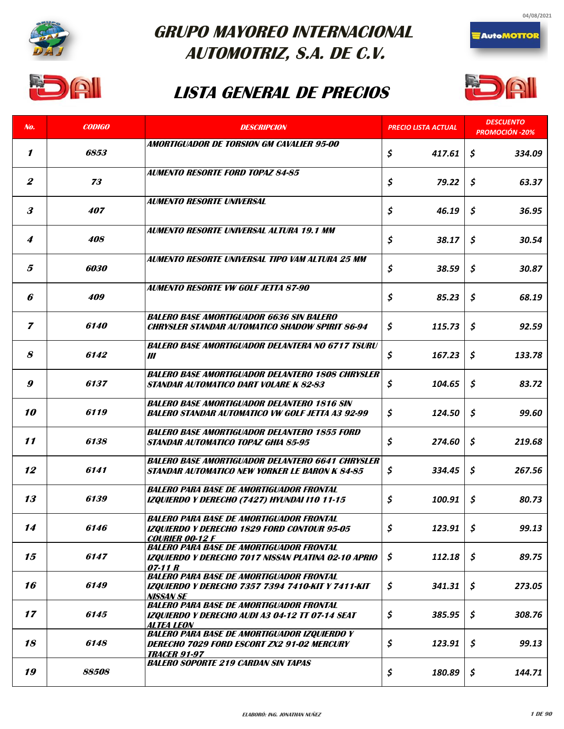

 $\mathbf{A}$ 

### **GRUPO MAYOREO INTERNACIONAL AUTOMOTRIZ, S.A. DE C.V.**

#### **LISTA GENERAL DE PRECIOS**



**AutoMOTTOR** 



| No.              | <b>CODIGO</b>       | <b>DESCRIPCION</b>                                                                                 | <b>PRECIO LISTA ACTUAL</b> | <b>DESCUENTO</b><br><b>PROMOCIÓN -20%</b> |
|------------------|---------------------|----------------------------------------------------------------------------------------------------|----------------------------|-------------------------------------------|
|                  |                     | AMORTIGUADOR DE TORSION GM CAVALIER 95-00                                                          |                            |                                           |
| 1                | 6853                |                                                                                                    | \$<br>417.61               | \$<br>334.09                              |
|                  |                     | AUMENTO RESORTE FORD TOPAZ 84-85                                                                   |                            |                                           |
| $\boldsymbol{2}$ | 73                  |                                                                                                    | \$<br>79.22                | $\boldsymbol{\mathsf{S}}$<br>63.37        |
|                  |                     | <b>AUMENTO RESORTE UNIVERSAL</b>                                                                   |                            |                                           |
| 3                | 407                 |                                                                                                    | \$<br>46.19                | \$<br>36.95                               |
|                  |                     | AUMENTO RESORTE UNIVERSAL ALTURA 19.1 MM                                                           |                            |                                           |
| 4                | 408                 |                                                                                                    | \$<br>38.17                | \$<br>30.54                               |
|                  |                     | AUMENTO RESORTE UNIVERSAL TIPO VAM ALTURA 25 MM                                                    |                            |                                           |
| 5                | 6030                |                                                                                                    | \$<br>38.59                | \$<br>30.87                               |
|                  |                     | <b>AUMENTO RESORTE VW GOLF JETTA 87-90</b>                                                         |                            |                                           |
| 6                | <i><b>409</b></i>   |                                                                                                    | \$<br>85.23                | \$<br>68.19                               |
|                  |                     | <b>BALERO BASE AMORTIGUADOR 6636 SIN BALERO</b>                                                    |                            |                                           |
| 7                | <i><b>6140</b></i>  | <b>CHRYSLER STANDAR AUTOMATICO SHADOW SPIRIT 86-94</b>                                             | \$<br>115.73               | \$<br>92.59                               |
|                  |                     |                                                                                                    |                            |                                           |
| 8                | 6142                | <b>BALERO BASE AMORTIGUADOR DELANTERA NO 6717 TSURU</b><br>Ш                                       | \$<br>167.23               | \$<br>133.78                              |
|                  |                     |                                                                                                    |                            |                                           |
| 9                | 6137                | <b>BALERO BASE AMORTIGUADOR DELANTERO 1808 CHRYSLER</b><br>STANDAR AUTOMATICO DART VOLARE K 82-83  | \$<br>104.65               | \$<br>83.72                               |
|                  |                     |                                                                                                    |                            |                                           |
|                  |                     | <b>BALERO BASE AMORTIGUADOR DELANTERO 1816 SIN</b>                                                 |                            |                                           |
| <i><b>10</b></i> | 6119                | BALERO STANDAR AUTOMATICO VW GOLF JETTA A3 92-99                                                   | \$<br>124.50               | $\boldsymbol{\mathsf{S}}$<br>99.60        |
|                  |                     | <b>BALERO BASE AMORTIGUADOR DELANTERO 1855 FORD</b>                                                |                            |                                           |
| 11               | 6138                | STANDAR AUTOMATICO TOPAZ GHIA 85-95                                                                | \$<br>274.60               | \$<br>219.68                              |
|                  |                     | <b>BALERO BASE AMORTIGUADOR DELANTERO 6641 CHRYSLER</b>                                            |                            |                                           |
| 12               | 6141                | STANDAR AUTOMATICO NEW YORKER LE BARON K 84-85                                                     | \$<br>334.45               | \$<br>267.56                              |
|                  |                     | <b>BALERO PARA BASE DE AMORTIGUADOR FRONTAL</b>                                                    |                            |                                           |
| 13               | 6139                | IZQUIERDO Y DERECHO (7427) HYUNDAI I10 11-15                                                       | \$<br>100.91               | \$<br>80.73                               |
|                  |                     | <b>BALERO PARA BASE DE AMORTIGUADOR FRONTAL</b>                                                    |                            |                                           |
| 14               | 6146                | IZQUIERDO Y DERECHO 1829 FORD CONTOUR 95-05                                                        | \$<br>123.91               | \$<br>99.13                               |
|                  |                     | <b>COURIER 00-12 F</b><br><b>BALERO PARA BASE DE AMORTIGUADOR FRONTAL</b>                          |                            |                                           |
| 15               | 6147                | IZQUIERDO Y DERECHO 7017 NISSAN PLATINA 02-10 APRIO                                                | $\mathsf{S}$<br>112.18     | \$<br>89.75                               |
|                  |                     | 07-11 R<br><b>BALERO PARA BASE DE AMORTIGUADOR FRONTAL</b>                                         |                            |                                           |
| 16               | 6149                | IZQUIERDO Y DERECHO 7357 7394 7410-KIT Y 7411-KIT                                                  | \$<br>341.31               | \$<br>273.05                              |
|                  |                     | NISSAN SF                                                                                          |                            |                                           |
| 17               | 6145                | <b>BALERO PARA BASE DE AMORTIGUADOR FRONTAL</b><br>IZQUIERDO Y DERECHO AUDI A3 04-12 TT 07-14 SEAT | \$<br>385.95               | \$<br>308.76                              |
|                  |                     | ALTEA LEON                                                                                         |                            |                                           |
| 18               | 6148                | <b>BALERO PARA BASE DE AMORTIGUADOR IZQUIERDO Y</b><br>DERECHO 7029 FORD ESCORT ZX2 91-02 MERCURY  | \$<br>123.91               | \$<br>99.13                               |
|                  |                     | <b>TRACER 91-97</b>                                                                                |                            |                                           |
| 19               | <i><b>88508</b></i> | <b>BALERO SOPORTE 219 CARDAN SIN TAPAS</b>                                                         | \$<br>180.89               | \$<br>144.71                              |
|                  |                     |                                                                                                    |                            |                                           |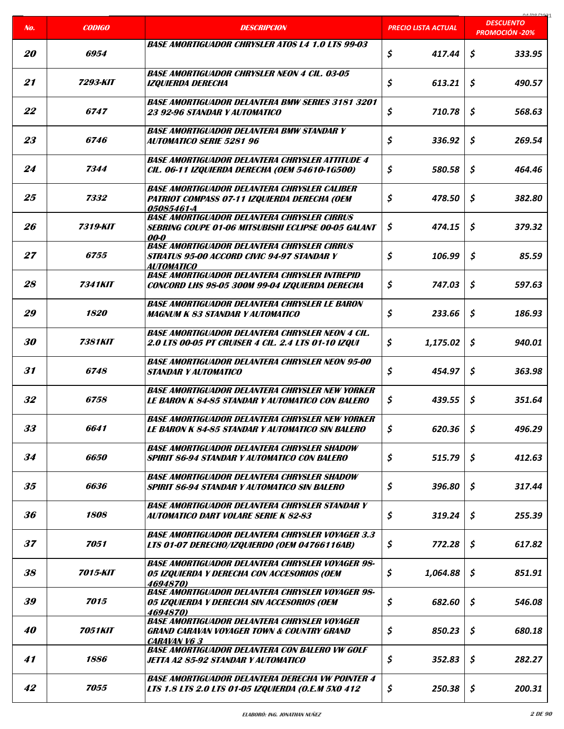|                  |                       |                                                                                                                                    |                            | COCI ON AO                                |
|------------------|-----------------------|------------------------------------------------------------------------------------------------------------------------------------|----------------------------|-------------------------------------------|
| No.              | <b>CODIGO</b>         | <b>DESCRIPCION</b>                                                                                                                 | <b>PRECIO LISTA ACTUAL</b> | <b>DESCUENTO</b><br><b>PROMOCIÓN -20%</b> |
| <b>20</b>        | 6954                  | <b>BASE AMORTIGUADOR CHRYSLER ATOS 14 1.0 LTS 99-03</b>                                                                            | \$<br>417.44               | \$<br>333.95                              |
| 21               | 7293-KIT              | <b>BASE AMORTIGUADOR CHRYSLER NEON 4 CIL. 03-05</b><br><b>IZQUIERDA DERECHA</b>                                                    | \$<br>613.21               | \$<br>490.57                              |
| 22               | 6747                  | <b>BASE AMORTIGUADOR DELANTERA BMW SERIES 3181 3201</b><br>23 92-96 STANDAR Y AUTOMATICO                                           | \$<br>710.78               | \$<br>568.63                              |
| 23               | 6746                  | <b>BASE AMORTIGUADOR DELANTERA BMW STANDAR Y</b><br><b>AUTOMATICO SERIE 5281 96</b>                                                | \$<br>336.92               | \$<br>269.54                              |
| 24               | 7344                  | <b>BASE AMORTIGUADOR DELANTERA CHRYSLER ATTITUDE 4</b><br>CIL. 06-11 IZQUIERDA DERECHA (OEM 54610-1G500)                           | \$<br>580.58               | \$<br>464.46                              |
| 25               | 7332                  | <b>BASE AMORTIGUADOR DELANTERA CHRYSLER CALIBER</b><br>PATRIOT COMPASS 07-11 IZQUIERDA DERECHA (OEM<br>05085461-A                  | \$<br>478.50               | \$<br>382.80                              |
| 26               | 7319-KIT              | <b>BASE AMORTIGUADOR DELANTERA CHRYSLER CIRRUS</b><br><b>SEBRING COUPE 01-06 MITSUBISHI ECLIPSE 00-05 GALANT</b><br><i>00-0</i>    | \$<br>474.15               | \$<br>379.32                              |
| 27               | 6755                  | <b>BASE AMORTIGUADOR DELANTERA CHRYSLER CIRRUS</b><br><b>STRATUS 95-00 ACCORD CIVIC 94-97 STANDAR Y</b><br>AUTOMATICO              | \$<br>106.99               | \$<br>85.59                               |
| 28               | <b>7341KIT</b>        | <b>BASE AMORTIGUADOR DELANTERA CHRYSLER INTREPID</b><br>CONCORD LHS 98-05 300M 99-04 IZQUIERDA DERECHA                             | \$<br>747.03               | \$<br>597.63                              |
| 29               | <i><b>1820</b></i>    | <b>BASE AMORTIGUADOR DELANTERA CHRYSLER LE BARON</b><br><b>MAGNUM K 83 STANDAR Y AUTOMATICO</b>                                    | \$<br>233.66               | $\boldsymbol{\mathsf{s}}$<br>186.93       |
| 30               | <b>7381KIT</b>        | <b>BASE AMORTIGUADOR DELANTERA CHRYSLER NEON 4 CIL.</b><br>2.0 LTS 00-05 PT CRUISER 4 CIL. 2.4 LTS 01-10 IZQUI                     | \$<br>1,175.02             | \$<br>940.01                              |
| 31               | 6748                  | <b>BASE AMORTIGUADOR DELANTERA CHRYSLER NEON 95-00</b><br><b>STANDAR Y AUTOMATICO</b>                                              | \$<br>454.97               | \$<br>363.98                              |
| 32               | <i>6758</i>           | <b>BASE AMORTIGUADOR DELANTERA CHRYSLER NEW YORKER</b><br><b>LE BARON K 84-85 STANDAR Y AUTOMATICO CON BALERO</b>                  | \$<br>439.55               | \$<br>351.64                              |
| 33               | 6641                  | <b>BASE AMORTIGUADOR DELANTERA CHRYSLER NEW YORKER</b><br><b>LE BARON K 84-85 STANDAR Y AUTOMATICO SIN BALERO</b>                  | \$<br>620.36               | $\boldsymbol{\zeta}$<br>496.29            |
| 34               | 6650                  | <b>BASE AMORTIGUADOR DELANTERA CHRYSLER SHADOW</b><br><b>SPIRIT 86-94 STANDAR Y AUTOMATICO CON BALERO</b>                          | \$<br>515.79               | \$<br>412.63                              |
| 35               | 6636                  | <b>BASE AMORTIGUADOR DELANTERA CHRYSLER SHADOW</b><br><b>SPIRIT 86-94 STANDAR Y AUTOMATICO SIN BALERO</b>                          | \$<br>396.80               | \$<br>317.44                              |
| 36               | 1808                  | <b>BASE AMORTIGUADOR DELANTERA CHRYSLER STANDAR Y</b><br><b>AUTOMATICO DART VOLARE SERIE K 82-83</b>                               | \$<br>319.24               | \$<br>255.39                              |
| 37               | 7051                  | <b>BASE AMORTIGUADOR DELANTERA CHRYSLER VOYAGER 3.3</b><br>LTS 01-07 DERECHO/IZQUIERDO (OEM 04766116AB)                            | \$<br>772.28               | \$<br>617.82                              |
| 38               | 7015-KIT              | <b>BASE AMORTIGUADOR DELANTERA CHRYSLER VOYAGER 98-</b><br>05 IZQUIERDA Y DERECHA CON ACCESORIOS (OEM<br>4694870)                  | \$<br>1,064.88             | \$<br>851.91                              |
| 39               | 7015                  | <b>BASE AMORTIGUADOR DELANTERA CHRYSLER VOYAGER 98-</b><br>05 IZQUIERDA Y DERECHA SIN ACCESORIOS (OEM<br>4694870)                  | \$<br>682.60               | $\mathsf{S}$<br>546.08                    |
| <i><b>40</b></i> | <i><b>7051KIT</b></i> | <b>BASE AMORTIGUADOR DELANTERA CHRYSLER VOYAGER</b><br><b>GRAND CARAVAN VOYAGER TOWN &amp; COUNTRY GRAND</b><br><b>CARAVAN V63</b> | \$<br>850.23               | \$<br>680.18                              |
| 41               | 1886                  | <b>BASE AMORTIGUADOR DELANTERA CON BALERO VW GOLF</b><br>JETTA A2 85-92 STANDAR Y AUTOMATICO                                       | \$<br>352.83               | \$<br>282.27                              |
| 42               | 7055                  | <b>BASE AMORTIGUADOR DELANTERA DERECHA VW POINTER 4</b><br>LTS 1.8 LTS 2.0 LTS 01-05 IZQUIERDA (O.E.M 5X0 412                      | \$<br>250.38               | \$<br>200.31                              |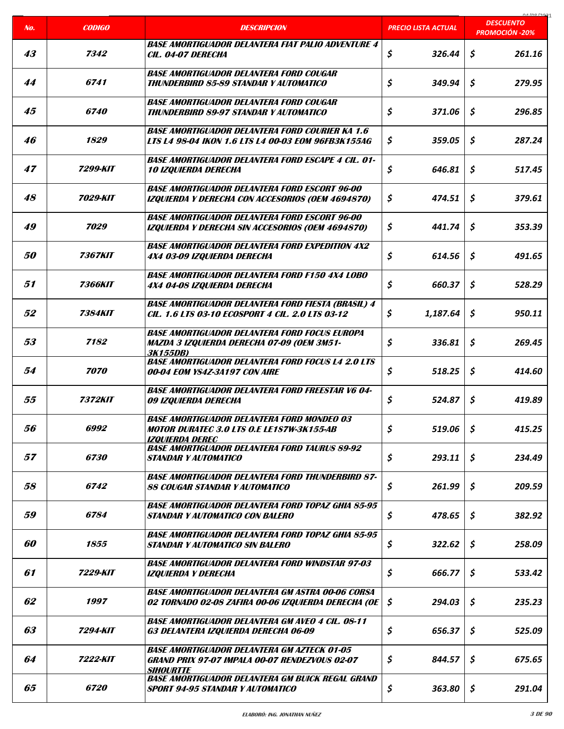| No.       | <b>CODIGO</b>         | <b>DESCRIPCION</b>                                                                                                              | <b>PRECIO LISTA ACTUAL</b> | carloo lage<br><b>DESCUENTO</b><br><b>PROMOCIÓN -20%</b> |
|-----------|-----------------------|---------------------------------------------------------------------------------------------------------------------------------|----------------------------|----------------------------------------------------------|
|           |                       |                                                                                                                                 |                            |                                                          |
| 43        | 7342                  | <b>BASE AMORTIGUADOR DELANTERA FIAT PALIO ADVENTURE 4</b><br>CIL. 04-07 DERECHA                                                 | \$<br>326.44               | \$<br>261.16                                             |
| 44        | 6741                  | <b>BASE AMORTIGUADOR DELANTERA FORD COUGAR</b><br><b>THUNDERBIRD 85-89 STANDAR Y AUTOMATICO</b>                                 | \$<br>349.94               | \$<br>279.95                                             |
| 45        | <i>6740</i>           | <b>BASE AMORTIGUADOR DELANTERA FORD COUGAR</b><br><b>THUNDERBIRD 89-97 STANDAR Y AUTOMATICO</b>                                 | \$<br>371.06               | \$<br>296.85                                             |
| 46        | 1829                  | <b>BASE AMORTIGUADOR DELANTERA FORD COURIER KA 1.6</b><br>LTS L4 98-04 IKON 1.6 LTS L4 00-03 EOM 96FB3K155AG                    | \$<br>359.05               | \$<br>287.24                                             |
| 47        | 7299-KIT              | <b>BASE AMORTIGUADOR DELANTERA FORD ESCAPE 4 CIL. 01-</b><br><b>10 IZQUIERDA DERECHA</b>                                        | \$<br>646.81               | $\boldsymbol{\mathsf{s}}$<br>517.45                      |
| 48        | 7029-KIT              | <b>BASE AMORTIGUADOR DELANTERA FORD ESCORT 96-00</b><br>IZQUIERDA Y DERECHA CON ACCESORIOS (OEM 4694870)                        | \$<br>474.51               | \$<br>379.61                                             |
| 49        | 7029                  | <b>BASE AMORTIGUADOR DELANTERA FORD ESCORT 96-00</b><br>IZQUIERDA Y DERECHA SIN ACCESORIOS (OEM 4694870)                        | \$<br>441.74               | \$<br>353.39                                             |
| <i>50</i> | <i><b>7367KIT</b></i> | <b>BASE AMORTIGUADOR DELANTERA FORD EXPEDITION 4X2</b><br>4X4 03-09 IZQUIERDA DERECHA                                           | \$<br>614.56               | \$<br>491.65                                             |
| 51        | <i><b>7366KIT</b></i> | <b>BASE AMORTIGUADOR DELANTERA FORD F150 4X4 LOBO</b><br>4X4 04-08 IZQUIERDA DERECHA                                            | \$<br>660.37               | \$<br>528.29                                             |
| 52        | <i><b>7384KIT</b></i> | <b>BASE AMORTIGUADOR DELANTERA FORD FIESTA (BRASIL) 4</b><br>CIL. 1.6 LTS 03-10 ECOSPORT 4 CIL. 2.0 LTS 03-12                   | \$<br>1,187.64             | Ŝ.<br>950.11                                             |
| 53        | 7182                  | <b>BASE AMORTIGUADOR DELANTERA FORD FOCUS EUROPA</b><br><b>MAZDA 3 IZQUIERDA DERECHA 07-09 (OEM 3M51-</b><br>3K155DB)           | \$<br>336.81               | \$<br>269.45                                             |
| 54        | 7070                  | <b>BASE AMORTIGUADOR DELANTERA FORD FOCUS L4 2.0 LTS</b><br>00-04 EOM YS4Z-3A197 CON AIRE                                       | \$<br>518.25               | \$<br>414.60                                             |
| 55        | <i><b>7372KIT</b></i> | <b>BASE AMORTIGUADOR DELANTERA FORD FREESTAR V6 04-</b><br>09 IZQUIERDA DERECHA                                                 | \$<br>524.87               | \$<br>419.89                                             |
| 56        | 6992                  | <b>BASE AMORTIGUADOR DELANTERA FORD MONDEO 03</b><br><b>MOTOR DURATEC 3.0 LTS O.E LE1S7W-3K155-AB</b><br><b>IZOUIERDA DEREC</b> | \$<br>519.06               | $\mathcal{S}$<br>415.25                                  |
| 57        | 6730                  | <b>BASE AMORTIGUADOR DELANTERA FORD TAURUS 89-92</b><br><b>STANDAR Y AUTOMATICO</b>                                             | \$<br>293.11               | $\mathsf{S}$<br>234.49                                   |
| 58        | 6742                  | <b>BASE AMORTIGUADOR DELANTERA FORD THUNDERBIRD 87-</b><br>88 COUGAR STANDAR Y AUTOMATICO                                       | \$<br>261.99               | \$<br>209.59                                             |
| 59        | 6784                  | <b>BASE AMORTIGUADOR DELANTERA FORD TOPAZ GHIA 85-95</b><br><b>STANDAR Y AUTOMATICO CON BALERO</b>                              | \$<br>478.65               | \$<br>382.92                                             |
| 60        | 1855                  | <b>BASE AMORTIGUADOR DELANTERA FORD TOPAZ GHIA 85-95</b><br><b>STANDAR Y AUTOMATICO SIN BALERO</b>                              | \$<br>322.62               | \$<br>258.09                                             |
| 61        | 7229-KIT              | <b>BASE AMORTIGUADOR DELANTERA FORD WINDSTAR 97-03</b><br><b>IZQUIERDA Y DERECHA</b>                                            | \$<br>666.77               | \$<br>533.42                                             |
| 62        | 1997                  | <b>BASE AMORTIGUADOR DELANTERA GM ASTRA 00-06 CORSA</b><br>02 TORNADO 02-08 ZAFIRA 00-06 IZQUIERDA DERECHA (OE                  | \$<br>294.03               | \$<br>235.23                                             |
| 63        | 7294-KIT              | <b>BASE AMORTIGUADOR DELANTERA GM AVEO 4 CIL. 08-11</b><br>G3 DELANTERA IZQUIERDA DERECHA 06-09                                 | \$<br>656.37               | \$<br>525.09                                             |
| 64        | <b>7222-KIT</b>       | <b>BASE AMORTIGUADOR DELANTERA GM AZTECK 01-05</b><br><b>GRAND PRIX 97-07 IMPALA 00-07 RENDEZVOUS 02-07</b><br><b>SIHOURTTE</b> | \$<br>844.57               | \$<br>675.65                                             |
| 65        | <i><b>6720</b></i>    | <b>BASE AMORTIGUADOR DELANTERA GM BUICK REGAL GRAND</b><br><b>SPORT 94-95 STANDAR Y AUTOMATICO</b>                              | \$<br>363.80               | \$<br>291.04                                             |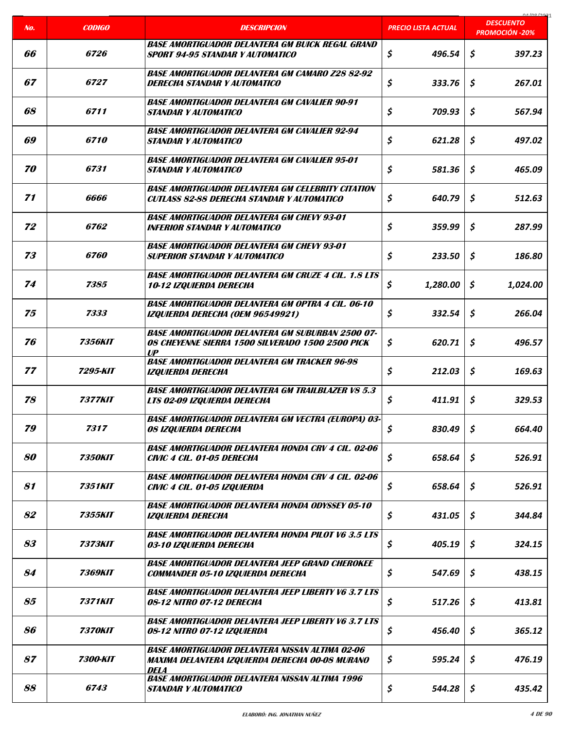| No. | <b>CODIGO</b>         | <b>DESCRIPCION</b>                                                                                                                     | <b>PRECIO LISTA ACTUAL</b>     | 01/00/2021<br><b>DESCUENTO</b><br><b>PROMOCIÓN -20%</b> |
|-----|-----------------------|----------------------------------------------------------------------------------------------------------------------------------------|--------------------------------|---------------------------------------------------------|
|     |                       | <b>BASE AMORTIGUADOR DELANTERA GM BUICK REGAL GRAND</b>                                                                                |                                |                                                         |
| 66  | <i><b>6726</b></i>    | <b>SPORT 94-95 STANDAR Y AUTOMATICO</b>                                                                                                | $\boldsymbol{\zeta}$<br>496.54 | \$<br>397.23                                            |
| 67  | 6727                  | <b>BASE AMORTIGUADOR DELANTERA GM CAMARO Z28 82-92</b><br>DERECHA STANDAR Y AUTOMATICO                                                 | \$<br>333.76                   | \$<br>267.01                                            |
| 68  | 6711                  | <b>BASE AMORTIGUADOR DELANTERA GM CAVALIER 90-91</b><br><b>STANDAR Y AUTOMATICO</b>                                                    | \$<br>709.93                   | \$<br>567.94                                            |
| 69  | <i><b>6710</b></i>    | <b>BASE AMORTIGUADOR DELANTERA GM CAVALIER 92-94</b><br><b>STANDAR Y AUTOMATICO</b>                                                    | \$<br>621.28                   | \$<br>497.02                                            |
| 70  | 6731                  | <b>BASE AMORTIGUADOR DELANTERA GM CAVALIER 95-01</b><br><b>STANDAR Y AUTOMATICO</b>                                                    | \$<br>581.36                   | \$<br>465.09                                            |
| 71  | 6666                  | <b>BASE AMORTIGUADOR DELANTERA GM CELEBRITY CITATION</b><br><b>CUTLASS 82-88 DERECHA STANDAR Y AUTOMATICO</b>                          | \$<br>640.79                   | \$<br>512.63                                            |
| 72  | 6762                  | <b>BASE AMORTIGUADOR DELANTERA GM CHEVY 93-01</b><br><b>INFERIOR STANDAR Y AUTOMATICO</b>                                              | \$<br>359.99                   | \$<br>287.99                                            |
| 73  | 6760                  | <b>BASE AMORTIGUADOR DELANTERA GM CHEVY 93-01</b><br><b>SUPERIOR STANDAR Y AUTOMATICO</b>                                              | \$<br>233.50                   | \$<br>186.80                                            |
| 74  | 7385                  | <b>BASE AMORTIGUADOR DELANTERA GM CRUZE 4 CIL. 1.8 LTS</b><br><i><b>10-12 IZQUIERDA DERECHA</b></i>                                    | \$<br>1,280.00                 | \$<br>1,024.00                                          |
| 75  | 7333                  | <b>BASE AMORTIGUADOR DELANTERA GM OPTRA 4 CIL. 06-10</b><br>IZQUIERDA DERECHA (OEM 96549921)                                           | \$<br>332.54                   | \$<br>266.04                                            |
| 76  | <b>7356KIT</b>        | <b>BASE AMORTIGUADOR DELANTERA GM SUBURBAN 2500 07-</b><br>08 CHEYENNE SIERRA 1500 SILVERADO 1500 2500 PICK<br>$\mathbf{U} \mathbf{P}$ | \$<br>620.71                   | \$<br>496.57                                            |
| 77  | 7295-KIT              | <b>BASE AMORTIGUADOR DELANTERA GM TRACKER 96-98</b><br><b>IZOUIERDA DERECHA</b>                                                        | \$<br>212.03                   | \$<br>169.63                                            |
| 78  | <i><b>7377KIT</b></i> | <b>BASE AMORTIGUADOR DELANTERA GM TRAILBLAZER V8 5.3</b><br>LTS 02-09 IZQUIERDA DERECHA                                                | \$<br>411.91                   | \$<br>329.53                                            |
| 79  | 7317                  | <b>BASE AMORTIGUADOR DELANTERA GM VECTRA (EUROPA) 03-</b><br><b>08 IZQUIERDA DERECHA</b>                                               | \$<br>830.49                   | \$<br>664.40                                            |
| 80  | <i><b>7350KIT</b></i> | <b>BASE AMORTIGUADOR DELANTERA HONDA CRV 4 CIL. 02-06</b><br>CIVIC 4 CIL. 01-05 DERECHA                                                | \$<br>658.64                   | \$<br>526.91                                            |
| 81  | <i><b>7351KIT</b></i> | <b>BASE AMORTIGUADOR DELANTERA HONDA CRV 4 CIL. 02-06</b><br>CIVIC 4 CIL. 01-05 IZQUIERDA                                              | \$<br>658.64                   | \$<br>526.91                                            |
| 82  | 7355KIT               | <b>BASE AMORTIGUADOR DELANTERA HONDA ODYSSEY 05-10</b><br><b>IZQUIERDA DERECHA</b>                                                     | \$<br>431.05                   | \$<br>344.84                                            |
| 83  | 7373KIT               | <b>BASE AMORTIGUADOR DELANTERA HONDA PILOT V6 3.5 LTS</b><br>03-10 IZQUIERDA DERECHA                                                   | \$<br>405.19                   | \$<br>324.15                                            |
| 84  | <i><b>7369KIT</b></i> | <b>BASE AMORTIGUADOR DELANTERA JEEP GRAND CHEROKEE</b><br><b>COMMANDER 05-10 IZQUIERDA DERECHA</b>                                     | \$<br>547.69                   | \$<br>438.15                                            |
| 85  | <i><b>7371KIT</b></i> | <b>BASE AMORTIGUADOR DELANTERA JEEP LIBERTY V6 3.7 LTS</b><br><b>08-12 NITRO 07-12 DERECHA</b>                                         | \$<br>517.26                   | \$<br>413.81                                            |
| 86  | <i><b>7370KIT</b></i> | <b>BASE AMORTIGUADOR DELANTERA JEEP LIBERTY V6 3.7 LTS</b><br>08-12 NITRO 07-12 IZQUIERDA                                              | \$<br>456.40                   | \$<br>365.12                                            |
| 87  | 7300-KIT              | <b>BASE AMORTIGUADOR DELANTERA NISSAN ALTIMA 02-06</b><br>MAXIMA DELANTERA IZQUIERDA DERECHA 00-08 MURANO<br><b>DELA</b>               | \$<br>595.24                   | \$<br>476.19                                            |
| 88  | <i>6743</i>           | <b>BASE AMORTIGUADOR DELANTERA NISSAN ALTIMA 1996</b><br><b>STANDAR Y AUTOMATICO</b>                                                   | \$<br>544.28                   | \$<br>435.42                                            |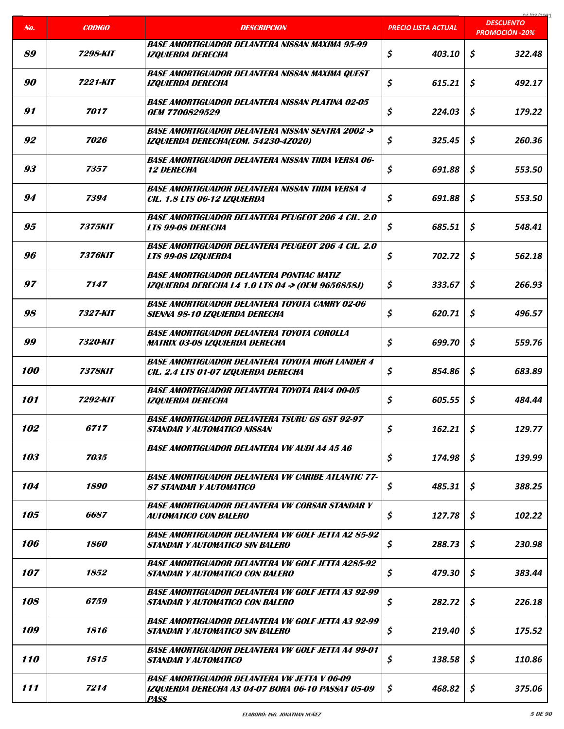|     |                       |                                                                                                                          |                            | COCI ON AO                                |
|-----|-----------------------|--------------------------------------------------------------------------------------------------------------------------|----------------------------|-------------------------------------------|
| No. | <b>CODIGO</b>         | <b>DESCRIPCION</b>                                                                                                       | <b>PRECIO LISTA ACTUAL</b> | <b>DESCUENTO</b><br><b>PROMOCIÓN -20%</b> |
| 89  | 7298-KIT              | <b>BASE AMORTIGUADOR DELANTERA NISSAN MAXIMA 95-99</b><br><b>IZQUIERDA DERECHA</b>                                       | \$<br>403.10               | \$<br>322.48                              |
| 90  | 7221-KIT              | <b>BASE AMORTIGUADOR DELANTERA NISSAN MAXIMA QUEST</b><br><b>IZQUIERDA DERECHA</b>                                       | \$<br>615.21               | \$<br>492.17                              |
| 91  | 7017                  | <b>BASE AMORTIGUADOR DELANTERA NISSAN PLATINA 02-05</b><br><b>OEM 7700829529</b>                                         | \$<br>224.03               | \$<br>179.22                              |
| 92  | 7026                  | <b>BASE AMORTIGUADOR DELANTERA NISSAN SENTRA 2002 -&gt;</b><br>IZQUIERDA DERECHA(EOM. 54230-4Z020)                       | \$<br>325.45               | \$<br>260.36                              |
| 93  | 7357                  | <b>BASE AMORTIGUADOR DELANTERA NISSAN TIIDA VERSA 06-</b><br><b>12 DERECHA</b>                                           | \$<br>691.88               | \$<br>553.50                              |
| 94  | 7394                  | <b>BASE AMORTIGUADOR DELANTERA NISSAN TIIDA VERSA 4</b><br>CIL. 1.8 LTS 06-12 IZQUIERDA                                  | \$<br>691.88               | \$<br>553.50                              |
| 95  | 7375KIT               | <b>BASE AMORTIGUADOR DELANTERA PEUGEOT 206 4 CIL. 2.0</b><br><b>LTS 99-08 DERECHA</b>                                    | \$<br>685.51               | \$<br>548.41                              |
| 96  | <i><b>7376KIT</b></i> | <b>BASE AMORTIGUADOR DELANTERA PEUGEOT 206 4 CIL. 2.0</b><br>LTS 99-08 IZQUIERDA                                         | \$<br>702.72               | \$<br>562.18                              |
| 97  | 7147                  | <b>BASE AMORTIGUADOR DELANTERA PONTIAC MATIZ</b><br>IZQUIERDA DERECHA L4 1.0 LTS 04 -> (OEM 9656858J)                    | \$<br>333.67               | \$<br>266.93                              |
| 98  | 7327-KIT              | <b>BASE AMORTIGUADOR DELANTERA TOYOTA CAMRY 02-06</b><br>SIENNA 98-10 IZQUIERDA DERECHA                                  | \$<br>620.71               | \$<br>496.57                              |
| 99  | <b>7320-KIT</b>       | <b>BASE AMORTIGUADOR DELANTERA TOYOTA COROLLA</b><br><b>MATRIX 03-08 IZQUIERDA DERECHA</b>                               | \$<br>699.70               | \$<br>559.76                              |
| 100 | <b>7378KIT</b>        | <b>BASE AMORTIGUADOR DELANTERA TOYOTA HIGH LANDER 4</b><br>CIL. 2.4 LTS 01-07 IZQUIERDA DERECHA                          | \$<br>854.86               | \$<br>683.89                              |
| 101 | 7292-KIT              | <b>BASE AMORTIGUADOR DELANTERA TOYOTA RAV4 00-05</b><br><b>IZQUIERDA DERECHA</b>                                         | \$<br>605.55               | \$<br>484.44                              |
| 102 | 6717                  | <b>BASE AMORTIGUADOR DELANTERA TSURU GS GST 92-97</b><br><b>STANDAR Y AUTOMATICO NISSAN</b>                              | \$<br>162.21               | \$<br>129.77                              |
| 103 | 7035                  | <b>BASE AMORTIGUADOR DELANTERA VW AUDI A4 A5 A6</b>                                                                      | \$<br>174.98               | \$<br>139.99                              |
| 104 | 1890                  | <b>BASE AMORTIGUADOR DELANTERA VW CARIBE ATLANTIC 77-</b><br><b>87 STANDAR Y AUTOMATICO</b>                              | \$<br>485.31               | \$<br>388.25                              |
| 105 | 6687                  | <b>BASE AMORTIGUADOR DELANTERA VW CORSAR STANDAR Y</b><br><b>AUTOMATICO CON BALERO</b>                                   | \$<br>127.78               | \$<br>102.22                              |
| 106 | 1860                  | <b>BASE AMORTIGUADOR DELANTERA VW GOLF JETTA A2 85-92</b><br>STANDAR Y AUTOMATICO SIN BALERO                             | \$<br>288.73               | \$<br>230.98                              |
| 107 | 1852                  | <b>BASE AMORTIGUADOR DELANTERA VW GOLF JETTA A285-92</b><br><b>STANDAR Y AUTOMATICO CON BALERO</b>                       | \$<br>479.30               | \$<br>383.44                              |
| 108 | <i>6759</i>           | <b>BASE AMORTIGUADOR DELANTERA VW GOLF JETTA A3 92-99</b><br><b>STANDAR Y AUTOMATICO CON BALERO</b>                      | \$<br>282.72               | \$<br>226.18                              |
| 109 | 1816                  | <b>BASE AMORTIGUADOR DELANTERA VW GOLF JETTA A3 92-99</b><br>STANDAR Y AUTOMATICO SIN BALERO                             | \$<br>219.40               | Ŝ.<br>175.52                              |
| 110 | 1815                  | <b>BASE AMORTIGUADOR DELANTERA VW GOLF JETTA A4 99-01</b><br><b>STANDAR Y AUTOMATICO</b>                                 | \$<br>138.58               | \$<br>110.86                              |
| 111 | 7214                  | <b>BASE AMORTIGUADOR DELANTERA VW JETTA V 06-09</b><br>IZQUIERDA DERECHA A3 04-07 BORA 06-10 PASSAT 05-09<br><b>PASS</b> | \$<br>468.82               | \$<br>375.06                              |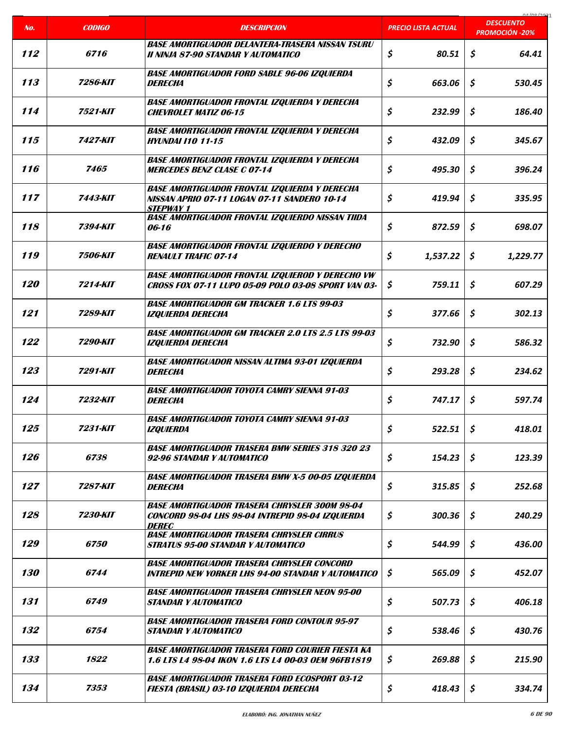| No.               | <b>CODIGO</b>          | <b>DESCRIPCION</b>                                                                                                       | <b>PRECIO LISTA ACTUAL</b> | 01/00/2021<br><b>DESCUENTO</b><br><b>PROMOCIÓN -20%</b> |
|-------------------|------------------------|--------------------------------------------------------------------------------------------------------------------------|----------------------------|---------------------------------------------------------|
| 112               | 6716                   | <b>BASE AMORTIGUADOR DELANTERA-TRASERA NISSAN TSURU</b><br>II NINJA 87-90 STANDAR Y AUTOMATICO                           | \$<br>80.51                | \$<br>64.41                                             |
| 113               | 7286-KIT               | <b>BASE AMORTIGUADOR FORD SABLE 96-06 IZQUIERDA</b><br><b>DERECHA</b>                                                    | \$<br>663.06               | \$<br>530.45                                            |
| 114               | 7521-KIT               | <b>BASE AMORTIGUADOR FRONTAL IZQUIERDA Y DERECHA</b><br><b>CHEVROLET MATIZ 06-15</b>                                     | \$<br>232.99               | \$<br>186.40                                            |
| 115               | 7427-KIT               | <b>BASE AMORTIGUADOR FRONTAL IZQUIERDA Y DERECHA</b><br><b>HYUNDAI 110 11-15</b>                                         | \$<br>432.09               | \$<br>345.67                                            |
| 116               | 7465                   | <b>BASE AMORTIGUADOR FRONTAL IZQUIERDA Y DERECHA</b><br><b>MERCEDES BENZ CLASE C 07-14</b>                               | \$<br>495.30               | \$<br>396.24                                            |
| 117               | <b>7443-KIT</b>        | <b>BASE AMORTIGUADOR FRONTAL IZQUIERDA Y DERECHA</b><br>NISSAN APRIO 07-11 LOGAN 07-11 SANDERO 10-14<br><b>STEPWAY 1</b> | \$<br>419.94               | \$<br>335.95                                            |
| 118               | 7394-KIT               | <b>BASE AMORTIGUADOR FRONTAL IZQUIERDO NISSAN TIIDA</b><br>06-16                                                         | \$<br>872.59               | \$<br>698.07                                            |
| 119               | <b>7506-KIT</b>        | <b>BASE AMORTIGUADOR FRONTAL IZQUIERDO Y DERECHO</b><br><b>RENAULT TRAFIC 07-14</b>                                      | \$<br>1,537.22             | \$<br>1,229.77                                          |
| <i><b>120</b></i> | <b>7214-KIT</b>        | <b>BASE AMORTIGUADOR FRONTAL IZQUIEROD Y DERECHO VW</b><br>CROSS FOX 07-11 LUPO 05-09 POLO 03-08 SPORT VAN 03-           | \$<br>759.11               | \$<br>607.29                                            |
| 121               | 7289-KIT               | <b>BASE AMORTIGUADOR GM TRACKER 1.6 LTS 99-03</b><br><b>IZQUIERDA DERECHA</b>                                            | \$<br>377.66               | \$<br>302.13                                            |
| 122               | 7290-KIT               | <b>BASE AMORTIGUADOR GM TRACKER 2.0 LTS 2.5 LTS 99-03</b><br><b>IZQUIERDA DERECHA</b>                                    | \$<br>732.90               | \$<br>586.32                                            |
| 123               | 7291-KIT               | <b>BASE AMORTIGUADOR NISSAN ALTIMA 93-01 IZQUIERDA</b><br><b>DERECHA</b>                                                 | \$<br>293.28               | \$<br>234.62                                            |
| 124               | 7232-KIT               | <b>BASE AMORTIGUADOR TOYOTA CAMRY SIENNA 91-03</b><br><b>DERECHA</b>                                                     | \$<br>747.17               | \$<br>597.74                                            |
| 125               | 7231-KIT               | <b>BASE AMORTIGUADOR TOYOTA CAMRY SIENNA 91-03</b><br><b>IZQUIERDA</b>                                                   | \$<br>522.51               | \$<br>418.01                                            |
| 126               | <i>6738</i>            | <b>BASE AMORTIGUADOR TRASERA BMW SERIES 318 320 23</b><br>92-96 STANDAR Y AUTOMATICO                                     | \$<br>154.23               | \$<br>123.39                                            |
| 127               | 7287-KIT               | <b>BASE AMORTIGUADOR TRASERA BMW X-5 00-05 IZQUIERDA</b><br>DERECHA                                                      | \$<br>315.85               | \$<br>252.68                                            |
| 128               | <i><b>7230-KIT</b></i> | <b>BASE AMORTIGUADOR TRASERA CHRYSLER 300M 98-04</b><br>CONCORD 98-04 LHS 98-04 INTREPID 98-04 IZQUIERDA<br>DEREC        | \$<br>300.36               | \$<br>240.29                                            |
| 129               | <i><b>6750</b></i>     | <b>BASE AMORTIGUADOR TRASERA CHRYSLER CIRRUS</b><br><b>STRATUS 95-00 STANDAR Y AUTOMATICO</b>                            | \$<br>544.99               | \$<br>436.00                                            |
| 130               | 6744                   | <b>BASE AMORTIGUADOR TRASERA CHRYSLER CONCORD</b><br>INTREPID NEW YORKER LHS 94-00 STANDAR Y AUTOMATICO                  | \$<br>565.09               | \$<br>452.07                                            |
| 131               | <i><b>6749</b></i>     | <b>BASE AMORTIGUADOR TRASERA CHRYSLER NEON 95-00</b><br><b>STANDAR Y AUTOMATICO</b>                                      | \$<br>507.73               | \$<br>406.18                                            |
| 132               | 6754                   | <b>BASE AMORTIGUADOR TRASERA FORD CONTOUR 95-97</b><br><b>STANDAR Y AUTOMATICO</b>                                       | \$<br>538.46               | \$<br>430.76                                            |
| 133               | 1822                   | <b>BASE AMORTIGUADOR TRASERA FORD COURIER FIESTA KA</b><br>1.6 LTS L4 98-04 IKON 1.6 LTS L4 00-03 OEM 96FB1819           | \$<br>269.88               | \$<br>215.90                                            |
| 134               | 7353                   | <b>BASE AMORTIGUADOR TRASERA FORD ECOSPORT 03-12</b><br>FIESTA (BRASIL) 03-10 IZQUIERDA DERECHA                          | \$<br>418.43               | \$<br>334.74                                            |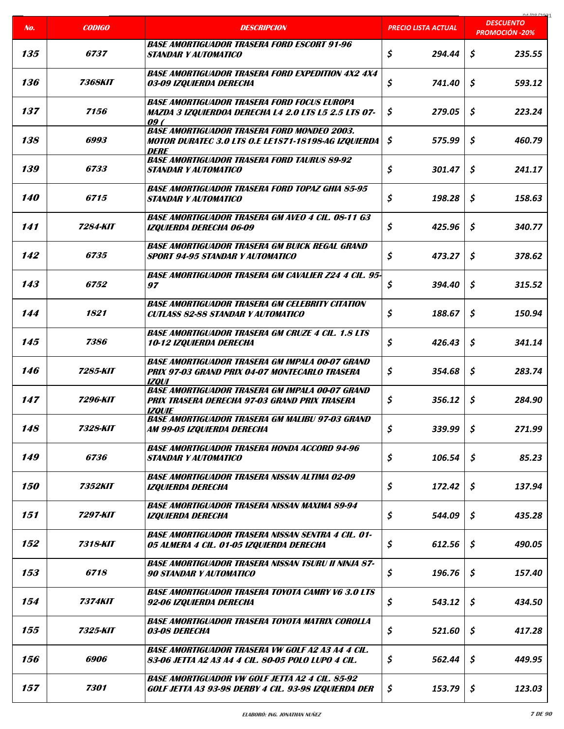| No.               | <b>CODIGO</b>         | <b>DESCRIPCION</b>                                                                                                              | <b>PRECIO LISTA ACTUAL</b> | 01/00/2021<br><b>DESCUENTO</b><br><b>PROMOCIÓN -20%</b> |
|-------------------|-----------------------|---------------------------------------------------------------------------------------------------------------------------------|----------------------------|---------------------------------------------------------|
|                   |                       |                                                                                                                                 |                            |                                                         |
| 135               | 6737                  | <b>BASE AMORTIGUADOR TRASERA FORD ESCORT 91-96</b><br><b>STANDAR Y AUTOMATICO</b>                                               | \$<br>294.44               | \$<br>235.55                                            |
| 136               | <i><b>7368KIT</b></i> | <b>BASE AMORTIGUADOR TRASERA FORD EXPEDITION 4X2 4X4</b><br>03-09 IZQUIERDA DERECHA                                             | \$<br>741.40               | \$<br>593.12                                            |
| 137               | 7156                  | <b>BASE AMORTIGUADOR TRASERA FORD FOCUS EUROPA</b><br><b>MAZDA 3 IZQUIERDOA DERECHA L4 2.0 LTS L5 2.5 LTS 07-</b><br>09(        | \$<br>279.05               | \$<br>223.24                                            |
| 138               | 6993                  | <b>BASE AMORTIGUADOR TRASERA FORD MONDEO 2003.</b><br><b>MOTOR DURATEC 3.0 LTS O.E LE1S71-18198-AG IZQUIERDA</b><br><b>DERE</b> | \$<br>575.99               | \$<br>460.79                                            |
| 139               | 6733                  | <b>BASE AMORTIGUADOR TRASERA FORD TAURUS 89-92</b><br><b>STANDAR Y AUTOMATICO</b>                                               | \$<br>301.47               | \$<br>241.17                                            |
| <b>140</b>        | 6715                  | <b>BASE AMORTIGUADOR TRASERA FORD TOPAZ GHIA 85-95</b><br><b>STANDAR Y AUTOMATICO</b>                                           | \$<br>198.28               | \$<br>158.63                                            |
| 141               | 7284-KIT              | <b>BASE AMORTIGUADOR TRASERA GM AVEO 4 CIL. 08-11 G3</b><br>IZQUIERDA DERECHA 06-09                                             | \$<br>425.96               | \$<br>340.77                                            |
| 142               | 6735                  | <b>BASE AMORTIGUADOR TRASERA GM BUICK REGAL GRAND</b><br><b>SPORT 94-95 STANDAR Y AUTOMATICO</b>                                | \$<br>473.27               | \$<br>378.62                                            |
| 143               | 6752                  | <b>BASE AMORTIGUADOR TRASERA GM CAVALIER Z24 4 CIL. 95-</b><br>97                                                               | \$<br>394.40               | \$<br>315.52                                            |
| 144               | 1821                  | <b>BASE AMORTIGUADOR TRASERA GM CELEBRITY CITATION</b><br><b>CUTLASS 82-88 STANDAR Y AUTOMATICO</b>                             | \$<br>188.67               | \$<br>150.94                                            |
| 145               | 7386                  | <b>BASE AMORTIGUADOR TRASERA GM CRUZE 4 CIL. 1.8 LTS</b><br><b>10-12 IZQUIERDA DERECHA</b>                                      | \$<br>426.43               | \$<br>341.14                                            |
| 146               | 7285-KIT              | <b>BASE AMORTIGUADOR TRASERA GM IMPALA 00-07 GRAND</b><br>PRIX 97-03 GRAND PRIX 04-07 MONTECARLO TRASERA<br><b>IZOUI</b>        | \$<br>354.68               | \$<br>283.74                                            |
| 147               | 7296-KIT              | <b>BASE AMORTIGUADOR TRASERA GM IMPALA 00-07 GRAND</b><br>PRIX TRASERA DERECHA 97-03 GRAND PRIX TRASERA<br><b>IZQUIE</b>        | \$<br>356.12               | \$<br>284.90                                            |
| 148               | 7328-KIT              | <b>BASE AMORTIGUADOR TRASERA GM MALIBU 97-03 GRAND</b><br>AM 99-05 IZQUIERDA DERECHA                                            | \$<br>339.99               | \$<br>271.99                                            |
| 149               | 6736                  | <b>BASE AMORTIGUADOR TRASERA HONDA ACCORD 94-96</b><br><b>STANDAR Y AUTOMATICO</b>                                              | \$<br>106.54               | \$<br>85.23                                             |
| <i><b>150</b></i> | 7352KIT               | <b>BASE AMORTIGUADOR TRASERA NISSAN ALTIMA 02-09</b><br><b>IZQUIERDA DERECHA</b>                                                | \$<br>172.42               | \$<br>137.94                                            |
| 151               | 7297-KIT              | <b>BASE AMORTIGUADOR TRASERA NISSAN MAXIMA 89-94</b><br>IZQUIERDA DERECHA                                                       | \$<br>544.09               | \$<br>435.28                                            |
| 152               | 7318-KIT              | <b>BASE AMORTIGUADOR TRASERA NISSAN SENTRA 4 CIL. 01-</b><br>05 ALMERA 4 CIL. 01-05 IZQUIERDA DERECHA                           | \$<br>612.56               | \$<br>490.05                                            |
| 153               | 6718                  | <b>BASE AMORTIGUADOR TRASERA NISSAN TSURU II NINJA 87-</b><br><b>90 STANDAR Y AUTOMATICO</b>                                    | \$<br>196.76               | \$<br>157.40                                            |
| 154               | <i><b>7374KIT</b></i> | <b>BASE AMORTIGUADOR TRASERA TOYOTA CAMRY V6 3.0 LTS</b><br>92-06 IZQUIERDA DERECHA                                             | \$<br>543.12               | \$<br>434.50                                            |
| 155               | 7325-KIT              | <b>BASE AMORTIGUADOR TRASERA TOYOTA MATRIX COROLLA</b><br>03-08 DERECHA                                                         | \$<br>521.60               | \$<br>417.28                                            |
| 156               | 6906                  | <b>BASE AMORTIGUADOR TRASERA VW GOLF A2 A3 A4 4 CIL.</b><br>83-06 JETTA A2 A3 A4 4 CIL. 80-05 POLO LUPO 4 CIL.                  | \$<br>562.44               | \$<br>449.95                                            |
| 157               | 7301                  | <b>BASE AMORTIGUADOR VW GOLF JETTA A2 4 CIL. 85-92</b><br>GOLF JETTA A3 93-98 DERBY 4 CIL. 93-98 IZQUIERDA DER                  | \$<br>153.79               | \$<br>123.03                                            |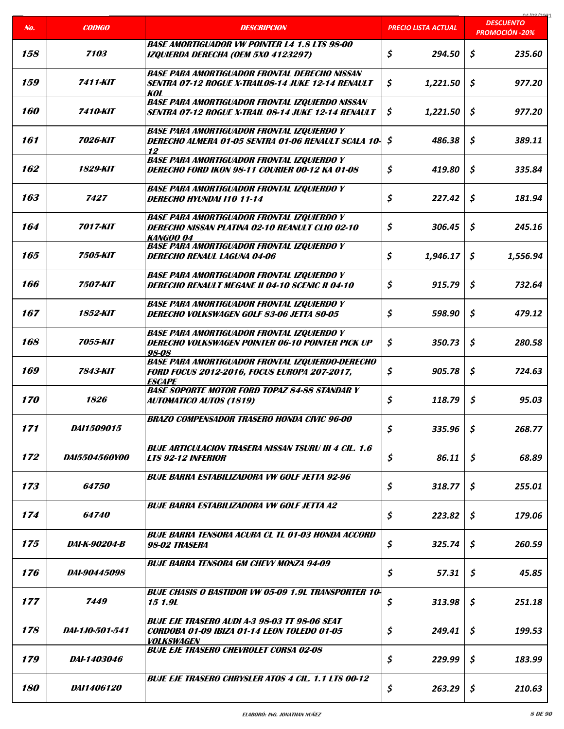| No.               | <b>CODIGO</b>        | <b>DESCRIPCION</b>                                                                                                                              | <b>PRECIO LISTA ACTUAL</b> | 01/00/202<br><b>DESCUENTO</b><br><b>PROMOCIÓN -20%</b> |
|-------------------|----------------------|-------------------------------------------------------------------------------------------------------------------------------------------------|----------------------------|--------------------------------------------------------|
| 158               | 7103                 | <b>BASE AMORTIGUADOR VW POINTER L4 1.8 LTS 98-00</b><br>IZQUIERDA DERECHA (OEM 5X0 4123297)                                                     | \$<br>294.50               | \$<br>235.60                                           |
| 159               | 7411-KIT             | <b>BASE PARA AMORTIGUADOR FRONTAL DERECHO NISSAN</b><br>SENTRA 07-12 ROGUE X-TRAILOS-14 JUKE 12-14 RENAULT                                      | \$<br>1,221.50             | \$<br>977.20                                           |
| 160               | 7410-KIT             | KOL<br><b>BASE PARA AMORTIGUADOR FRONTAL IZQUIERDO NISSAN</b><br><b>SENTRA 07-12 ROGUE X-TRAIL 08-14 JUKE 12-14 RENAULT</b>                     | \$<br>1,221.50             | \$<br>977.20                                           |
| 161               | 7026-KIT             | <b>BASE PARA AMORTIGUADOR FRONTAL IZQUIERDO Y</b><br>DERECHO ALMERA 01-05 SENTRA 01-06 RENAULT SCALA 10-                                        | \$<br>486.38               | \$<br>389.11                                           |
| 162               | 1829-KIT             | 12<br><b>BASE PARA AMORTIGUADOR FRONTAL IZQUIERDO Y</b><br><b>DERECHO FORD IKON 98-11 COURIER 00-12 KA 01-08</b>                                | \$<br>419.80               | \$<br>335.84                                           |
| 163               | 7427                 | <b>BASE PARA AMORTIGUADOR FRONTAL IZQUIERDO Y</b><br><b>DERECHO HYUNDAI 110 11-14</b>                                                           | \$<br>227.42               | \$<br>181.94                                           |
| 164               | <b>7017-KIT</b>      | <b>BASE PARA AMORTIGUADOR FRONTAL IZQUIERDO Y</b><br><b>DERECHO NISSAN PLATINA 02-10 REANULT CLIO 02-10</b>                                     | \$<br>306.45               | \$<br>245.16                                           |
| 165               | 7505-KIT             | <b>KANGOO 04</b><br><b>BASE PARA AMORTIGUADOR FRONTAL IZQUIERDO Y</b><br><b>DERECHO RENAUL LAGUNA 04-06</b>                                     | \$<br>1,946.17             | Ŝ<br>1,556.94                                          |
| 166               | <b>7507-KIT</b>      | <b>BASE PARA AMORTIGUADOR FRONTAL IZQUIERDO Y</b><br><b>DERECHO RENAULT MEGANE II 04-10 SCENIC II 04-10</b>                                     | \$<br>915.79               | \$<br>732.64                                           |
| 167               | 1852-KIT             | <b>BASE PARA AMORTIGUADOR FRONTAL IZQUIERDO Y</b><br>DERECHO VOLKSWAGEN GOLF 83-06 JETTA 80-05                                                  | \$<br>598.90               | \$<br>479.12                                           |
| 168               | 7055-KIT             | <b>BASE PARA AMORTIGUADOR FRONTAL IZQUIERDO Y</b><br>DERECHO VOLKSWAGEN POINTER 06-10 POINTER PICK UP                                           | \$<br>350.73               | \$<br>280.58                                           |
| 169               | 7843-KIT             | 98-08<br><b>BASE PARA AMORTIGUADOR FRONTAL IZQUIERDO-DERECHO</b><br><b>FORD FOCUS 2012-2016, FOCUS EUROPA 207-2017,</b><br><i><b>ESCAPE</b></i> | \$<br>905.78               | \$<br>724.63                                           |
| <i><b>170</b></i> | 1826                 | <b>BASE SOPORTE MOTOR FORD TOPAZ 84-88 STANDAR Y</b><br><b>AUTOMATICO AUTOS (1819)</b>                                                          | \$<br>118.79               | \$<br>95.03                                            |
| 171               | <i>DAI1509015</i>    | <b>BRAZO COMPENSADOR TRASERO HONDA CIVIC 96-00</b>                                                                                              | \$<br>335.96               | \$<br>268.77                                           |
| 172               | <i>DA15504560Y00</i> | <b>BUJE ARTICULACION TRASERA NISSAN TSURU III 4 CIL. 1.6</b><br><b>LTS 92-12 INFERIOR</b>                                                       | \$<br>86.11                | \$<br>68.89                                            |
| 173               | <i><b>64750</b></i>  | <b>BUJE BARRA ESTABILIZADORA VW GOLF JETTA 92-96</b>                                                                                            | \$<br>318.77               | Ŝ.<br>255.01                                           |
| 174               | 64740                | <b>BUJE BARRA ESTABILIZADORA VW GOLF JETTA A2</b>                                                                                               | \$<br>223.82               | \$<br>179.06                                           |
| 175               | <i>DAI-K-90204-B</i> | <b>BUJE BARRA TENSORA ACURA CL TL 01-03 HONDA ACCORD</b><br>98-02 TRASERA                                                                       | \$<br>325.74               | \$<br>260.59                                           |
| 176               | <i>DAI-90445098</i>  | <b>BUJE BARRA TENSORA GM CHEVY MONZA 94-09</b>                                                                                                  | \$<br>57.31                | \$<br>45.85                                            |
| 177               | 7449                 | <b>BUJE CHASIS O BASTIDOR VW 05-09 1.9L TRANSPORTER 10-</b><br>15 1.9L                                                                          | \$<br>313.98               | \$<br>251.18                                           |
| 178               | DAI-1JO-501-541      | <b>BUJE EJE TRASERO AUDI A-3 98-03 TT 98-06 SEAT</b><br><b>CORDOBA 01-09 IBIZA 01-14 LEON TOLEDO 01-05</b><br><i><b>VOLKSWAGEN</b></i>          | \$<br>249.41               | \$<br>199.53                                           |
| 179               | <i>DAI-1403046</i>   | <b>BUJE EJE TRASERO CHEVROLET CORSA 02-08</b>                                                                                                   | \$<br>229.99               | \$<br>183.99                                           |
| 180               | <i>DAI1406120</i>    | <b>BUJE EJE TRASERO CHRYSLER ATOS 4 CIL. 1.1 LTS 00-12</b>                                                                                      | \$<br>263.29               | \$<br>210.63                                           |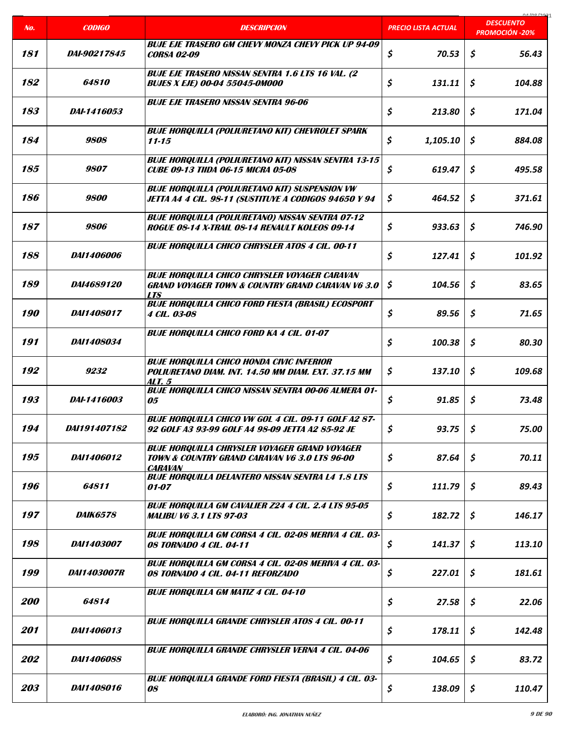| No.               | <b>CODIGO</b>       | <b>DESCRIPCION</b>                                                                                                                        | <b>PRECIO LISTA ACTUAL</b> | na ing inna<br><b>DESCUENTO</b><br><b>PROMOCIÓN -20%</b> |
|-------------------|---------------------|-------------------------------------------------------------------------------------------------------------------------------------------|----------------------------|----------------------------------------------------------|
|                   |                     |                                                                                                                                           |                            |                                                          |
| 181               | <i>DAI-90217845</i> | <b>BUJE EJE TRASERO GM CHEVY MONZA CHEVY PICK UP 94-09</b><br><b>CORSA 02-09</b>                                                          | \$<br>70.53                | \$<br>56.43                                              |
| 182               | <i><b>64810</b></i> | <b>BUJE EJE TRASERO NISSAN SENTRA 1.6 LTS 16 VAL. (2</b><br><b>BUJES X EJE) 00-04 55045-0M000</b>                                         | \$<br>131.11               | \$<br>104.88                                             |
| 183               | DAI-1416053         | <b>BUJE EJE TRASERO NISSAN SENTRA 96-06</b>                                                                                               | \$<br>213.80               | \$<br>171.04                                             |
| 184               | 9808                | <b>BUJE HORQUILLA (POLIURETANO KIT) CHEVROLET SPARK</b><br>$11 - 15$                                                                      | \$<br>1,105.10             | \$<br>884.08                                             |
| 185               | <i>9807</i>         | <b>BUJE HORQUILLA (POLIURETANO KIT) NISSAN SENTRA 13-15</b><br><b>CUBE 09-13 TIIDA 06-15 MICRA 05-08</b>                                  | \$<br>619.47               | \$<br>495.58                                             |
| 186               | 9800                | <b>BUJE HORQUILLA (POLIURETANO KIT) SUSPENSION VW</b><br>JETTA A4 4 CIL. 98-11 (SUSTITUYE A CODIGOS 94650 Y 94                            | \$<br>464.52               | \$<br>371.61                                             |
| 187               | 9806                | <b>BUJE HORQUILLA (POLIURETANO) NISSAN SENTRA 07-12</b><br>ROGUE 08-14 X-TRAIL 08-14 RENAULT KOLEOS 09-14                                 | \$<br>933.63               | \$<br>746.90                                             |
| 188               | <i>DAI1406006</i>   | <b>BUJE HORQUILLA CHICO CHRYSLER ATOS 4 CIL. 00-11</b>                                                                                    | \$<br>127.41               | \$<br>101.92                                             |
| 189               | DAI4689120          | <b>BUJE HORQUILLA CHICO CHRYSLER VOYAGER CARAVAN</b><br><b>GRAND VOYAGER TOWN &amp; COUNTRY GRAND CARAVAN V6 3.0</b><br><b>LTS</b>        | \$<br>104.56               | \$<br>83.65                                              |
| <i><b>190</b></i> | <i>DAI1408017</i>   | <b>BUJE HORQUILLA CHICO FORD FIESTA (BRASIL) ECOSPORT</b><br><b>4 CIL. 03-08</b>                                                          | \$<br>89.56                | \$<br>71.65                                              |
| 191               | DAI1408034          | <b>BUJE HORQUILLA CHICO FORD KA 4 CIL. 01-07</b>                                                                                          | \$<br>100.38               | \$<br>80.30                                              |
| 192               | 9232                | <b>BUJE HORQUILLA CHICO HONDA CIVIC INFERIOR</b><br>POLIURETANO DIAM. INT. 14.50 MM DIAM. EXT. 37.15 MM<br>ALT. 5                         | \$<br>137.10               | \$<br>109.68                                             |
| 193               | <i>DAI-1416003</i>  | <b>BUJE HORQUILLA CHICO NISSAN SENTRA 00-06 ALMERA 01-</b><br>05                                                                          | \$<br>91.85                | \$<br>73.48                                              |
| 194               | DAI191407182        | <b>BUJE HORQUILLA CHICO VW GOL 4 CIL. 09-11 GOLF A2 87-</b><br>92 GOLF A3 93-99 GOLF A4 98-09 JETTA A2 85-92 JE                           | \$<br>93.75                | \$<br>75.00                                              |
| 195               | DAI1406012          | <b>BUJE HORQUILLA CHRYSLER VOYAGER GRAND VOYAGER</b><br><b>TOWN &amp; COUNTRY GRAND CARAVAN V6 3.0 LTS 96-00</b><br><i><b>CARAVAN</b></i> | \$<br>87.64                | \$<br>70.11                                              |
| 196               | 64811               | <b>BUJE HORQUILLA DELANTERO NISSAN SENTRA L4 1.8 LTS</b><br><i>01-07</i>                                                                  | \$<br>111.79               | \$<br>89.43                                              |
| 197               | <i>DAIK6578</i>     | <b>BUJE HORQUILLA GM CAVALIER Z24 4 CIL. 2.4 LTS 95-05</b><br><b>MALIBU V6 3.1 LTS 97-03</b>                                              | \$<br>182.72               | \$<br>146.17                                             |
| 198               | <i>DAI1403007</i>   | <b>BUJE HORQUILLA GM CORSA 4 CIL. 02-08 MERIVA 4 CIL. 03-</b><br>08 TORNADO 4 CIL. 04-11                                                  | \$<br>141.37               | \$<br>113.10                                             |
| 199               | DAI1403007R         | BUJE HORQUILLA GM CORSA 4 CIL. 02-08 MERIVA 4 CIL. 03-<br>08 TORNADO 4 CIL. 04-11 REFORZADO                                               | \$<br>227.01               | \$<br>181.61                                             |
| <i>200</i>        | 64814               | <b>BUJE HORQUILLA GM MATIZ 4 CIL. 04-10</b>                                                                                               | \$<br>27.58                | \$<br>22.06                                              |
| 201               | DAI1406013          | <b>BUJE HORQUILLA GRANDE CHRYSLER ATOS 4 CIL. 00-11</b>                                                                                   | \$<br>178.11               | \$<br>142.48                                             |
| 202               | <b>DAI1406088</b>   | <b>BUJE HORQUILLA GRANDE CHRYSLER VERNA 4 CIL. 04-06</b>                                                                                  | \$<br>104.65               | \$<br>83.72                                              |
| 203               | <b>DAI1408016</b>   | <b>BUJE HORQUILLA GRANDE FORD FIESTA (BRASIL) 4 CIL. 03-</b><br>08                                                                        | \$<br>138.09               | \$<br>110.47                                             |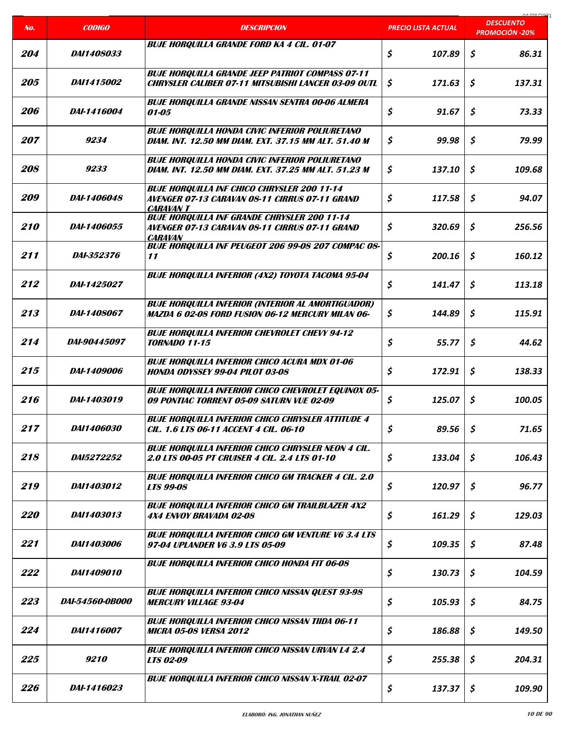| No.               | <b>CODIGO</b>          | <b>DESCRIPCION</b>                                                                                                       | <b>PRECIO LISTA ACTUAL</b> | 01/00/2021<br><b>DESCUENTO</b><br><b>PROMOCIÓN -20%</b> |
|-------------------|------------------------|--------------------------------------------------------------------------------------------------------------------------|----------------------------|---------------------------------------------------------|
|                   |                        | <b>BUJE HORQUILLA GRANDE FORD KA 4 CIL. 01-07</b>                                                                        |                            |                                                         |
| 204               | <i>DAI1408033</i>      |                                                                                                                          | \$<br>107.89               | \$<br>86.31                                             |
| 205               | <i>DAI1415002</i>      | <b>BUJE HORQUILLA GRANDE JEEP PATRIOT COMPASS 07-11</b><br><b>CHRYSLER CALIBER 07-11 MITSUBISHI LANCER 03-09 OUTL</b>    | \$<br>171.63               | \$<br>137.31                                            |
| <i>206</i>        | DAI-1416004            | <b>BUJE HORQUILLA GRANDE NISSAN SENTRA 00-06 ALMERA</b><br>01-05                                                         | \$<br>91.67                | \$<br>73.33                                             |
| 207               | 9234                   | <b>BUJE HORQUILLA HONDA CIVIC INFERIOR POLIURETANO</b><br>DIAM. INT. 12.50 MM DIAM. EXT. 37.15 MM ALT. 51.40 M           | \$<br>99.98                | \$<br>79.99                                             |
| <i>208</i>        | 9233                   | <b>BUJE HORQUILLA HONDA CIVIC INFERIOR POLIURETANO</b><br>DIAM. INT. 12.50 MM DIAM. EXT. 37.25 MM ALT. 51.23 M           | \$<br>137.10               | \$<br>109.68                                            |
| <i>209</i>        | <i>DAI-1406048</i>     | <b>BUJE HORQUILLA INF CHICO CHRYSLER 200 11-14</b><br>AVENGER 07-13 CARAVAN 08-11 CIRRUS 07-11 GRAND<br><b>CARAVAN T</b> | \$<br>117.58               | \$<br>94.07                                             |
| 210               | <i>DAI-1406055</i>     | <b>BUJE HORQUILLA INF GRANDE CHRYSLER 200 11-14</b><br>AVENGER 07-13 CARAVAN 08-11 CIRRUS 07-11 GRAND<br><b>CARAVAN</b>  | \$<br>320.69               | Ś.<br>256.56                                            |
| 211               | <i>DAI-352376</i>      | <b>BUJE HORQUILLA INF PEUGEOT 206 99-08 207 COMPAC 08-</b><br>11                                                         | \$<br>200.16               | \$<br>160.12                                            |
| 212               | DAI-1425027            | <b>BUJE HORQUILLA INFERIOR (4X2) TOYOTA TACOMA 95-04</b>                                                                 | \$<br>141.47               | \$<br>113.18                                            |
| 213               | DAI-1408067            | <b>BUJE HORQUILLA INFERIOR (INTERIOR AL AMORTIGUADOR)</b><br>MAZDA 6 02-08 FORD FUSION 06-12 MERCURY MILAN 06-           | \$<br>144.89               | \$<br>115.91                                            |
| 214               | <i>DAI-90445097</i>    | <b>BUJE HORQUILLA INFERIOR CHEVROLET CHEVY 94-12</b><br><b>TORNADO 11-15</b>                                             | \$<br>55.77                | \$<br>44.62                                             |
| 215               | <i>DAI-1409006</i>     | <b>BUJE HORQUILLA INFERIOR CHICO ACURA MDX 01-06</b><br><b>HONDA ODYSSEY 99-04 PILOT 03-08</b>                           | \$<br>172.91               | \$<br>138.33                                            |
| 216               | DAI-1403019            | <b>BUJE HORQUILLA INFERIOR CHICO CHEVROLET EQUINOX 05-</b><br>09 PONTIAC TORRENT 05-09 SATURN VUE 02-09                  | \$<br>125.07               | \$<br>100.05                                            |
| 217               | DAI1406030             | <b>BUJE HORQUILLA INFERIOR CHICO CHRYSLER ATTITUDE 4</b><br>CIL. 1.6 LTS 06-11 ACCENT 4 CIL. 06-10                       | \$<br>89.56                | \$<br>71.65                                             |
| 218               | <i>DA15272252</i>      | <b>BUJE HORQUILLA INFERIOR CHICO CHRYSLER NEON 4 CIL.</b><br><b>2.0 LTS 00-05 PT CRUISER 4 CIL. 2.4 LTS 01-10</b>        | \$<br>133.04               | \$<br>106.43                                            |
| 219               | <i>DAI1403012</i>      | <b>BUJE HORQUILLA INFERIOR CHICO GM TRACKER 4 CIL. 2.0</b><br><b>LTS 99-08</b>                                           | \$<br>120.97               | \$<br>96.77                                             |
| <i><b>220</b></i> | DAI1403013             | <b>BUJE HORQUILLA INFERIOR CHICO GM TRAILBLAZER 4X2</b><br>4X4 ENVOY BRAVADA 02-08                                       | \$<br>161.29               | \$<br>129.03                                            |
| 221               | DAI1403006             | <b>BUJE HORQUILLA INFERIOR CHICO GM VENTURE V6 3.4 LTS</b><br>97-04 UPLANDER V6 3.9 LTS 05-09                            | \$<br>109.35               | \$<br>87.48                                             |
| 222               | DAI1409010             | <b>BUJE HORQUILLA INFERIOR CHICO HONDA FIT 06-08</b>                                                                     | \$<br>130.73               | \$<br>104.59                                            |
| 223               | <i>DAI-54560-0B000</i> | <b>BUJE HORQUILLA INFERIOR CHICO NISSAN QUEST 93-98</b><br><b>MERCURY VILLAGE 93-04</b>                                  | \$<br>105.93               | \$<br>84.75                                             |
| 224               | DAI1416007             | <b>BUJE HORQUILLA INFERIOR CHICO NISSAN TIIDA 06-11</b><br><b>MICRA 05-08 VERSA 2012</b>                                 | \$<br>186.88               | \$<br>149.50                                            |
| 225               | <i>9210</i>            | <b>BUJE HORQUILLA INFERIOR CHICO NISSAN URVAN L4 2.4</b><br><b>LTS 02-09</b>                                             | \$<br>255.38               | \$<br>204.31                                            |
| 226               | DAI-1416023            | <b>BUJE HORQUILLA INFERIOR CHICO NISSAN X-TRAIL 02-07</b>                                                                | \$<br>137.37               | \$<br>109.90                                            |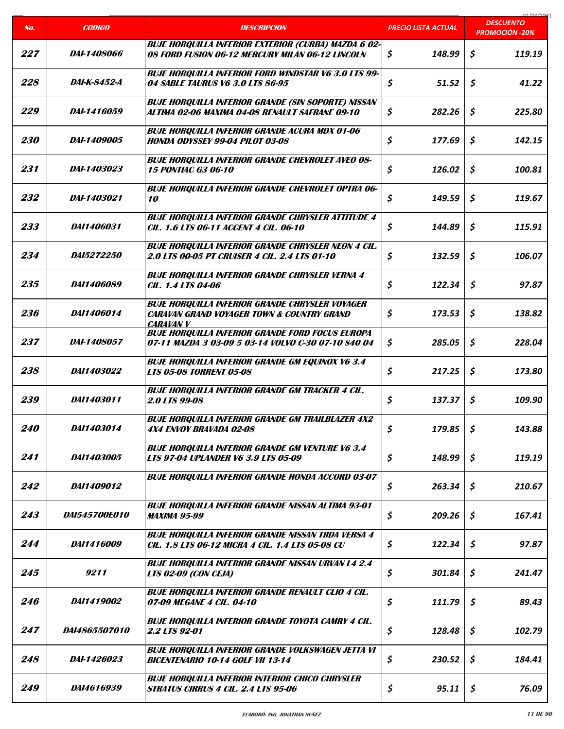| No.               | <b>CODIGO</b>        | <b>DESCRIPCION</b>                                                                                                | PRECIO LISTA AC <u>TUAL</u> | 01/00/2021<br><b>DESCUENTO</b> |
|-------------------|----------------------|-------------------------------------------------------------------------------------------------------------------|-----------------------------|--------------------------------|
|                   |                      |                                                                                                                   |                             | <b>PROMOCIÓN -20%</b>          |
| 227               | <i>DAI-1408066</i>   | <b>BUJE HORQUILLA INFERIOR EXTERIOR (CURBA) MAZDA 6 02-</b><br>08 FORD FUSION 06-12 MERCURY MILAN 06-12 LINCOLN   | \$<br>148.99                | \$<br>119.19                   |
| 228               | DAI-K-8452-A         | <b>BUJE HORQUILLA INFERIOR FORD WINDSTAR V6 3.0 LTS 99-</b><br>04 SABLE TAURUS V6 3.0 LTS 86-95                   | \$<br>51.52                 | \$<br>41.22                    |
| 229               | <i>DAI-1416059</i>   | <b>BUJE HORQUILLA INFERIOR GRANDE (SIN SOPORTE) NISSAN</b><br>ALTIMA 02-06 MAXIMA 04-08 RENAULT SAFRANE 09-10     | \$<br>282.26                | \$<br>225.80                   |
| <i><b>230</b></i> | <i>DAI-1409005</i>   | <b>BUJE HORQUILLA INFERIOR GRANDE ACURA MDX 01-06</b><br><b>HONDA ODYSSEY 99-04 PILOT 03-08</b>                   | \$<br>177.69                | \$<br>142.15                   |
| 231               | <i>DAI-1403023</i>   | <b>BUJE HORQUILLA INFERIOR GRANDE CHEVROLET AVEO 08-</b><br><b>15 PONTIAC G3 06-10</b>                            | \$<br>126.02                | \$<br>100.81                   |
| 232               | <i>DAI-1403021</i>   | <b>BUJE HORQUILLA INFERIOR GRANDE CHEVROLET OPTRA 06-</b><br><i><b>10</b></i>                                     | \$<br>149.59                | \$<br>119.67                   |
| 233               | <i>DAI1406031</i>    | <b>BUJE HORQUILLA INFERIOR GRANDE CHRYSLER ATTITUDE 4</b><br>CIL. 1.6 LTS 06-11 ACCENT 4 CIL. 06-10               | \$<br>144.89                | Ś.<br>115.91                   |
| 234               | <i>DA15272250</i>    | <b>BUJE HORQUILLA INFERIOR GRANDE CHRYSLER NEON 4 CIL.</b><br>2.0 LTS 00-05 PT CRUISER 4 CIL. 2.4 LTS 01-10       | \$<br>132.59                | \$<br>106.07                   |
| 235               | DAI1406089           | <b>BUJE HORQUILLA INFERIOR GRANDE CHRYSLER VERNA 4</b><br><b>CIL. 1.4 LTS 04-06</b>                               | \$<br>122.34                | \$<br>97.87                    |
| 236               | DAI1406014           | <b>BUJE HORQUILLA INFERIOR GRANDE CHRYSLER VOYAGER</b><br>CARAVAN GRAND VOYAGER TOWN & COUNTRY GRAND<br>CARAVAN V | \$<br>173.53                | \$<br>138.82                   |
| 237               | <i>DAI-1408057</i>   | <b>BUJE HORQUILLA INFERIOR GRANDE FORD FOCUS EUROPA</b><br>07-11 MAZDA 3 03-09 5 03-14 VOLVO C-30 07-10 S40 04    | \$<br>285.05                | \$<br>228.04                   |
| 238               | <i>DAI1403022</i>    | <b>BUJE HORQUILLA INFERIOR GRANDE GM EQUINOX V6 3.4</b><br><b>LTS 05-08 TORRENT 05-08</b>                         | \$<br>217.25                | \$<br>173.80                   |
| 239               | <i>DAI1403011</i>    | <b>BUJE HORQUILLA INFERIOR GRANDE GM TRACKER 4 CIL.</b><br><b>2.0 LTS 99-08</b>                                   | \$<br>137.37                | \$<br>109.90                   |
| <i><b>240</b></i> | DAI1403014           | <b>BUJE HOROUILLA INFERIOR GRANDE GM TRAILBLAZER 4X2</b><br>4X4 ENVOY BRAVADA 02-08                               | \$<br>179.85                | \$<br>143.88                   |
| 241               | DAI1403005           | <b>BUJE HORQUILLA INFERIOR GRANDE GM VENTURE V6 3.4</b><br><b>LTS 97-04 UPLANDER V6 3.9 LTS 05-09</b>             | \$<br>148.99                | \$<br>119.19                   |
| 242               | <i>DAI1409012</i>    | <b>BUJE HORQUILLA INFERIOR GRANDE HONDA ACCORD 03-07</b>                                                          | \$<br>263.34                | \$<br>210.67                   |
| 243               | DA1545700E010        | <b>BUJE HORQUILLA INFERIOR GRANDE NISSAN ALTIMA 93-01</b><br>MAXIMA 95-99                                         | \$<br>209.26                | \$<br>167.41                   |
| 244               | DAI1416009           | <b>BUJE HORQUILLA INFERIOR GRANDE NISSAN TIIDA VERSA 4</b><br>CIL. 1.8 LTS 06-12 MICRA 4 CIL. 1.4 LTS 05-08 CU    | \$<br>122.34                | \$<br>97.87                    |
| 245               | 9211                 | <b>BUJE HORQUILLA INFERIOR GRANDE NISSAN URVAN L4 2.4</b><br><b>LTS 02-09 (CON CEJA)</b>                          | \$<br>301.84                | \$<br>241.47                   |
| 246               | DAI1419002           | <b>BUJE HORQUILLA INFERIOR GRANDE RENAULT CLIO 4 CIL.</b><br>07-09 MEGANE 4 CIL. 04-10                            | \$<br>111.79                | \$<br>89.43                    |
| 247               | <i>DA14865507010</i> | <b>BUJE HORQUILLA INFERIOR GRANDE TOYOTA CAMRY 4 CIL.</b><br>2.2 LTS 92-01                                        | \$<br>128.48                | \$<br>102.79                   |
| 248               | <i>DAI-1426023</i>   | <b>BUJE HORQUILLA INFERIOR GRANDE VOLKSWAGEN JETTA VI</b><br><b>BICENTENARIO 10-14 GOLF VII 13-14</b>             | \$<br>230.52                | \$<br>184.41                   |
| 249               | DA14616939           | <b>BUJE HORQUILLA INFERIOR INTERIOR CHICO CHRYSLER</b><br>STRATUS CIRRUS 4 CIL. 2.4 LTS 95-06                     | \$<br>95.11                 | \$<br>76.09                    |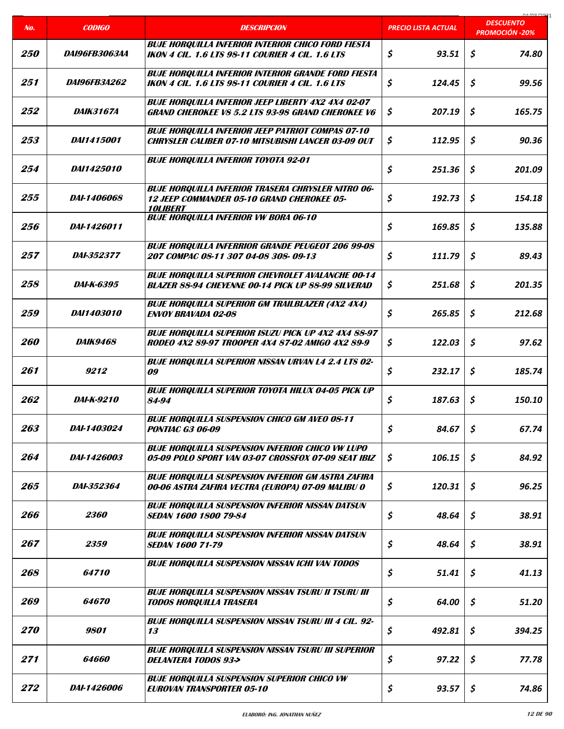|                   |                         |                                                                                                                                   |                            | 01/00/2021<br><b>DESCUENTO</b> |
|-------------------|-------------------------|-----------------------------------------------------------------------------------------------------------------------------------|----------------------------|--------------------------------|
| No.               | <b>CODIGO</b>           | <b>DESCRIPCION</b>                                                                                                                | <b>PRECIO LISTA ACTUAL</b> | <b>PROMOCIÓN -20%</b>          |
| <i><b>250</b></i> | <i>DA196FB3063AA</i>    | <b>BUJE HORQUILLA INFERIOR INTERIOR CHICO FORD FIESTA</b><br><b>IKON 4 CIL. 1.6 LTS 98-11 COURIER 4 CIL. 1.6 LTS</b>              | \$<br>93.51                | $\mathsf{S}$<br>74.80          |
| 251               | <i>DA196FB3A262</i>     | <b>BUJE HORQUILLA INFERIOR INTERIOR GRANDE FORD FIESTA</b><br>IKON 4 CIL. 1.6 LTS 98-11 COURIER 4 CIL. 1.6 LTS                    | \$<br>124.45               | Ś.<br>99.56                    |
| 252               | <i><b>DAIK3167A</b></i> | <b>BUJE HORQUILLA INFERIOR JEEP LIBERTY 4X2 4X4 02-07</b><br><b>GRAND CHEROKEE V8 5.2 LTS 93-98 GRAND CHEROKEE V6</b>             | \$<br>207.19               | \$<br>165.75                   |
| 253               | <i>DAI1415001</i>       | <b>BUJE HORQUILLA INFERIOR JEEP PATRIOT COMPAS 07-10</b><br><b>CHRYSLER CALIBER 07-10 MITSUBISHI LANCER 03-09 OUT</b>             | \$<br>112.95               | \$<br>90.36                    |
| 254               | <i>DAI1425010</i>       | <b>BUJE HORQUILLA INFERIOR TOYOTA 92-01</b>                                                                                       | \$<br>251.36               | \$<br>201.09                   |
| 255               | DAI-1406068             | <b>BUJE HORQUILLA INFERIOR TRASERA CHRYSLER NITRO 06-</b><br>12 JEEP COMMANDER 05-10 GRAND CHEROKEE 05-<br><i><b>10LIBERT</b></i> | \$<br>192.73               | \$<br>154.18                   |
| <i><b>256</b></i> | <i>DAI-1426011</i>      | <b>BUJE HORQUILLA INFERIOR VW BORA 06-10</b>                                                                                      | \$<br>169.85               | \$<br>135.88                   |
| 257               | <b>DAI-352377</b>       | <b>BUJE HORQUILLA INFERRIOR GRANDE PEUGEOT 206 99-08</b><br>207 COMPAC 08-11 307 04-08 308-09-13                                  | \$<br>111.79               | \$<br>89.43                    |
| 258               | <i>DAI-K-6395</i>       | <b>BUJE HORQUILLA SUPERIOR CHEVROLET AVALANCHE 00-14</b><br><b>BLAZER 88-94 CHEYENNE 00-14 PICK UP 88-99 SILVERAD</b>             | \$<br>251.68               | \$<br>201.35                   |
| <i>259</i>        | <i>DAI1403010</i>       | <b>BUJE HORQUILLA SUPERIOR GM TRAILBLAZER (4X2 4X4)</b><br><b>ENVOY BRAVADA 02-08</b>                                             | \$<br>265.85               | \$<br>212.68                   |
| <i><b>260</b></i> | <i>DAIK9468</i>         | <b>BUJE HORQUILLA SUPERIOR ISUZU PICK UP 4X2 4X4 88-97</b><br>RODEO 4X2 89-97 TROOPER 4X4 87-02 AMIGO 4X2 89-9                    | \$<br>122.03               | \$<br>97.62                    |
| 261               | 9212                    | <b>BUJE HORQUILLA SUPERIOR NISSAN URVAN L4 2.4 LTS 02-</b><br>09                                                                  | \$<br>232.17               | \$<br>185.74                   |
| 262               | <i>DAI-K-9210</i>       | <b>BUJE HORQUILLA SUPERIOR TOYOTA HILUX 04-05 PICK UP</b><br>84-94                                                                | \$<br>187.63               | \$<br>150.10                   |
| 263               | DAI-1403024             | <b>BUJE HOROUILLA SUSPENSION CHICO GM AVEO 08-11</b><br><b>PONTIAC G3 06-09</b>                                                   | \$<br>84.67                | \$<br>67.74                    |
| 264               | <i>DAI-1426003</i>      | <b>BUJE HORQUILLA SUSPENSION INFERIOR CHICO VW LUPO</b><br>05-09 POLO SPORT VAN 03-07 CROSSFOX 07-09 SEAT IBIZ                    | \$<br>106.15               | \$<br>84.92                    |
| 265               | <i>DAI-352364</i>       | <b>BUJE HORQUILLA SUSPENSION INFERIOR GM ASTRA ZAFIRA</b><br>00-06 ASTRA ZAFIRA VECTRA (EUROPA) 07-09 MALIBU 0                    | \$<br>120.31               | \$<br>96.25                    |
| 266               | 2360                    | <b>BUJE HORQUILLA SUSPENSION INFERIOR NISSAN DATSUN</b><br><b>SEDAN 1600 1800 79-84</b>                                           | \$<br>48.64                | \$<br>38.91                    |
| 267               | 2359                    | <b>BUJE HORQUILLA SUSPENSION INFERIOR NISSAN DATSUN</b><br><b>SEDAN 1600 71-79</b>                                                | \$<br>48.64                | \$<br>38.91                    |
| 268               | 64710                   | <b>BUJE HORQUILLA SUSPENSION NISSAN ICHI VAN TODOS</b>                                                                            | \$<br>51.41                | \$<br>41.13                    |
| 269               | <i><b>64670</b></i>     | <b>BUJE HORQUILLA SUSPENSION NISSAN TSURU II TSURU III</b><br><b>TODOS HORQUILLA TRASERA</b>                                      | \$<br>64.00                | \$<br>51.20                    |
| <i><b>270</b></i> | 9801                    | <b>BUJE HORQUILLA SUSPENSION NISSAN TSURU III 4 CIL. 92-</b><br>13                                                                | \$<br>492.81               | \$<br>394.25                   |
| 271               | 64660                   | <b>BUJE HORQUILLA SUSPENSION NISSAN TSURU III SUPERIOR</b><br><b>DELANTERA TODOS 93-&gt;</b>                                      | \$<br>97.22                | \$<br>77.78                    |
| 272               | DAI-1426006             | <b>BUJE HORQUILLA SUSPENSION SUPERIOR CHICO VW</b><br><b>EUROVAN TRANSPORTER 05-10</b>                                            | \$<br>93.57                | \$<br>74.86                    |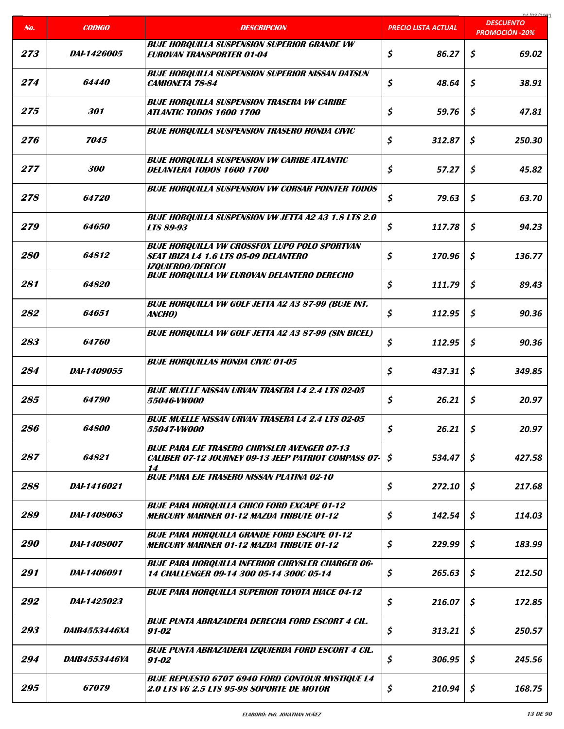|                   |                      |                                                                                                                                 |                            | 01/00/2021<br><b>DESCUENTO</b> |
|-------------------|----------------------|---------------------------------------------------------------------------------------------------------------------------------|----------------------------|--------------------------------|
| No.               | <b>CODIGO</b>        | <b>DESCRIPCION</b>                                                                                                              | <b>PRECIO LISTA ACTUAL</b> | <b>PROMOCIÓN -20%</b>          |
| 273               | <i>DAI-1426005</i>   | <b>BUJE HORQUILLA SUSPENSION SUPERIOR GRANDE VW</b><br><b>EUROVAN TRANSPORTER 01-04</b>                                         | \$<br>86.27                | \$<br>69.02                    |
| 274               | <i><b>64440</b></i>  | <b>BUJE HORQUILLA SUSPENSION SUPERIOR NISSAN DATSUN</b><br><b>CAMIONETA 78-84</b>                                               | \$<br>48.64                | \$<br>38.91                    |
| 275               | 301                  | <b>BUJE HORQUILLA SUSPENSION TRASERA VW CARIBE</b><br><i><b>ATLANTIC TODOS 1600 1700</b></i>                                    | \$<br>59.76                | \$<br>47.81                    |
| 276               | 7045                 | <b>BUJE HORQUILLA SUSPENSION TRASERO HONDA CIVIC</b>                                                                            | \$<br>312.87               | \$<br>250.30                   |
| 277               | 300                  | <b>BUJE HORQUILLA SUSPENSION VW CARIBE ATLANTIC</b><br>DELANTERA TODOS 1600 1700                                                | \$<br>57.27                | \$<br>45.82                    |
| 278               | 64720                | <b>BUJE HORQUILLA SUSPENSION VW CORSAR POINTER TODOS</b>                                                                        | \$<br>79.63                | \$<br>63.70                    |
| 279               | <i><b>64650</b></i>  | <b>BUJE HORQUILLA SUSPENSION VW JETTA A2 A3 1.8 LTS 2.0</b><br><b>LTS 89-93</b>                                                 | \$<br>117.78               | \$<br>94.23                    |
| <i><b>280</b></i> | 64812                | <b>BUJE HORQUILLA VW CROSSFOX LUPO POLO SPORTVAN</b><br><b>SEAT IBIZA L4 1.6 LTS 05-09 DELANTERO</b><br><b>IZOUIERDO/DERECH</b> | \$<br>170.96               | \$<br>136.77                   |
| 281               | 64820                | <b>BUJE HORQUILLA VW EUROVAN DELANTERO DERECHO</b>                                                                              | \$<br>111.79               | \$<br>89.43                    |
| 282               | 64651                | <b>BUJE HORQUILLA VW GOLF JETTA A2 A3 87-99 (BUJE INT.</b><br>ANCHO)                                                            | \$<br>112.95               | $\mathsf{S}$<br>90.36          |
| 283               | 64760                | <b>BUJE HORQUILLA VW GOLF JETTA A2 A3 87-99 (SIN BICEL)</b>                                                                     | \$<br>112.95               | \$<br>90.36                    |
| 284               | <i>DAI-1409055</i>   | <b>BUJE HORQUILLAS HONDA CIVIC 01-05</b>                                                                                        | \$<br>437.31               | \$<br>349.85                   |
| 285               | 64790                | <b>BUJE MUELLE NISSAN URVAN TRASERA L4 2.4 LTS 02-05</b><br>55046-VW000                                                         | \$<br>26.21                | \$<br>20.97                    |
| <i>286</i>        | 64800                | <b>BUJE MUELLE NISSAN URVAN TRASERA L4 2.4 LTS 02-05</b><br>55047-VW000                                                         | \$<br>26.21                | \$<br>20.97                    |
| 287               | 64821                | <b>BUJE PARA EJE TRASERO CHRYSLER AVENGER 07-13</b><br>CALIBER 07-12 JOURNEY 09-13 JEEP PATRIOT COMPASS 07-<br>14               | \$<br>534.47               | \$<br>427.58                   |
| 288               | DAI-1416021          | <b>BUJE PARA EJE TRASERO NISSAN PLATINA 02-10</b>                                                                               | \$<br>272.10               | \$<br>217.68                   |
| 289               | DAI-1408063          | <b>BUJE PARA HORQUILLA CHICO FORD EXCAPE 01-12</b><br><b>MERCURY MARINER 01-12 MAZDA TRIBUTE 01-12</b>                          | \$<br>142.54               | \$<br>114.03                   |
| <i>290</i>        | <i>DAI-1408007</i>   | <b>BUJE PARA HORQUILLA GRANDE FORD ESCAPE 01-12</b><br><b>MERCURY MARINER 01-12 MAZDA TRIBUTE 01-12</b>                         | \$<br>229.99               | \$<br>183.99                   |
| 291               | DAI-1406091          | <b>BUJE PARA HORQUILLA INFERIOR CHRYSLER CHARGER 06-</b><br>14 CHALLENGER 09-14 300 05-14 300C 05-14                            | \$<br>265.63               | \$<br>212.50                   |
| 292               | <i>DAI-1425023</i>   | <b>BUJE PARA HORQUILLA SUPERIOR TOYOTA HIACE 04-12</b>                                                                          | \$<br>216.07               | \$<br>172.85                   |
| 293               | <i>DAIB4553446XA</i> | <b>BUJE PUNTA ABRAZADERA DERECHA FORD ESCORT 4 CIL.</b><br>91-02                                                                | \$<br>313.21               | \$<br>250.57                   |
| 294               | <i>DAIB4553446YA</i> | <b>BUJE PUNTA ABRAZADERA IZQUIERDA FORD ESCORT 4 CIL.</b><br>91-02                                                              | \$<br>306.95               | \$<br>245.56                   |
| 295               | <i>67079</i>         | <b>BUJE REPUESTO 6707 6940 FORD CONTOUR MYSTIQUE L4</b><br><b>2.0 LTS V6 2.5 LTS 95-98 SOPORTE DE MOTOR</b>                     | \$<br>210.94               | \$<br>168.75                   |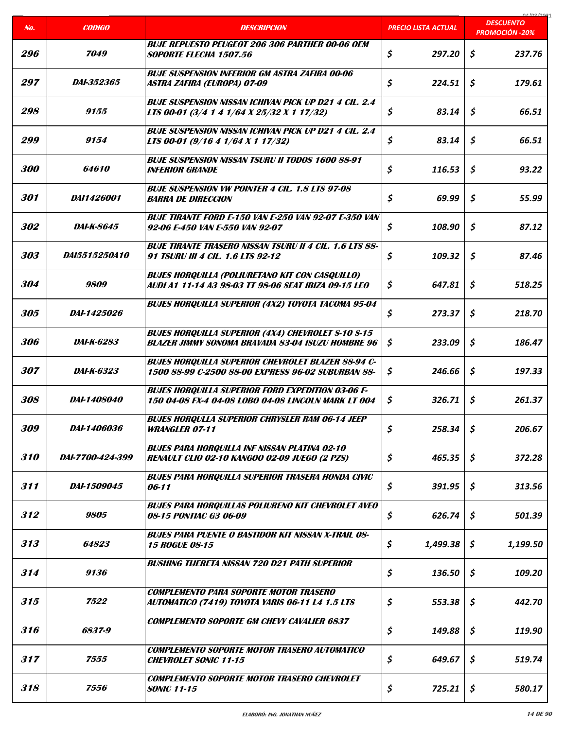| No.               | <b>CODIGO</b>        | <b>DESCRIPCION</b>                                                                                                    | PRECIO LISTA ACTUAL | 01/00/202<br><b>DESCUENTO</b><br><b>PROMOCIÓN -20%</b> |
|-------------------|----------------------|-----------------------------------------------------------------------------------------------------------------------|---------------------|--------------------------------------------------------|
| <i>296</i>        | 7049                 | <b>BUJE REPUESTO PEUGEOT 206 306 PARTHER 00-06 OEM</b><br><b>SOPORTE FLECHA 1507.56</b>                               | \$<br>297.20        | \$<br>237.76                                           |
| 297               | <i>DAI-352365</i>    | <b>BUJE SUSPENSION INFERIOR GM ASTRA ZAFIRA 00-06</b><br>ASTRA ZAFIRA (EUROPA) 07-09                                  | \$<br>224.51        | \$<br>179.61                                           |
| 298               | 9155                 | <b>BUJE SUSPENSION NISSAN ICHIVAN PICK UP D21 4 CIL. 2.4</b><br>LTS 00-01 (3/4 1 4 1/64 X 25/32 X 1 17/32)            | \$<br>83.14         | \$<br>66.51                                            |
| <i>299</i>        | 9154                 | <b>BUJE SUSPENSION NISSAN ICHIVAN PICK UP D21 4 CIL. 2.4</b><br>LTS 00-01 (9/16 4 1/64 X 1 17/32)                     | \$<br>83.14         | \$<br>66.51                                            |
| <i><b>300</b></i> | 64610                | <b>BUJE SUSPENSION NISSAN TSURU II TODOS 1600 88-91</b><br><b>INFERIOR GRANDE</b>                                     | \$<br>116.53        | \$<br>93.22                                            |
| 301               | <i>DAI1426001</i>    | <b>BUJE SUSPENSION VW POINTER 4 CIL. 1.8 LTS 97-08</b><br><b>BARRA DE DIRECCION</b>                                   | \$<br>69.99         | \$<br>55.99                                            |
| 302               | <i>DAI-K-8645</i>    | <b>BUJE TIRANTE FORD E-150 VAN E-250 VAN 92-07 E-350 VAN</b><br>92-06 E-450 VAN E-550 VAN 92-07                       | \$<br>108.90        | \$<br>87.12                                            |
| 303               | <i>DA15515250A10</i> | <b>BUJE TIRANTE TRASERO NISSAN TSURU II 4 CIL. 1.6 LTS 88-</b><br>91 TSURU III 4 CIL. 1.6 LTS 92-12                   | \$<br>109.32        | \$<br>87.46                                            |
| 304               | 9809                 | <b>BUJES HORQUILLA (POLIURETANO KIT CON CASQUILLO)</b><br>AUDI A1 11-14 A3 98-03 TT 98-06 SEAT IBIZA 09-15 LEO        | \$<br>647.81        | \$<br>518.25                                           |
| 305               | <i>DAI-1425026</i>   | <b>BUJES HORQUILLA SUPERIOR (4X2) TOYOTA TACOMA 95-04</b>                                                             | \$<br>273.37        | \$<br>218.70                                           |
| <i><b>306</b></i> | <i>DAI-K-6283</i>    | <b>BUJES HORQUILLA SUPERIOR (4X4) CHEVROLET S-10 S-15</b><br><b>BLAZER JIMMY SONOMA BRAVADA 83-04 ISUZU HOMBRE 96</b> | \$<br>233.09        | \$<br>186.47                                           |
| 307               | DAI-K-6323           | <b>BUJES HORQUILLA SUPERIOR CHEVROLET BLAZER 88-94 C-</b><br>1500 88-99 C-2500 88-00 EXPRESS 96-02 SUBURBAN 88-       | \$<br>246.66        | \$<br>197.33                                           |
| 308               | <i>DAI-1408040</i>   | <b>BUJES HORQUILLA SUPERIOR FORD EXPEDITION 03-06 F-</b><br>150 04-08 FX-4 04-08 LOBO 04-08 LINCOLN MARK LT 004       | \$<br>326.71        | \$<br>261.37                                           |
| 309               | <i>DAI-1406036</i>   | <b>BUJES HORQULLA SUPERIOR CHRYSLER RAM 06-14 JEEP</b><br><b>WRANGLER 07-11</b>                                       | \$<br>258.34        | $\mathsf{S}$<br>206.67                                 |
| 310               | DAI-7700-424-399     | <b>BUJES PARA HORQUILLA INF NISSAN PLATINA 02-10</b><br><b>RENAULT CLIO 02-10 KANGOO 02-09 JUEGO (2 PZS)</b>          | \$<br>465.35        | \$<br>372.28                                           |
| 311               | DAI-1509045          | <b>BUJES PARA HORQUILLA SUPERIOR TRASERA HONDA CIVIC</b><br>06-11                                                     | \$<br>391.95        | \$<br>313.56                                           |
| 312               | 9805                 | <b>BUJES PARA HORQUILLAS POLIURENO KIT CHEVROLET AVEO</b><br>08-15 PONTIAC G3 06-09                                   | \$<br>626.74        | \$<br>501.39                                           |
| 313               | 64823                | <b>BUJES PARA PUENTE O BASTIDOR KIT NISSAN X-TRAIL OS-</b><br><i><b>15 ROGUE 08-15</b></i>                            | \$<br>1,499.38      | \$<br>1,199.50                                         |
| 314               | 9136                 | <b>BUSHING TIJERETA NISSAN 720 D21 PATH SUPERIOR</b>                                                                  | \$<br>136.50        | \$<br>109.20                                           |
| 315               | 7522                 | <b>COMPLEMENTO PARA SOPORTE MOTOR TRASERO</b><br>AUTOMATICO (7419) TOYOTA YARIS 06-11 L4 1.5 LTS                      | \$<br>553.38        | \$<br>442.70                                           |
| 316               | 6837-9               | <b>COMPLEMENTO SOPORTE GM CHEVY CAVALIER 6837</b>                                                                     | \$<br>149.88        | \$<br>119.90                                           |
| 317               | 7555                 | <b>COMPLEMENTO SOPORTE MOTOR TRASERO AUTOMATICO</b><br><b>CHEVROLET SONIC 11-15</b>                                   | \$<br>649.67        | \$<br>519.74                                           |
| 318               | 7556                 | <b>COMPLEMENTO SOPORTE MOTOR TRASERO CHEVROLET</b><br><b>SONIC 11-15</b>                                              | \$<br>725.21        | \$<br>580.17                                           |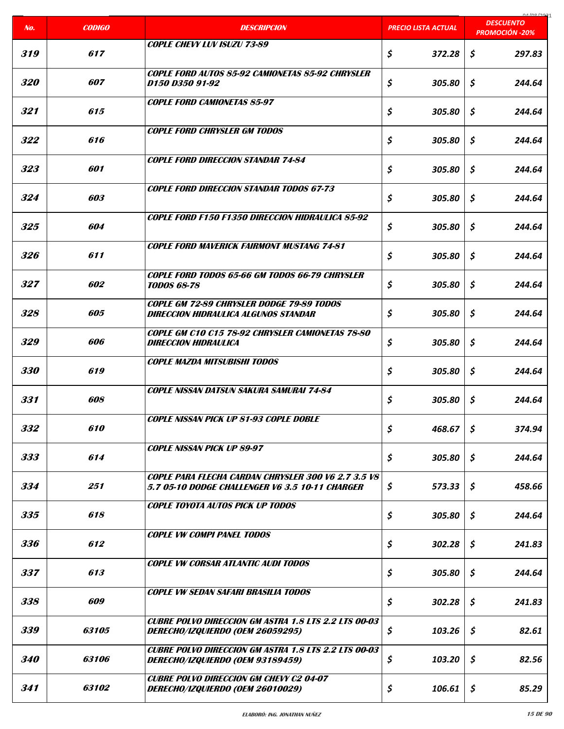|                   |                   |                                                                                                               |                            | COCI ON AO<br><b>DESCUENTO</b> |
|-------------------|-------------------|---------------------------------------------------------------------------------------------------------------|----------------------------|--------------------------------|
| No.               | <b>CODIGO</b>     | <b>DESCRIPCION</b>                                                                                            | <b>PRECIO LISTA ACTUAL</b> | <b>PROMOCIÓN -20%</b>          |
| 319               | 617               | <b>COPLE CHEVY LUV ISUZU 73-89</b>                                                                            | \$<br>372.28               | \$<br>297.83                   |
| <i><b>320</b></i> | <i><b>607</b></i> | <b>COPLE FORD AUTOS 85-92 CAMIONETAS 85-92 CHRYSLER</b><br>D150 D350 91-92                                    | \$<br>305.80               | \$<br>244.64                   |
| 321               | 615               | <b>COPLE FORD CAMIONETAS 85-97</b>                                                                            | \$<br>305.80               | \$<br>244.64                   |
| 322               | 616               | <b>COPLE FORD CHRYSLER GM TODOS</b>                                                                           | \$<br>305.80               | \$<br>244.64                   |
| 323               | 601               | <b>COPLE FORD DIRECCION STANDAR 74-84</b>                                                                     | \$<br>305.80               | \$<br>244.64                   |
| 324               | 603               | <b>COPLE FORD DIRECCION STANDAR TODOS 67-73</b>                                                               | \$<br>305.80               | \$<br>244.64                   |
| 325               | 604               | <b>COPLE FORD F150 F1350 DIRECCION HIDRAULICA 85-92</b>                                                       | \$<br>305.80               | \$<br>244.64                   |
| 326               | 611               | <b>COPLE FORD MAVERICK FAIRMONT MUSTANG 74-81</b>                                                             | \$<br>305.80               | \$<br>244.64                   |
| 327               | 602               | COPLE FORD TODOS 65-66 GM TODOS 66-79 CHRYSLER<br><b>TODOS 68-78</b>                                          | \$<br>305.80               | \$<br>244.64                   |
| 328               | 605               | <b>COPLE GM 72-89 CHRYSLER DODGE 79-89 TODOS</b><br><b>DIRECCION HIDRAULICA ALGUNOS STANDAR</b>               | \$<br>305.80               | \$<br>244.64                   |
| 329               | 606               | COPLE GM C10 C15 78-92 CHRYSLER CAMIONETAS 78-80<br>DIRECCION HIDRAULICA                                      | \$<br>305.80               | \$<br>244.64                   |
| <i><b>330</b></i> | 619               | <b>COPLE MAZDA MITSUBISHI TODOS</b>                                                                           | \$<br>305.80               | \$<br>244.64                   |
| 331               | 608               | <b>COPLE NISSAN DATSUN SAKURA SAMURAI 74-84</b>                                                               | \$<br>305.80               | \$<br>244.64                   |
| 332               | 610               | <b>COPLE NISSAN PICK UP 81-93 COPLE DOBLE</b>                                                                 | \$<br>468.67               | \$<br>374.94                   |
| 333               | 614               | <b>COPLE NISSAN PICK UP 89-97</b>                                                                             | \$<br>305.80               | \$<br>244.64                   |
| 334               | 251               | <b>COPLE PARA FLECHA CARDAN CHRYSLER 300 V6 2.7 3.5 V8</b><br>5.7 05-10 DODGE CHALLENGER V6 3.5 10-11 CHARGER | \$<br>573.33               | \$<br>458.66                   |
| 335               | 618               | <b>COPLE TOYOTA AUTOS PICK UP TODOS</b>                                                                       | \$<br>305.80               | \$<br>244.64                   |
| 336               | 612               | <b>COPLE VW COMPI PANEL TODOS</b>                                                                             | \$<br>302.28               | \$<br>241.83                   |
| 337               | 613               | <b>COPLE VW CORSAR ATLANTIC AUDI TODOS</b>                                                                    | \$<br>305.80               | \$<br>244.64                   |
| 338               | 609               | <b>COPLE VW SEDAN SAFARI BRASILIA TODOS</b>                                                                   | \$<br>302.28               | \$<br>241.83                   |
| 339               | 63105             | <b>CUBRE POLVO DIRECCION GM ASTRA 1.8 LTS 2.2 LTS 00-03</b><br>DERECHO/IZQUIERDO (OEM 26059295)               | \$<br>103.26               | \$<br>82.61                    |
| <i><b>340</b></i> | 63106             | <b>CUBRE POLVO DIRECCION GM ASTRA 1.8 LTS 2.2 LTS 00-03</b><br>DERECHO/IZQUIERDO (OEM 93189459)               | \$<br>103.20               | \$<br>82.56                    |
| 341               | 63102             | <b>CUBRE POLVO DIRECCION GM CHEVY C2 04-07</b><br>DERECHO/IZQUIERDO (OEM 26010029)                            | \$<br>106.61               | \$<br>85.29                    |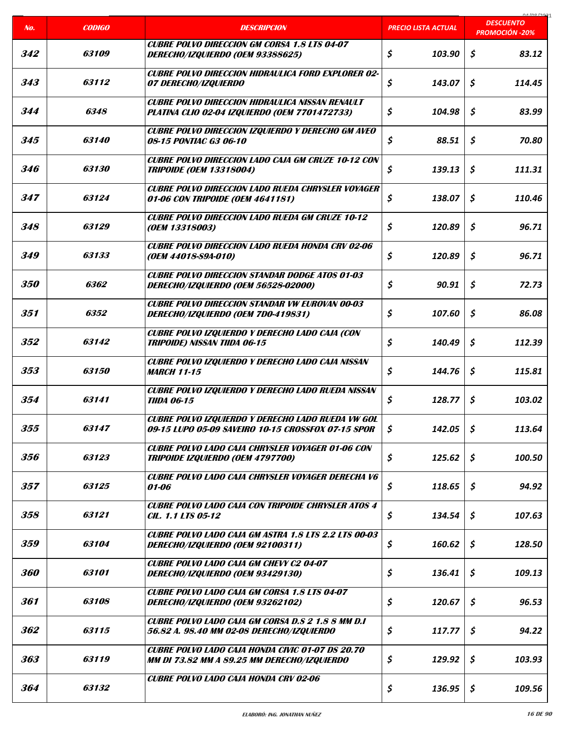| No.               | <b>CODIGO</b>       | <b>DESCRIPCION</b>                                                                                             | <u>PRECIO LISTA ACTUAL</u> | 0A/00/2021<br><b>DESCUENTO</b> |
|-------------------|---------------------|----------------------------------------------------------------------------------------------------------------|----------------------------|--------------------------------|
|                   |                     |                                                                                                                |                            | <b>PROMOCIÓN -20%</b>          |
| 342               | 63109               | <b>CUBRE POLVO DIRECCION GM CORSA 1.8 LTS 04-07</b><br>DERECHO/IZQUIERDO (OEM 93388625)                        | \$<br>103.90               | \$<br>83.12                    |
| 343               | 63112               | <b>CUBRE POLVO DIRECCION HIDRAULICA FORD EXPLORER 02-</b><br><i><b>07 DERECHO/IZQUIERDO</b></i>                | \$<br>143.07               | \$<br>114.45                   |
| 344               | 6348                | <b>CUBRE POLVO DIRECCION HIDRAULICA NISSAN RENAULT</b><br><b>PLATINA CLIO 02-04 IZQUIERDO (OEM 7701472733)</b> | \$<br>104.98               | \$<br>83.99                    |
| 345               | 63140               | <b>CUBRE POLVO DIRECCION IZQUIERDO Y DERECHO GM AVEO</b><br>08-15 PONTIAC G3 06-10                             | \$<br>88.51                | \$<br>70.80                    |
| 346               | <i><b>63130</b></i> | <b>CUBRE POLVO DIRECCION LADO CAJA GM CRUZE 10-12 CON</b><br><b>TRIPOIDE (OEM 13318004)</b>                    | \$<br>139.13               | \$<br>111.31                   |
| 347               | 63124               | <b>CUBRE POLVO DIRECCION LADO RUEDA CHRYSLER VOYAGER</b><br>01-06 CON TRIPOIDE (OEM 4641181)                   | \$<br>138.07               | \$<br>110.46                   |
| 348               | 63129               | <b>CUBRE POLVO DIRECCION LADO RUEDA GM CRUZE 10-12</b><br>(OEM 13318003)                                       | \$<br>120.89               | \$<br>96.71                    |
| 349               | 63133               | <b>CUBRE POLVO DIRECCION LADO RUEDA HONDA CRV 02-06</b><br>(OEM 44018-S9A-010)                                 | \$<br>120.89               | \$<br>96.71                    |
| <i><b>350</b></i> | 6362                | <b>CUBRE POLVO DIRECCION STANDAR DODGE ATOS 01-03</b><br>DERECHO/IZQUIERDO (OEM 56528-02000)                   | \$<br>90.91                | \$<br>72.73                    |
| 351               | 6352                | <b>CUBRE POLVO DIRECCION STANDAR VW EUROVAN 00-03</b><br>DERECHO/IZQUIERDO (OEM 7DO-419831)                    | \$<br>107.60               | \$<br>86.08                    |
| 352               | 63142               | CUBRE POLVO IZQUIERDO Y DERECHO LADO CAJA (CON<br><b>TRIPOIDE) NISSAN TIIDA 06-15</b>                          | \$<br>140.49               | \$<br>112.39                   |
| 353               | <i><b>63150</b></i> | CUBRE POLVO IZQUIERDO Y DERECHO LADO CAJA NISSAN<br><b>MARCH 11-15</b>                                         | \$<br>144.76               | \$<br>115.81                   |
| 354               | 63141               | <b>CUBRE POLVO IZQUIERDO Y DERECHO LADO RUEDA NISSAN</b><br><b>TIIDA 06-15</b>                                 | \$<br>128.77               | \$<br>103.02                   |
| 355               | 63147               | CUBRE POLVO IZQUIERDO Y DERECHO LADO RUEDA VW GOL<br>09-15 LUPO 05-09 SAVEIRO 10-15 CROSSFOX 07-15 SPOR        | \$<br>142.05               | \$<br>113.64                   |
| 356               | 63123               | <b>CUBRE POLVO LADO CAJA CHRYSLER VOYAGER 01-06 CON</b><br><b>TRIPOIDE IZQUIERDO (OEM 4797700)</b>             | \$<br>125.62               | \$<br>100.50                   |
| 357               | 63125               | <b>CUBRE POLVO LADO CAJA CHRYSLER VOYAGER DERECHA V6</b><br>01-06                                              | \$<br>118.65               | \$<br>94.92                    |
| 358               | 63121               | <b>CUBRE POLVO LADO CAJA CON TRIPOIDE CHRYSLER ATOS 4</b><br><b>CIL. 1.1 LTS 05-12</b>                         | \$<br>134.54               | \$<br>107.63                   |
| 359               | 63104               | <b>CUBRE POLVO LADO CAJA GM ASTRA 1.8 LTS 2.2 LTS 00-03</b><br>DERECHO/IZQUIERDO (OEM 92100311)                | \$<br>160.62               | \$<br>128.50                   |
| 360               | 63101               | <b>CUBRE POLVO LADO CAJA GM CHEVY C2 04-07</b><br>DERECHO/IZQUIERDO (OEM 93429130)                             | \$<br>136.41               | \$<br>109.13                   |
| 361               | 63108               | <b>CUBRE POLVO LADO CAJA GM CORSA 1.8 LTS 04-07</b><br>DERECHO/IZQUIERDO (OEM 93262102)                        | \$<br>120.67               | \$<br>96.53                    |
| 362               | 63115               | CUBRE POLVO LADO CAJA GM CORSA D.S 2 1.8 8 MM D.I<br>56.82 A. 98.40 MM 02-08 DERECHO/IZQUIERDO                 | \$<br>117.77               | \$<br>94.22                    |
| 363               | 63119               | <b>CUBRE POLVO LADO CAJA HONDA CIVIC 01-07 DS 20.70</b><br>MM DI 73.82 MM A 89.25 MM DERECHO/IZQUIERDO         | \$<br>129.92               | \$<br>103.93                   |
| 364               | 63132               | <b>CUBRE POLVO LADO CAJA HONDA CRV 02-06</b>                                                                   | \$<br>136.95               | \$<br>109.56                   |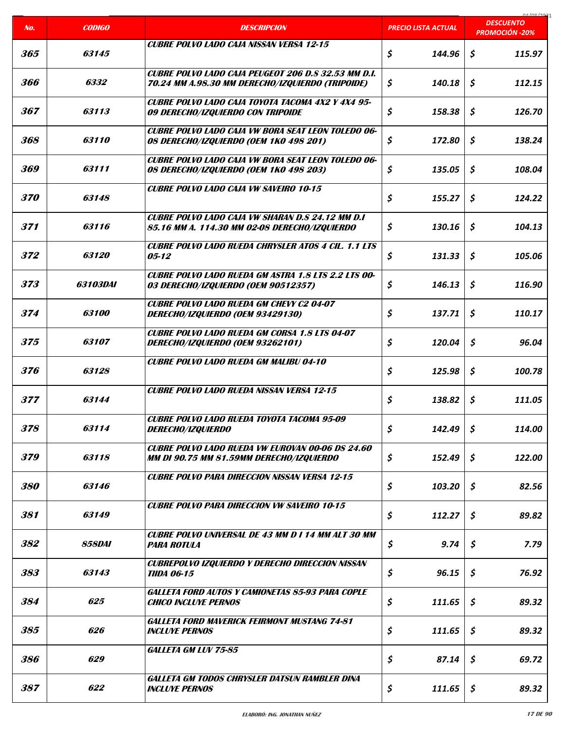| No.               | <b>CODIGO</b>        | <b>DESCRIPCION</b>                                                                                       | PRECIO LISTA ACTUAL | na ing ing<br><b>DESCUENTO</b> |
|-------------------|----------------------|----------------------------------------------------------------------------------------------------------|---------------------|--------------------------------|
|                   |                      |                                                                                                          |                     | <b>PROMOCIÓN -20%</b>          |
| 365               | 63145                | <b>CUBRE POLVO LADO CAJA NISSAN VERSA 12-15</b>                                                          | \$<br>144.96        | \$<br>115.97                   |
| 366               | 6332                 | CUBRE POLVO LADO CAJA PEUGEOT 206 D.S 32.53 MM D.I.<br>70.24 MM A.98.30 MM DERECHO/IZQUIERDO (TRIPOIDE)  | \$<br>140.18        | \$<br>112.15                   |
| 367               | 63113                | CUBRE POLVO LADO CAJA TOYOTA TACOMA 4X2 Y 4X4 95-<br>09 DERECHO/IZQUIERDO CON TRIPOIDE                   | \$<br>158.38        | \$<br>126.70                   |
| 368               | 63110                | <b>CUBRE POLVO LADO CAJA VW BORA SEAT LEON TOLEDO 06-</b><br>08 DERECHO/IZQUIERDO (OEM 1KO 498 201)      | \$<br>172.80        | \$<br>138.24                   |
| 369               | 63111                | <b>CUBRE POLVO LADO CAJA VW BORA SEAT LEON TOLEDO 06-</b><br>08 DERECHO/IZQUIERDO (OEM 1KO 498 203)      | \$<br>135.05        | \$<br>108.04                   |
| <i><b>370</b></i> | 63148                | <b>CUBRE POLVO LADO CAJA VW SAVEIRO 10-15</b>                                                            | \$<br>155.27        | \$<br>124.22                   |
| 371               | 63116                | <b>CUBRE POLVO LADO CAJA VW SHARAN D.S 24.12 MM D.I</b><br>85.16 MM A. 114.30 MM 02-08 DERECHO/IZQUIERDO | \$<br>130.16        | \$<br>104.13                   |
| 372               | <i><b>63120</b></i>  | <b>CUBRE POLVO LADO RUEDA CHRYSLER ATOS 4 CIL. 1.1 LTS</b><br>$05 - 12$                                  | \$<br>131.33        | \$<br>105.06                   |
| 373               | <i>63103DAI</i>      | <b>CUBRE POLVO LADO RUEDA GM ASTRA 1.8 LTS 2.2 LTS 00-</b><br>03 DERECHO/IZQUIERDO (OEM 90512357)        | \$<br>146.13        | \$<br>116.90                   |
| 374               | <i><b>63100</b></i>  | <b>CUBRE POLVO LADO RUEDA GM CHEVY C2 04-07</b><br>DERECHO/IZQUIERDO (OEM 93429130)                      | \$<br>137.71        | \$<br>110.17                   |
| 375               | 63107                | <b>CUBRE POLVO LADO RUEDA GM CORSA 1.8 LTS 04-07</b><br>DERECHO/IZQUIERDO (OEM 93262101)                 | \$<br>120.04        | Ś.<br>96.04                    |
| 376               | 63128                | <b>CUBRE POLVO LADO RUEDA GM MALIBU 04-10</b>                                                            | \$<br>125.98        | \$<br>100.78                   |
| 377               | 63144                | <b>CUBRE POLVO LADO RUEDA NISSAN VERSA 12-15</b>                                                         | \$<br>138.82        | \$<br>111.05                   |
| 378               | 63114                | <b>CUBRE POLVO LADO RUEDA TOYOTA TACOMA 95-09</b><br>DERECHO/IZQUIERDO                                   | \$<br>142.49        | $\mathsf{S}$<br>114.00         |
| 379               | 63118                | <b>CUBRE POLVO LADO RUEDA VW EUROVAN 00-06 DS 24.60</b><br>MM DI 90.75 MM 81.59MM DERECHO/IZQUIERDO      | \$<br>152.49        | \$<br>122.00                   |
| 380               | 63146                | <b>CUBRE POLVO PARA DIRECCION NISSAN VERSA 12-15</b>                                                     | \$<br>103.20        | \$<br>82.56                    |
| 381               | 63149                | <b>CUBRE POLVO PARA DIRECCION VW SAVEIRO 10-15</b>                                                       | \$<br>112.27        | \$<br>89.82                    |
| 382               | <i><b>858DAI</b></i> | <b>CUBRE POLVO UNIVERSAL DE 43 MM D I 14 MM ALT 30 MM</b><br><b>PARA ROTULA</b>                          | \$<br>9.74          | \$<br>7.79                     |
| 383               | 63143                | <b>CUBREPOLVO IZQUIERDO Y DERECHO DIRECCION NISSAN</b><br><b>TIIDA 06-15</b>                             | \$<br>96.15         | \$<br>76.92                    |
| 384               | 625                  | GALLETA FORD AUTOS Y CAMIONETAS 85-93 PARA COPLE<br><b>CHICO INCLUYE PERNOS</b>                          | \$<br>111.65        | \$<br>89.32                    |
| 385               | 626                  | <b>GALLETA FORD MAVERICK FEIRMONT MUSTANG 74-81</b><br><b>INCLUYE PERNOS</b>                             | \$<br>111.65        | \$<br>89.32                    |
| 386               | 629                  | <b>GALLETA GM LUV 75-85</b>                                                                              | \$<br>87.14         | \$<br>69.72                    |
| 387               | 622                  | <b>GALLETA GM TODOS CHRYSLER DATSUN RAMBLER DINA</b><br><b>INCLUYE PERNOS</b>                            | \$<br>111.65        | \$<br>89.32                    |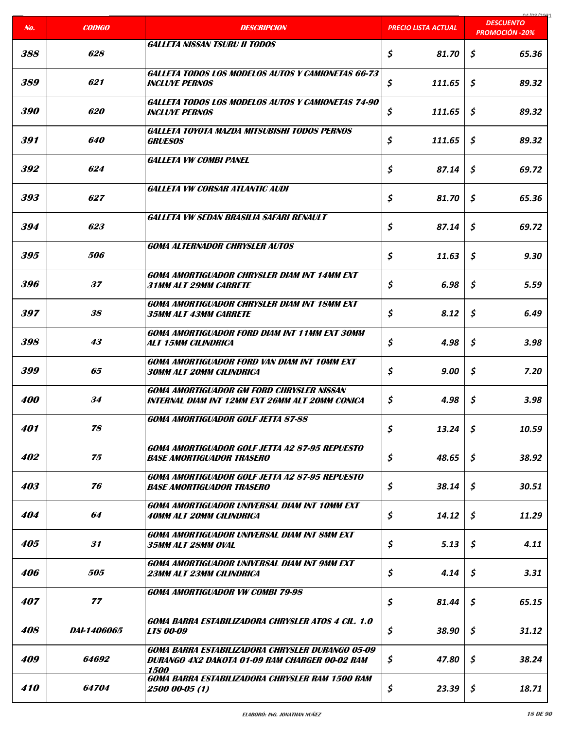| No.               | <b>CODIGO</b>     | <b>DESCRIPCION</b>                                                                                         | <b>PRECIO LISTA ACTUAL</b> | COCI ON LO<br><b>DESCUENTO</b> |
|-------------------|-------------------|------------------------------------------------------------------------------------------------------------|----------------------------|--------------------------------|
|                   |                   |                                                                                                            |                            | <b>PROMOCIÓN -20%</b>          |
| 388               | 628               | GAI I FTA NISSAN TSURU II TODOS                                                                            | \$<br>81.70                | \$<br>65.36                    |
| 389               | 621               | <b>GALLETA TODOS LOS MODELOS AUTOS Y CAMIONETAS 66-73</b><br><b>INCLUYE PERNOS</b>                         | \$<br>111.65               | \$<br>89.32                    |
| <i><b>390</b></i> | 620               | <b>GALLETA TODOS LOS MODELOS AUTOS Y CAMIONETAS 74-90</b><br><b>INCLUYE PERNOS</b>                         | \$<br>111.65               | \$<br>89.32                    |
| 391               | 640               | <b>GALLETA TOYOTA MAZDA MITSUBISHI TODOS PERNOS</b><br><i><b>GRUESOS</b></i>                               | \$<br>111.65               | \$<br>89.32                    |
| 392               | 624               | GALLETA VW COMBI PANEL                                                                                     | \$<br>87.14                | \$<br>69.72                    |
| 393               | 627               | <b>GALLETA VW CORSAR ATLANTIC AUDI</b>                                                                     | \$<br>81.70                | \$<br>65.36                    |
| 394               | 623               | GALLETA VW SEDAN BRASILIA SAFARI RENAULT                                                                   | \$<br>87.14                | \$<br>69.72                    |
| 395               | <i><b>506</b></i> | <b>GOMA ALTERNADOR CHRYSLER AUTOS</b>                                                                      | \$<br>11.63                | \$<br>9.30                     |
| 396               | 37                | <b>GOMA AMORTIGUADOR CHRYSLER DIAM INT 14MM EXT</b><br>31MM ALT 29MM CARRETE                               | \$<br>6.98                 | \$<br>5.59                     |
| 397               | 38                | <b>GOMA AMORTIGUADOR CHRYSLER DIAM INT 18MM EXT</b><br><i><b>35MM ALT 43MM CARRETE</b></i>                 | \$<br>8.12                 | \$<br>6.49                     |
| 398               | 43                | GOMA AMORTIGUADOR FORD DIAM INT 11MM EXT 30MM<br><b>ALT 15MM CILINDRICA</b>                                | \$<br>4.98                 | \$<br>3.98                     |
| 399               | 65                | <b>GOMA AMORTIGUADOR FORD VAN DIAM INT 10MM EXT</b><br><b>30MM ALT 20MM CILINDRICA</b>                     | \$<br>9.00                 | \$<br>7.20                     |
| <b>400</b>        | 34                | <b>GOMA AMORTIGUADOR GM FORD CHRYSLER NISSAN</b><br>INTERNAL DIAM INT 12MM EXT 26MM ALT 20MM CONICA        | \$<br>4.98                 | \$<br>3.98                     |
| 401               | 78                | <b>GOMA AMORTIGUADOR GOLF JETTA 87-88</b>                                                                  | \$<br>13.24                | \$<br>10.59                    |
| 402               | 75                | <b>GOMA AMORTIGUADOR GOLF JETTA A2 87-95 REPUESTO</b><br><b>BASE AMORTIGUADOR TRASERO</b>                  | \$<br>48.65                | \$<br>38.92                    |
| 403               | 76                | <b>GOMA AMORTIGUADOR GOLF JETTA A2 87-95 REPUESTO</b><br><b>BASE AMORTIGUADOR TRASERO</b>                  | \$<br>38.14                | \$<br>30.51                    |
| 404               | 64                | <b>GOMA AMORTIGUADOR UNIVERSAL DIAM INT 10MM EXT</b><br><b>40MM ALT 20MM CILINDRICA</b>                    | \$<br>14.12                | \$<br>11.29                    |
| <i><b>405</b></i> | 31                | <b>GOMA AMORTIGUADOR UNIVERSAL DIAM INT SMM EXT</b><br>35MM ALT 28MM OVAL                                  | \$<br>5.13                 | \$<br>4.11                     |
| 406               | 505               | GOMA AMORTIGUADOR UNIVERSAL DIAM INT 9MM EXT<br>23MM ALT 23MM CILINDRICA                                   | \$<br>4.14                 | \$<br>3.31                     |
| 407               | 77                | <b>GOMA AMORTIGUADOR VW COMBI 79-98</b>                                                                    | \$<br>81.44                | \$<br>65.15                    |
| 408               | DAI-1406065       | GOMA BARRA ESTABILIZADORA CHRYSLER ATOS 4 CIL. 1.0<br><b>LTS 00-09</b>                                     | \$<br>38.90                | \$<br>31.12                    |
| 409               | 64692             | GOMA BARRA ESTABILIZADORA CHRYSLER DURANGO 05-09<br>DURANGO 4X2 DAKOTA 01-09 RAM CHARGER 00-02 RAM<br>1500 | \$<br>47.80                | \$<br>38.24                    |
| 410               | 64704             | GOMA BARRA ESTABILIZADORA CHRYSLER RAM 1500 RAM<br>2500 00-05 (1)                                          | \$<br>23.39                | \$<br>18.71                    |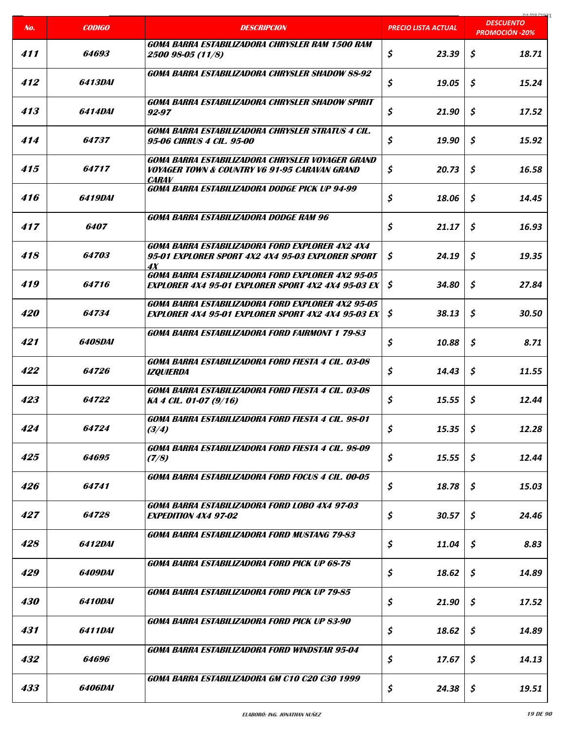| No.               | <b>CODIGO</b>         | <b>DESCRIPCION</b>                                                                                                           | <b>PRECIO LISTA ACTUAL</b> | COCI ON LO<br><b>DESCUENTO</b> |
|-------------------|-----------------------|------------------------------------------------------------------------------------------------------------------------------|----------------------------|--------------------------------|
|                   |                       |                                                                                                                              |                            | <b>PROMOCIÓN -20%</b>          |
| 411               | 64693                 | GOMA BARRA ESTABILIZADORA CHRYSLER RAM 1500 RAM<br>2500 98-05 (11/8)                                                         | \$<br>23.39                | \$<br>18.71                    |
| 412               | <i><b>6413DAI</b></i> | GOMA BARRA ESTABILIZADORA CHRYSLER SHADOW 88-92                                                                              | \$<br>19.05                | \$<br>15.24                    |
| 413               | 6414DAI               | GOMA BARRA ESTABILIZADORA CHRYSLER SHADOW SPIRIT<br>92-97                                                                    | \$<br>21.90                | \$<br>17.52                    |
| 414               | 64737                 | <b>GOMA BARRA ESTABILIZADORA CHRYSLER STRATUS 4 CIL.</b><br>95-06 CIRRUS 4 CIL. 95-00                                        | \$<br>19.90                | Ś.<br>15.92                    |
| 415               | 64717                 | GOMA BARRA ESTABILIZADORA CHRYSLER VOYAGER GRAND<br><b>VOYAGER TOWN &amp; COUNTRY V6 91-95 CARAVAN GRAND</b><br><b>CARAV</b> | \$<br>20.73                | \$<br>16.58                    |
| 416               | 6419DAI               | GOMA BARRA ESTABILIZADORA DODGE PICK UP 94-99                                                                                | \$<br>18.06                | \$<br>14.45                    |
| 417               | <i><b>6407</b></i>    | GOMA BARRA ESTABILIZADORA DODGE RAM 96                                                                                       | \$<br>21.17                | \$<br>16.93                    |
| 418               | 64703                 | GOMA BARRA ESTABILIZADORA FORD EXPLORER 4X2 4X4<br>95-01 EXPLORER SPORT 4X2 4X4 95-03 EXPLORER SPORT<br>4X                   | \$<br>24.19                | \$<br>19.35                    |
| 419               | 64716                 | GOMA BARRA ESTABILIZADORA FORD EXPLORER 4X2 95-05<br><b>EXPLORER 4X4 95-01 EXPLORER SPORT 4X2 4X4 95-03 EX</b>               | \$<br>34.80                | \$<br>27.84                    |
| 420               | 64734                 | GOMA BARRA ESTABILIZADORA FORD EXPLORER 4X2 95-05<br><b>EXPLORER 4X4 95-01 EXPLORER SPORT 4X2 4X4 95-03 EX</b>               | \$<br>38.13                | \$<br>30.50                    |
| 421               | <b>6408DAI</b>        | <b>GOMA BARRA ESTABILIZADORA FORD FAIRMONT 1 79-83</b>                                                                       | \$<br>10.88                | \$<br>8.71                     |
| 422               | 64726                 | GOMA BARRA ESTABILIZADORA FORD FIESTA 4 CIL. 03-08<br><b>IZQUIERDA</b>                                                       | \$<br>14.43                | \$<br>11.55                    |
| 423               | 64722                 | <b>GOMA BARRA ESTABILIZADORA FORD FIESTA 4 CIL. 03-08</b><br>KA 4 CIL. 01-07 (9/16)                                          | \$<br>15.55                | \$<br>12.44                    |
| 424               | 64724                 | GOMA BARRA ESTABILIZADORA FORD FIESTA 4 CIL. 98-01<br>(3/4)                                                                  | \$<br>15.35                | \$<br>12.28                    |
| 425               | 64695                 | GOMA BARRA ESTABILIZADORA FORD FIESTA 4 CIL. 98-09<br>(7/8)                                                                  | \$<br>15.55                | \$<br>12.44                    |
| 426               | 64741                 | GOMA BARRA ESTABILIZADORA FORD FOCUS 4 CIL. 00-05                                                                            | \$<br>18.78                | \$<br>15.03                    |
| 427               | <i><b>64728</b></i>   | GOMA BARRA ESTABILIZADORA FORD LOBO 4X4 97-03<br><b>EXPEDITION 4X4 97-02</b>                                                 | \$<br>30.57                | \$<br>24.46                    |
| 428               | <i><b>6412DAI</b></i> | GOMA BARRA ESTABILIZADORA FORD MUSTANG 79-83                                                                                 | \$<br>11.04                | \$<br>8.83                     |
| 429               | 6409DAI               | GOMA BARRA ESTABILIZADORA FORD PICK UP 68-78                                                                                 | \$<br>18.62                | \$<br>14.89                    |
| <i><b>430</b></i> | 6410DAI               | GOMA BARRA ESTABILIZADORA FORD PICK UP 79-85                                                                                 | \$<br>21.90                | \$<br>17.52                    |
| 431               | 6411DAI               | GOMA BARRA ESTABILIZADORA FORD PICK UP 83-90                                                                                 | \$<br>18.62                | \$<br>14.89                    |
| 432               | 64696                 | GOMA BARRA ESTABILIZADORA FORD WINDSTAR 95-04                                                                                | \$<br>17.67                | \$<br>14.13                    |
| 433               | <i><b>6406DAI</b></i> | GOMA BARRA ESTABILIZADORA GM C10 C20 C30 1999                                                                                | \$<br>24.38                | \$<br>19.51                    |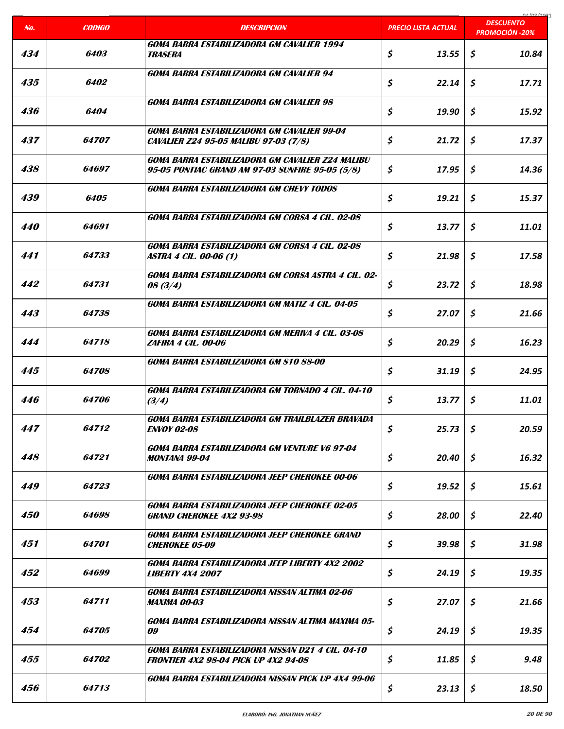| No.               | <b>CODIGO</b>       | <b>DESCRIPCION</b>                                                                                   | <b>PRECIO LISTA ACTUAL</b> | 0.1001221<br><b>DESCUENTO</b><br><b>PROMOCIÓN -20%</b> |
|-------------------|---------------------|------------------------------------------------------------------------------------------------------|----------------------------|--------------------------------------------------------|
|                   |                     |                                                                                                      |                            |                                                        |
| 434               | 6403                | <b>GOMA BARRA ESTABILIZADORA GM CAVALIER 1994</b><br><i><b>TRASERA</b></i>                           | \$<br>13.55                | \$<br>10.84                                            |
| 435               | <i><b>6402</b></i>  | <b>GOMA BARRA ESTABILIZADORA GM CAVALIER 94</b>                                                      | \$<br>22.14                | \$<br>17.71                                            |
| 436               | 6404                | <b>GOMA BARRA ESTABILIZADORA GM CAVALIER 98</b>                                                      | \$<br>19.90                | \$<br>15.92                                            |
| 437               | 64707               | GOMA BARRA ESTABILIZADORA GM CAVALIER 99-04<br><b>CAVALIER Z24 95-05 MALIBU 97-03 (7/8)</b>          | \$<br>21.72                | \$<br>17.37                                            |
| 438               | <i><b>64697</b></i> | GOMA BARRA ESTABILIZADORA GM CAVALIER Z24 MALIBU<br>95-05 PONTIAC GRAND AM 97-03 SUNFIRE 95-05 (5/8) | \$<br>17.95                | \$<br>14.36                                            |
| 439               | 6405                | <b>GOMA BARRA ESTABILIZADORA GM CHEVY TODOS</b>                                                      | \$<br>19.21                | \$<br>15.37                                            |
| 440               | 64691               | GOMA BARRA ESTABILIZADORA GM CORSA 4 CIL. 02-08                                                      | \$<br>13.77                | \$<br>11.01                                            |
| 441               | 64733               | <b>GOMA BARRA ESTABILIZADORA GM CORSA 4 CIL. 02-08</b><br><b>ASTRA 4 CIL. 00-06 (1)</b>              | \$<br>21.98                | \$<br>17.58                                            |
| 442               | 64731               | GOMA BARRA ESTABILIZADORA GM CORSA ASTRA 4 CIL. 02-<br>08(3/4)                                       | \$<br>23.72                | \$<br>18.98                                            |
| 443               | 64738               | GOMA BARRA ESTABILIZADORA GM MATIZ 4 CIL. 04-05                                                      | \$<br>27.07                | \$<br>21.66                                            |
| 444               | 64718               | GOMA BARRA ESTABILIZADORA GM MERIVA 4 CIL. 03-08<br><b>ZAFIRA 4 CIL. 00-06</b>                       | \$<br>20.29                | \$<br>16.23                                            |
| 445               | 64708               | GOMA BARRA ESTABILIZADORA GM S10 88-00                                                               | \$<br>31.19                | \$<br>24.95                                            |
| 446               | 64706               | GOMA BARRA ESTABILIZADORA GM TORNADO 4 CIL. 04-10<br>(3/4)                                           | \$<br>13.77                | \$<br>11.01                                            |
| 447               | 64712               | GOMA BARRA ESTABILIZADORA GM TRAILBLAZER BRAVADA<br><b>ENVOY 02-08</b>                               | \$<br>25.73                | \$<br>20.59                                            |
| 448               | 64721               | GOMA BARRA ESTABILIZADORA GM VENTURE V6 97-04<br>MONTANA 99-04                                       | \$<br>20.40                | \$<br>16.32                                            |
| 449               | 64723               | GOMA BARRA ESTABILIZADORA JEEP CHEROKEE 00-06                                                        | \$<br>19.52                | \$.<br>15.61                                           |
| <i><b>450</b></i> | 64698               | GOMA BARRA ESTABILIZADORA JEEP CHEROKEE 02-05<br><b>GRAND CHEROKEE 4X2 93-98</b>                     | \$<br>28.00                | \$<br>22.40                                            |
| 451               | 64701               | GOMA BARRA ESTABILIZADORA JEEP CHEROKEE GRAND<br><b>CHEROKEE 05-09</b>                               | \$<br>39.98                | \$<br>31.98                                            |
| 452               | <i>64699</i>        | GOMA BARRA ESTABILIZADORA JEEP LIBERTY 4X2 2002<br><i><b>LIBERTY 4X4 2007</b></i>                    | \$<br>24.19                | \$<br>19.35                                            |
| 453               | 64711               | GOMA BARRA ESTABILIZADORA NISSAN ALTIMA 02-06<br>MAXIMA 00-03                                        | \$<br>27.07                | \$<br>21.66                                            |
| 454               | <i><b>64705</b></i> | GOMA BARRA ESTABILIZADORA NISSAN ALTIMA MAXIMA 05-<br>09                                             | \$<br>24.19                | \$<br>19.35                                            |
| 455               | 64702               | GOMA BARRA ESTABILIZADORA NISSAN D21 4 CIL. 04-10<br><b>FRONTIER 4X2 98-04 PICK UP 4X2 94-08</b>     | \$<br>11.85                | \$<br>9.48                                             |
| 456               | 64713               | GOMA BARRA ESTABILIZADORA NISSAN PICK UP 4X4 99-06                                                   | \$<br>23.13                | \$<br>18.50                                            |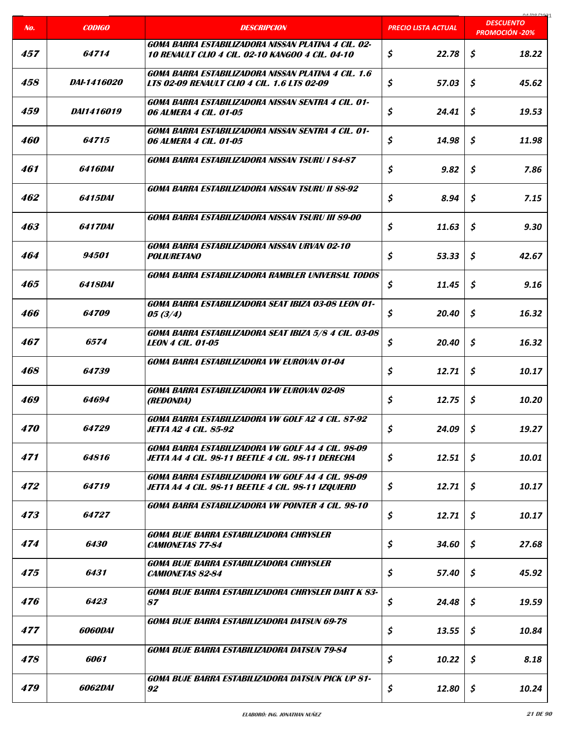|                   |                       |                                                                                                                |                     | 01/00/2021<br><b>DESCUENTO</b> |
|-------------------|-----------------------|----------------------------------------------------------------------------------------------------------------|---------------------|--------------------------------|
| No.               | <b>CODIGO</b>         | <b>DESCRIPCION</b>                                                                                             | PRECIO LISTA ACTUAL | <b>PROMOCIÓN -20%</b>          |
| 457               | 64714                 | GOMA BARRA ESTABILIZADORA NISSAN PLATINA 4 CIL. 02-<br><b>10 RENAULT CLIO 4 CIL. 02-10 KANGOO 4 CIL. 04-10</b> | \$<br>22.78         | \$<br>18.22                    |
| 458               | <i>DAI-1416020</i>    | GOMA BARRA ESTABILIZADORA NISSAN PLATINA 4 CIL. 1.6<br><b>LTS 02-09 RENAULT CLIO 4 CIL. 1.6 LTS 02-09</b>      | \$<br>57.03         | \$<br>45.62                    |
| 459               | <i>DAI1416019</i>     | GOMA BARRA ESTABILIZADORA NISSAN SENTRA 4 CIL. 01-<br><i><b>06 ALMERA 4 CIL. 01-05</b></i>                     | \$<br>24.41         | \$<br>19.53                    |
| 460               | 64715                 | GOMA BARRA ESTABILIZADORA NISSAN SENTRA 4 CIL. 01-<br><i><b>06 ALMERA 4 CIL. 01-05</b></i>                     | \$<br>14.98         | \$<br>11.98                    |
| 461               | 6416DAI               | <b>GOMA BARRA ESTABILIZADORA NISSAN TSURU I 84-87</b>                                                          | \$<br>9.82          | \$<br>7.86                     |
| 462               | 6415DAI               | <b>GOMA BARRA ESTABILIZADORA NISSAN TSURU II 88-92</b>                                                         | \$<br>8.94          | \$<br>7.15                     |
| 463               | <i><b>6417DAI</b></i> | GOMA BARRA ESTABILIZADORA NISSAN TSURU III 89-00                                                               | \$<br>11.63         | \$<br>9.30                     |
| 464               | 94501                 | <b>GOMA BARRA ESTABILIZADORA NISSAN URVAN 02-10</b><br><b>POLIURETANO</b>                                      | \$<br>53.33         | \$<br>42.67                    |
| 465               | 6418DAI               | GOMA BARRA ESTABILIZADORA RAMBLER UNIVERSAL TODOS                                                              | \$<br>11.45         | \$<br>9.16                     |
| 466               | 64709                 | GOMA BARRA ESTABILIZADORA SEAT IBIZA 03-08 LEON 01-<br>05(3/4)                                                 | \$<br>20.40         | \$<br>16.32                    |
| 467               | 6574                  | GOMA BARRA ESTABILIZADORA SEAT IBIZA 5/8 4 CIL. 03-08<br><b>LEON 4 CIL. 01-05</b>                              | \$<br>20.40         | \$<br>16.32                    |
| 468               | 64739                 | <b>GOMA BARRA ESTABILIZADORA VW EUROVAN 01-04</b>                                                              | \$<br>12.71         | \$<br>10.17                    |
| 469               | 64694                 | <b>GOMA BARRA ESTABILIZADORA VW EUROVAN 02-08</b><br><i>(REDONDA)</i>                                          | \$<br>12.75         | \$<br>10.20                    |
| <i><b>470</b></i> | 64729                 | GOMA BARRA ESTABILIZADORA VW GOLF A2 4 CIL. 87-92<br><b>JETTA A2 4 CIL. 85-92</b>                              | \$<br>24.09         | \$<br>19.27                    |
| 471               | 64816                 | <b>GOMA BARRA ESTABILIZADORA VW GOLF A4 4 CIL. 98-09</b><br>JETTA A4-4 CIL. 98-11 BEETLE 4 CIL. 98-11 DERECHA  | \$<br>12.51         | \$<br>10.01                    |
| 472               | 64719                 | GOMA BARRA ESTABILIZADORA VW GOLF A4 4 CIL. 98-09<br>JETTA A4-4 CIL. 98-11 BEETLE 4 CIL. 98-11 IZQUIERD        | \$<br>12.71         | \$<br>10.17                    |
| 473               | 64727                 | <b>GOMA BARRA ESTABILIZADORA VW POINTER 4 CIL. 98-10</b>                                                       | \$<br>12.71         | \$<br>10.17                    |
| 474               | 6430                  | GOMA BUJE BARRA ESTABILIZADORA CHRYSLER<br><b>CAMIONETAS 77-84</b>                                             | \$<br>34.60         | \$<br>27.68                    |
| 475               | 6431                  | GOMA BUJE BARRA ESTABILIZADORA CHRYSLER<br><b>CAMIONETAS 82-84</b>                                             | \$<br>57.40         | \$<br>45.92                    |
| 476               | 6423                  | GOMA BUJE BARRA ESTABILIZADORA CHRYSLER DART K 83-<br>87                                                       | \$<br>24.48         | \$<br>19.59                    |
| 477               | 6060DAI               | <b>GOMA BUJE BARRA ESTABILIZADORA DATSUN 69-78</b>                                                             | \$<br>13.55         | \$<br>10.84                    |
| 478               | 6061                  | <b>GOMA BUJE BARRA ESTABILIZADORA DATSUN 79-84</b>                                                             | \$<br>10.22         | \$<br>8.18                     |
| 479               | 6062DAI               | <b>GOMA BUJE BARRA ESTABILIZADORA DATSUN PICK UP 81-</b><br>92                                                 | \$<br>12.80         | \$<br>10.24                    |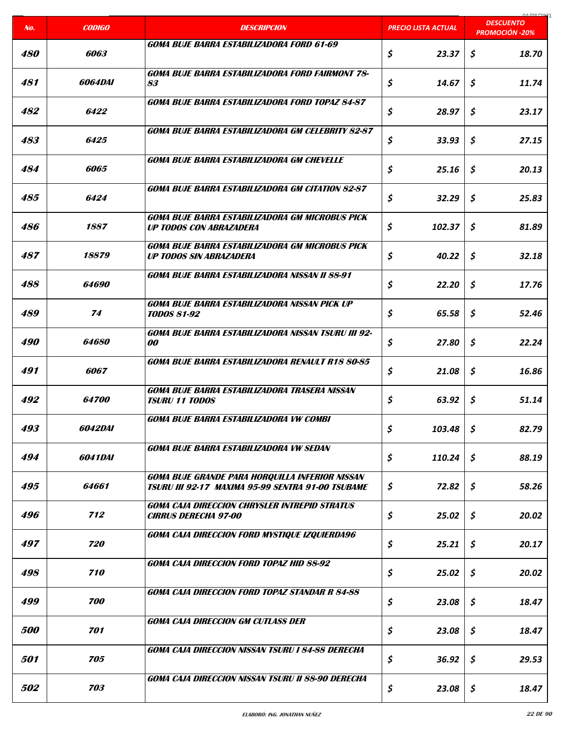| No.               | <b>CODIGO</b>       | <b>DESCRIPCION</b>                                                                                                 | <b>PRECIO LISTA ACTUAL</b>     | carloo lage<br><b>DESCUENTO</b> |
|-------------------|---------------------|--------------------------------------------------------------------------------------------------------------------|--------------------------------|---------------------------------|
|                   |                     |                                                                                                                    |                                | <b>PROMOCIÓN -20%</b>           |
| <i><b>480</b></i> | 6063                | GOMA BUJE BARRA ESTABILIZADORA FORD 61-69                                                                          | \$<br>23.37                    | \$<br>18.70                     |
| 481               | <i>6064DAI</i>      | <b>GOMA BUJE BARRA ESTABILIZADORA FORD FAIRMONT 78-</b><br>83                                                      | \$<br>14.67                    | \$<br>11.74                     |
| 482               | 6422                | <b>GOMA BUJE BARRA ESTABILIZADORA FORD TOPAZ 84-87</b>                                                             | \$<br>28.97                    | \$<br>23.17                     |
| 483               | 6425                | <b>GOMA BUJE BARRA ESTABILIZADORA GM CELEBRITY 82-87</b>                                                           | \$<br>33.93                    | \$<br>27.15                     |
| 484               | 6065                | <b>GOMA BUJE BARRA ESTABILIZADORA GM CHEVELLE</b>                                                                  | \$<br>25.16                    | \$<br>20.13                     |
| 485               | 6424                | <b>GOMA BUJE BARRA ESTABILIZADORA GM CITATION 82-87</b>                                                            | \$<br>32.29                    | \$<br>25.83                     |
| 486               | 1887                | <b>GOMA BUJE BARRA ESTABILIZADORA GM MICROBUS PICK</b><br><b>UP TODOS CON ABRAZADERA</b>                           | \$<br>102.37                   | \$<br>81.89                     |
| 487               | 18879               | <b>GOMA BUJE BARRA ESTABILIZADORA GM MICROBUS PICK</b><br><b>UP TODOS SIN ABRAZADERA</b>                           | \$<br>40.22                    | \$<br>32.18                     |
| 488               | 64690               | <b>GOMA BUJE BARRA ESTABILIZADORA NISSAN II 88-91</b>                                                              | \$<br>22.20                    | \$<br>17.76                     |
| 489               | 74                  | GOMA BUJE BARRA ESTABILIZADORA NISSAN PICK UP<br><b>TODOS 81-92</b>                                                | \$<br>65.58                    | \$<br>52.46                     |
| <i><b>490</b></i> | 64680               | <b>GOMA BUJE BARRA ESTABILIZADORA NISSAN TSURU III 92-</b><br><i>00</i>                                            | \$<br>27.80                    | \$<br>22.24                     |
| 491               | 6067                | <b>GOMA BUJE BARRA ESTABILIZADORA RENAULT R18 80-85</b>                                                            | \$<br>21.08                    | \$<br>16.86                     |
| 492               | <i><b>64700</b></i> | <b>GOMA BUJE BARRA ESTABILIZADORA TRASERA NISSAN</b><br><b>TSURU 11 TODOS</b>                                      | \$<br>63.92                    | \$<br>51.14                     |
| 493               | 6042DAI             | <b>GOMA BUJE BARRA ESTABILIZADORA VW COMBI</b>                                                                     | \$<br>103.48                   | \$<br>82.79                     |
| 494               | 6041DAI             | <b>GOMA BUJE BARRA ESTABILIZADORA VW SEDAN</b>                                                                     | $\boldsymbol{\zeta}$<br>110.24 | \$<br>88.19                     |
| 495               | 64661               | <b>GOMA BUJE GRANDE PARA HORQUILLA INFERIOR NISSAN</b><br><b>TSURU III 92-17 MAXIMA 95-99 SENTRA 91-00 TSUBAME</b> | \$<br>72.82                    | \$<br>58.26                     |
| 496               | 712                 | <b>GOMA CAJA DIRECCION CHRYSLER INTREPID STRATUS</b><br><b>CIRRUS DERECHA 97-00</b>                                | \$<br>25.02                    | \$<br>20.02                     |
| 497               | 720                 | GOMA CAJA DIRECCION FORD MYSTIQUE IZQUIERDA96                                                                      | \$<br>25.21                    | \$<br>20.17                     |
| 498               | 710                 | <b>GOMA CAJA DIRECCION FORD TOPAZ HID 88-92</b>                                                                    | \$<br>25.02                    | \$<br>20.02                     |
| 499               | 700                 | <b>GOMA CAJA DIRECCION FORD TOPAZ STANDAR R 84-88</b>                                                              | \$<br>23.08                    | \$<br>18.47                     |
| <i><b>500</b></i> | 701                 | <b>GOMA CAJA DIRECCION GM CUTLASS DER</b>                                                                          | \$<br>23.08                    | \$<br>18.47                     |
| <i><b>501</b></i> | 705                 | <b>GOMA CAJA DIRECCION NISSAN TSURU I 84-88 DERECHA</b>                                                            | \$<br>36.92                    | \$<br>29.53                     |
| 502               | 703                 | GOMA CAJA DIRECCION NISSAN TSURU II 88-90 DERECHA                                                                  | \$<br>23.08                    | \$<br>18.47                     |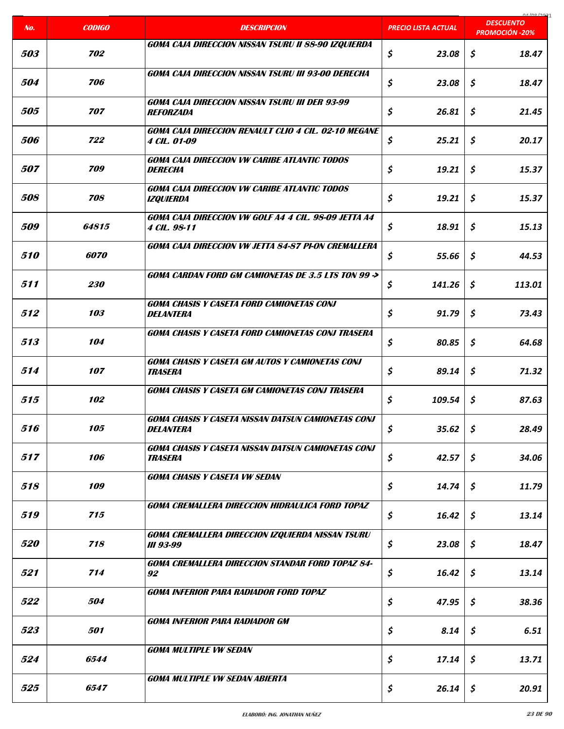| No.               | <b>CODIGO</b> | <b>DESCRIPCION</b>                                                                        | <b>PRECIO LISTA ACTUAL</b> | 01/00/2021<br><b>DESCUENTO</b> |
|-------------------|---------------|-------------------------------------------------------------------------------------------|----------------------------|--------------------------------|
|                   |               |                                                                                           |                            | <b>PROMOCIÓN -20%</b>          |
| 503               | 702           | GOMA CAJA DIRECCION NISSAN TSURU II 88-90 IZQUIERDA                                       | \$<br>23.08                | \$<br>18.47                    |
| 504               | 706           | <b>GOMA CAJA DIRECCION NISSAN TSURU III 93-00 DERECHA</b>                                 | \$<br>23.08                | \$<br>18.47                    |
| <i><b>505</b></i> | 707           | <b>GOMA CAJA DIRECCION NISSAN TSURU III DER 93-99</b><br><b>REFORZADA</b>                 | \$<br>26.81                | \$<br>21.45                    |
| <i><b>506</b></i> | 722           | <b>GOMA CAJA DIRECCION RENAULT CLIO 4 CIL. 02-10 MEGANE</b><br><i><b>4 CIL. 01-09</b></i> | \$<br>25.21                | \$<br>20.17                    |
| 507               | 709           | <b>GOMA CAJA DIRECCION VW CARIBE ATLANTIC TODOS</b><br><b>DERECHA</b>                     | \$<br>19.21                | \$<br>15.37                    |
| 508               | 708           | <b>GOMA CAJA DIRECCION VW CARIBE ATLANTIC TODOS</b><br><b>IZOUIERDA</b>                   | \$<br>19.21                | \$<br>15.37                    |
| <i><b>509</b></i> | 64815         | GOMA CAJA DIRECCION VW GOLF A4 4 CIL. 98-09 JETTA A4<br>4 CIL. 98-11                      | \$<br>18.91                | \$<br>15.13                    |
| 510               | 6070          | <b>GOMA CAJA DIRECCION VW JETTA 84-87 PI-ON CREMALLERA</b>                                | \$<br>55.66                | \$<br>44.53                    |
| 511               | 230           | <b>GOMA CARDAN FORD GM CAMIONETAS DE 3.5 LTS TON 99 -&gt;</b>                             | \$<br>141.26               | \$<br>113.01                   |
| 512               | 103           | <b>GOMA CHASIS Y CASETA FORD CAMIONETAS CONJ</b><br><b>DELANTERA</b>                      | \$<br>91.79                | \$<br>73.43                    |
| 513               | 104           | <b>GOMA CHASIS Y CASETA FORD CAMIONETAS CONJ TRASERA</b>                                  | \$<br>80.85                | \$<br>64.68                    |
| 514               | 107           | <b>GOMA CHASIS Y CASETA GM AUTOS Y CAMIONETAS CONJ</b><br><b>TRASERA</b>                  | \$<br>89.14                | \$<br>71.32                    |
| 515               | 102           | <b>GOMA CHASIS Y CASETA GM CAMIONETAS CONJ TRASERA</b>                                    | \$<br>109.54               | \$<br>87.63                    |
| 516               | 105           | <b>GOMA CHASIS Y CASETA NISSAN DATSUN CAMIONETAS CONJ</b><br><b>DELANTERA</b>             | \$<br>35.62                | \$<br>28.49                    |
| 517               | 106           | <b>GOMA CHASIS Y CASETA NISSAN DATSUN CAMIONETAS CONJ</b><br><b>TRASERA</b>               | \$<br>42.57                | \$<br>34.06                    |
| 518               | 109           | <b>GOMA CHASIS Y CASETA VW SEDAN</b>                                                      | \$<br>14.74                | \$<br>11.79                    |
| 519               | 715           | <b>GOMA CREMALLERA DIRECCION HIDRAULICA FORD TOPAZ</b>                                    | \$<br>16.42                | \$<br>13.14                    |
| <i><b>520</b></i> | 718           | GOMA CREMALLERA DIRECCION IZQUIERDA NISSAN TSURU<br><b>III 93-99</b>                      | \$<br>23.08                | \$<br>18.47                    |
| 521               | 714           | <b>GOMA CREMALLERA DIRECCION STANDAR FORD TOPAZ 84-</b><br>92                             | \$<br>16.42                | \$<br>13.14                    |
| 522               | 504           | <b>GOMA INFERIOR PARA RADIADOR FORD TOPAZ</b>                                             | \$<br>47.95                | \$<br>38.36                    |
| 523               | 501           | <b>GOMA INFERIOR PARA RADIADOR GM</b>                                                     | \$<br>8.14                 | \$<br>6.51                     |
| 524               | 6544          | <b>GOMA MULTIPLE VW SEDAN</b>                                                             | \$<br>17.14                | \$<br>13.71                    |
| 525               | 6547          | <b>GOMA MULTIPLE VW SEDAN ABIERTA</b>                                                     | \$<br>26.14                | \$<br>20.91                    |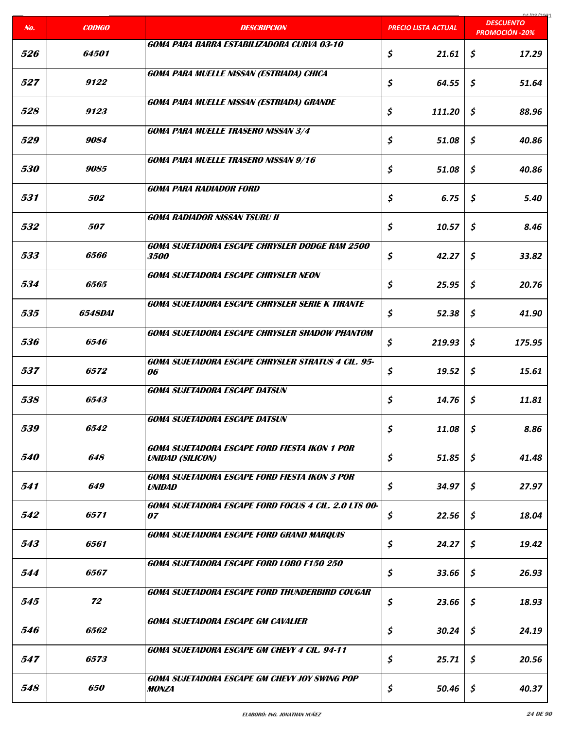| No.               | <b>CODIGO</b>         | <b>DESCRIPCION</b>                                                    | <b>PRECIO LISTA ACTUAL</b> | carloo lage<br><b>DESCUENTO</b><br><b>PROMOCIÓN -20%</b> |
|-------------------|-----------------------|-----------------------------------------------------------------------|----------------------------|----------------------------------------------------------|
|                   |                       | GOMA PARA BARRA ESTABILIZADORA CURVA 03-10                            |                            |                                                          |
| 526               | 64501                 |                                                                       | \$<br>21.61                | \$<br>17.29                                              |
|                   |                       | <b>GOMA PARA MUELLE NISSAN (ESTRIADA) CHICA</b>                       |                            |                                                          |
| 527               | 9122                  |                                                                       | \$<br>64.55                | \$<br>51.64                                              |
|                   | 9123                  | <b>GOMA PARA MUELLE NISSAN (ESTRIADA) GRANDE</b>                      |                            |                                                          |
| 528               |                       |                                                                       | \$<br>111.20               | \$<br>88.96                                              |
| 529               | 9084                  | <b>GOMA PARA MUELLE TRASERO NISSAN 3/4</b>                            | \$<br>51.08                | \$<br>40.86                                              |
|                   |                       |                                                                       |                            |                                                          |
| <i><b>530</b></i> | 9085                  | <b>GOMA PARA MUELLE TRASERO NISSAN 9/16</b>                           | \$<br>51.08                | \$<br>40.86                                              |
|                   |                       | <b>GOMA PARA RADIADOR FORD</b>                                        |                            |                                                          |
| 531               | 502                   |                                                                       | \$<br>6.75                 | \$<br>5.40                                               |
|                   |                       | <b>GOMA RADIADOR NISSAN TSURU II</b>                                  |                            |                                                          |
| 532               | 507                   |                                                                       | \$<br>10.57                | \$<br>8.46                                               |
|                   |                       | <b>GOMA SUJETADORA ESCAPE CHRYSLER DODGE RAM 2500</b>                 |                            |                                                          |
| 533               | 6566                  | <i><b>3500</b></i>                                                    | \$<br>42.27                | \$<br>33.82                                              |
|                   |                       | <b>GOMA SUJETADORA ESCAPE CHRYSLER NEON</b>                           |                            |                                                          |
| 534               | 6565                  |                                                                       | \$<br>25.95                | \$<br>20.76                                              |
| 535               | <i><b>6548DAI</b></i> | <b>GOMA SUJETADORA ESCAPE CHRYSLER SERIE K TIRANTE</b>                | \$<br>52.38                | \$<br>41.90                                              |
|                   |                       |                                                                       |                            |                                                          |
| 536               | 6546                  | <b>GOMA SUJETADORA ESCAPE CHRYSLER SHADOW PHANTOM</b>                 | \$<br>219.93               | \$<br>175.95                                             |
|                   |                       | GOMA SUJETADORA ESCAPE CHRYSLER STRATUS 4 CIL. 95-                    |                            |                                                          |
| 537               | 6572                  | 06                                                                    | \$<br>19.52                | \$<br>15.61                                              |
|                   |                       | <b>GOMA SUJETADORA ESCAPE DATSUN</b>                                  |                            |                                                          |
| 538               | 6543                  |                                                                       | \$<br>14.76                | \$<br>11.81                                              |
|                   |                       | <b>GOMA SUJETADORA ESCAPE DATSUN</b>                                  |                            |                                                          |
| 539               | 6542                  |                                                                       | \$<br>11.08                | \$<br>8.86                                               |
|                   |                       | <b>GOMA SUJETADORA ESCAPE FORD FIESTA IKON 1 POR</b>                  |                            |                                                          |
| <i><b>540</b></i> | 648                   | <b>UNIDAD (SILICON)</b>                                               | \$<br>51.85                | \$<br>41.48                                              |
| 541               | 649                   | <b>GOMA SUJETADORA ESCAPE FORD FIESTA IKON 3 POR</b><br><b>UNIDAD</b> | \$<br>34.97                | \$<br>27.97                                              |
|                   |                       |                                                                       |                            |                                                          |
| 542               | 6571                  | GOMA SUJETADORA ESCAPE FORD FOCUS 4 CIL. 2.0 LTS 00-<br>07            | \$<br>22.56                | \$<br>18.04                                              |
|                   |                       | <b>GOMA SUJETADORA ESCAPE FORD GRAND MARQUIS</b>                      |                            |                                                          |
| 543               | 6561                  |                                                                       | \$<br>24.27                | \$<br>19.42                                              |
|                   |                       | GOMA SUJETADORA ESCAPE FORD LOBO F150 250                             |                            |                                                          |
| 544               | 6567                  |                                                                       | \$<br>33.66                | \$<br>26.93                                              |
|                   |                       | GOMA SUJETADORA ESCAPE FORD THUNDERBIRD COUGAR                        |                            |                                                          |
| 545               | 72                    |                                                                       | \$<br>23.66                | \$<br>18.93                                              |
|                   |                       | <b>GOMA SUJETADORA ESCAPE GM CAVALIER</b>                             |                            |                                                          |
| <i><b>546</b></i> | 6562                  |                                                                       | \$<br>30.24                | \$<br>24.19                                              |
| 547               | 6573                  | <b>GOMA SUJETADORA ESCAPE GM CHEVY 4 CIL. 94-11</b>                   | \$<br>25.71                | \$<br>20.56                                              |
|                   |                       |                                                                       |                            |                                                          |
| 548               | <i><b>650</b></i>     | GOMA SUJETADORA ESCAPE GM CHEVY JOY SWING POP<br><b>MONZA</b>         | \$<br>50.46                | \$<br>40.37                                              |
|                   |                       |                                                                       |                            |                                                          |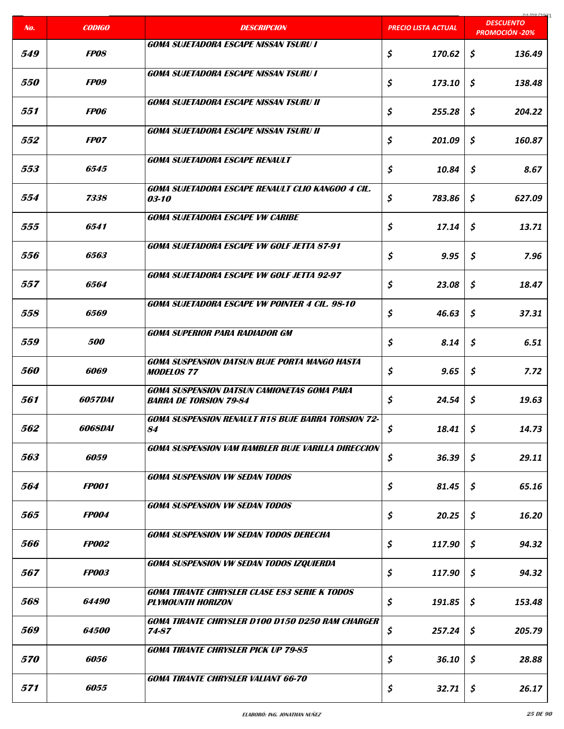| No.               | <b>CODIGO</b>         | <b>DESCRIPCION</b>                                                               | <b>PRECIO LISTA ACTUAL</b> | 0.1001221<br><b>DESCUENTO</b><br><b>PROMOCIÓN -20%</b> |
|-------------------|-----------------------|----------------------------------------------------------------------------------|----------------------------|--------------------------------------------------------|
|                   |                       | <b>GOMA SUJETADORA ESCAPE NISSAN TSURU I</b>                                     |                            |                                                        |
| 549               | <b>FPOS</b>           |                                                                                  | \$<br>170.62               | \$<br>136.49                                           |
|                   |                       | <b>GOMA SUJETADORA ESCAPE NISSAN TSURU I</b>                                     |                            |                                                        |
| <i><b>550</b></i> | <b>FPO9</b>           |                                                                                  | \$<br>173.10               | \$<br>138.48                                           |
|                   |                       | <b>GOMA SUJETADORA ESCAPE NISSAN TSURU II</b>                                    |                            |                                                        |
| 551               | <b>FP06</b>           |                                                                                  | \$<br>255.28               | \$<br>204.22                                           |
|                   |                       | <b>GOMA SUJETADORA ESCAPE NISSAN TSURU II</b>                                    |                            |                                                        |
| 552               | <i><b>FPO7</b></i>    |                                                                                  | \$<br>201.09               | \$<br>160.87                                           |
| 553               | 6545                  | <b>GOMA SUJETADORA ESCAPE RENAULT</b>                                            | \$<br>10.84                | \$<br>8.67                                             |
|                   |                       |                                                                                  |                            |                                                        |
| 554               | 7338                  | GOMA SUJETADORA ESCAPE RENAULT CLIO KANGOO 4 CIL.<br><i>03-10</i>                | \$<br>783.86               | \$<br>627.09                                           |
|                   |                       |                                                                                  |                            |                                                        |
| 555               | 6541                  | <b>GOMA SUJETADORA ESCAPE VW CARIBE</b>                                          | \$<br>17.14                | \$<br>13.71                                            |
|                   |                       |                                                                                  |                            |                                                        |
| 556               | 6563                  | <b>GOMA SUJETADORA ESCAPE VW GOLF JETTA 87-91</b>                                | \$<br>9.95                 | \$<br>7.96                                             |
|                   |                       |                                                                                  |                            |                                                        |
| 557               | 6564                  | <b>GOMA SUJETADORA ESCAPE VW GOLF JETTA 92-97</b>                                | \$<br>23.08                | \$<br>18.47                                            |
|                   |                       | <b>GOMA SUJETADORA ESCAPE VW POINTER 4 CIL. 98-10</b>                            |                            |                                                        |
| 558               | 6569                  |                                                                                  | \$<br>46.63                | \$<br>37.31                                            |
|                   |                       | <b>GOMA SUPERIOR PARA RADIADOR GM</b>                                            |                            |                                                        |
| 559               | <i><b>500</b></i>     |                                                                                  | \$<br>8.14                 | \$<br>6.51                                             |
|                   |                       | <b>GOMA SUSPENSION DATSUN BUJE PORTA MANGO HASTA</b>                             |                            |                                                        |
| <i><b>560</b></i> | 6069                  | <b>MODELOS 77</b>                                                                | \$<br>9.65                 | \$<br>7.72                                             |
|                   |                       | <b>GOMA SUSPENSION DATSUN CAMIONETAS GOMA PARA</b>                               |                            |                                                        |
| 561               | <i><b>6057DAI</b></i> | <b>BARRA DE TORSION 79-84</b>                                                    | \$<br>24.54                | \$<br>19.63                                            |
|                   |                       | GOMA SUSPENSION RENAULT R18 BUJE BARRA TORSION 72-                               |                            |                                                        |
| 562               | 6068DAI               | 84                                                                               | \$<br>18.41                | \$<br>14.73                                            |
|                   |                       | <b>GOMA SUSPENSION VAM RAMBLER BUJE VARILLA DIRECCION</b>                        |                            |                                                        |
| 563               | 6059                  |                                                                                  | \$<br>36.39                | \$<br>29.11                                            |
|                   |                       | <b>GOMA SUSPENSION VW SEDAN TODOS</b>                                            |                            |                                                        |
| 564               | <b>FP001</b>          |                                                                                  | \$<br>81.45                | \$<br>65.16                                            |
| 565               | <b>FP004</b>          | <b>GOMA SUSPENSION VW SEDAN TODOS</b>                                            | \$<br>20.25                | \$                                                     |
|                   |                       |                                                                                  |                            | 16.20                                                  |
| 566               | <b>FP002</b>          | <b>GOMA SUSPENSION VW SEDAN TODOS DERECHA</b>                                    | \$<br>117.90               | \$<br>94.32                                            |
|                   |                       |                                                                                  |                            |                                                        |
| 567               | <b>FP003</b>          | <b>GOMA SUSPENSION VW SEDAN TODOS IZQUIERDA</b>                                  | \$<br>117.90               | \$<br>94.32                                            |
|                   |                       |                                                                                  |                            |                                                        |
| 568               | <i><b>64490</b></i>   | <b>GOMA TIRANTE CHRYSLER CLASE ES3 SERIE K TODOS</b><br><b>PLYMOUNTH HORIZON</b> | \$<br>191.85               | \$<br>153.48                                           |
|                   |                       | <b>GOMA TIRANTE CHRYSLER D100 D150 D250 RAM CHARGER</b>                          |                            |                                                        |
| 569               | 64500                 | 74-87                                                                            | \$<br>257.24               | \$<br>205.79                                           |
|                   |                       | <b>GOMA TIRANTE CHRYSLER PICK UP 79-85</b>                                       |                            |                                                        |
| <i><b>570</b></i> | 6056                  |                                                                                  | \$<br>36.10                | \$<br>28.88                                            |
|                   |                       | <b>GOMA TIRANTE CHRYSLER VALIANT 66-70</b>                                       |                            |                                                        |
| 571               | 6055                  |                                                                                  | \$<br>32.71                | \$<br>26.17                                            |
|                   |                       |                                                                                  |                            |                                                        |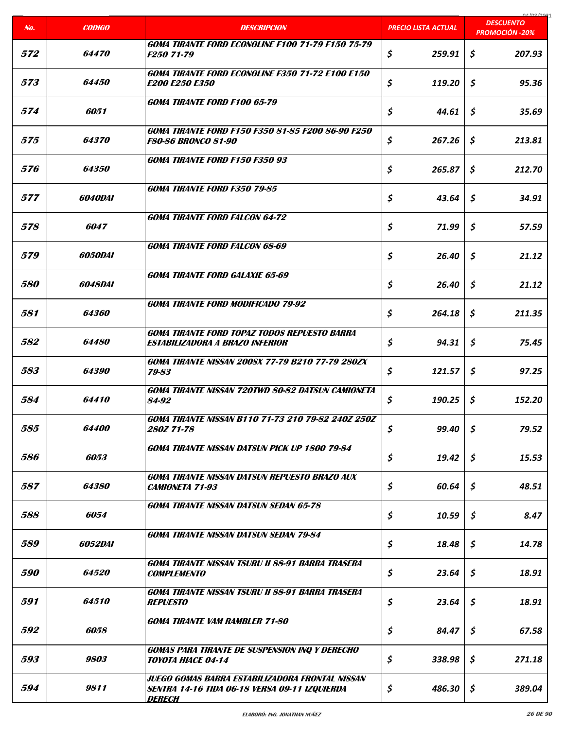| No.               | <b>CODIGO</b>         | <b>DESCRIPCION</b>                                                                                                | <b>PRECIO LISTA ACTUAL</b> | 01/00/2021<br><b>DESCUENTO</b> |
|-------------------|-----------------------|-------------------------------------------------------------------------------------------------------------------|----------------------------|--------------------------------|
|                   |                       |                                                                                                                   |                            | <b>PROMOCIÓN -20%</b>          |
| 572               | <i><b>64470</b></i>   | <b>GOMA TIRANTE FORD ECONOLINE F100 71-79 F150 75-79</b><br>F250 71-79                                            | \$<br>259.91               | \$<br>207.93                   |
| 573               | <i><b>64450</b></i>   | <b>GOMA TIRANTE FORD ECONOLINE F350 71-72 E100 E150</b><br><b>E200 E250 E350</b>                                  | \$<br>119.20               | \$<br>95.36                    |
| 574               | 6051                  | <b>GOMA TIRANTE FORD F100 65-79</b>                                                                               | \$<br>44.61                | \$<br>35.69                    |
| 575               | 64370                 | GOMA TIRANTE FORD F150 F350 81-85 F200 86-90 F250<br><b>F80-86 BRONCO 81-90</b>                                   | \$<br>267.26               | \$<br>213.81                   |
| 576               | <i>64350</i>          | <b>GOMA TIRANTE FORD F150 F350 93</b>                                                                             | \$<br>265.87               | \$<br>212.70                   |
| 577               | 6040DAI               | <b>GOMA TIRANTE FORD F350 79-85</b>                                                                               | \$<br>43.64                | \$<br>34.91                    |
| 578               | 6047                  | <b>GOMA TIRANTE FORD FALCON 64-72</b>                                                                             | \$<br>71.99                | \$<br>57.59                    |
| <i><b>579</b></i> | <i><b>6050DAI</b></i> | <b>GOMA TIRANTE FORD FALCON 68-69</b>                                                                             | \$<br>26.40                | \$<br>21.12                    |
| <i><b>580</b></i> | 6048DAI               | <b>GOMA TIRANTE FORD GALAXIE 65-69</b>                                                                            | \$<br>26.40                | $\mathsf{S}$<br>21.12          |
| 581               | <i><b>64360</b></i>   | <b>GOMA TIRANTE FORD MODIFICADO 79-92</b>                                                                         | \$<br>264.18               | Ŝ<br>211.35                    |
| 582               | 64480                 | <b>GOMA TIRANTE FORD TOPAZ TODOS REPUESTO BARRA</b><br>ESTABILIZADORA A BRAZO INFERIOR                            | \$<br>94.31                | \$<br>75.45                    |
| 583               | <i><b>64390</b></i>   | <b>GOMA TIRANTE NISSAN 200SX 77-79 B210 77-79 280ZX</b><br>79-83                                                  | \$<br>121.57               | \$<br>97.25                    |
| 584               | 64410                 | <b>GOMA TIRANTE NISSAN 720TWD 80-82 DATSUN CAMIONETA</b><br>84-92                                                 | \$<br>190.25               | \$<br>152.20                   |
| 585               | 64400                 | <b>GOMA TIRANTE NISSAN B110 71-73 210 79-82 240Z 250Z</b><br>280Z 71-78                                           | \$<br>99.40                | $\mathfrak{s}$<br>79.52        |
| 586               | 6053                  | <b>GOMA TIRANTE NISSAN DATSUN PICK UP 1800 79-84</b>                                                              | \$<br>19.42                | Ŝ.<br>15.53                    |
| 587               | <i><b>64380</b></i>   | <b>GOMA TIRANTE NISSAN DATSUN REPUESTO BRAZO AUX</b><br><b>CAMIONETA 71-93</b>                                    | \$<br>60.64                | \$<br>48.51                    |
| 588               | 6054                  | <b>GOMA TIRANTE NISSAN DATSUN SEDAN 65-78</b>                                                                     | \$<br>10.59                | \$<br>8.47                     |
| 589               | <i>6052DAI</i>        | <b>GOMA TIRANTE NISSAN DATSUN SEDAN 79-84</b>                                                                     | \$<br>18.48                | \$<br>14.78                    |
| <i><b>590</b></i> | <i><b>64520</b></i>   | GOMA TIRANTE NISSAN TSURU II 88-91 BARRA TRASERA<br><b>COMPLEMENTO</b>                                            | \$<br>23.64                | \$<br>18.91                    |
| 591               | 64510                 | <b>GOMA TIRANTE NISSAN TSURU II 88-91 BARRA TRASERA</b><br><b>REPUESTO</b>                                        | \$<br>23.64                | Ŝ.<br>18.91                    |
| 592               | 6058                  | <b>GOMA TIRANTE VAM RAMBLER 71-80</b>                                                                             | \$<br>84.47                | Ŝ<br>67.58                     |
| 593               | 9803                  | <b>GOMAS PARA TIRANTE DE SUSPENSION INQ Y DERECHO</b><br>TOYOTA HIACE 04-14                                       | \$<br>338.98               | \$<br>271.18                   |
| 594               | 9811                  | JUEGO GOMAS BARRA ESTABILIZADORA FRONTAL NISSAN<br>SENTRA 14-16 TIDA 06-18 VERSA 09-11 IZQUIERDA<br><b>DERECH</b> | \$<br>486.30               | \$<br>389.04                   |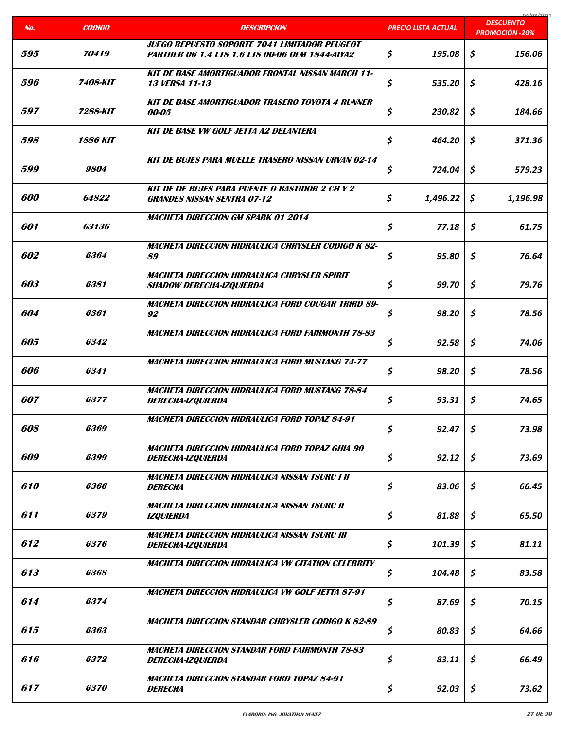|                   |                    |                                                                                                         |                     | COCI ON AO                                |
|-------------------|--------------------|---------------------------------------------------------------------------------------------------------|---------------------|-------------------------------------------|
| No.               | <b>CODIGO</b>      | <b>DESCRIPCION</b>                                                                                      | PRECIO LISTA ACTUAL | <b>DESCUENTO</b><br><b>PROMOCIÓN -20%</b> |
| 595               | 70419              | JUEGO REPUESTO SOPORTE 7041 LIMITADOR PEUGEOT<br><b>PARTHER 06 1.4 LTS 1.6 LTS 00-06 OEM 1844-AIYA2</b> | \$<br>195.08        | \$<br>156.06                              |
| 596               | 7408-KIT           | <b>KIT DE BASE AMORTIGUADOR FRONTAL NISSAN MARCH 11-</b><br><b>13 VERSA 11-13</b>                       | \$<br>535.20        | \$<br>428.16                              |
| 597               | 7288-KIT           | <b>KIT DE BASE AMORTIGUADOR TRASERO TOYOTA 4 RUNNER</b><br>00-05                                        | \$<br>230.82        | \$<br>184.66                              |
| 598               | <b>1886 KIT</b>    | <b>KIT DE BASE VW GOLF JETTA A2 DELANTERA</b>                                                           | \$<br>464.20        | \$<br>371.36                              |
| <i><b>599</b></i> | 9804               | <b>KIT DE BUJES PARA MUELLE TRASERO NISSAN URVAN 02-14</b>                                              | \$<br>724.04        | \$<br>579.23                              |
| 600               | 64822              | <b>KIT DE DE BUJES PARA PUENTE O BASTIDOR 2 CH Y 2</b><br><b>GRANDES NISSAN SENTRA 07-12</b>            | \$<br>1,496.22      | \$<br>1,196.98                            |
| 601               | 63136              | <b>MACHETA DIRECCION GM SPARK 01 2014</b>                                                               | \$<br>77.18         | \$<br>61.75                               |
| 602               | 6364               | MACHETA DIRECCION HIDRAULICA CHRYSLER CODIGO K 82-<br>89                                                | \$<br>95.80         | \$<br>76.64                               |
| 603               | 6381               | MACHETA DIRECCION HIDRAULICA CHRYSLER SPIRIT<br><b>SHADOW DERECHA-IZQUIERDA</b>                         | \$<br>99.70         | \$<br>79.76                               |
| 604               | 6361               | MACHETA DIRECCION HIDRAULICA FORD COUGAR TRIRD 89-<br>92                                                | \$<br>98.20         | \$<br>78.56                               |
| 605               | 6342               | <b>MACHETA DIRECCION HIDRAULICA FORD FAIRMONTH 78-83</b>                                                | \$<br>92.58         | \$<br>74.06                               |
| 606               | 6341               | <b>MACHETA DIRECCION HIDRAULICA FORD MUSTANG 74-77</b>                                                  | \$<br>98.20         | \$<br>78.56                               |
| 607               | 6377               | <b>MACHETA DIRECCION HIDRAULICA FORD MUSTANG 78-84</b><br><b>DERECHA-IZQUIERDA</b>                      | \$<br>93.31         | \$<br>74.65                               |
| 608               | 6369               | <b>MACHETA DIRECCION HIDRAULICA FORD TOPAZ 84-91</b>                                                    | \$<br>92.47         | \$<br>73.98                               |
| 609               | 6399               | MACHETA DIRECCION HIDRAULICA FORD TOPAZ GHIA 90<br>DERECHA-IZQUIERDA                                    | \$<br>92.12         | \$<br>73.69                               |
| 610               | 6366               | MACHETA DIRECCION HIDRAULICA NISSAN TSURU I II<br><b>DERECHA</b>                                        | \$<br>83.06         | \$<br>66.45                               |
| 611               | 6379               | MACHETA DIRECCION HIDRAULICA NISSAN TSURU II<br><b>IZQUIERDA</b>                                        | \$<br>81.88         | \$<br>65.50                               |
| 612               | 6376               | MACHETA DIRECCION HIDRAULICA NISSAN TSURU III<br><b>DERECHA-IZQUIERDA</b>                               | \$<br>101.39        | \$<br>81.11                               |
| 613               | 6368               | MACHETA DIRECCION HIDRAULICA VW CITATION CELEBRITY                                                      | \$<br>104.48        | \$<br>83.58                               |
| 614               | 6374               | <b>MACHETA DIRECCION HIDRAULICA VW GOLF JETTA 87-91</b>                                                 | \$<br>87.69         | \$<br>70.15                               |
| 615               | 6363               | <b>MACHETA DIRECCION STANDAR CHRYSLER CODIGO K 82-89</b>                                                | \$<br>80.83         | \$<br>64.66                               |
| 616               | 6372               | <b>MACHETA DIRECCION STANDAR FORD FAIRMONTH 78-83</b><br>DERECHA-IZQUIERDA                              | \$<br>83.11         | \$<br>66.49                               |
| 617               | <i><b>6370</b></i> | <b>MACHETA DIRECCION STANDAR FORD TOPAZ 84-91</b><br><b>DERECHA</b>                                     | \$<br>92.03         | \$<br>73.62                               |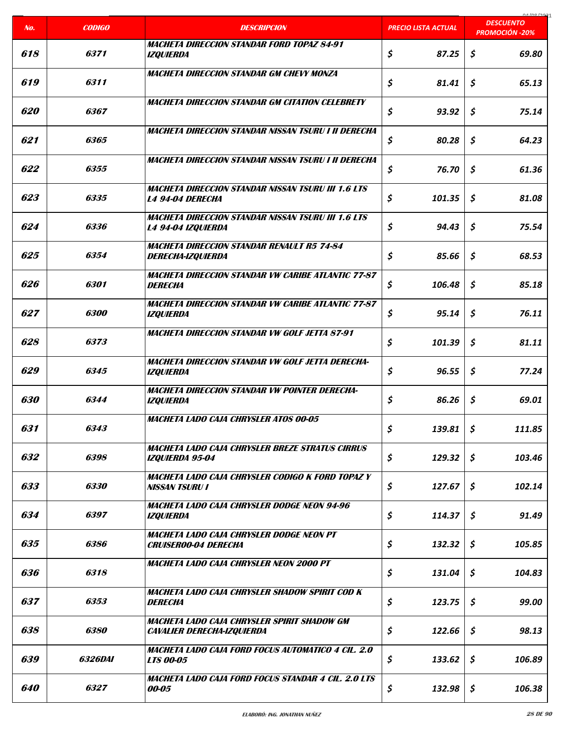| No.        | <b>CODIGO</b>      | <b>DESCRIPCION</b>                                                                   | <b>PRECIO LISTA ACTUAL</b> | 01/00/2021<br><b>DESCUENTO</b><br><b>PROMOCIÓN -20%</b> |
|------------|--------------------|--------------------------------------------------------------------------------------|----------------------------|---------------------------------------------------------|
|            |                    | <b>MACHETA DIRECCION STANDAR FORD TOPAZ 84-91</b>                                    |                            |                                                         |
| 618        | 6371               | <b>IZQUIERDA</b>                                                                     | \$<br>87.25                | \$<br>69.80                                             |
| 619        | 6311               | <b>MACHETA DIRECCION STANDAR GM CHEVY MONZA</b>                                      | \$<br>81.41                | \$<br>65.13                                             |
| <i>620</i> | 6367               | <b>MACHETA DIRECCION STANDAR GM CITATION CELEBRETY</b>                               | \$<br>93.92                | \$<br>75.14                                             |
| 621        | 6365               | <b>MACHETA DIRECCION STANDAR NISSAN TSURU I II DERECHA</b>                           | \$<br>80.28                | \$<br>64.23                                             |
| 622        | 6355               | MACHETA DIRECCION STANDAR NISSAN TSURU I II DERECHA                                  | \$<br>76.70                | \$<br>61.36                                             |
| 623        | 6335               | <b>MACHETA DIRECCION STANDAR NISSAN TSURU III 1.6 LTS</b><br><b>L4 94-04 DERECHA</b> | \$<br>101.35               | \$<br>81.08                                             |
| 624        | 6336               | <b>MACHETA DIRECCION STANDAR NISSAN TSURU III 1.6 LTS</b><br>L4 94-04 IZQUIERDA      | \$<br>94.43                | \$<br>75.54                                             |
| 625        | 6354               | <b>MACHETA DIRECCION STANDAR RENAULT R5 74-84</b><br><b>DERECHA-IZQUIERDA</b>        | \$<br>85.66                | \$<br>68.53                                             |
| 626        | 6301               | <b>MACHETA DIRECCION STANDAR VW CARIBE ATLANTIC 77-87</b><br><b>DERECHA</b>          | \$<br>106.48               | \$<br>85.18                                             |
| 627        | <i><b>6300</b></i> | <b>MACHETA DIRECCION STANDAR VW CARIBE ATLANTIC 77-87</b><br><b>IZQUIERDA</b>        | \$<br>95.14                | \$<br>76.11                                             |
| 628        | 6373               | <b>MACHETA DIRECCION STANDAR VW GOLF JETTA 87-91</b>                                 | \$<br>101.39               | \$<br>81.11                                             |
| 629        | 6345               | <b>MACHETA DIRECCION STANDAR VW GOLF JETTA DERECHA-</b><br><b>IZQUIERDA</b>          | \$<br>96.55                | \$<br>77.24                                             |
| 630        | 6344               | <b>MACHETA DIRECCION STANDAR VW POINTER DERECHA-</b><br><b>IZQUIERDA</b>             | \$<br>86.26                | \$<br>69.01                                             |
| 631        | 6343               | <b>MACHETA LADO CAJA CHRYSLER ATOS 00-05</b>                                         | \$<br>139.81               | \$<br>111.85                                            |
| 632        | 6398               | <b>MACHETA LADO CAJA CHRYSLER BREZE STRATUS CIRRUS</b><br><b>IZOUIERDA 95-04</b>     | \$<br>129.32               | \$<br>103.46                                            |
| 633        | <i>6330</i>        | MACHETA LADO CAJA CHRYSLER CODIGO K FORD TOPAZ Y<br><b>NISSAN TSURU I</b>            | \$<br>127.67               | \$<br>102.14                                            |
| 634        | 6397               | MACHETA LADO CAJA CHRYSLER DODGE NEON 94-96<br><b>IZQUIERDA</b>                      | \$<br>114.37               | \$<br>91.49                                             |
| 635        | 6386               | MACHETA LADO CAJA CHRYSLER DODGE NEON PT<br><b>CRUISER00-04 DERECHA</b>              | \$<br>132.32               | \$<br>105.85                                            |
| 636        | 6318               | MACHETA LADO CAJA CHRYSLER NEON 2000 PT                                              | \$<br>131.04               | \$<br>104.83                                            |
| 637        | 6353               | MACHETA LADO CAJA CHRYSLER SHADOW SPIRIT COD K<br><b>DERECHA</b>                     | \$<br>123.75               | \$<br>99.00                                             |
| 638        | <i><b>6380</b></i> | MACHETA LADO CAJA CHRYSLER SPIRIT SHADOW GM<br><b>CAVALIER DERECHA-IZQUIERDA</b>     | \$<br>122.66               | \$<br>98.13                                             |
| 639        | 6326DAI            | MACHETA LADO CAJA FORD FOCUS AUTOMATICO 4 CIL. 2.0<br><b>LTS 00-05</b>               | \$<br>133.62               | \$<br>106.89                                            |
| 640        | 6327               | MACHETA LADO CAJA FORD FOCUS STANDAR 4 CIL. 2.0 LTS<br>00-05                         | \$<br>132.98               | \$<br>106.38                                            |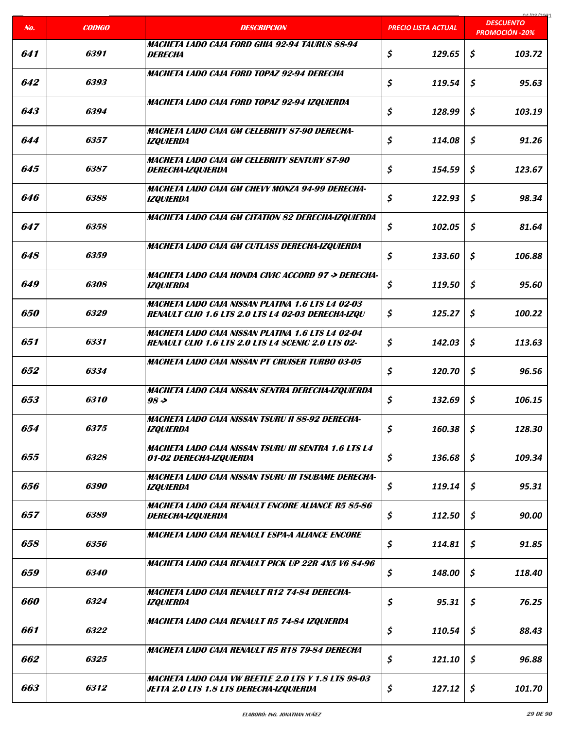| No.        | <b>CODIGO</b>      | <b>DESCRIPCION</b>                                                                                                    | <b>PRECIO LISTA ACTUAL</b> | 01/00/2021<br><b>DESCUENTO</b> |
|------------|--------------------|-----------------------------------------------------------------------------------------------------------------------|----------------------------|--------------------------------|
|            |                    |                                                                                                                       |                            | <b>PROMOCIÓN -20%</b>          |
| 641        | 6391               | MACHETA LADO CAJA FORD GHIA 92-94 TAURUS 88-94<br><b>DERECHA</b>                                                      | \$<br>129.65               | \$<br>103.72                   |
| 642        | 6393               | MACHETA LADO CAJA FORD TOPAZ 92-94 DERECHA                                                                            | \$<br>119.54               | \$<br>95.63                    |
| 643        | 6394               | MACHETA LADO CAJA FORD TOPAZ 92-94 IZQUIERDA                                                                          | \$<br>128.99               | \$<br>103.19                   |
| 644        | 6357               | MACHETA LADO CAJA GM CELEBRITY 87-90 DERECHA-<br><i><b>IZQUIERDA</b></i>                                              | \$<br>114.08               | \$<br>91.26                    |
| 645        | 6387               | <b>MACHETA LADO CAJA GM CELEBRITY SENTURY 87-90</b><br><b>DERECHA-IZQUIERDA</b>                                       | \$<br>154.59               | \$<br>123.67                   |
| 646        | 6388               | MACHETA LADO CAJA GM CHEVY MONZA 94-99 DERECHA-<br><b>IZOUIERDA</b>                                                   | \$<br>122.93               | \$<br>98.34                    |
| 647        | 6358               | <b>MACHETA LADO CAJA GM CITATION 82 DERECHA-IZQUIERDA</b>                                                             | \$<br>102.05               | \$<br>81.64                    |
| 648        | 6359               | MACHETA LADO CAJA GM CUTLASS DERECHA-IZQUIERDA                                                                        | \$<br>133.60               | \$<br>106.88                   |
| 649        | 6308               | MACHETA LADO CAJA HONDA CIVIC ACCORD 97 -> DERECHA-<br><b>IZQUIERDA</b>                                               | \$<br>119.50               | \$<br>95.60                    |
| <i>650</i> | <i>6329</i>        | MACHETA LADO CAJA NISSAN PLATINA 1.6 LTS L4 02-03<br><b>RENAULT CLIO 1.6 LTS 2.0 LTS L4 02-03 DERECHA-IZQU</b>        | \$<br>125.27               | \$<br>100.22                   |
| 651        | 6331               | <b>MACHETA LADO CAJA NISSAN PLATINA 1.6 LTS L4 02-04</b><br><b>RENAULT CLIO 1.6 LTS 2.0 LTS L4 SCENIC 2.0 LTS 02-</b> | \$<br>142.03               | \$<br>113.63                   |
| 652        | 6334               | <b>MACHETA LADO CAJA NISSAN PT CRUISER TURBO 03-05</b>                                                                | \$<br>120.70               | \$<br>96.56                    |
| 653        | 6310               | MACHETA LADO CAJA NISSAN SENTRA DERECHA-IZQUIERDA<br>$98 \rightarrow$                                                 | \$<br>132.69               | \$<br>106.15                   |
| 654        | 6375               | MACHETA LADO CAJA NISSAN TSURU II 88-92 DERECHA-<br><b>IZQUIERDA</b>                                                  | \$<br>160.38               | \$<br>128.30                   |
| 655        | 6328               | MACHETA LADO CAJA NISSAN TSURU III SENTRA 1.6 LTS L4<br>01-02 DERECHA-IZQUIERDA                                       | \$<br>136.68               | \$<br>109.34                   |
| 656        | 6390               | <b>MACHETA LADO CAJA NISSAN TSURU III TSUBAME DERECHA-</b><br><b>IZQUIERDA</b>                                        | \$<br>119.14               | \$<br>95.31                    |
| 657        | 6389               | MACHETA LADO CAJA RENAULT ENCORE ALIANCE R5 85-86<br><b>DERECHA-IZQUIERDA</b>                                         | \$<br>112.50               | \$<br>90.00                    |
| 658        | 6356               | MACHETA LADO CAJA RENAULT ESPA-A ALIANCE ENCORE                                                                       | \$<br>114.81               | \$<br>91.85                    |
| 659        | <i><b>6340</b></i> | <b>MACHETA LADO CAJA RENAULT PICK UP 22R 4X5 V6 84-96</b>                                                             | \$<br>148.00               | \$<br>118.40                   |
| 660        | 6324               | <b>MACHETA LADO CAJA RENAULT R12 74-84 DERECHA-</b><br><i><b>IZQUIERDA</b></i>                                        | \$<br>95.31                | \$<br>76.25                    |
| 661        | 6322               | MACHETA LADO CAJA RENAULT R5 74-84 IZQUIERDA                                                                          | \$<br>110.54               | \$<br>88.43                    |
| 662        | 6325               | MACHETA LADO CAJA RENAULT R5 R18 79-84 DERECHA                                                                        | \$<br>121.10               | \$<br>96.88                    |
| 663        | 6312               | <b>MACHETA LADO CAJA VW BEETLE 2.0 LTS Y 1.8 LTS 98-03</b><br><b>JETTA 2.0 LTS 1.8 LTS DERECHA-IZQUIERDA</b>          | \$<br>127.12               | \$<br>101.70                   |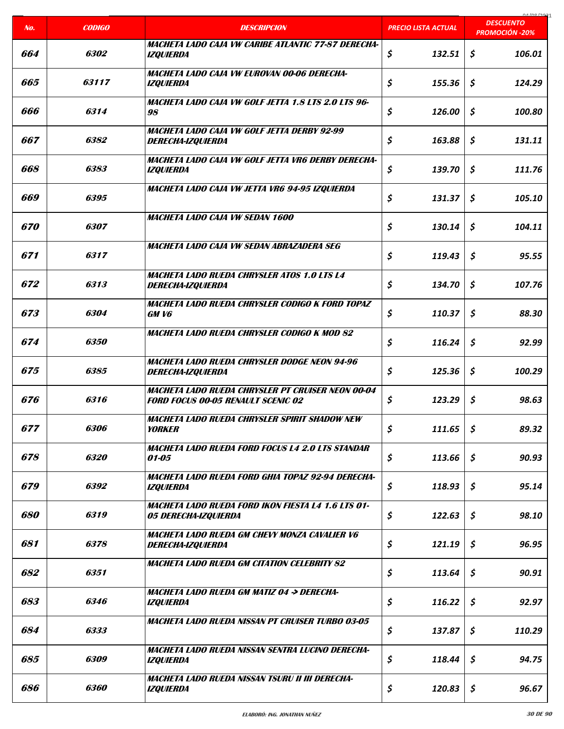| No.               | <b>CODIGO</b>      | <b>DESCRIPCION</b>                                                                                    | PRECIO LISTA ACTUAL | COCI ON LO<br><b>DESCUENTO</b><br><b>PROMOCIÓN -20%</b> |
|-------------------|--------------------|-------------------------------------------------------------------------------------------------------|---------------------|---------------------------------------------------------|
| 664               | <i><b>6302</b></i> | MACHETA LADO CAJA VW CARIBE ATLANTIC 77-87 DERECHA-                                                   | \$<br>132.51        | \$<br>106.01                                            |
|                   |                    | <b>IZQUIERDA</b>                                                                                      |                     |                                                         |
| 665               | 63117              | MACHETA LADO CAJA VW EUROVAN 00-06 DERECHA-<br><b>IZQUIERDA</b>                                       | \$<br>155.36        | \$<br>124.29                                            |
| 666               | 6314               | MACHETA LADO CAJA VW GOLF JETTA 1.8 LTS 2.0 LTS 96-<br>98                                             | \$<br>126.00        | \$<br>100.80                                            |
| 667               | 6382               | MACHETA LADO CAJA VW GOLF JETTA DERBY 92-99<br><i><b>DERECHA-IZQUIERDA</b></i>                        | \$<br>163.88        | \$<br>131.11                                            |
| 668               | 6383               | MACHETA LADO CAJA VW GOLF JETTA VR6 DERBY DERECHA-<br><b>IZQUIERDA</b>                                | \$<br>139.70        | \$<br>111.76                                            |
| 669               | 6395               | MACHETA LADO CAJA VW JETTA VR6 94-95 IZQUIERDA                                                        | \$<br>131.37        | \$<br>105.10                                            |
| <i><b>670</b></i> | <i><b>6307</b></i> | MACHETA LADO CAJA VW SEDAN 1600                                                                       | \$<br>130.14        | \$<br>104.11                                            |
| 671               | 6317               | MACHETA LADO CAJA VW SEDAN ABRAZADERA SEG                                                             | \$<br>119.43        | \$<br>95.55                                             |
| 672               | 6313               | <b>MACHETA LADO RUEDA CHRYSLER ATOS 1.0 LTS L4</b><br><b>DERECHA-IZQUIERDA</b>                        | \$<br>134.70        | \$<br>107.76                                            |
| 673               | 6304               | MACHETA LADO RUEDA CHRYSLER CODIGO K FORD TOPAZ<br>GM V6                                              | \$<br>110.37        | \$<br>88.30                                             |
| 674               | 6350               | <b>MACHETA LADO RUEDA CHRYSLER CODIGO K MOD 82</b>                                                    | \$<br>116.24        | \$<br>92.99                                             |
| 675               | 6385               | <b>MACHETA LADO RUEDA CHRYSLER DODGE NEON 94-96</b><br>DERECHA-IZQUIERDA                              | \$<br>125.36        | \$<br>100.29                                            |
| 676               | 6316               | <b>MACHETA LADO RUEDA CHRYSLER PT CRUISER NEON 00-04</b><br><b>FORD FOCUS 00-05 RENAULT SCENIC 02</b> | \$<br>123.29        | \$<br>98.63                                             |
| 677               | 6306               | <b>MACHETA LADO RUEDA CHRYSLER SPIRIT SHADOW NEW</b><br><b>YORKER</b>                                 | \$<br>111.65        | \$<br>89.32                                             |
| 678               | 6320               | MACHETA LADO RUEDA FORD FOCUS L4 2.0 LTS STANDAR<br>01-05                                             | \$<br>113.66        | \$<br>90.93                                             |
| 679               | 6392               | MACHETA LADO RUEDA FORD GHIA TOPAZ 92-94 DERECHA-<br><b>IZQUIERDA</b>                                 | \$<br>118.93        | \$<br>95.14                                             |
| 680               | 6319               | <b>MACHETA LADO RUEDA FORD IKON FIESTA L4 1.6 LTS 01-</b><br>05 DERECHA-IZQUIERDA                     | \$<br>122.63        | \$<br>98.10                                             |
| 681               | 6378               | MACHETA LADO RUEDA GM CHEVY MONZA CAVALIER V6<br><b>DERECHA-IZQUIERDA</b>                             | \$<br>121.19        | \$<br>96.95                                             |
| 682               | 6351               | <b>MACHETA LADO RUEDA GM CITATION CELEBRITY 82</b>                                                    | \$<br>113.64        | \$<br>90.91                                             |
| 683               | 6346               | <b>MACHETA LADO RUEDA GM MATIZ 04 -&gt; DERECHA-</b><br><b>IZQUIERDA</b>                              | \$<br>116.22        | \$<br>92.97                                             |
| 684               | 6333               | <b>MACHETA LADO RUEDA NISSAN PT CRUISER TURBO 03-05</b>                                               | \$<br>137.87        | \$<br>110.29                                            |
| 685               | 6309               | MACHETA LADO RUEDA NISSAN SENTRA LUCINO DERECHA-<br><i><b>IZQUIERDA</b></i>                           | \$<br>118.44        | \$<br>94.75                                             |
| 686               | 6360               | MACHETA LADO RUEDA NISSAN TSURU II III DERECHA-<br><b>IZQUIERDA</b>                                   | \$<br>120.83        | \$<br>96.67                                             |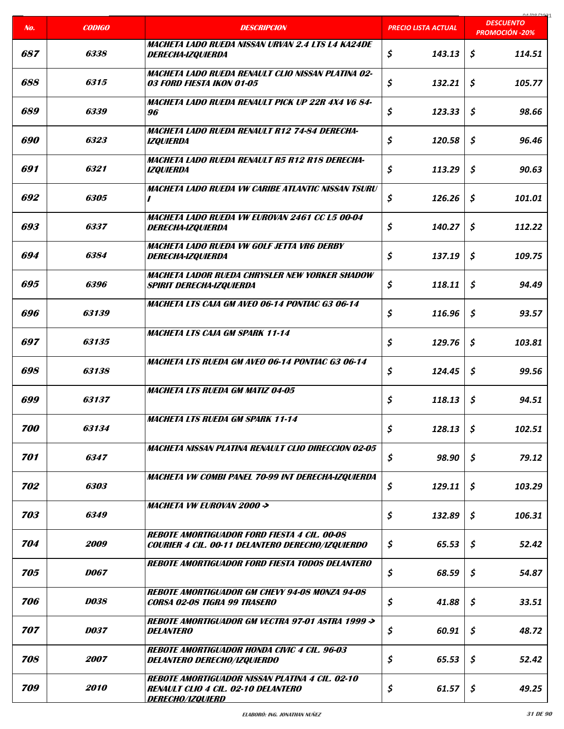|     |                     |                                                                                                                                        |                            | COCI ON AO                                |
|-----|---------------------|----------------------------------------------------------------------------------------------------------------------------------------|----------------------------|-------------------------------------------|
| No. | <b>CODIGO</b>       | <b>DESCRIPCION</b>                                                                                                                     | <b>PRECIO LISTA ACTUAL</b> | <b>DESCUENTO</b><br><b>PROMOCIÓN -20%</b> |
| 687 | 6338                | MACHETA LADO RUEDA NISSAN URVAN 2.4 LTS L4 KA24DE<br><b>DERECHA-IZQUIERDA</b>                                                          | \$<br>143.13               | \$<br>114.51                              |
| 688 | 6315                | <b>MACHETA LADO RUEDA RENAULT CLIO NISSAN PLATINA 02-</b><br>03 FORD FIESTA IKON 01-05                                                 | \$<br>132.21               | \$<br>105.77                              |
| 689 | 6339                | MACHETA LADO RUEDA RENAULT PICK UP 22R 4X4 V6 84-<br>96                                                                                | \$<br>123.33               | \$<br>98.66                               |
| 690 | 6323                | MACHETA LADO RUEDA RENAULT R12 74-84 DERECHA-<br><i><b>IZQUIERDA</b></i>                                                               | \$<br>120.58               | \$<br>96.46                               |
| 691 | 6321                | MACHETA LADO RUEDA RENAULT R5 R12 R18 DERECHA-<br><b>IZQUIERDA</b>                                                                     | \$<br>113.29               | \$<br>90.63                               |
| 692 | 6305                | <b>MACHETA LADO RUEDA VW CARIBE ATLANTIC NISSAN TSURU</b><br>$\prime$                                                                  | \$<br>126.26               | \$<br>101.01                              |
| 693 | 6337                | <b>MACHETA LADO RUEDA VW EUROVAN 2461 CC L5 00-04</b><br><b>DERECHA-IZQUIERDA</b>                                                      | \$<br>140.27               | \$<br>112.22                              |
| 694 | 6384                | MACHETA LADO RUEDA VW GOLF JETTA VR6 DERBY<br><b>DERECHA-IZQUIERDA</b>                                                                 | \$<br>137.19               | \$<br>109.75                              |
| 695 | 6396                | MACHETA LADOR RUEDA CHRYSLER NEW YORKER SHADOW<br><b>SPIRIT DERECHA-IZQUIERDA</b>                                                      | \$<br>118.11               | \$<br>94.49                               |
| 696 | <i><b>63139</b></i> | <b>MACHETA LTS CAJA GM AVEO 06-14 PONTIAC G3 06-14</b>                                                                                 | \$<br>116.96               | \$<br>93.57                               |
| 697 | 63135               | <b>MACHETA LTS CAJA GM SPARK 11-14</b>                                                                                                 | \$<br>129.76               | \$<br>103.81                              |
| 698 | 63138               | <b>MACHETA LTS RUEDA GM AVEO 06-14 PONTIAC G3 06-14</b>                                                                                | \$<br>124.45               | \$<br>99.56                               |
| 699 | 63137               | <b>MACHETA LTS RUEDA GM MATIZ 04-05</b>                                                                                                | \$<br>118.13               | \$<br>94.51                               |
| 700 | 63134               | <b>MACHETA LTS RUEDA GM SPARK 11-14</b>                                                                                                | \$<br>128.13               | \$<br>102.51                              |
| 701 | 6347                | <b>MACHETA NISSAN PLATINA RENAULT CLIO DIRECCION 02-05</b>                                                                             | \$<br>98.90                | \$<br>79.12                               |
| 702 | 6303                | <b>MACHETA VW COMBI PANEL 70-99 INT DERECHA-IZQUIERDA</b>                                                                              | \$<br>129.11               | \$<br>103.29                              |
| 703 | 6349                | <b>MACHETA VW EUROVAN 2000 -&gt;</b>                                                                                                   | \$<br>132.89               | \$<br>106.31                              |
| 704 | 2009                | <b>REBOTE AMORTIGUADOR FORD FIESTA 4 CIL. 00-08</b><br>COURIER 4 CIL. 00-11 DELANTERO DERECHO/IZQUIERDO                                | \$<br>65.53                | \$<br>52.42                               |
| 705 | <i>DO67</i>         | <b>REBOTE AMORTIGUADOR FORD FIESTA TODOS DELANTERO</b>                                                                                 | \$<br>68.59                | \$<br>54.87                               |
| 706 | <b>D038</b>         | <b>REBOTE AMORTIGUADOR GM CHEVY 94-08 MONZA 94-08</b><br><b>CORSA 02-08 TIGRA 99 TRASERO</b>                                           | \$<br>41.88                | \$<br>33.51                               |
| 707 | <b>D037</b>         | <b>REBOTE AMORTIGUADOR GM VECTRA 97-01 ASTRA 1999 -&gt;</b><br><i><b>DELANTERO</b></i>                                                 | \$<br>60.91                | \$<br>48.72                               |
| 708 | 2007                | <b>REBOTE AMORTIGUADOR HONDA CIVIC 4 CIL. 96-03</b><br><b>DELANTERO DERECHO/IZQUIERDO</b>                                              | \$<br>65.53                | \$<br>52.42                               |
| 709 | 2010                | <b>REBOTE AMORTIGUADOR NISSAN PLATINA 4 CIL. 02-10</b><br><b>RENAULT CLIO 4 CIL. 02-10 DELANTERO</b><br><i><b>DERECHO/IZQUIERD</b></i> | \$<br>61.57                | \$<br>49.25                               |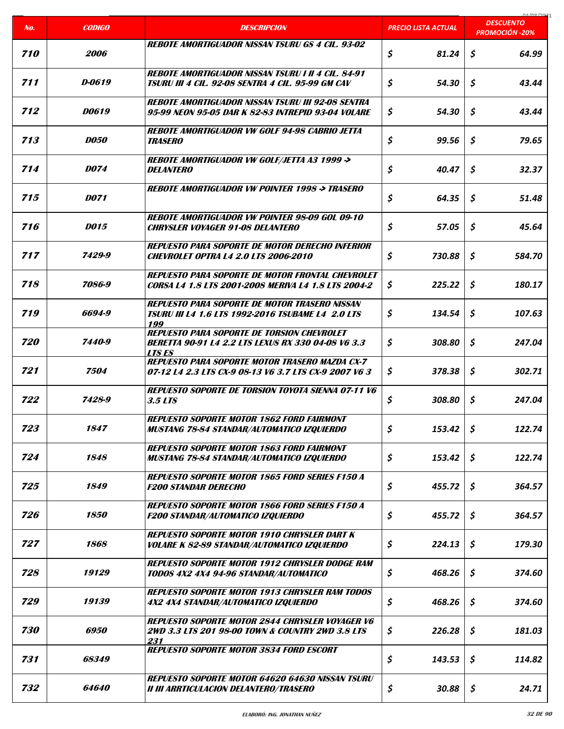|                   |                    |                                                                                                                                 |                            | 04/00/307                                 |
|-------------------|--------------------|---------------------------------------------------------------------------------------------------------------------------------|----------------------------|-------------------------------------------|
| No.               | <b>CODIGO</b>      | <b>DESCRIPCION</b>                                                                                                              | <b>PRECIO LISTA ACTUAL</b> | <b>DESCUENTO</b><br><b>PROMOCIÓN -20%</b> |
| 710               | <i><b>2006</b></i> | <b>REBOTE AMORTIGUADOR NISSAN TSURU GS 4 CII. 93-02</b>                                                                         | \$<br>81.24                | \$<br>64.99                               |
| 711               | D-0619             | <b>REBOTE AMORTIGUADOR NISSAN TSURU I II 4 CIL. 84-91</b><br>TSURU III 4 CIL. 92-08 SENTRA 4 CIL. 95-99 GM CAV                  | \$<br>54.30                | \$<br>43.44                               |
| 712               | <i>DO619</i>       | <b>REBOTE AMORTIGUADOR NISSAN TSURU III 92-08 SENTRA</b><br>95-99 NEON 95-05 DAR K 82-83 INTREPID 93-04 VOLARE                  | \$<br>54.30                | \$<br>43.44                               |
| 713               | <i>DO50</i>        | <b>REBOTE AMORTIGUADOR VW GOLF 94-98 CABRIO JETTA</b><br><i><b>TRASERO</b></i>                                                  | \$<br>99.56                | \$<br>79.65                               |
| 714               | <i>DO74</i>        | <b>REBOTE AMORTIGUADOR VW GOLF/JETTA A3 1999 -&gt;</b><br><b>DELANTERO</b>                                                      | \$<br>40.47                | \$<br>32.37                               |
| 715               | <b>DO71</b>        | <b>REBOTE AMORTIGUADOR VW POINTER 1998 -&gt; TRASERO</b>                                                                        | \$<br>64.35                | \$<br>51.48                               |
| 716               | <i>DO15</i>        | <b>REBOTE AMORTIGUADOR VW POINTER 98-09 GOL 09-10</b><br><b>CHRYSLER VOYAGER 91-08 DELANTERO</b>                                | \$<br>57.05                | \$<br>45.64                               |
| 717               | 7429-9             | <b>REPUESTO PARA SOPORTE DE MOTOR DERECHO INFERIOR</b><br><b>CHEVROLET OPTRA L4 2.0 LTS 2006-2010</b>                           | \$<br>730.88               | \$<br>584.70                              |
| 718               | 7086-9             | <b>REPUESTO PARA SOPORTE DE MOTOR FRONTAL CHEVROLET</b><br><b>CORSA L4 1.8 LTS 2001-2008 MERIVA L4 1.8 LTS 2004-2</b>           | \$<br>225.22               | \$<br>180.17                              |
| 719               | 6694-9             | <b>REPUESTO PARA SOPORTE DE MOTOR TRASERO NISSAN</b><br><b>TSURU III L4 1.6 LTS 1992-2016 TSUBAME L4 2.0 LTS</b><br>199         | \$<br>134.54               | \$<br>107.63                              |
| <i><b>720</b></i> | 7440-9             | <b>REPUESTO PARA SOPORTE DE TORSION CHEVROLET</b><br><b>BERETTA 90-91 L4 2.2 LTS LEXUS RX 330 04-08 V6 3.3</b><br><b>LTS ES</b> | \$<br>308.80               | \$<br>247.04                              |
| 721               | 7504               | <b>REPUESTO PARA SOPORTE MOTOR TRASERO MAZDA CX-7</b><br>07-12 L4 2.3 LTS CX-9 08-13 V6 3.7 LTS CX-9 2007 V6 3                  | \$<br>378.38               | \$<br>302.71                              |
| 722               | 7428-9             | <b>REPUESTO SOPORTE DE TORSION TOYOTA SIENNA 07-11 V6</b><br>3.5 LTS                                                            | \$<br>308.80               | \$<br>247.04                              |
| 723               | 1847               | <b>REPUESTO SOPORTE MOTOR 1862 FORD FAIRMONT</b><br><b>MUSTANG 78-84 STANDAR/AUTOMATICO IZQUIERDO</b>                           | \$<br>153.42               | \$<br>122.74                              |
| 724               | 1848               | <b>REPUESTO SOPORTE MOTOR 1863 FORD FAIRMONT</b><br><b>MUSTANG 78-84 STANDAR/AUTOMATICO IZQUIERDO</b>                           | \$<br>153.42               | \$<br>122.74                              |
| 725               | 1849               | <b>REPUESTO SOPORTE MOTOR 1865 FORD SERIES F150 A</b><br><i><b>F200 STANDAR DERECHO</b></i>                                     | \$<br>455.72               | \$<br>364.57                              |
| 726               | 1850               | <b>REPUESTO SOPORTE MOTOR 1866 FORD SERIES F150 A</b><br><b>F200 STANDAR/AUTOMATICO IZQUIERDO</b>                               | \$<br>455.72               | \$<br>364.57                              |
| 727               | 1868               | <b>REPUESTO SOPORTE MOTOR 1910 CHRYSLER DART K</b><br><b>VOLARE K 82-89 STANDAR/AUTOMATICO IZQUIERDO</b>                        | \$<br>224.13               | \$<br>179.30                              |
| 728               | 19129              | <b>REPUESTO SOPORTE MOTOR 1912 CHRYSLER DODGE RAM</b><br><b>TODOS 4X2 4X4 94-96 STANDAR/AUTOMATICO</b>                          | \$<br>468.26               | \$<br>374.60                              |
| 729               | 19139              | <b>REPUESTO SOPORTE MOTOR 1913 CHRYSLER RAM TODOS</b><br>4X2 4X4 STANDAR/AUTOMATICO IZQUIERDO                                   | \$<br>468.26               | \$<br>374.60                              |
| 730               | 6950               | <b>REPUESTO SOPORTE MOTOR 2844 CHRYSLER VOYAGER V6</b><br>2WD 3.3 LTS 201 98-00 TOWN & COUNTRY 2WD 3.8 LTS<br>231               | \$<br>226.28               | \$<br>181.03                              |
| 731               | 68349              | <b>REPUESTO SOPORTE MOTOR 3834 FORD ESCORT</b>                                                                                  | \$<br>143.53               | \$<br>114.82                              |
| 732               | 64640              | <b>REPUESTO SOPORTE MOTOR 64620 64630 NISSAN TSURU</b><br><b>II III ARRTICULACION DELANTERO/TRASERO</b>                         | \$<br>30.88                | \$<br>24.71                               |

a ka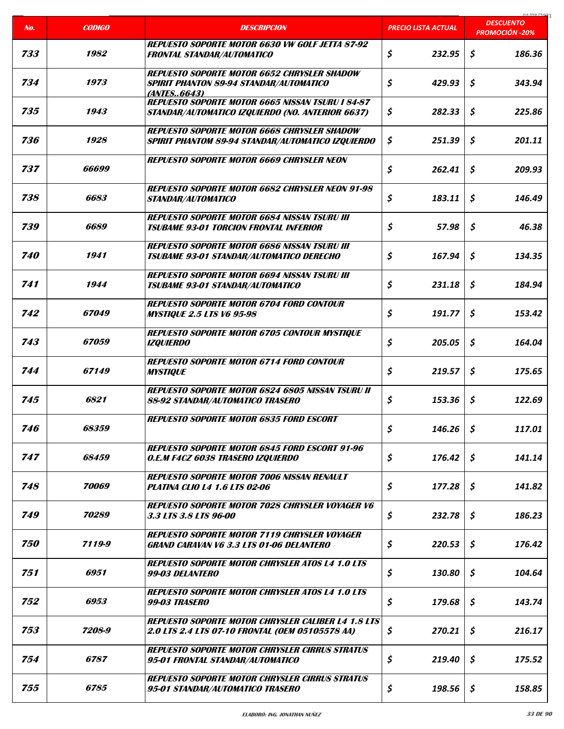|                   |                     |                                                                                                                                   |                            | 01000001<br><b>DESCUENTO</b> |
|-------------------|---------------------|-----------------------------------------------------------------------------------------------------------------------------------|----------------------------|------------------------------|
| No.               | <b>CODIGO</b>       | <b>DESCRIPCION</b>                                                                                                                | <b>PRECIO LISTA ACTUAL</b> | <b>PROMOCIÓN -20%</b>        |
| 733               | 1982                | <b>REPUESTO SOPORTE MOTOR 6630 VW GOLF JETTA 87-92</b><br><b>FRONTAL STANDAR/AUTOMATICO</b>                                       | \$<br>232.95               | \$<br>186.36                 |
| 734               | 1973                | <b>REPUESTO SOPORTE MOTOR 6652 CHRYSLER SHADOW</b><br><b>SPIRIT PHANTON 89-94 STANDAR/AUTOMATICO</b><br><i><b>(ANTES6643)</b></i> | \$<br>429.93               | Ś.<br>343.94                 |
| 735               | 1943                | <b>REPUESTO SOPORTE MOTOR 6665 NISSAN TSURU I 84-87</b><br>STANDAR/AUTOMATICO IZQUIERDO (NO. ANTERIOR 6637)                       | \$<br>282.33               | \$<br>225.86                 |
| 736               | 1928                | <b>REPUESTO SOPORTE MOTOR 6668 CHRYSLER SHADOW</b><br><b>SPIRIT PHANTOM 89-94 STANDAR/AUTOMATICO IZQUIERDO</b>                    | \$<br>251.39               | \$<br>201.11                 |
| 737               | <i>66699</i>        | <b>REPUESTO SOPORTE MOTOR 6669 CHRYSLER NEON</b>                                                                                  | \$<br>262.41               | \$<br>209.93                 |
| 738               | 6683                | <b>REPUESTO SOPORTE MOTOR 6682 CHRYSLER NEON 91-98</b><br><b>STANDAR/AUTOMATICO</b>                                               | \$<br>183.11               | \$<br>146.49                 |
| 739               | 6689                | <b>REPUESTO SOPORTE MOTOR 6684 NISSAN TSURU III</b><br><b>TSUBAME 93-01 TORCION FRONTAL INFERIOR</b>                              | \$<br>57.98                | \$<br>46.38                  |
| <i><b>740</b></i> | 1941                | <b>REPUESTO SOPORTE MOTOR 6686 NISSAN TSURU III</b><br><b>TSUBAME 93-01 STANDAR/AUTOMATICO DERECHO</b>                            | \$<br>167.94               | \$<br>134.35                 |
| 741               | 1944                | <b>REPUESTO SOPORTE MOTOR 6694 NISSAN TSURU III</b><br><b>TSUBAME 93-01 STANDAR/AUTOMATICO</b>                                    | \$<br>231.18               | \$<br>184.94                 |
| 742               | <i><b>67049</b></i> | <b>REPUESTO SOPORTE MOTOR 6704 FORD CONTOUR</b><br><b>MYSTIQUE 2.5 LTS V6 95-98</b>                                               | \$<br>191.77               | \$<br>153.42                 |
| 743               | 67059               | <b>REPUESTO SOPORTE MOTOR 6705 CONTOUR MYSTIQUE</b><br><b>IZQUIERDO</b>                                                           | \$<br>205.05               | \$<br>164.04                 |
| 744               | 67149               | <b>REPUESTO SOPORTE MOTOR 6714 FORD CONTOUR</b><br><b>MYSTIQUE</b>                                                                | \$<br>219.57               | \$<br>175.65                 |
| 745               | 6821                | <b>REPUESTO SOPORTE MOTOR 6824 6805 NISSAN TSURU II</b><br><b>88-92 STANDAR/AUTOMATICO TRASERO</b>                                | \$<br>153.36               | \$<br>122.69                 |
| 746               | 68359               | <b>REPUESTO SOPORTE MOTOR 6835 FORD ESCORT</b>                                                                                    | \$<br>146.26               | \$<br>117.01                 |
| 747               | 68459               | <b>REPUESTO SOPORTE MOTOR 6845 FORD ESCORT 91-96</b><br>O.E.M F4CZ 6038 TRASERO IZQUIERDO                                         | \$<br>176.42               | \$<br>141.14                 |
| 748               | 70069               | <b>REPUESTO SOPORTE MOTOR 7006 NISSAN RENAULT</b><br><b>PLATINA CLIO L4 1.6 LTS 02-06</b>                                         | \$<br>177.28               | \$<br>141.82                 |
| 749               | 70289               | <b>REPUESTO SOPORTE MOTOR 7028 CHRYSLER VOYAGER V6</b><br>3.3 LTS 3.8 LTS 96-00                                                   | \$<br>232.78               | \$<br>186.23                 |
| <i><b>750</b></i> | 7119-9              | <b>REPUESTO SOPORTE MOTOR 7119 CHRYSLER VOYAGER</b><br><b>GRAND CARAVAN V6 3.3 LTS 01-06 DELANTERO</b>                            | \$<br>220.53               | \$<br>176.42                 |
| 751               | 6951                | <b>REPUESTO SOPORTE MOTOR CHRYSLER ATOS L4 1.0 LTS</b><br><i>99-03 DELANTERO</i>                                                  | \$<br>130.80               | \$<br>104.64                 |
| 752               | 6953                | <b>REPUESTO SOPORTE MOTOR CHRYSLER ATOS L4 1.0 LTS</b><br><b>99-03 TRASERO</b>                                                    | \$<br>179.68               | \$<br>143.74                 |
| 753               | 7208-9              | <b>REPUESTO SOPORTE MOTOR CHRYSLER CALIBER L4 1.8 LTS</b><br>2.0 LTS 2.4 LTS 07-10 FRONTAL (OEM 05105578 AA)                      | \$<br>270.21               | \$<br>216.17                 |
| 754               | 6787                | <b>REPUESTO SOPORTE MOTOR CHRYSLER CIRRUS STRATUS</b><br>95-01 FRONTAL STANDAR/AUTOMATICO                                         | \$<br>219.40               | \$<br>175.52                 |
| 755               | 6785                | <b>REPUESTO SOPORTE MOTOR CHRYSLER CIRRUS STRATUS</b><br>95-01 STANDAR/AUTOMATICO TRASERO                                         | \$<br>198.56               | \$<br>158.85                 |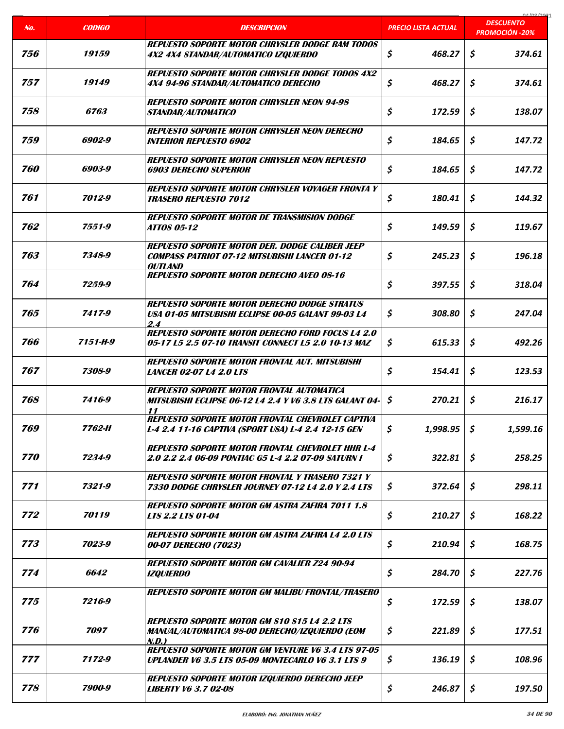|     |               |                                                                                                                       |                            | 01/00/2021<br><b>DESCUENTO</b> |
|-----|---------------|-----------------------------------------------------------------------------------------------------------------------|----------------------------|--------------------------------|
| No. | <b>CODIGO</b> | <b>DESCRIPCION</b>                                                                                                    | <u>PRECIO LISTA ACTUAL</u> | <b>PROMOCIÓN -20%</b>          |
| 756 | 19159         | <b>REPUESTO SOPORTE MOTOR CHRYSLER DODGE RAM TODOS</b><br>4X2 4X4 STANDAR/AUTOMATICO IZQUIERDO                        | \$<br>468.27               | \$<br>374.61                   |
| 757 | 19149         | <b>REPUESTO SOPORTE MOTOR CHRYSLER DODGE TODOS 4X2</b><br>4X4 94-96 STANDAR/AUTOMATICO DERECHO                        | \$<br>468.27               | Ś.<br>374.61                   |
| 758 | 6763          | <b>REPUESTO SOPORTE MOTOR CHRYSLER NEON 94-98</b><br>STANDAR/AUTOMATICO                                               | \$<br>172.59               | \$<br>138.07                   |
| 759 | 6902-9        | <b>REPUESTO SOPORTE MOTOR CHRYSLER NEON DERECHO</b><br><b>INTERIOR REPUESTO 6902</b>                                  | \$<br>184.65               | \$<br>147.72                   |
| 760 | 6903-9        | <b>REPUESTO SOPORTE MOTOR CHRYSLER NEON REPUESTO</b><br><b>6903 DERECHO SUPERIOR</b>                                  | \$<br>184.65               | \$<br>147.72                   |
| 761 | 7012-9        | REPUESTO SOPORTE MOTOR CHRYSLER VOYAGER FRONTA Y<br><b>TRASERO REPUESTO 7012</b>                                      | \$<br>180.41               | \$<br>144.32                   |
| 762 | 7551-9        | <b>REPUESTO SOPORTE MOTOR DE TRANSMISION DODGE</b><br><b>ATT0S 05-12</b>                                              | \$<br>149.59               | \$<br>119.67                   |
| 763 | 7348-9        | REPUESTO SOPORTE MOTOR DER. DODGE CALIBER JEEP<br><b>COMPASS PATRIOT 07-12 MITSUBISHI LANCER 01-12</b><br>OUTLAND     | \$<br>245.23               | \$<br>196.18                   |
| 764 | 7259-9        | <b>REPUESTO SOPORTE MOTOR DERECHO AVEO 08-16</b>                                                                      | \$<br>397.55               | \$<br>318.04                   |
| 765 | 7417-9        | <b>REPUESTO SOPORTE MOTOR DERECHO DODGE STRATUS</b><br>USA 01-05 MITSUBISHI ECLIPSE 00-05 GALANT 99-03 L4<br>2.4      | \$<br>308.80               | \$<br>247.04                   |
| 766 | 7151-H-9      | REPUESTO SOPORTE MOTOR DERECHO FORD FOCUS L4 2.0<br>05-17 L5 2.5 07-10 TRANSIT CONNECT L5 2.0 10-13 MAZ               | \$<br>615.33               | \$<br>492.26                   |
| 767 | 7308-9        | <b>REPUESTO SOPORTE MOTOR FRONTAL AUT. MITSUBISHI</b><br><b>LANCER 02-07 L4 2.0 LTS</b>                               | \$<br>154.41               | \$<br>123.53                   |
| 768 | 7416-9        | <b>REPUESTO SOPORTE MOTOR FRONTAL AUTOMATICA</b><br>MITSUBISHI ECLIPSE 06-12 L4 2.4 Y V6 3.8 LTS GALANT 04-<br>11     | \$<br>270.21               | \$<br>216.17                   |
| 769 | 7762-H        | <b>REPUESTO SOPORTE MOTOR FRONTAL CHEVROLET CAPTIVA</b><br>L-4 2.4 11-16 CAPTIVA (SPORT USA) L-4 2.4 12-15 GEN        | \$<br>1,998.95             | \$<br>1,599.16                 |
| 770 | 7234-9        | <b>REPUESTO SOPORTE MOTOR FRONTAL CHEVROLET HHR L-4</b><br>2.0 2.2 2.4 06-09 PONTIAC G5 L-4 2.2 07-09 SATURN I        | \$<br>322.81               | \$<br>258.25                   |
| 771 | 7321-9        | <b>REPUESTO SOPORTE MOTOR FRONTAL Y TRASERO 7321 Y</b><br>7330 DODGE CHRYSLER JOURNEY 07-12 L4 2.0 Y 2.4 LTS          | \$<br>372.64               | \$<br>298.11                   |
| 772 | 70119         | <b>REPUESTO SOPORTE MOTOR GM ASTRA ZAFIRA 7011 1.8</b><br>LTS 2.2 LTS 01-04                                           | \$<br>210.27               | \$<br>168.22                   |
| 773 | 7023-9        | <b>REPUESTO SOPORTE MOTOR GM ASTRA ZAFIRA L4 2.0 LTS</b><br>00-07 DERECHO (7023)                                      | \$<br>210.94               | \$<br>168.75                   |
| 774 | 6642          | <b>REPUESTO SOPORTE MOTOR GM CAVALIER Z24 90-94</b><br><i><b>IZQUIERDO</b></i>                                        | \$<br>284.70               | \$<br>227.76                   |
| 775 | 7216-9        | <b>REPUESTO SOPORTE MOTOR GM MALIBU FRONTAL/TRASERO</b>                                                               | \$<br>172.59               | \$<br>138.07                   |
| 776 | 7097          | <b>REPUESTO SOPORTE MOTOR GM S10 S15 L4 2.2 LTS</b><br>MANUAL/AUTOMATICA 98-00 DERECHO/IZQUIERDO (EOM<br>N.D.)        | \$<br>221.89               | \$<br>177.51                   |
| 777 | 7172-9        | <b>REPUESTO SOPORTE MOTOR GM VENTURE V6 3.4 LTS 97-05</b><br><b>UPLANDER V6 3.5 LTS 05-09 MONTECARLO V6 3.1 LTS 9</b> | \$<br>136.19               | \$<br>108.96                   |
| 778 | 7900-9        | REPUESTO SOPORTE MOTOR IZQUIERDO DERECHO JEEP<br><b>LIBERTY V6 3.7 02-08</b>                                          | \$<br>246.87               | \$<br>197.50                   |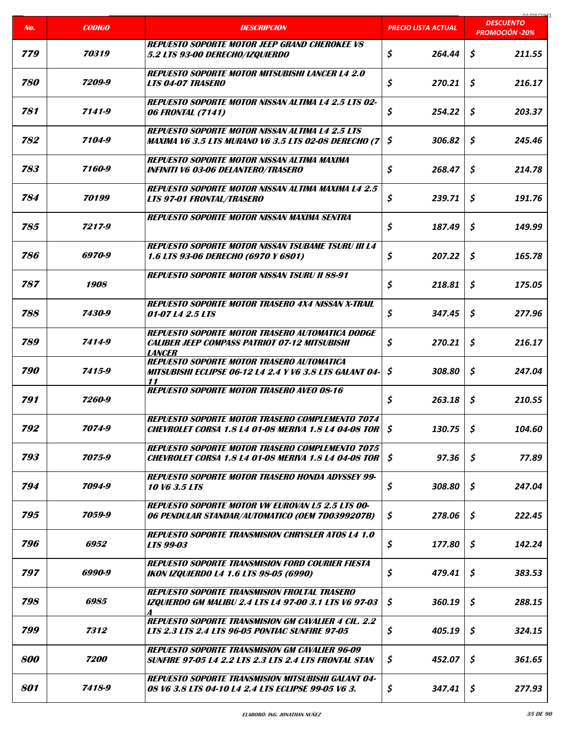|     |                    |                                                                                                                                 |                            | 04/00/307                                 |
|-----|--------------------|---------------------------------------------------------------------------------------------------------------------------------|----------------------------|-------------------------------------------|
| No. | <b>CODIGO</b>      | <b>DESCRIPCION</b>                                                                                                              | <b>PRECIO LISTA ACTUAL</b> | <b>DESCUENTO</b><br><b>PROMOCIÓN -20%</b> |
| 779 | 70319              | <b>REPUESTO SOPORTE MOTOR JEEP GRAND CHEROKEE VS</b><br>5.2 LTS 93-00 DERECHO/IZQUIERDO                                         | \$<br>264.44               | \$<br>211.55                              |
| 780 | 7209-9             | <b>REPUESTO SOPORTE MOTOR MITSUBISHI LANCER L4 2.0</b><br><b>LTS 04-07 TRASERO</b>                                              | \$<br>270.21               | \$<br>216.17                              |
| 781 | 7141-9             | <b>REPUESTO SOPORTE MOTOR NISSAN ALTIMA L4 2.5 LTS 02-</b><br><b>06 FRONTAL (7141)</b>                                          | \$<br>254.22               | \$<br>203.37                              |
| 782 | 7104-9             | <b>REPUESTO SOPORTE MOTOR NISSAN ALTIMA L4 2.5 LTS</b><br>MAXIMA V6 3.5 LTS MURANO V6 3.5 LTS 02-08 DERECHO (7                  | \$<br>306.82               | \$<br>245.46                              |
| 783 | 7160-9             | <b>REPUESTO SOPORTE MOTOR NISSAN ALTIMA MAXIMA</b><br><b>INFINITI V6 03-06 DELANTERO/TRASERO</b>                                | \$<br>268.47               | Ś.<br>214.78                              |
| 784 | 70199              | <b>REPUESTO SOPORTE MOTOR NISSAN ALTIMA MAXIMA L4 2.5</b><br><b>LTS 97-01 FRONTAL/TRASERO</b>                                   | \$<br>239.71               | \$<br>191.76                              |
| 785 | 7217-9             | <b>REPUESTO SOPORTE MOTOR NISSAN MAXIMA SENTRA</b>                                                                              | \$<br>187.49               | \$<br>149.99                              |
| 786 | 6970-9             | <b>REPUESTO SOPORTE MOTOR NISSAN TSUBAME TSURU III L4</b><br>1.6 LTS 93-06 DERECHO (6970 Y 6801)                                | \$<br>207.22               | \$<br>165.78                              |
| 787 | <i><b>1908</b></i> | <b>REPUESTO SOPORTE MOTOR NISSAN TSURU II 88-91</b>                                                                             | \$<br>218.81               | \$<br>175.05                              |
| 788 | 7430-9             | <b>REPUESTO SOPORTE MOTOR TRASERO 4X4 NISSAN X-TRAIL</b><br>01-07 L4 2.5 LTS                                                    | \$<br>347.45               | \$<br>277.96                              |
| 789 | 7414-9             | <b>REPUESTO SOPORTE MOTOR TRASERO AUTOMATICA DODGE</b><br><b>CALIBER JEEP COMPASS PATRIOT 07-12 MITSUBISHI</b><br><b>LANCER</b> | \$<br>270.21               | \$<br>216.17                              |
| 790 | 7415-9             | <b>REPUESTO SOPORTE MOTOR TRASERO AUTOMATICA</b><br>MITSUBISHI ECLIPSE 06-12 L4 2.4 Y V6 3.8 LTS GALANT 04-<br>11               | \$<br>308.80               | \$<br>247.04                              |
| 791 | 7260-9             | <b>REPUESTO SOPORTE MOTOR TRASERO AVEO 08-16</b>                                                                                | \$<br>263.18               | \$<br>210.55                              |
| 792 | 7074-9             | REPUESTO SOPORTE MOTOR TRASERO COMPLEMENTO 7074<br>CHEVROLET CORSA 1.8 L4 01-08 MERIVA 1.8 L4 04-08 TOR \\$                     | 130.75                     | \$<br>104.60                              |
| 793 | 7075-9             | <b>REPUESTO SOPORTE MOTOR TRASERO COMPLEMENTO 7075</b><br><b>CHEVROLET CORSA 1.8 L4 01-08 MERIVA 1.8 L4 04-08 TOR</b>           | \$<br>97.36                | \$<br>77.89                               |
| 794 | 7094-9             | <b>REPUESTO SOPORTE MOTOR TRASERO HONDA ADYSSEY 99-</b><br>10 V6 3.5 LTS                                                        | \$<br>308.80               | \$<br>247.04                              |
| 795 | 7059-9             | <b>REPUESTO SOPORTE MOTOR VW EUROVAN L5 2.5 LTS 00-</b><br>06 PENDULAR STANDAR/AUTOMATICO (OEM 7D0399207B)                      | \$<br>278.06               | \$<br>222.45                              |
| 796 | 6952               | <b>REPUESTO SOPORTE TRANSMISION CHRYSLER ATOS L4 1.0</b><br><b>LTS 99-03</b>                                                    | \$<br>177.80               | \$<br>142.24                              |
| 797 | 6990-9             | <b>REPUESTO SOPORTE TRANSMISION FORD COURIER FIESTA</b><br><b>IKON IZQUIERDO L4 1.6 LTS 98-05 (6990)</b>                        | \$<br>479.41               | \$<br>383.53                              |
| 798 | 6985               | <b>REPUESTO SOPORTE TRANSMISION FROLTAL TRASERO</b><br><b>IZQUIERDO GM MALIBU 2.4 LTS L4 97-00 3.1 LTS V6 97-03</b>             | \$<br>360.19               | \$<br>288.15                              |
| 799 | 7312               | <b>REPUESTO SOPORTE TRANSMISION GM CAVALIER 4 CIL. 2.2</b><br><b>LTS 2.3 LTS 2.4 LTS 96-05 PONTIAC SUNFIRE 97-05</b>            | \$<br>405.19               | S<br>324.15                               |
| 800 | 7200               | <b>REPUESTO SOPORTE TRANSMISION GM CAVALIER 96-09</b><br><b>SUNFIRE 97-05 L4 2.2 LTS 2.3 LTS 2.4 LTS FRONTAL STAN</b>           | \$<br>452.07               | \$<br>361.65                              |
| 801 | 7418-9             | <b>REPUESTO SOPORTE TRANSMISION MITSUBISHI GALANT 04-</b><br>08 V6 3.8 LTS 04-10 L4 2.4 LTS ECLIPSE 99-05 V6 3.                 | \$<br>347.41               | \$<br>277.93                              |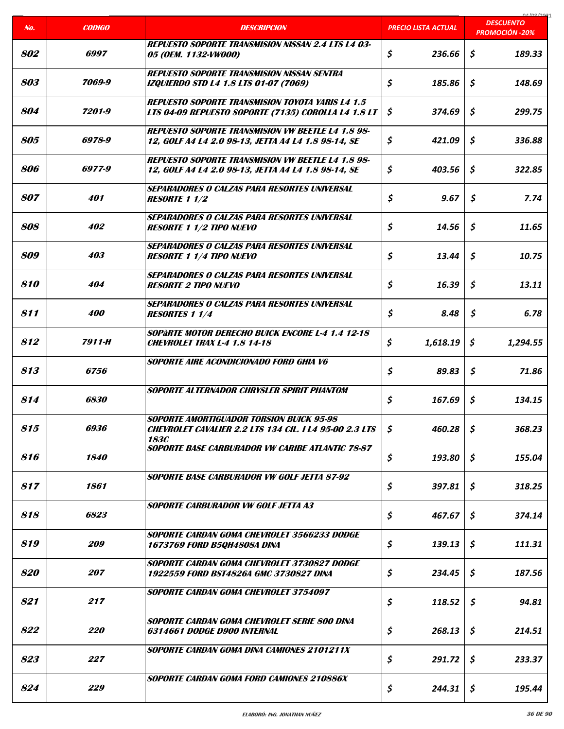|     |                    |                                                                                                                                 |                     | 0A/00/2021<br><b>DESCUENTO</b> |
|-----|--------------------|---------------------------------------------------------------------------------------------------------------------------------|---------------------|--------------------------------|
| No. | <b>CODIGO</b>      | <b>DESCRIPCION</b>                                                                                                              | PRECIO LISTA ACTUAL | <b>PROMOCIÓN -20%</b>          |
| 802 | 6997               | <b>REPUESTO SOPORTE TRANSMISION NISSAN 2.4 LTS L4 03-</b><br>05 (OEM. 1132-VW000)                                               | \$<br>236.66        | \$<br>189.33                   |
| 803 | 7069-9             | <b>REPUESTO SOPORTE TRANSMISION NISSAN SENTRA</b><br><b>IZQUIERDO STD L4 1.8 LTS 01-07 (7069)</b>                               | \$<br>185.86        | \$<br>148.69                   |
| 804 | 7201-9             | <b>REPUESTO SOPORTE TRANSMISION TOYOTA YARIS L4 1.5</b><br>LTS 04-09 REPUESTO SOPORTE (7135) COROLLA L4 1.8 LT                  | \$<br>374.69        | \$<br>299.75                   |
| 805 | 6978-9             | <b>REPUESTO SOPORTE TRANSMISION VW BEETLE L4 1.8 98-</b><br>12, GOLF A4 L4 2.0 98-13, JETTA A4 L4 1.8 98-14, SE                 | \$<br>421.09        | \$<br>336.88                   |
| 806 | 6977-9             | REPUESTO SOPORTE TRANSMISION VW BEETLE L4 1.8 98-<br>12, GOLF A4 L4 2.0 98-13, JETTA A4 L4 1.8 98-14, SE                        | \$<br>403.56        | \$<br>322.85                   |
| 807 | 401                | <b>SEPARADORES O CALZAS PARA RESORTES UNIVERSAL</b><br><b>RESORTE 1 1/2</b>                                                     | \$<br>9.67          | \$<br>7.74                     |
| 808 | 402                | SEPARADORES O CALZAS PARA RESORTES UNIVERSAL<br><b>RESORTE 1 1/2 TIPO NUEVO</b>                                                 | \$<br>14.56         | \$<br>11.65                    |
| 809 | 403                | SEPARADORES O CALZAS PARA RESORTES UNIVERSAL<br><b>RESORTE 1 1/4 TIPO NUEVO</b>                                                 | \$<br>13.44         | \$<br>10.75                    |
| 810 | 404                | SEPARADORES O CALZAS PARA RESORTES UNIVERSAL<br><b>RESORTE 2 TIPO NUEVO</b>                                                     | \$<br>16.39         | \$<br>13.11                    |
| 811 | <i><b>400</b></i>  | <b>SEPARADORES O CALZAS PARA RESORTES UNIVERSAL</b><br><b>RESORTES 1 1/4</b>                                                    | \$<br>8.48          | \$<br>6.78                     |
| 812 | 7911-H             | <b>SOPARTE MOTOR DERECHO BUICK ENCORE L-4 1.4 12-18</b><br><b>CHEVROLET TRAX L-4 1.8 14-18</b>                                  | \$<br>1,618.19      | \$<br>1,294.55                 |
| 813 | <i>6756</i>        | SOPORTE AIRE ACONDICIONADO FORD GHIA V6                                                                                         | \$<br>89.83         | \$<br>71.86                    |
| 814 | 6830               | SOPORTE ALTERNADOR CHRYSLER SPIRIT PHANTOM                                                                                      | \$<br>167.69        | \$<br>134.15                   |
| 815 | 6936               | <b>SOPORTE AMORTIGUADOR TORSION BUICK 95-98</b><br><b>CHEVROLET CAVALIER 2.2 LTS 134 CIL. I L4 95-00 2.3 LTS</b><br><b>183C</b> | \$<br>460.28        | \$<br>368.23                   |
| 816 | <i><b>1840</b></i> | <b>SOPORTE BASE CARBURADOR VW CARIBE ATLANTIC 78-87</b>                                                                         | \$<br>193.80        | \$<br>155.04                   |
| 817 | 1861               | <b>SOPORTE BASE CARBURADOR VW GOLF JETTA 87-92</b>                                                                              | \$<br>397.81        | \$<br>318.25                   |
| 818 | 6823               | <b>SOPORTE CARBURADOR VW GOLF JETTA A3</b>                                                                                      | \$<br>467.67        | \$<br>374.14                   |
| 819 | <i>209</i>         | SOPORTE CARDAN GOMA CHEVROLET 3566233 DODGE<br>1673769 FORD B5QH4808A DINA                                                      | \$<br>139.13        | \$<br>111.31                   |
| 820 | 207                | SOPORTE CARDAN GOMA CHEVROLET 3730827 DODGE<br>1922559 FORD BST4826A GMC 3730827 DINA                                           | \$<br>234.45        | \$<br>187.56                   |
| 821 | 217                | <b>SOPORTE CARDAN GOMA CHEVROLET 3754097</b>                                                                                    | \$<br>118.52        | \$<br>94.81                    |
| 822 | <i><b>220</b></i>  | SOPORTE CARDAN GOMA CHEVROLET SERIE 800 DINA<br>6314661 DODGE D900 INTERNAL                                                     | \$<br>268.13        | \$<br>214.51                   |
| 823 | 227                | <b>SOPORTE CARDAN GOMA DINA CAMIONES 2101211X</b>                                                                               | \$<br>291.72        | \$<br>233.37                   |
| 824 | 229                | <b>SOPORTE CARDAN GOMA FORD CAMIONES 210886X</b>                                                                                | \$<br>244.31        | \$<br>195.44                   |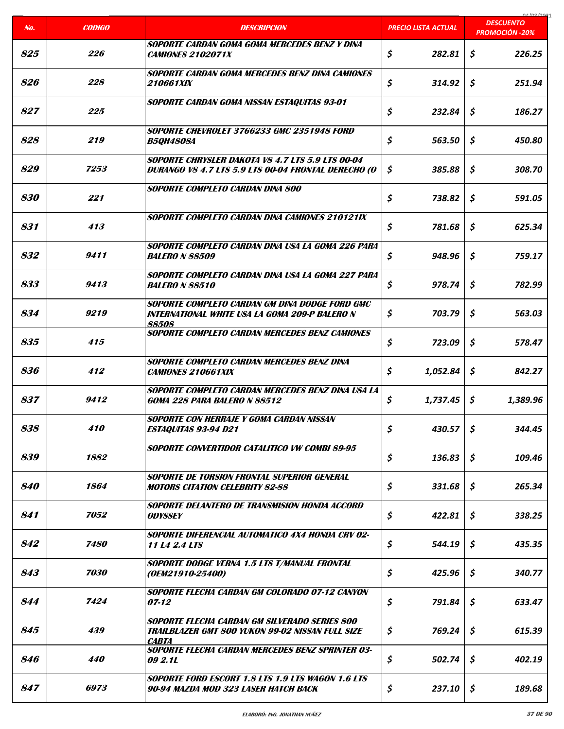| No.               | <b>CODIGO</b>      | <b>DESCRIPCION</b>                                                                                                       | <b>PRECIO LISTA ACTUAL</b> | 0.1001221<br><b>DESCUENTO</b> |
|-------------------|--------------------|--------------------------------------------------------------------------------------------------------------------------|----------------------------|-------------------------------|
|                   |                    |                                                                                                                          |                            | <b>PROMOCIÓN -20%</b>         |
| 825               | 226                | SOPORTE CARDAN GOMA GOMA MERCEDES BENZ Y DINA<br><i><b>CAMIONES 2102071X</b></i>                                         | \$<br>282.81               | \$<br>226.25                  |
| 826               | 228                | SOPORTE CARDAN GOMA MERCEDES BENZ DINA CAMIONES<br><i>210661XIX</i>                                                      | \$<br>314.92               | S.<br>251.94                  |
| 827               | 225                | SOPORTE CARDAN GOMA NISSAN ESTAQUITAS 93-01                                                                              | \$<br>232.84               | \$<br>186.27                  |
| 828               | 219                | SOPORTE CHEVROLET 3766233 GMC 2351948 FORD<br><b>B5QH4808A</b>                                                           | \$<br>563.50               | \$<br>450.80                  |
| 829               | 7253               | SOPORTE CHRYSLER DAKOTA VS 4.7 LTS 5.9 LTS 00-04<br>DURANGO V8 4.7 LTS 5.9 LTS 00-04 FRONTAL DERECHO (O                  | \$<br>385.88               | \$<br>308.70                  |
| <i><b>830</b></i> | 221                | <b>SOPORTE COMPLETO CARDAN DINA 800</b>                                                                                  | \$<br>738.82               | \$<br>591.05                  |
| 831               | 413                | SOPORTE COMPLETO CARDAN DINA CAMIONES 210121IX                                                                           | \$<br>781.68               | \$<br>625.34                  |
| 832               | 9411               | SOPORTE COMPLETO CARDAN DINA USA LA GOMA 226 PARA<br><i>BALERO N 88509</i>                                               | \$<br>948.96               | \$<br>759.17                  |
| 833               | 9413               | SOPORTE COMPLETO CARDAN DINA USA LA GOMA 227 PARA<br><b>BALERO N 88510</b>                                               | \$<br>978.74               | \$<br>782.99                  |
| 834               | 9219               | SOPORTE COMPLETO CARDAN GM DINA DODGE FORD GMC<br>INTERNATIONAL WHITE USA LA GOMA 209-P BALERO N                         | \$<br>703.79               | \$<br>563.03                  |
| 835               | 415                | 88508<br><b>SOPORTE COMPLETO CARDAN MERCEDES BENZ CAMIONES</b>                                                           | \$<br>723.09               | \$<br>578.47                  |
| 836               | 412                | <b>SOPORTE COMPLETO CARDAN MERCEDES BENZ DINA</b><br><b>CAMIONES 210661XIX</b>                                           | \$<br>1,052.84             | \$<br>842.27                  |
| 837               | 9412               | SOPORTE COMPLETO CARDAN MERCEDES BENZ DINA USA LA<br><b>GOMA 228 PARA BALERO N 88512</b>                                 | \$<br>1,737.45             | \$<br>1,389.96                |
| 838               | 410                | SOPORTE CON HERRAJE Y GOMA CARDAN NISSAN<br><b>ESTAQUITAS 93-94 D21</b>                                                  | \$<br>430.57               | \$<br>344.45                  |
| 839               | 1882               | SOPORTE CONVERTIDOR CATALITICO VW COMBI 89-95                                                                            | \$<br>136.83               | \$<br>109.46                  |
| <i><b>840</b></i> | 1864               | SOPORTE DE TORSION FRONTAL SUPERIOR GENERAL<br><b>MOTORS CITATION CELEBRITY 82-88</b>                                    | \$<br>331.68               | \$<br>265.34                  |
| 841               | 7052               | SOPORTE DELANTERO DE TRANSMISION HONDA ACCORD<br><b>ODYSSEY</b>                                                          | \$<br>422.81               | \$<br>338.25                  |
| 842               | <i><b>7480</b></i> | SOPORTE DIFERENCIAL AUTOMATICO 4X4 HONDA CRV 02-<br>11 L4 2.4 LTS                                                        | \$<br>544.19               | \$<br>435.35                  |
| 843               | 7030               | SOPORTE DODGE VERNA 1.5 LTS T/MANUAL FRONTAL<br>(OEM21910-25400)                                                         | \$<br>425.96               | \$<br>340.77                  |
| 844               | 7424               | SOPORTE FLECHA CARDAN GM COLORADO 07-12 CANYON<br>$07 - 12$                                                              | \$<br>791.84               | \$<br>633.47                  |
| 845               | 439                | SOPORTE FLECHA CARDAN GM SILVERADO SERIES 800<br><b>TRAILBLAZER GMT 800 YUKON 99-02 NISSAN FULL SIZE</b><br><b>CABTA</b> | \$<br>769.24               | \$<br>615.39                  |
| 846               | 440                | SOPORTE FLECHA CARDAN MERCEDES BENZ SPRINTER 03-<br>09 2.1L                                                              | \$<br>502.74               | \$<br>402.19                  |
| 847               | 6973               | <b>SOPORTE FORD ESCORT 1.8 LTS 1.9 LTS WAGON 1.6 LTS</b><br>90-94 MAZDA MOD 323 LASER HATCH BACK                         | \$<br>237.10               | \$<br>189.68                  |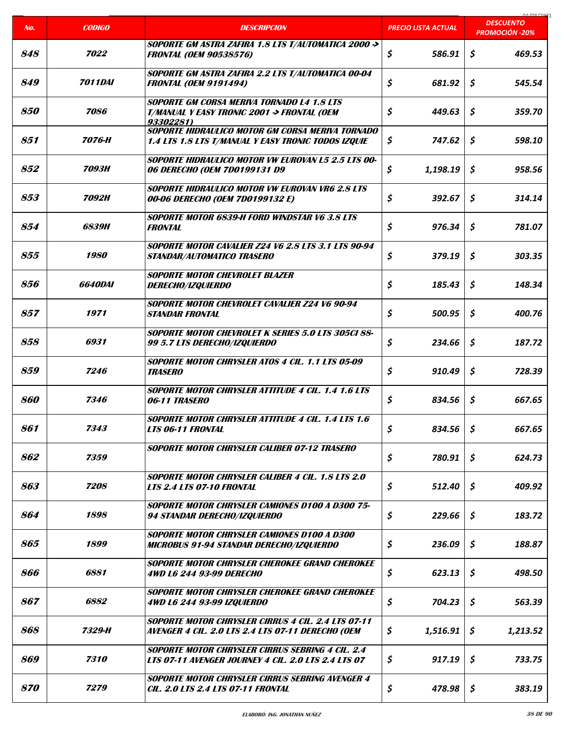|                   |                       |                                                                                                                         |                     | 01000001                                  |
|-------------------|-----------------------|-------------------------------------------------------------------------------------------------------------------------|---------------------|-------------------------------------------|
| No.               | <b>CODIGO</b>         | <b>DESCRIPCION</b>                                                                                                      | PRECIO LISTA ACTUAL | <b>DESCUENTO</b><br><b>PROMOCIÓN -20%</b> |
| 848               | 7022                  | SOPORTE GM ASTRA ZAFIRA 1.8 LTS T/AUTOMATICA 2000 -><br><b>FRONTAL (OEM 90538576)</b>                                   | \$<br>586.91        | \$<br>469.53                              |
| 849               | <i><b>7011DAI</b></i> | SOPORTE GM ASTRA ZAFIRA 2.2 LTS T/AUTOMATICA 00-04<br><b>FRONTAL (OEM 9191494)</b>                                      | \$<br>681.92        | Ś.<br>545.54                              |
| <i><b>850</b></i> | 7086                  | <b>SOPORTE GM CORSA MERIVA TORNADO L4 1.8 LTS</b><br><b>T/MANUAL Y EASY TRONIC 2001 -&gt; FRONTAL (OEM</b><br>93302281) | \$<br>449.63        | \$<br>359.70                              |
| 851               | 7076-H                | SOPORTE HIDRAULICO MOTOR GM CORSA MERIVA TORNADO<br>1.4 LTS 1.8 LTS T/MANUAL Y EASY TRONIC TODOS IZQUIE                 | \$<br>747.62        | \$<br>598.10                              |
| 852               | 7093H                 | <b>SOPORTE HIDRAULICO MOTOR VW EUROVAN L5 2.5 LTS 00-</b><br>06 DERECHO (OEM 7D0199131 D9                               | \$<br>1,198.19      | \$<br>958.56                              |
| 853               | <b>7092H</b>          | <b>SOPORTE HIDRAULICO MOTOR VW EUROVAN VR6 2.8 LTS</b><br>00-06 DERECHO (OEM 7D0199132 E)                               | \$<br>392.67        | \$<br>314.14                              |
| 854               | <i>6839H</i>          | <b>SOPORTE MOTOR 6839-H FORD WINDSTAR V6 3.8 LTS</b><br><b>FRONTAL</b>                                                  | \$<br>976.34        | Ś.<br>781.07                              |
| 855               | 1980                  | <b>SOPORTE MOTOR CAVALIER Z24 V6 2.8 LTS 3.1 LTS 90-94</b><br><b>STANDAR/AUTOMATICO TRASERO</b>                         | \$<br>379.19        | \$<br>303.35                              |
| 856               | <i><b>6640DAI</b></i> | <b>SOPORTE MOTOR CHEVROLET BLAZER</b><br><i>DERECHO/IZQUIERDO</i>                                                       | \$<br>185.43        | \$<br>148.34                              |
| 857               | 1971                  | SOPORTE MOTOR CHEVROLET CAVALIER Z24 V6 90-94<br><b>STANDAR FRONTAL</b>                                                 | \$<br>500.95        | \$<br>400.76                              |
| 858               | 6931                  | <b>SOPORTE MOTOR CHEVROLET K SERIES 5.0 LTS 305CI 88-</b><br>99 5.7 LTS DERECHO/IZQUIERDO                               | \$<br>234.66        | \$<br>187.72                              |
| 859               | 7246                  | SOPORTE MOTOR CHRYSLER ATOS 4 CIL. 1.1 LTS 05-09<br><b>TRASERO</b>                                                      | \$<br>910.49        | \$<br>728.39                              |
| 860               | 7346                  | <b>SOPORTE MOTOR CHRYSLER ATTITUDE 4 CIL. 1.4 1.6 LTS</b><br>06-11 TRASERO                                              | \$<br>834.56        | \$<br>667.65                              |
| 861               | 7343                  | SOPORTE MOTOR CHRYSLER ATTITUDE 4 CIL. 1.4 LTS 1.6<br><b>LTS 06-11 FRONTAL</b>                                          | \$<br>834.56        | \$<br>667.65                              |
| 862               | 7359                  | <b>SOPORTE MOTOR CHRYSLER CALIBER 07-12 TRASERO</b>                                                                     | \$<br>780.91        | \$<br>624.73                              |
| 863               | 7208                  | <b>SOPORTE MOTOR CHRYSLER CALIBER 4 CIL. 1.8 LTS 2.0</b><br><b>LTS 2.4 LTS 07-10 FRONTAL</b>                            | \$<br>512.40        | \$<br>409.92                              |
| 864               | 1898                  | <b>SOPORTE MOTOR CHRYSLER CAMIONES D100 A D300 75-</b><br>94 STANDAR DERECHO/IZQUIERDO                                  | \$<br>229.66        | \$<br>183.72                              |
| 865               | 1899                  | <b>SOPORTE MOTOR CHRYSLER CAMIONES D100 A D300</b><br><b>MICROBUS 91-94 STANDAR DERECHO/IZQUIERDO</b>                   | \$<br>236.09        | \$<br>188.87                              |
| 866               | 6881                  | SOPORTE MOTOR CHRYSLER CHEROKEE GRAND CHEROKEE<br>4WD L6 244 93-99 DERECHO                                              | \$<br>623.13        | \$<br>498.50                              |
| 867               | 6882                  | SOPORTE MOTOR CHRYSLER CHEROKEE GRAND CHEROKEE<br>4WD L6 244 93-99 IZQUIERDO                                            | \$<br>704.23        | \$<br>563.39                              |
| 868               | 7329-H                | <b>SOPORTE MOTOR CHRYSLER CIRRUS 4 CIL. 2.4 LTS 07-11</b><br>AVENGER 4 CIL. 2.0 LTS 2.4 LTS 07-11 DERECHO (OEM          | \$<br>1,516.91      | \$<br>1,213.52                            |
| 869               | 7310                  | <b>SOPORTE MOTOR CHRYSLER CIRRUS SEBRING 4 CIL. 2.4</b><br><b>LTS 07-11 AVENGER JOURNEY 4 CIL. 2.0 LTS 2.4 LTS 07</b>   | \$<br>917.19        | \$<br>733.75                              |
| <i><b>870</b></i> | 7279                  | SOPORTE MOTOR CHRYSLER CIRRUS SEBRING AVENGER 4<br><b>CIL. 2.0 LTS 2.4 LTS 07-11 FRONTAL</b>                            | \$<br>478.98        | \$<br>383.19                              |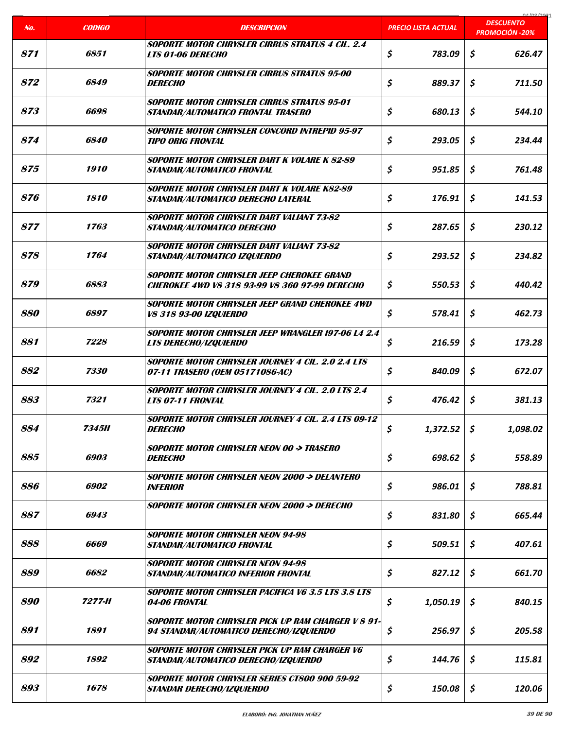|     |                    |                                                                                                     |                            | na ing ing                                |
|-----|--------------------|-----------------------------------------------------------------------------------------------------|----------------------------|-------------------------------------------|
| No. | <b>CODIGO</b>      | <b>DESCRIPCION</b>                                                                                  | <b>PRECIO LISTA ACTUAL</b> | <b>DESCUENTO</b><br><b>PROMOCIÓN -20%</b> |
| 871 | 6851               | <b>SOPORTE MOTOR CHRYSLER CIRRUS STRATUS 4 CIL. 2.4</b><br><b>LTS 01-06 DERECHO</b>                 | \$<br>783.09               | \$<br>626.47                              |
| 872 | <i><b>6849</b></i> | <b>SOPORTE MOTOR CHRYSLER CIRRUS STRATUS 95-00</b><br><b>DERECHO</b>                                | \$<br>889.37               | \$<br>711.50                              |
| 873 | 6698               | SOPORTE MOTOR CHRYSLER CIRRUS STRATUS 95-01<br>STANDAR/AUTOMATICO FRONTAL TRASERO                   | \$<br>680.13               | \$<br>544.10                              |
| 874 | 6840               | <b>SOPORTE MOTOR CHRYSLER CONCORD INTREPID 95-97</b><br>TIPO ORIG FRONTAL                           | \$<br>293.05               | \$<br>234.44                              |
| 875 | 1910               | SOPORTE MOTOR CHRYSLER DART K VOLARE K 82-89<br>STANDAR/AUTOMATICO FRONTAL                          | \$<br>951.85               | \$<br>761.48                              |
| 876 | 1810               | <b>SOPORTE MOTOR CHRYSLER DART K VOLARE K82-89</b><br>STANDAR/AUTOMATICO DERECHO LATERAL            | \$<br>176.91               | \$<br>141.53                              |
| 877 | 1763               | <b>SOPORTE MOTOR CHRYSLER DART VALIANT 73-82</b><br>STANDAR/AUTOMATICO DERECHO                      | \$<br>287.65               | \$<br>230.12                              |
| 878 | 1764               | <b>SOPORTE MOTOR CHRYSLER DART VALIANT 73-82</b><br>STANDAR/AUTOMATICO IZQUIERDO                    | \$<br>293.52               | \$<br>234.82                              |
| 879 | 6883               | SOPORTE MOTOR CHRYSLER JEEP CHEROKEE GRAND<br><b>CHEROKEE 4WD V8 318 93-99 V8 360 97-99 DERECHO</b> | \$<br>550.53               | \$<br>440.42                              |
| 880 | 6897               | SOPORTE MOTOR CHRYSLER JEEP GRAND CHEROKEE 4WD<br><i><b>V8 318 93-00 IZQUIERDO</b></i>              | \$<br>578.41               | \$<br>462.73                              |
| 881 | 7228               | SOPORTE MOTOR CHRYSLER JEEP WRANGLER 197-06 L4 2.4<br><b>LTS DERECHO/IZQUIERDO</b>                  | \$<br>216.59               | \$<br>173.28                              |
| 882 | 7330               | SOPORTE MOTOR CHRYSLER JOURNEY 4 CIL. 2.0 2.4 LTS<br>07-11 TRASERO (OEM 05171086-AC)                | \$<br>840.09               | \$<br>672.07                              |
| 883 | 7321               | <b>SOPORTE MOTOR CHRYSLER JOURNEY 4 CIL. 2.0 LTS 2.4</b><br><b>LTS 07-11 FRONTAL</b>                | \$<br>476.42               | \$<br>381.13                              |
| 884 | <b>7345H</b>       | SOPORTE MOTOR CHRYSLER JOURNEY 4 CIL. 2.4 LTS 09-12<br><b>DERECHO</b>                               | \$<br>1,372.52             | \$<br>1,098.02                            |
| 885 | 6903               | <b>SOPORTE MOTOR CHRYSLER NEON 00 -&gt; TRASERO</b><br><i><b>DERECHO</b></i>                        | \$<br>698.62               | \$<br>558.89                              |
| 886 | 6902               | <b>SOPORTE MOTOR CHRYSLER NEON 2000 -&gt; DELANTERO</b><br>INFERIOR                                 | \$<br>986.01               | \$<br>788.81                              |
| 887 | 6943               | SOPORTE MOTOR CHRYSLER NEON 2000 -> DERECHO                                                         | \$<br>831.80               | \$<br>665.44                              |
| 888 | 6669               | <b>SOPORTE MOTOR CHRYSLER NEON 94-98</b><br>STANDAR/AUTOMATICO FRONTAL                              | \$<br>509.51               | \$<br>407.61                              |
| 889 | 6682               | <b>SOPORTE MOTOR CHRYSLER NEON 94-98</b><br>STANDAR/AUTOMATICO INFERIOR FRONTAL                     | \$<br>827.12               | \$<br>661.70                              |
| 890 | 7277-H             | <b>SOPORTE MOTOR CHRYSLER PACIFICA V6 3.5 LTS 3.8 LTS</b><br><i><b>04-06 FRONTAL</b></i>            | \$<br>1,050.19             | \$<br>840.15                              |
| 891 | 1891               | SOPORTE MOTOR CHRYSLER PICK UP RAM CHARGER V 8 91-<br>94 STANDAR/AUTOMATICO DERECHO/IZQUIERDO       | \$<br>256.97               | \$<br>205.58                              |
| 892 | 1892               | SOPORTE MOTOR CHRYSLER PICK UP RAM CHARGER V6<br>STANDAR/AUTOMATICO DERECHO/IZQUIERDO               | \$<br>144.76               | \$<br>115.81                              |
| 893 | 1678               | SOPORTE MOTOR CHRYSLER SERIES CT800 900 59-92<br><i><b>STANDAR DERECHO/IZQUIERDO</b></i>            | \$<br>150.08               | \$<br>120.06                              |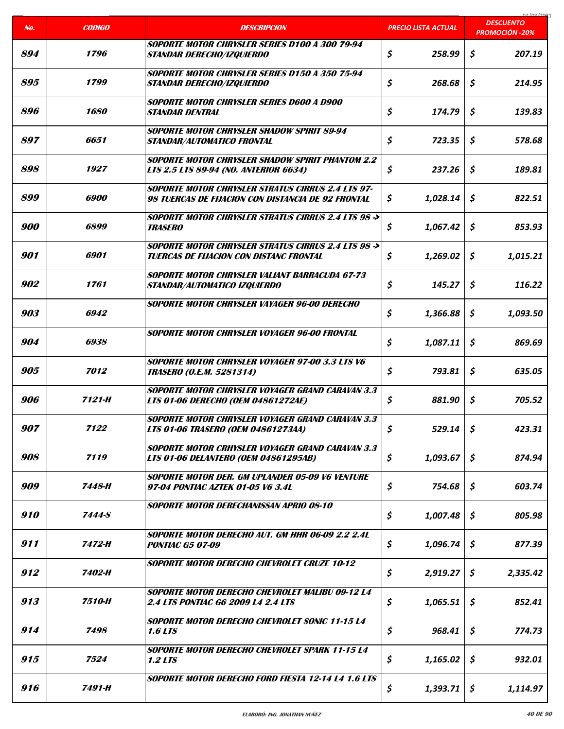| No. | <b>CODIGO</b>      | <b>DESCRIPCION</b>                                                                                             | <u>PRECIO LISTA ACTUAL</u> | 0A/00/2021<br><b>DESCUENTO</b> |
|-----|--------------------|----------------------------------------------------------------------------------------------------------------|----------------------------|--------------------------------|
|     |                    |                                                                                                                |                            | <b>PROMOCIÓN -20%</b>          |
| 894 | 1796               | SOPORTE MOTOR CHRYSLER SERIES D100 A 300 79-94<br><i><b>STANDAR DERECHO/IZQUIERDO</b></i>                      | \$<br>258.99               | \$<br>207.19                   |
| 895 | 1799               | SOPORTE MOTOR CHRYSLER SERIES D150 A 350 75-94<br><i><b>STANDAR DERECHO/IZQUIERDO</b></i>                      | \$<br>268.68               | Ś.<br>214.95                   |
| 896 | 1680               | SOPORTE MOTOR CHRYSLER SERIES D600 A D900<br><i><b>STANDAR DENTRAL</b></i>                                     | \$<br>174.79               | \$<br>139.83                   |
| 897 | 6651               | SOPORTE MOTOR CHRYSLER SHADOW SPIRIT 89-94<br>STANDAR/AUTOMATICO FRONTAL                                       | \$<br>723.35               | \$<br>578.68                   |
| 898 | 1927               | SOPORTE MOTOR CHRYSLER SHADOW SPIRIT PHANTOM 2.2<br><b>LTS 2.5 LTS 89-94 (NO. ANTERIOR 6634)</b>               | \$<br>237.26               | \$<br>189.81                   |
| 899 | <i><b>6900</b></i> | <b>SOPORTE MOTOR CHRYSLER STRATUS CIRRUS 2.4 LTS 97-</b><br>98 TUERCAS DE FIJACION CON DISTANCIA DE 92 FRONTAL | \$<br>1,028.14             | \$<br>822.51                   |
| 900 | 6899               | SOPORTE MOTOR CHRYSLER STRATUS CIRRUS 2.4 LTS 98 -><br><i><b>TRASERO</b></i>                                   | \$<br>1,067.42             | Ś.<br>853.93                   |
| 901 | 6901               | SOPORTE MOTOR CHRYSLER STRATUS CIRRUS 2.4 LTS 98 -><br><b>TUERCAS DE FIJACION CON DISTANC FRONTAL</b>          | \$<br>1,269.02             | \$<br>1,015.21                 |
| 902 | 1761               | <b>SOPORTE MOTOR CHRYSLER VALIANT BARRACUDA 67-73</b><br>STANDAR/AUTOMATICO IZQUIERDO                          | \$<br>145.27               | \$<br>116.22                   |
| 903 | 6942               | SOPORTE MOTOR CHRYSLER VAYAGER 96-00 DERECHO                                                                   | \$<br>1,366.88             | \$<br>1,093.50                 |
| 904 | 6938               | SOPORTE MOTOR CHRYSLER VOYAGER 96-00 FRONTAL                                                                   | \$<br>1,087.11             | \$<br>869.69                   |
| 905 | 7012               | SOPORTE MOTOR CHRYSLER VOYAGER 97-00 3.3 LTS V6<br><b>TRASERO (O.E.M. 5281314)</b>                             | \$<br>793.81               | \$<br>635.05                   |
| 906 | 7121-H             | SOPORTE MOTOR CHRYSLER VOYAGER GRAND CARAVAN 3.3<br><b>LTS 01-06 DERECHO (OEM 04861272AE)</b>                  | \$<br>881.90               | \$<br>705.52                   |
| 907 | 7122               | SOPORTE MOTOR CHRYSLER VOYAGER GRAND CARAVAN 3.3<br><b>LTS 01-06 TRASERO (OEM 04861273AA)</b>                  | \$<br>529.14               | \$<br>423.31                   |
| 908 | 7119               | <b>SOPORTE MOTOR CRHYSLER VOYAGER GRAND CARAVAN 3.3</b><br>LTS 01-06 DELANTERO (OEM 04861295AB)                | \$<br>1,093.67             | \$<br>874.94                   |
| 909 | 7448-H             | SOPORTE MOTOR DER. GM UPLANDER 05-09 V6 VENTURE<br>97-04 PONTIAC AZTEK 01-05 V6 3.4L                           | \$<br>754.68               | \$<br>603.74                   |
| 910 | <b>7444-S</b>      | <b>SOPORTE MOTOR DERECHANISSAN APRIO 08-10</b>                                                                 | \$<br>1,007.48             | \$<br>805.98                   |
| 911 | 7472-H             | SOPORTE MOTOR DERECHO AUT. GM HHR 06-09 2.2 2.4L<br><b>PONTIAC G5 07-09</b>                                    | \$<br>1,096.74             | \$<br>877.39                   |
| 912 | 7402-H             | <b>SOPORTE MOTOR DERECHO CHEVROLET CRUZE 10-12</b>                                                             | \$<br>2,919.27             | \$<br>2,335.42                 |
| 913 | 7510-H             | SOPORTE MOTOR DERECHO CHEVROLET MALIBU 09-12 L4<br><b>2.4 LTS PONTIAC G6 2009 L4 2.4 LTS</b>                   | \$<br>1,065.51             | \$<br>852.41                   |
| 914 | 7498               | SOPORTE MOTOR DERECHO CHEVROLET SONIC 11-15 L4<br><b>1.6 LTS</b>                                               | \$<br>968.41               | \$<br>774.73                   |
| 915 | 7524               | SOPORTE MOTOR DERECHO CHEVROLET SPARK 11-15 L4<br><b>1.2 LTS</b>                                               | \$<br>1,165.02             | \$<br>932.01                   |
| 916 | 7491-H             | <b>SOPORTE MOTOR DERECHO FORD FIESTA 12-14 L4 1.6 LTS</b>                                                      | \$<br>1,393.71             | \$<br>1,114.97                 |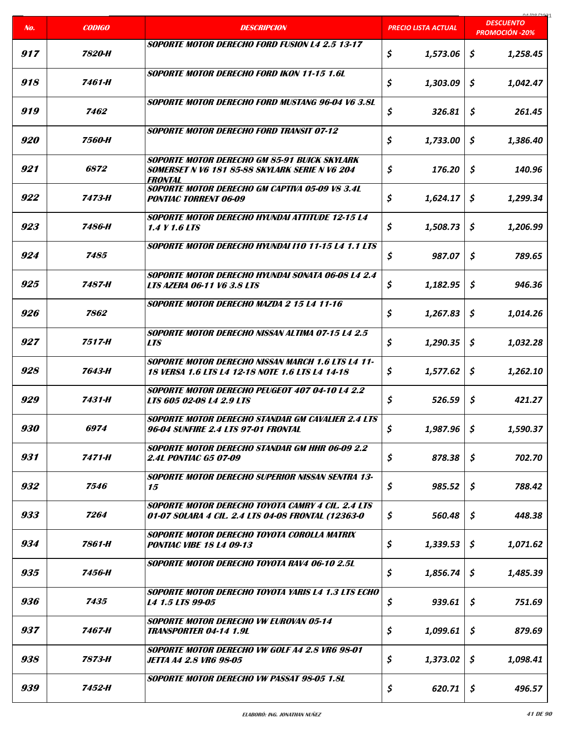|            |               |                                                                                                                         |                            | COCI ON AO                                |
|------------|---------------|-------------------------------------------------------------------------------------------------------------------------|----------------------------|-------------------------------------------|
| No.        | <b>CODIGO</b> | <b>DESCRIPCION</b>                                                                                                      | <b>PRECIO LISTA ACTUAL</b> | <b>DESCUENTO</b><br><b>PROMOCIÓN -20%</b> |
| 917        | 7820-H        | SOPORTE MOTOR DERECHO FORD FUSION L4 2.5 13-17                                                                          | \$<br>1,573.06             | \$<br>1,258.45                            |
| 918        | 7461-H        | <b>SOPORTE MOTOR DERECHO FORD IKON 11-15 1.6L</b>                                                                       | \$<br>1,303.09             | \$<br>1,042.47                            |
| 919        | 7462          | SOPORTE MOTOR DERECHO FORD MUSTANG 96-04 V6 3.8L                                                                        | \$<br>326.81               | \$<br>261.45                              |
| <i>920</i> | 7560-H        | <b>SOPORTE MOTOR DERECHO FORD TRANSIT 07-12</b>                                                                         | \$<br>1,733.00             | \$<br>1,386.40                            |
| 921        | 6872          | SOPORTE MOTOR DERECHO GM 85-91 BUICK SKYLARK<br>SOMERSET N V6 181 85-88 SKYLARK SERIE N V6 204<br><i><b>FRONTAL</b></i> | \$<br>176.20               | \$<br>140.96                              |
| 922        | 7473-H        | SOPORTE MOTOR DERECHO GM CAPTIVA 05-09 VS 3.4L<br><b>PONTIAC TORRENT 06-09</b>                                          | \$<br>1,624.17             | Ŝ.<br>1,299.34                            |
| 923        | 7486-H        | <b>SOPORTE MOTOR DERECHO HYUNDAI ATTITUDE 12-15 L4</b><br>1.4 Y 1.6 LTS                                                 | \$<br>1,508.73             | Ŝ<br>1.206.99                             |
| 924        | 7485          | <b>SOPORTE MOTOR DERECHO HYUNDAI 110 11-15 L4 1.1 LTS</b>                                                               | \$<br>987.07               | \$<br>789.65                              |
| 925        | 7487-H        | SOPORTE MOTOR DERECHO HYUNDAI SONATA 06-08 L4 2.4<br><b>LTS AZERA 06-11 V6 3.8 LTS</b>                                  | \$<br>1,182.95             | \$<br>946.36                              |
| 926        | 7862          | SOPORTE MOTOR DERECHO MAZDA 2 15 L4 11-16                                                                               | \$<br>1,267.83             | \$<br>1,014.26                            |
| 927        | 7517-H        | <b>SOPORTE MOTOR DERECHO NISSAN ALTIMA 07-15 L4 2.5</b><br><b>LTS</b>                                                   | \$<br>1,290.35             | \$<br>1,032.28                            |
| 928        | 7643-H        | <b>SOPORTE MOTOR DERECHO NISSAN MARCH 1.6 LTS L4 11-</b><br>18 VERSA 1.6 LTS L4 12-18 NOTE 1.6 LTS L4 14-18             | \$<br>1,577.62             | S.<br>1,262.10                            |
| 929        | 7431-H        | SOPORTE MOTOR DERECHO PEUGEOT 407 04-10 L4 2.2<br><i>LTS 605 02-08 L4 2.9 LTS</i>                                       | \$<br>526.59               | \$<br>421.27                              |
| 930        | 6974          | <b>SOPORTE MOTOR DERECHO STANDAR GM CAVALIER 2.4 LTS</b><br>96-04 SUNFIRE 2.4 LTS 97-01 FRONTAL                         | \$<br>$1,987.96$   \$      | 1,590.37                                  |
| 931        | 7471-H        | <b>SOPORTE MOTOR DERECHO STANDAR GM HHR 06-09 2.2</b><br>2.4L PONTIAC G5 07-09                                          | \$<br>878.38               | \$<br>702.70                              |
| 932        | 7546          | <b>SOPORTE MOTOR DERECHO SUPERIOR NISSAN SENTRA 13-</b><br>15                                                           | \$<br>985.52               | \$<br>788.42                              |
| 933        | 7264          | SOPORTE MOTOR DERECHO TOYOTA CAMRY 4 CIL. 2.4 LTS<br>01-07 SOLARA 4 CIL. 2.4 LTS 04-08 FRONTAL (12363-0                 | \$<br>560.48               | \$<br>448.38                              |
| 934        | 7861-H        | SOPORTE MOTOR DERECHO TOYOTA COROLLA MATRIX<br><b>PONTIAC VIBE 18 L4 09-13</b>                                          | \$<br>1,339.53             | \$<br>1,071.62                            |
| 935        | 7456-H        | SOPORTE MOTOR DERECHO TOYOTA RAV4 06-10 2.5L                                                                            | \$<br>1,856.74             | \$<br>1,485.39                            |
| 936        | 7435          | SOPORTE MOTOR DERECHO TOYOTA YARIS L4 1.3 LTS ECHO<br>L4 1.5 LTS 99-05                                                  | \$<br>939.61               | \$<br>751.69                              |
| 937        | 7467-H        | <b>SOPORTE MOTOR DERECHO VW EUROVAN 05-14</b><br><b>TRANSPORTER 04-14 1.9L</b>                                          | \$<br>1,099.61             | \$<br>879.69                              |
| 938        | 7873-H        | SOPORTE MOTOR DERECHO VW GOLF A4 2.8 VR6 98-01<br><b>JETTA A4 2.8 VR6 98-05</b>                                         | \$<br>1,373.02             | \$<br>1,098.41                            |
| 939        | 7452-H        | SOPORTE MOTOR DERECHO VW PASSAT 98-05 1.8L                                                                              | \$<br>620.71               | \$<br>496.57                              |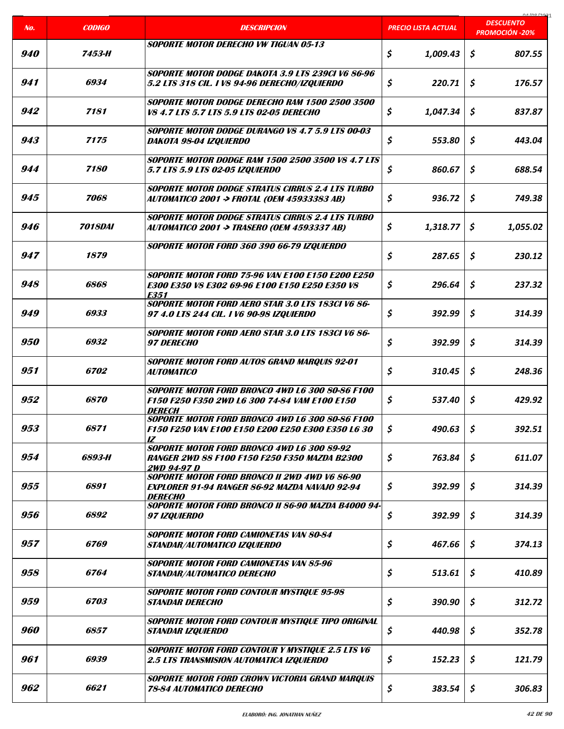|            |                |                                                                                                                   |                     | coclonina<br><b>DESCUENTO</b> |
|------------|----------------|-------------------------------------------------------------------------------------------------------------------|---------------------|-------------------------------|
| No.        | <b>CODIGO</b>  | <b>DESCRIPCION</b>                                                                                                | PRECIO LISTA ACTUAL | <b>PROMOCIÓN -20%</b>         |
| <i>940</i> | 7453-H         | SOPORTE MOTOR DERECHO VW TIGUAN 05-13                                                                             | \$<br>1,009.43      | \$<br>807.55                  |
| 941        | 6934           | SOPORTE MOTOR DODGE DAKOTA 3.9 LTS 239CI V6 86-96<br>5.2 LTS 318 CIL. I V8 94-96 DERECHO/IZQUIERDO                | \$<br>220.71        | \$<br>176.57                  |
| 942        | 7181           | SOPORTE MOTOR DODGE DERECHO RAM 1500 2500 3500<br>V8 4.7 LTS 5.7 LTS 5.9 LTS 02-05 DERECHO                        | \$<br>1,047.34      | S.<br>837.87                  |
| 943        | 7175           | SOPORTE MOTOR DODGE DURANGO V8 4.7 5.9 LTS 00-03<br>DAKOTA 98-04 IZQUIERDO                                        | \$<br>553.80        | \$<br>443.04                  |
| 944        | 7180           | <b>SOPORTE MOTOR DODGE RAM 1500 2500 3500 V8 4.7 LTS</b><br>5.7 LTS 5.9 LTS 02-05 IZQUIERDO                       | \$<br>860.67        | Ś.<br>688.54                  |
| 945        | 7068           | <b>SOPORTE MOTOR DODGE STRATUS CIRRUS 2.4 LTS TURBO</b><br>AUTOMATICO 2001 -> FROTAL (OEM 45933383 AB)            | \$<br>936.72        | \$<br>749.38                  |
| 946        | <b>7018DAI</b> | <b>SOPORTE MOTOR DODGE STRATUS CIRRUS 2.4 LTS TURBO</b><br>AUTOMATICO 2001 -> TRASERO (OEM 4593337 AB)            | \$<br>1,318.77      | S<br>1.055.02                 |
| 947        | 1879           | SOPORTE MOTOR FORD 360 390 66-79 IZQUIERDO                                                                        | \$<br>287.65        | \$<br>230.12                  |
| 948        | 6868           | <b>SOPORTE MOTOR FORD 75-96 VAN E100 E150 E200 E250</b><br>E300 E350 V8 E302 69-96 E100 E150 E250 E350 V8<br>E351 | \$<br>296.64        | \$<br>237.32                  |
| 949        | 6933           | <b>SOPORTE MOTOR FORD AERO STAR 3.0 LTS 183CI V6 86-</b><br>97 4.0 LTS 244 CIL. I V6 90-98 IZQUIERDO              | \$<br>392.99        | \$<br>314.39                  |
| <i>950</i> | 6932           | <b>SOPORTE MOTOR FORD AERO STAR 3.0 LTS 183CI V6 86-</b><br><i><b>97 DERECHO</b></i>                              | \$<br>392.99        | \$<br>314.39                  |
| 951        | 6702           | <b>SOPORTE MOTOR FORD AUTOS GRAND MARQUIS 92-01</b><br><b>AUTOMATICO</b>                                          | \$<br>310.45        | S.<br>248.36                  |
| 952        | 6870           | SOPORTE MOTOR FORD BRONCO 4WD L6 300 80-86 F100<br>F150 F250 F350 2WD L6 300 74-84 VAM E100 E150<br><b>DERECH</b> | \$<br>537.40        | \$<br>429.92                  |
| 953        | 6871           | SOPORTE MOTOR FORD BRONCO 4WD L6 300 80-86 F100<br>F150 F250 VAN E100 E150 E200 E250 E300 E350 L6 30<br>17        | \$<br>490.63        | \$<br>392.51                  |
| 954        | 6893-H         | SOPORTE MOTOR FORD BRONCO 4WD L6 300 89-92<br><b>RANGER 2WD 88 F100 F150 F250 F350 MAZDA B2300</b><br>2WD 94-97 D | \$<br>763.84        | \$<br>611.07                  |
| 955        | 6891           | SOPORTE MOTOR FORD BRONCO II 2WD 4WD V6 86-90<br>EXPLORER 91-94 RANGER 86-92 MAZDA NAVAJO 92-94<br><b>DERECHO</b> | \$<br>392.99        | \$<br>314.39                  |
| 956        | 6892           | SOPORTE MOTOR FORD BRONCO II 86-90 MAZDA B4000 94-<br>97 IZOUIERDO                                                | \$<br>392.99        | \$<br>314.39                  |
| 957        | <i>6769</i>    | <b>SOPORTE MOTOR FORD CAMIONETAS VAN 80-84</b><br>STANDAR/AUTOMATICO IZQUIERDO                                    | \$<br>467.66        | \$<br>374.13                  |
| 958        | <i>6764</i>    | <b>SOPORTE MOTOR FORD CAMIONETAS VAN 85-96</b><br>STANDAR/AUTOMATICO DERECHO                                      | \$<br>513.61        | \$<br>410.89                  |
| 959        | 6703           | <b>SOPORTE MOTOR FORD CONTOUR MYSTIQUE 95-98</b><br><b>STANDAR DERECHO</b>                                        | \$<br>390.90        | \$<br>312.72                  |
| 960        | 6857           | <b>SOPORTE MOTOR FORD CONTOUR MYSTIQUE TIPO ORIGINAL</b><br><b>STANDAR IZQUIERDO</b>                              | \$<br>440.98        | \$<br>352.78                  |
| 961        | 6939           | <b>SOPORTE MOTOR FORD CONTOUR Y MYSTIQUE 2.5 LTS V6</b><br><b>2.5 LTS TRANSMISION AUTOMATICA IZQUIERDO</b>        | \$<br>152.23        | \$<br>121.79                  |
| 962        | 6621           | SOPORTE MOTOR FORD CROWN VICTORIA GRAND MARQUIS<br><b>78-84 AUTOMATICO DERECHO</b>                                | \$<br>383.54        | \$<br>306.83                  |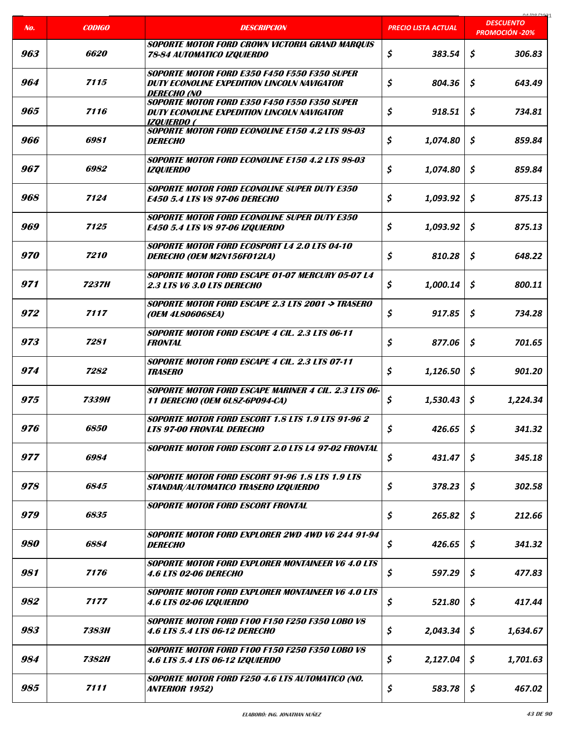| No. | <b>CODIGO</b> | <b>DESCRIPCION</b>                                                                                                | PRECIO LISTA ACTUAL | 01/00/202<br><b>DESCUENTO</b><br><b>PROMOCIÓN -20%</b> |
|-----|---------------|-------------------------------------------------------------------------------------------------------------------|---------------------|--------------------------------------------------------|
| 963 | 6620          | SOPORTE MOTOR FORD CROWN VICTORIA GRAND MARQUIS<br>78-84 AUTOMATICO IZQUIERDO                                     | \$<br>383.54        | \$<br>306.83                                           |
| 964 | 7115          | SOPORTE MOTOR FORD E350 F450 F550 F350 SUPER<br>DUTY ECONOLINE EXPEDITION LINCOLN NAVIGATOR<br><b>DERECHO (NO</b> | \$<br>804.36        | \$<br>643.49                                           |
| 965 | 7116          | SOPORTE MOTOR FORD E350 F450 F550 F350 SUPER<br>DUTY ECONOLINE EXPEDITION LINCOLN NAVIGATOR<br>IZOUIERDO (        | \$<br>918.51        | \$<br>734.81                                           |
| 966 | 6981          | SOPORTE MOTOR FORD ECONOLINE E150 4.2 LTS 98-03<br><b>DERECHO</b>                                                 | \$<br>1,074.80      | \$<br>859.84                                           |
| 967 | 6982          | SOPORTE MOTOR FORD ECONOLINE E150 4.2 LTS 98-03<br><b>IZQUIERDO</b>                                               | \$<br>1,074.80      | \$<br>859.84                                           |
| 968 | 7124          | <b>SOPORTE MOTOR FORD ECONOLINE SUPER DUTY E350</b><br><b>E450 5.4 LTS V8 97-06 DERECHO</b>                       | \$<br>1,093.92      | \$<br>875.13                                           |
| 969 | 7125          | <b>SOPORTE MOTOR FORD ECONOLINE SUPER DUTY E350</b><br><b>E450 5.4 LTS V8 97-06 IZQUIERDO</b>                     | \$<br>1,093.92      | Ś.<br>875.13                                           |
| 970 | 7210          | SOPORTE MOTOR FORD ECOSPORT L4 2.0 LTS 04-10<br>DERECHO (OEM M2N156F012LA)                                        | \$<br>810.28        | \$<br>648.22                                           |
| 971 | <b>7237H</b>  | <b>SOPORTE MOTOR FORD ESCAPE 01-07 MERCURY 05-07 L4</b><br>2.3 LTS V6 3.0 LTS DERECHO                             | \$<br>1,000.14      | Ś.<br>800.11                                           |
| 972 | 7117          | SOPORTE MOTOR FORD ESCAPE 2.3 LTS 2001 -> TRASERO<br>(OEM 4L806068EA)                                             | \$<br>917.85        | \$<br>734.28                                           |
| 973 | 7281          | <b>SOPORTE MOTOR FORD ESCAPE 4 CIL. 2.3 LTS 06-11</b><br><b>FRONTAL</b>                                           | \$<br>877.06        | \$<br>701.65                                           |
| 974 | 7282          | SOPORTE MOTOR FORD ESCAPE 4 CIL. 2.3 LTS 07-11<br><b>TRASERO</b>                                                  | \$<br>1,126.50      | Ś.<br>901.20                                           |
| 975 | 7339H         | SOPORTE MOTOR FORD ESCAPE MARINER 4 CIL. 2.3 LTS 06-<br><b>11 DERECHO (OEM 6L8Z-6P094-CA)</b>                     | \$<br>1,530.43      | \$<br>1,224.34                                         |
| 976 | <i>6850</i>   | <b>SOPORTE MOTOR FORD ESCORT 1.8 LTS 1.9 LTS 91-96 2</b><br><b>LTS 97-00 FRONTAL DERECHO</b>                      | \$<br>426.65        | \$<br>341.32                                           |
| 977 | 6984          | SOPORTE MOTOR FORD ESCORT 2.0 LTS L4 97-02 FRONTAL                                                                | \$<br>431.47        | \$<br>345.18                                           |
| 978 | 6845          | <b>SOPORTE MOTOR FORD ESCORT 91-96 1.8 LTS 1.9 LTS</b><br>STANDAR/AUTOMATICO TRASERO IZQUIERDO                    | \$<br>378.23        | \$<br>302.58                                           |
| 979 | 6835          | <b>SOPORTE MOTOR FORD ESCORT FRONTAL</b>                                                                          | \$<br>265.82        | \$<br>212.66                                           |
| 980 | 6884          | SOPORTE MOTOR FORD EXPLORER 2WD 4WD V6 244 91-94<br><i><b>DERECHO</b></i>                                         | \$<br>426.65        | \$<br>341.32                                           |
| 981 | 7176          | <b>SOPORTE MOTOR FORD EXPLORER MONTAINEER V6 4.0 LTS</b><br><b>4.6 LTS 02-06 DERECHO</b>                          | \$<br>597.29        | \$<br>477.83                                           |
| 982 | 7177          | <b>SOPORTE MOTOR FORD EXPLORER MONTAINEER V6 4.0 LTS</b><br>4.6 LTS 02-06 IZQUIERDO                               | \$<br>521.80        | \$<br>417.44                                           |
| 983 | <b>7383H</b>  | SOPORTE MOTOR FORD F100 F150 F250 F350 LOBO V8<br><b>4.6 LTS 5.4 LTS 06-12 DERECHO</b>                            | \$<br>2,043.34      | \$<br>1,634.67                                         |
| 984 | 7382H         | <b>SOPORTE MOTOR FORD F100 F150 F250 F350 LOBO V8</b><br>4.6 LTS 5.4 LTS 06-12 IZQUIERDO                          | \$<br>2,127.04      | \$<br>1,701.63                                         |
| 985 | 7111          | SOPORTE MOTOR FORD F250 4.6 LTS AUTOMATICO (NO.<br>ANTERIOR 1952)                                                 | \$<br>583.78        | \$<br>467.02                                           |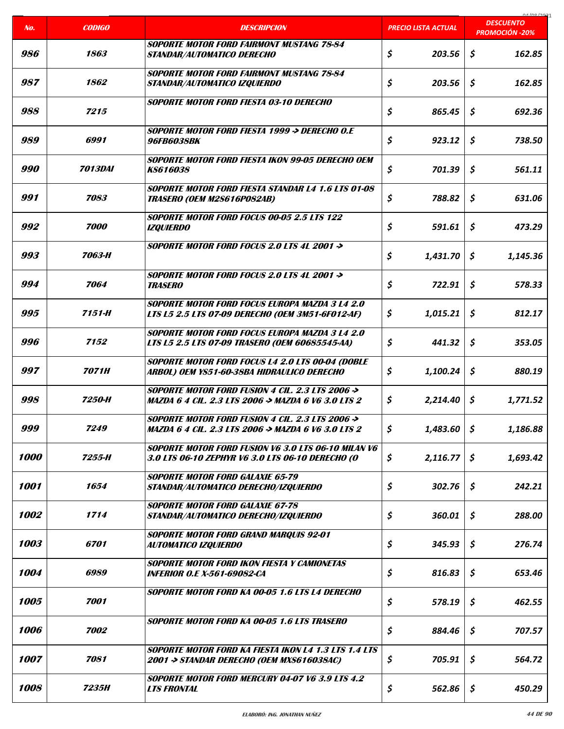|            |                       |                                                                                                                    |                            | 01000001<br><b>DESCUENTO</b> |
|------------|-----------------------|--------------------------------------------------------------------------------------------------------------------|----------------------------|------------------------------|
| No.        | <b>CODIGO</b>         | <b>DESCRIPCION</b>                                                                                                 | <b>PRECIO LISTA ACTUAL</b> | <b>PROMOCIÓN -20%</b>        |
| 986        | 1863                  | SOPORTE MOTOR FORD FAIRMONT MUSTANG 78-84<br>STANDAR/AUTOMATICO DERECHO                                            | \$<br>203.56               | \$<br>162.85                 |
| 987        | 1862                  | <b>SOPORTE MOTOR FORD FAIRMONT MUSTANG 78-84</b><br>STANDAR/AUTOMATICO IZQUIERDO                                   | \$<br>203.56               | \$<br>162.85                 |
| 988        | 7215                  | <b>SOPORTE MOTOR FORD FIESTA 03-10 DERECHO</b>                                                                     | \$<br>865.45               | \$<br>692.36                 |
| 989        | 6991                  | SOPORTE MOTOR FORD FIESTA 1999 -> DERECHO O.E<br><b>96FB6038BK</b>                                                 | \$<br>923.12               | \$<br>738.50                 |
| <i>990</i> | <i><b>7013DAI</b></i> | SOPORTE MOTOR FORD FIESTA IKON 99-05 DERECHO OEM<br><b>KS616038</b>                                                | \$<br>701.39               | \$<br>561.11                 |
| 991        | 7083                  | SOPORTE MOTOR FORD FIESTA STANDAR L4 1.6 LTS 01-08<br><b>TRASERO (OEM M2S616POS2AB)</b>                            | \$<br>788.82               | \$<br>631.06                 |
| 992        | 7000                  | <b>SOPORTE MOTOR FORD FOCUS 00-05 2.5 LTS 122</b><br><b>IZQUIERDO</b>                                              | \$<br>591.61               | Ś.<br>473.29                 |
| 993        | 7063-H                | SOPORTE MOTOR FORD FOCUS 2.0 LTS 4L 2001 ->                                                                        | \$<br>1,431.70             | \$<br>1,145.36               |
| 994        | 7064                  | SOPORTE MOTOR FORD FOCUS 2.0 LTS 4L 2001 -><br><b>TRASERO</b>                                                      | \$<br>722.91               | \$<br>578.33                 |
| 995        | 7151-H                | <b>SOPORTE MOTOR FORD FOCUS EUROPA MAZDA 3 L4 2.0</b><br>LTS L5 2.5 LTS 07-09 DERECHO (OEM 3M51-6F012-AF)          | \$<br>1,015.21             | \$<br>812.17                 |
| 996        | 7152                  | <b>SOPORTE MOTOR FORD FOCUS EUROPA MAZDA 3 L4 2.0</b><br>LTS L5 2.5 LTS 07-09 TRASERO (OEM 60685545-AA)            | \$<br>441.32               | \$<br>353.05                 |
| 997        | <b>7071H</b>          | SOPORTE MOTOR FORD FOCUS L4 2.0 LTS 00-04 (DOBLE<br>ARBOL) OEM YS51-60-38BA HIDRAULICO DERECHO                     | \$<br>1,100.24             | \$<br>880.19                 |
| 998        | 7250-H                | <i>SOPORTE MOTOR FORD FUSION 4 CIL. 2.3 LTS 2006 -&gt;</i><br>MAZDA 6 4 CIL. 2.3 LTS 2006 -> MAZDA 6 V6 3.0 LTS 2  | \$<br>2,214.40             | \$<br>1,771.52               |
| 999        | 7249                  | SOPORTE MOTOR FORD FUSION 4 CIL. 2.3 LTS 2006 $\rightarrow$<br>MAZDA 6 4 CIL. 2.3 LTS 2006 -> MAZDA 6 V6 3.0 LTS 2 | \$<br>1,483.60             | \$<br>1,186.88               |
| 1000       | 7255-H                | <b>SOPORTE MOTOR FORD FUSION V6 3.0 LTS 06-10 MILAN V6</b><br>3.0 LTS 06-10 ZEPHYR V6 3.0 LTS 06-10 DERECHO (O     | \$<br>2,116.77             | \$<br>1,693.42               |
| 1001       | 1654                  | <b>SOPORTE MOTOR FORD GALAXIE 65-79</b><br>STANDAR/AUTOMATICO DERECHO/IZQUIERDO                                    | \$<br>302.76               | \$<br>242.21                 |
| 1002       | 1714                  | <b>SOPORTE MOTOR FORD GALAXIE 67-78</b><br>STANDAR/AUTOMATICO DERECHO/IZQUIERDO                                    | \$<br>360.01               | \$<br>288.00                 |
| 1003       | <i><b>6701</b></i>    | SOPORTE MOTOR FORD GRAND MARQUIS 92-01<br>AUTOMATICO IZQUIERDO                                                     | \$<br>345.93               | \$<br>276.74                 |
| 1004       | 6989                  | SOPORTE MOTOR FORD IKON FIESTA Y CAMIONETAS<br><b>INFERIOR O.E X-561-69082-CA</b>                                  | \$<br>816.83               | \$<br>653.46                 |
| 1005       | 7001                  | SOPORTE MOTOR FORD KA 00-05 1.6 LTS L4 DERECHO                                                                     | \$<br>578.19               | \$<br>462.55                 |
| 1006       | 7002                  | SOPORTE MOTOR FORD KA 00-05 1.6 LTS TRASERO                                                                        | \$<br>884.46               | \$<br>707.57                 |
| 1007       | 7081                  | SOPORTE MOTOR FORD KA FIESTA IKON L4 1.3 LTS 1.4 LTS<br>2001 -> STANDAR DERECHO (OEM MXS616038AC)                  | \$<br>705.91               | \$<br>564.72                 |
| 1008       | 7235H                 | SOPORTE MOTOR FORD MERCURY 04-07 V6 3.9 LTS 4.2<br><b>LTS FRONTAL</b>                                              | \$<br>562.86               | \$<br>450.29                 |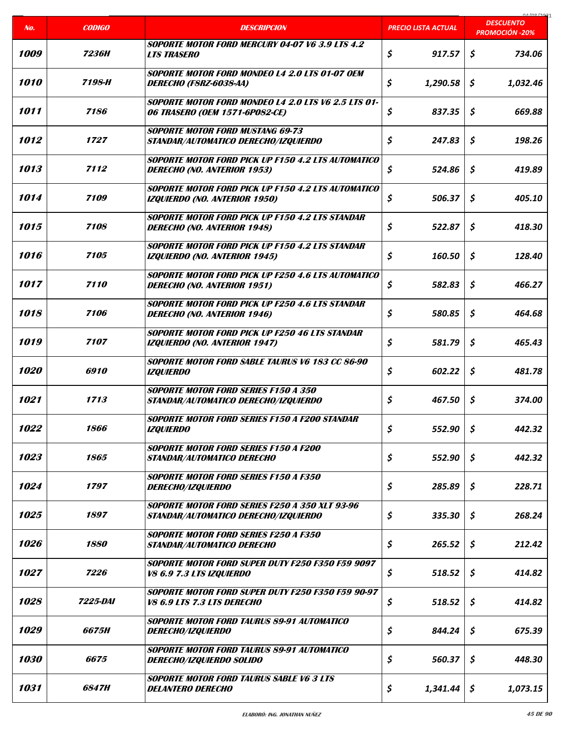|                    |                        |                                                                                                   |                            | coclonina                                 |
|--------------------|------------------------|---------------------------------------------------------------------------------------------------|----------------------------|-------------------------------------------|
| No.                | <b>CODIGO</b>          | <b>DESCRIPCION</b>                                                                                | <b>PRECIO LISTA ACTUAL</b> | <b>DESCUENTO</b><br><b>PROMOCIÓN -20%</b> |
| 1009               | 7236H                  | SOPORTE MOTOR FORD MERCURY 04-07 V6 3.9 LTS 4.2<br><b>LTS TRASERO</b>                             | \$<br>917.57               | \$<br>734.06                              |
| 1010               | 7198-H                 | SOPORTE MOTOR FORD MONDEO L4 2.0 LTS 01-07 OEM<br><b>DERECHO (FSRZ-6038-AA)</b>                   | \$<br>1,290.58             | S<br>1,032.46                             |
| 1011               | 7186                   | SOPORTE MOTOR FORD MONDEO L4 2.0 LTS V6 2.5 LTS 01-<br>06 TRASERO (OEM 1571-6P082-CE)             | \$<br>837.35               | \$<br>669.88                              |
| 1012               | 1727                   | <b>SOPORTE MOTOR FORD MUSTANG 69-73</b><br>STANDAR/AUTOMATICO DERECHO/IZQUIERDO                   | \$<br>247.83               | \$<br>198.26                              |
| 1013               | 7112                   | <b>SOPORTE MOTOR FORD PICK UP F150 4.2 LTS AUTOMATICO</b><br><b>DERECHO (NO. ANTERIOR 1953)</b>   | \$<br>524.86               | \$<br>419.89                              |
| 1014               | 7109                   | <b>SOPORTE MOTOR FORD PICK UP F150 4.2 LTS AUTOMATICO</b><br><b>IZQUIERDO (NO. ANTERIOR 1950)</b> | \$<br>506.37               | \$<br>405.10                              |
| 1015               | 7108                   | <b>SOPORTE MOTOR FORD PICK UP F150 4.2 LTS STANDAR</b><br><b>DERECHO (NO. ANTERIOR 1948)</b>      | \$<br>522.87               | Ś.<br>418.30                              |
| 1016               | 7105                   | SOPORTE MOTOR FORD PICK UP F150 4.2 I TS STANDAR<br><b>IZQUIERDO (NO. ANTERIOR 1945)</b>          | \$<br>160.50               | \$<br>128.40                              |
| 1017               | 7110                   | <b>SOPORTE MOTOR FORD PICK UP F250 4.6 LTS AUTOMATICO</b><br><b>DERECHO (NO. ANTERIOR 1951)</b>   | \$<br>582.83               | \$<br>466.27                              |
| 1018               | 7106                   | SOPORTE MOTOR FORD PICK UP F250 4.6 LTS STANDAR<br><b>DERECHO (NO. ANTERIOR 1946)</b>             | \$<br>580.85               | \$<br>464.68                              |
| 1019               | 7107                   | <b>SOPORTE MOTOR FORD PICK UP F250 46 LTS STANDAR</b><br><b>IZQUIERDO (NO. ANTERIOR 1947)</b>     | \$<br>581.79               | \$<br>465.43                              |
| 1020               | 6910                   | <b>SOPORTE MOTOR FORD SABLE TAURUS V6 183 CC 86-90</b><br><b>IZQUIERDO</b>                        | \$<br>602.22               | \$<br>481.78                              |
| 1021               | 1713                   | <b>SOPORTE MOTOR FORD SERIES F150 A 350</b><br>STANDAR/AUTOMATICO DERECHO/IZQUIERDO               | \$<br>467.50               | \$<br>374.00                              |
| 1022               | 1866                   | SOPORTE MOTOR FORD SERIES F150 A F200 STANDAR<br><b>IZQUIERDO</b>                                 | \$<br>552.90               | \$<br>442.32                              |
| 1023               | 1865                   | <b>SOPORTE MOTOR FORD SERIES F150 A F200</b><br><b>STANDAR/AUTOMATICO DERECHO</b>                 | \$<br>552.90               | \$<br>442.32                              |
| 1024               | 1797                   | <b>SOPORTE MOTOR FORD SERIES F150 A F350</b><br><i>DERECHO/IZQUIERDO</i>                          | \$<br>285.89               | \$<br>228.71                              |
| 1025               | 1897                   | <b>SOPORTE MOTOR FORD SERIES F250 A 350 XLT 93-96</b><br>STANDAR/AUTOMATICO DERECHO/IZQUIERDO     | \$<br>335.30               | \$<br>268.24                              |
| 1026               | 1880                   | <b>SOPORTE MOTOR FORD SERIES F250 A F350</b><br>STANDAR/AUTOMATICO DERECHO                        | \$<br>265.52               | \$<br>212.42                              |
| <i><b>1027</b></i> | 7226                   | SOPORTE MOTOR FORD SUPER DUTY F250 F350 F59 9097<br>V8 6.9 7.3 LTS IZQUIERDO                      | \$<br>518.52               | \$<br>414.82                              |
| 1028               | <i><b>7225-DAI</b></i> | SOPORTE MOTOR FORD SUPER DUTY F250 F350 F59 90-97<br><b>V8 6.9 LTS 7.3 LTS DERECHO</b>            | \$<br>518.52               | \$<br>414.82                              |
| 1029               | 6675H                  | <b>SOPORTE MOTOR FORD TAURUS 89-91 AUTOMATICO</b><br><i>DERECHO/IZQUIERDO</i>                     | \$<br>844.24               | \$<br>675.39                              |
| 1030               | 6675                   | <b>SOPORTE MOTOR FORD TAURUS 89-91 AUTOMATICO</b><br>DERECHO/IZQUIERDO SOLIDO                     | \$<br>560.37               | \$<br>448.30                              |
| 1031               | <i><b>6847H</b></i>    | <b>SOPORTE MOTOR FORD TAURUS SABLE V6 3 LTS</b><br><b>DELANTERO DERECHO</b>                       | \$<br>1,341.44             | \$<br>1,073.15                            |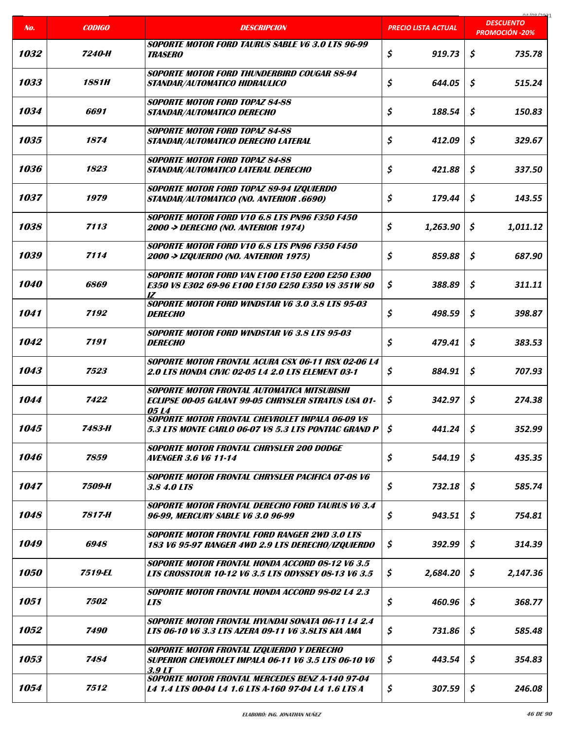|                    |                    |                                                                                                                         |                            | 01000001                                  |
|--------------------|--------------------|-------------------------------------------------------------------------------------------------------------------------|----------------------------|-------------------------------------------|
| No.                | <b>CODIGO</b>      | <b>DESCRIPCION</b>                                                                                                      | <b>PRECIO LISTA ACTUAL</b> | <b>DESCUENTO</b><br><b>PROMOCIÓN -20%</b> |
| 1032               | 7240-H             | <b>SOPORTE MOTOR FORD TAURUS SABLE V6 3.0 LTS 96-99</b><br><i><b>TRASERO</b></i>                                        | \$<br>919.73               | \$<br>735.78                              |
| 1033               | 1881H              | SOPORTE MOTOR FORD THUNDERBIRD COUGAR 88-94<br>STANDAR/AUTOMATICO HIDRAULICO                                            | \$<br>644.05               | \$<br>515.24                              |
| 1034               | 6691               | <b>SOPORTE MOTOR FORD TOPAZ 84-88</b><br>STANDAR/AUTOMATICO DERECHO                                                     | \$<br>188.54               | \$<br>150.83                              |
| 1035               | 1874               | <b>SOPORTE MOTOR FORD TOPAZ 84-88</b><br>STANDAR/AUTOMATICO DERECHO LATERAL                                             | \$<br>412.09               | \$<br>329.67                              |
| 1036               | 1823               | <b>SOPORTE MOTOR FORD TOPAZ 84-88</b><br>STANDAR/AUTOMATICO LATERAL DERECHO                                             | \$<br>421.88               | \$<br>337.50                              |
| 1037               | 1979               | SOPORTE MOTOR FORD TOPAZ 89-94 IZQUIERDO<br>STANDAR/AUTOMATICO (NO. ANTERIOR .6690)                                     | \$<br>179.44               | \$<br>143.55                              |
| 1038               | 7113               | SOPORTE MOTOR FORD V10 6.8 LTS PN96 F350 F450<br>2000 -> DERECHO (NO. ANTERIOR 1974)                                    | \$<br>1,263.90             | S<br>1,011.12                             |
| 1039               | 7114               | <b>SOPORTE MOTOR FORD V10 6.8 LTS PN96 F350 F450</b><br>2000 -> IZQUIERDO (NO. ANTERIOR 1975)                           | \$<br>859.88               | \$<br>687.90                              |
| <i><b>1040</b></i> | 6869               | <b>SOPORTE MOTOR FORD VAN E100 E150 E200 E250 E300</b><br>E350 V8 E302 69-96 E100 E150 E250 E350 V8 351W 80<br>I7       | \$<br>388.89               | \$<br>311.11                              |
| 1041               | 7192               | <b>SOPORTE MOTOR FORD WINDSTAR V6 3.0 3.8 LTS 95-03</b><br><i><b>DERECHO</b></i>                                        | \$<br>498.59               | \$<br>398.87                              |
| 1042               | 7191               | <b>SOPORTE MOTOR FORD WINDSTAR V6 3.8 LTS 95-03</b><br><b>DERECHO</b>                                                   | \$<br>479.41               | \$<br>383.53                              |
| 1043               | 7523               | <b>SOPORTE MOTOR FRONTAL ACURA CSX 06-11 RSX 02-06 L4</b><br><b>2.0 LTS HONDA CIVIC 02-05 L4 2.0 LTS ELEMENT 03-1</b>   | \$<br>884.91               | \$<br>707.93                              |
| 1044               | 7422               | SOPORTE MOTOR FRONTAL AUTOMATICA MITSUBISHI<br>ECLIPSE 00-05 GALANT 99-05 CHRYSLER STRATUS USA 01-<br>05 L <sub>4</sub> | \$<br>342.97               | \$<br>274.38                              |
| 1045               | 7483-H             | SOPORTE MOTOR FRONTAL CHEVROLET IMPALA 06-09 VS<br>5.3 LTS MONTE CARLO 06-07 V8 5.3 LTS PONTIAC GRAND P                 | \$<br>441.24               | \$<br>352.99                              |
| 1046               | 7859               | SOPORTE MOTOR FRONTAL CHRYSLER 200 DODGE<br>AVENGER 3.6 V6 11-14                                                        | \$<br>544.19               | \$<br>435.35                              |
| 1047               | 7509-H             | SOPORTE MOTOR FRONTAL CHRYSLER PACIFICA 07-08 V6<br>3.8 4.0 LTS                                                         | \$<br>732.18               | \$<br>585.74                              |
| 1048               | 7817-H             | SOPORTE MOTOR FRONTAL DERECHO FORD TAURUS V6 3.4<br>96-99, MERCURY SABLE V6 3.0 96-99                                   | \$<br>943.51               | \$<br>754.81                              |
| 1049               | 6948               | <b>SOPORTE MOTOR FRONTAL FORD RANGER 2WD 3.0 LTS</b><br>183 V6 95-97 RANGER 4WD 2.9 LTS DERECHO/IZQUIERDO               | \$<br>392.99               | \$<br>314.39                              |
| <i><b>1050</b></i> | 7519-EL            | SOPORTE MOTOR FRONTAL HONDA ACCORD 08-12 V6 3.5<br>LTS CROSSTOUR 10-12 V6 3.5 LTS ODYSSEY 08-13 V6 3.5                  | \$<br>2,684.20             | \$<br>2,147.36                            |
| 1051               | <i><b>7502</b></i> | SOPORTE MOTOR FRONTAL HONDA ACCORD 98-02 L4 2.3<br><b>LTS</b>                                                           | \$<br>460.96               | \$<br>368.77                              |
| 1052               | 7490               | SOPORTE MOTOR FRONTAL HYUNDAI SONATA 06-11 L4 2.4<br>LTS 06-10 V6 3.3 LTS AZERA 09-11 V6 3.8LTS KIA AMA                 | \$<br>731.86               | \$<br>585.48                              |
| 1053               | 7484               | SOPORTE MOTOR FRONTAL IZQUIERDO Y DERECHO<br><b>SUPERIOR CHEVROLET IMPALA 06-11 V6 3.5 LTS 06-10 V6</b><br>3.9 LT       | \$<br>443.54               | \$<br>354.83                              |
| 1054               | 7512               | <b>SOPORTE MOTOR FRONTAL MERCEDES BENZ A-140 97-04</b><br>L4 1.4 LTS 00-04 L4 1.6 LTS A-160 97-04 L4 1.6 LTS A          | \$<br>307.59               | \$<br>246.08                              |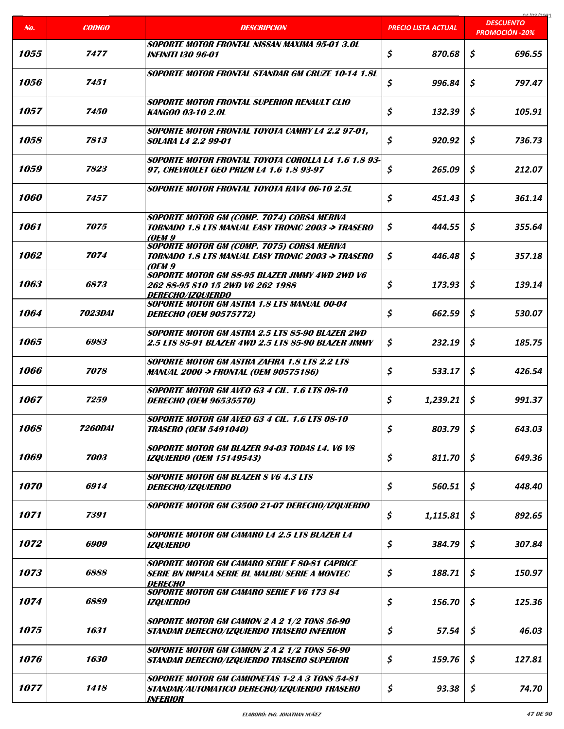|                    |                |                                                                                                                                 |                            | 04/09/2021                                |
|--------------------|----------------|---------------------------------------------------------------------------------------------------------------------------------|----------------------------|-------------------------------------------|
| No.                | <b>CODIGO</b>  | <b>DESCRIPCION</b>                                                                                                              | <b>PRECIO LISTA ACTUAL</b> | <b>DESCUENTO</b><br><b>PROMOCIÓN -20%</b> |
| 1055               | 7477           | <b>SOPORTE MOTOR FRONTAL NISSAN MAXIMA 95-01 3.0L</b><br><b>INFINITI I30 96-01</b>                                              | \$<br>870.68               | \$<br>696.55                              |
| 1056               | 7451           | <b>SOPORTE MOTOR FRONTAL STANDAR GM CRUZE 10-14 1.8L</b>                                                                        | \$<br>996.84               | S<br>797.47                               |
| 1057               | 7450           | <b>SOPORTE MOTOR FRONTAL SUPERIOR RENAULT CLIO</b><br>KANGOO 03-10 2.0L                                                         | \$<br>132.39               | \$<br>105.91                              |
| 1058               | 7813           | <b>SOPORTE MOTOR FRONTAL TOYOTA CAMRY L4 2.2 97-01.</b><br><i>SOLARA L4 2.2 99-01</i>                                           | \$<br>920.92               | \$<br>736.73                              |
| 1059               | 7823           | SOPORTE MOTOR FRONTAL TOYOTA COROLLA L4 1.6 1.8 93-<br>97, CHEVROLET GEO PRIZM L4 1.6 1.8 93-97                                 | \$<br>265.09               | \$<br>212.07                              |
| <i><b>1060</b></i> | 7457           | <b>SOPORTE MOTOR FRONTAL TOYOTA RAV4 06-10 2.5L</b>                                                                             | \$<br>451.43               | \$<br>361.14                              |
| 1061               | 7075           | SOPORTE MOTOR GM (COMP. 7074) CORSA MERIVA<br><b>TORNADO 1.8 LTS MANUAL EASY TRONIC 2003 -&gt; TRASERO</b><br>(OEM 9            | \$<br>444.55               | S<br>355.64                               |
| 1062               | 7074           | <b>SOPORTE MOTOR GM (COMP. 7075) CORSA MERIVA</b><br>TORNADO 1.8 LTS MANUAL EASY TRONIC 2003 -> TRASERO<br><b>(OEM 9)</b>       | S<br>446.48                | \$<br>357.18                              |
| 1063               | 6873           | SOPORTE MOTOR GM 88-95 BLAZER JIMMY 4WD 2WD V6<br>262 88-95 \$10 15 2WD V6 262 1988<br>DERECHO/IZQUIERDO                        | \$<br>173.93               | \$<br>139.14                              |
| <i>1064</i>        | <i>7023DAI</i> | <b>SOPORTE MOTOR GM ASTRA 1.8 LTS MANUAL 00-04</b><br><b>DERECHO (OEM 90575772)</b>                                             | \$<br>662.59               | \$<br>530.07                              |
| 1065               | 6983           | SOPORTE MOTOR GM ASTRA 2.5 LTS 85-90 BLAZER 2WD<br>2.5 LTS 85-91 BLAZER 4WD 2.5 LTS 85-90 BLAZER JIMMY                          | \$<br>232.19               | \$<br>185.75                              |
| 1066               | 7078           | <b>SOPORTE MOTOR GM ASTRA ZAFIRA 1.8 LTS 2.2 LTS</b><br><b>MANUAL 2000 -&gt; FRONTAL (OEM 90575186)</b>                         | \$<br>533.17               | Ŝ<br>426.54                               |
| 1067               | 7259           | SOPORTE MOTOR GM AVEO G3 4 CIL. 1.6 LTS 08-10<br><b>DERECHO (OEM 96535570)</b>                                                  | \$<br>1,239.21             | \$<br>991.37                              |
| 1068               | <b>7260DAI</b> | SOPORTE MOTOR GM AVEO G3 4 CIL. 1.6 LTS 08-10<br><b>TRASERO (OEM 5491040)</b>                                                   | \$<br>803.79               | $\mathsf{S}$<br>643.03                    |
| 1069               | 7003           | SOPORTE MOTOR GM BLAZER 94-03 TODAS L4. V6 V8<br><b>IZQUIERDO (OEM 15149543)</b>                                                | \$<br>811.70               | \$<br>649.36                              |
| <i><b>1070</b></i> | 6914           | <b>SOPORTE MOTOR GM BLAZER S V6 4.3 LTS</b><br><i>DERECHO/IZQUIERDO</i>                                                         | \$<br>560.51               | \$<br>448.40                              |
| 1071               | 7391           | SOPORTE MOTOR GM C3500 21-07 DERECHO/IZQUIERDO                                                                                  | \$<br>1,115.81             | \$<br>892.65                              |
| 1072               | 6909           | <b>SOPORTE MOTOR GM CAMARO L4 2.5 LTS BLAZER L4</b><br><b>IZQUIERDO</b>                                                         | \$<br>384.79               | \$<br>307.84                              |
| 1073               | 6888           | SOPORTE MOTOR GM CAMARO SERIE F 80-81 CAPRICE<br>serie bn impala serie bl Malibu serie a montec<br>DERECHO                      | \$<br>188.71               | \$<br>150.97                              |
| 1074               | 6889           | <b>SOPORTE MOTOR GM CAMARO SERIE F V6 173 84</b><br><b>IZQUIERDO</b>                                                            | \$<br>156.70               | \$<br>125.36                              |
| 1075               | 1631           | <b>SOPORTE MOTOR GM CAMION 2 A 2 1/2 TONS 56-90</b><br>STANDAR DERECHO/IZQUIERDO TRASERO INFERIOR                               | \$<br>57.54                | \$<br>46.03                               |
| <i><b>1076</b></i> | 1630           | SOPORTE MOTOR GM CAMION 2 A 2 1/2 TONS 56-90<br>STANDAR DERECHO/IZQUIERDO TRASERO SUPERIOR                                      | \$<br>159.76               | \$<br>127.81                              |
| 1077               | 1418           | <b>SOPORTE MOTOR GM CAMIONETAS 1-2 A 3 TONS 54-81</b><br>STANDAR/AUTOMATICO DERECHO/IZQUIERDO TRASERO<br><i><b>INFERIOR</b></i> | \$<br>93.38                | \$<br>74.70                               |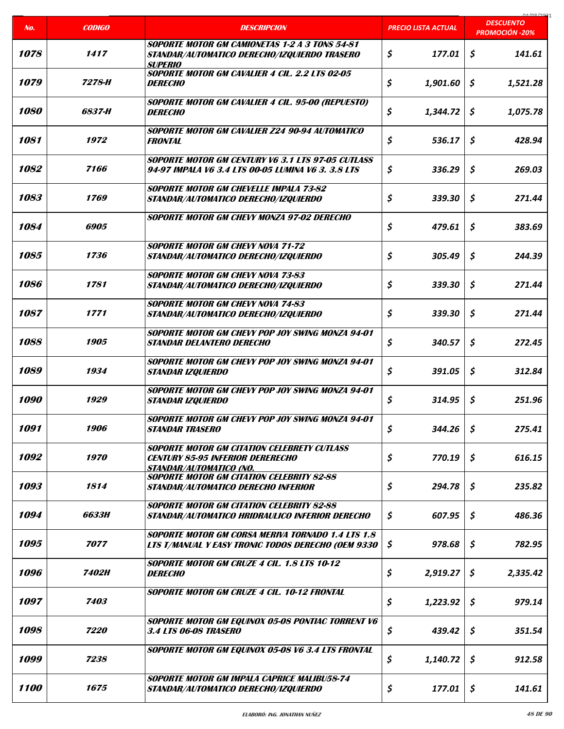|                    |                    |                                                                                                                                 |                            | 01/00/2021<br><b>DESCUENTO</b> |
|--------------------|--------------------|---------------------------------------------------------------------------------------------------------------------------------|----------------------------|--------------------------------|
| No.                | <b>CODIGO</b>      | <b>DESCRIPCION</b>                                                                                                              | <b>PRECIO LISTA ACTUAL</b> | <b>PROMOCIÓN -20%</b>          |
| 1078               | 1417               | <b>SOPORTE MOTOR GM CAMIONETAS 1-2 A 3 TONS 54-81</b><br>STANDAR/AUTOMATICO DERECHO/IZQUIERDO TRASERO<br>SUPERIO                | \$<br>177.01               | \$<br>141.61                   |
| 1079               | 7278-H             | SOPORTE MOTOR GM CAVALIER 4 CIL. 2.2 LTS 02-05<br><b>DERECHO</b>                                                                | \$<br>1,901.60             | \$<br>1,521.28                 |
| <i><b>1080</b></i> | 6837-H             | <b>SOPORTE MOTOR GM CAVALIER 4 CIL. 95-00 (REPUESTO)</b><br><b>DERECHO</b>                                                      | \$<br>1,344.72             | \$<br>1,075.78                 |
| 1081               | 1972               | SOPORTE MOTOR GM CAVALIER Z24 90-94 AUTOMATICO<br><b>FRONTAL</b>                                                                | \$<br>536.17               | \$<br>428.94                   |
| 1082               | 7166               | SOPORTE MOTOR GM CENTURY V6 3.1 LTS 97-05 CUTLASS<br>94-97 IMPALA V6 3.4 LTS 00-05 LUMINA V6 3. 3.8 LTS                         | \$<br>336.29               | \$<br>269.03                   |
| 1083               | 1769               | <b>SOPORTF MOTOR GM CHEVELLE IMPALA 73-82</b><br>STANDAR/AUTOMATICO DERECHO/IZQUIERDO                                           | \$<br>339.30               | \$<br>271.44                   |
| 1084               | 6905               | <b>SOPORTE MOTOR GM CHEVY MONZA 97-02 DERECHO</b>                                                                               | \$<br>479.61               | Ś.<br>383.69                   |
| 1085               | 1736               | <b>SOPORTE MOTOR GM CHEVY NOVA 71-72</b><br>STANDAR/AUTOMATICO DERECHO/IZQUIERDO                                                | \$<br>305.49               | \$<br>244.39                   |
| 1086               | 1781               | <b>SOPORTE MOTOR GM CHEVY NOVA 73-83</b><br>STANDAR/AUTOMATICO DERECHO/IZQUIERDO                                                | \$<br>339.30               | \$<br>271.44                   |
| 1087               | 1771               | <b>SOPORTE MOTOR GM CHEVY NOVA 74-83</b><br>STANDAR/AUTOMATICO DERECHO/IZQUIERDO                                                | \$<br>339.30               | Ś.<br>271.44                   |
| 1088               | 1905               | SOPORTE MOTOR GM CHEVY POP JOY SWING MONZA 94-01<br>STANDAR DELANTERO DERECHO                                                   | \$<br>340.57               | \$<br>272.45                   |
| 1089               | 1934               | SOPORTE MOTOR GM CHEVY POP JOY SWING MONZA 94-01<br><b>STANDAR IZQUIERDO</b>                                                    | \$<br>391.05               | \$<br>312.84                   |
| 1090               | 1929               | SOPORTE MOTOR GM CHEVY POP JOY SWING MONZA 94-01<br>STANDAR IZQUIERDO                                                           | \$<br>314.95               | \$<br>251.96                   |
| 1091               | 1906               | SOPORTE MOTOR GM CHEVY POP JOY SWING MONZA 94-01<br><b>STANDAR TRASERO</b>                                                      | \$<br>344.26               | \$<br>275.41                   |
| 1092               | 1970               | <b>SOPORTE MOTOR GM CITATION CELEBRETY CUTLASS</b><br><b>CENTURY 85-95 INFERIOR DERERECHO</b><br><u>STANDAR/AUTOMATICO (NO.</u> | \$<br>770.19               | \$<br>616.15                   |
| 1093               | 1814               | <b>SOPORTE MOTOR GM CITATION CELEBRITY 82-88</b><br>STANDAR/AUTOMATICO DERECHO INFERIOR                                         | \$<br>294.78               | \$<br>235.82                   |
| 1094               | 6633H              | <b>SOPORTE MOTOR GM CITATION CELEBRITY 82-88</b><br>STANDAR/AUTOMATICO HRIDRAULICO INFERIOR DERECHO                             | \$<br>607.95               | \$<br>486.36                   |
| 1095               | 7077               | SOPORTE MOTOR GM CORSA MERIVA TORNADO 1.4 LTS 1.8<br>LTS T/MANUAL Y EASY TRONIC TODOS DERECHO (OEM 9330                         | \$<br>978.68               | \$<br>782.95                   |
| 1096               | 7402H              | <b>SOPORTE MOTOR GM CRUZE 4 CIL. 1.8 LTS 10-12</b><br><i><b>DERECHO</b></i>                                                     | \$<br>2,919.27             | S<br>2,335.42                  |
| 1097               | 7403               | SOPORTE MOTOR GM CRUZE 4 CIL. 10-12 FRONTAL                                                                                     | \$<br>1,223.92             | \$<br>979.14                   |
| 1098               | <i><b>7220</b></i> | SOPORTE MOTOR GM EQUINOX 05-08 PONTIAC TORRENT V6<br>3.4 LTS 06-08 TRASERO                                                      | \$<br>439.42               | \$<br>351.54                   |
| 1099               | 7238               | SOPORTE MOTOR GM EQUINOX 05-08 V6 3.4 LTS FRONTAL                                                                               | \$<br>1,140.72             | \$<br>912.58                   |
| 1100               | 1675               | SOPORTE MOTOR GM IMPALA CAPRICE MALIBU58-74<br>STANDAR/AUTOMATICO DERECHO/IZQUIERDO                                             | \$<br>177.01               | \$<br>141.61                   |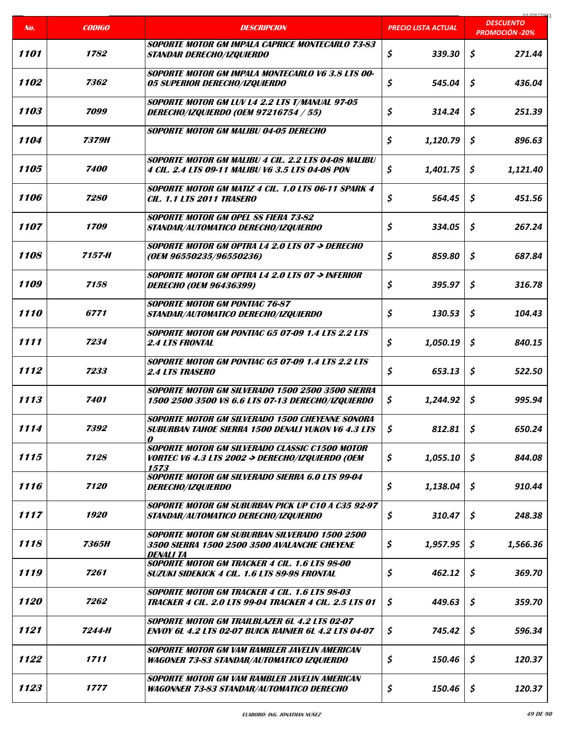|      |                    |                                                                                                                       |                            | 01/00/2021<br><b>DESCUENTO</b> |
|------|--------------------|-----------------------------------------------------------------------------------------------------------------------|----------------------------|--------------------------------|
| No.  | <b>CODIGO</b>      | <b>DESCRIPCION</b>                                                                                                    | <b>PRECIO LISTA ACTUAL</b> | <b>PROMOCIÓN -20%</b>          |
| 1101 | 1782               | <b>SOPORTE MOTOR GM IMPALA CAPRICE MONTECARLO 73-83</b><br><b>STANDAR DERECHO/IZQUIERDO</b>                           | \$<br>339.30               | \$<br>271.44                   |
| 1102 | 7362               | SOPORTE MOTOR GM IMPALA MONTECARLO V6 3.8 LTS 00-<br>05 SUPERIOR DERECHO/IZQUIERDO                                    | \$<br>545.04               | Ś.<br>436.04                   |
| 1103 | 7099               | SOPORTE MOTOR GM LUV L4 2.2 LTS T/MANUAL 97-05<br>DERECHO/IZQUIERDO (OEM 97216754 / 55)                               | \$<br>314.24               | \$<br>251.39                   |
| 1104 | 7379H              | <b>SOPORTE MOTOR GM MALIBU 04-05 DERECHO</b>                                                                          | \$<br>1,120.79             | \$<br>896.63                   |
| 1105 | <i><b>7400</b></i> | SOPORTE MOTOR GM MALIBU 4 CIL. 2.2 LTS 04-08 MALIBU<br>4 CIL. 2.4 LTS 09-11 MALIBU V6 3.5 LTS 04-08 PON               | \$<br>1,401.75             | \$<br>1,121.40                 |
| 1106 | 7280               | SOPORTE MOTOR GM MATIZ 4 CIL. 1.0 LTS 06-11 SPARK 4<br><b>CIL. 1.1 LTS 2011 TRASERO</b>                               | \$<br>564.45               | \$<br>451.56                   |
| 1107 | 1709               | <b>SOPORTE MOTOR GM OPEL SS FIERA 73-82</b><br>STANDAR/AUTOMATICO DERECHO/IZQUIERDO                                   | \$<br>334.05               | \$<br>267.24                   |
| 1108 | 7157-H             | SOPORTE MOTOR GM OPTRA L4 2.0 LTS 07 → DERECHO<br>(OEM 96550235/96550236)                                             | \$<br>859.80               | \$<br>687.84                   |
| 1109 | 7158               | SOPORTE MOTOR GM OPTRA L4 2.0 LTS 07 -> INFERIOR<br><b>DERECHO (OEM 96436399)</b>                                     | \$<br>395.97               | \$<br>316.78                   |
| 1110 | 6771               | <b>SOPORTE MOTOR GM PONTIAC 76-87</b><br>STANDAR/AUTOMATICO DERECHO/IZQUIERDO                                         | \$<br>130.53               | \$<br>104.43                   |
| 1111 | 7234               | SOPORTE MOTOR GM PONTIAC G5 07-09 1.4 LTS 2.2 LTS<br><b>2.4 LTS FRONTAL</b>                                           | \$<br>1,050.19             | \$<br>840.15                   |
| 1112 | 7233               | <b>SOPORTE MOTOR GM PONTIAC G5 07-09 1.4 LTS 2.2 LTS</b><br><b>2.4 LTS TRASERO</b>                                    | \$<br>653.13               | \$<br>522.50                   |
| 1113 | 7401               | SOPORTE MOTOR GM SILVERADO 1500 2500 3500 SIERRA<br>1500 2500 3500 V8 6.6 LTS 07-13 DERECHO/IZQUIERDO                 | \$<br>1,244.92             | \$<br>995.94                   |
| 1114 | 7392               | SOPORTE MOTOR GM SILVERADO 1500 CHEYENNE SONORA<br><b>SUBURBAN TAHOE SIERRA 1500 DENALI YUKON V6 4.3 LTS</b><br>0     | \$<br>812.81               | \$<br>650.24                   |
| 1115 | 7128               | SOPORTE MOTOR GM SILVERADO CLASSIC C1500 MOTOR<br><i>VORTEC V6 4.3 LTS 2002 -&gt; DERECHO/IZQUIERDO (OEM</i><br>1573  | \$<br>1,055.10             | \$<br>844.08                   |
| 1116 | 7120               | SOPORTE MOTOR GM SILVERADO SIERRA 6.0 LTS 99-04<br><i>DERECHO/IZQUIERDO</i>                                           | \$<br>1,138.04             | \$<br>910.44                   |
| 1117 | 1920               | <b>SOPORTE MOTOR GM SUBURBAN PICK UP C10 A C35 92-97</b><br>STANDAR/AUTOMATICO DERECHO/IZQUIERDO                      | \$<br>310.47               | \$<br>248.38                   |
| 1118 | <b>7365H</b>       | SOPORTE MOTOR GM SUBURBAN SILVERADO 1500 2500<br>3500 SIERRA 1500 2500 3500 AVALANCHE CHEYENE<br>DENALI TA            | \$<br>1,957.95             | \$<br>1,566.36                 |
| 1119 | 7261               | <b>SOPORTE MOTOR GM TRACKER 4 CIL. 1.6 LTS 98-00</b><br>SUZUKI SIDEKICK 4 CIL. 1.6 LTS 89-98 FRONTAL                  | \$<br>462.12               | \$<br>369.70                   |
| 1120 | 7262               | <b>SOPORTE MOTOR GM TRACKER 4 CIL. 1.6 LTS 98-03</b><br><b>TRACKER 4 CIL. 2.0 LTS 99-04 TRACKER 4 CIL. 2.5 LTS 01</b> | \$<br>449.63               | \$<br>359.70                   |
| 1121 | 7244-H             | <b>SOPORTE MOTOR GM TRAILBLAZER 6L 4.2 LTS 02-07</b><br><b>ENVOY 6L 4.2 LTS 02-07 BUICK RAINIER 6L 4.2 LTS 04-07</b>  | \$<br>745.42               | \$<br>596.34                   |
| 1122 | 1711               | SOPORTE MOTOR GM VAM RAMBLER JAVELIN AMERICAN<br><b>WAGONER 73-83 STANDAR/AUTOMATICO IZQUIERDO</b>                    | \$<br>150.46               | \$<br>120.37                   |
| 1123 | 1777               | SOPORTE MOTOR GM VAM RAMBLER JAVELIN AMERICAN<br><b>WAGONNER 73-83 STANDAR/AUTOMATICO DERECHO</b>                     | \$<br>150.46               | \$<br>120.37                   |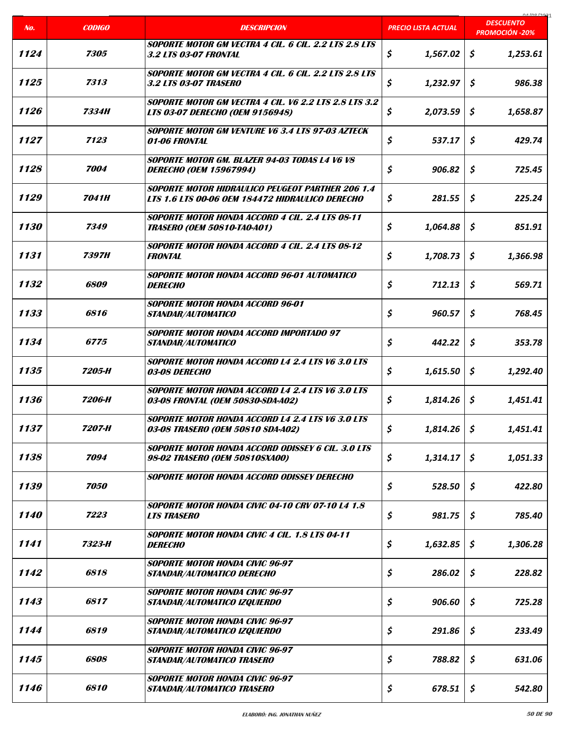|      |               |                                                                                                            |                            | COCI ON IN                                |
|------|---------------|------------------------------------------------------------------------------------------------------------|----------------------------|-------------------------------------------|
| No.  | <b>CODIGO</b> | <b>DESCRIPCION</b>                                                                                         | <b>PRECIO LISTA ACTUAL</b> | <b>DESCUENTO</b><br><b>PROMOCIÓN -20%</b> |
| 1124 | 7305          | <b>SOPORTE MOTOR GM VECTRA 4 CIL. 6 CIL. 2.2 LTS 2.8 LTS</b><br><b>3.2 LTS 03-07 FRONTAL</b>               | \$<br>1,567.02             | \$<br>1,253.61                            |
| 1125 | 7313          | SOPORTE MOTOR GM VECTRA 4 CIL. 6 CIL. 2.2 LTS 2.8 LTS<br><b>3.2 LTS 03-07 TRASERO</b>                      | \$<br>1,232.97             | \$<br>986.38                              |
| 1126 | 7334H         | SOPORTE MOTOR GM VECTRA 4 CIL. V6 2.2 LTS 2.8 LTS 3.2<br><b>LTS 03-07 DERECHO (OEM 9156948)</b>            | \$<br>2,073.59             | \$<br>1,658.87                            |
| 1127 | 7123          | <b>SOPORTE MOTOR GM VENTURE V6 3.4 LTS 97-03 AZTECK</b><br><i><b>01-06 FRONTAL</b></i>                     | \$<br>537.17               | \$<br>429.74                              |
| 1128 | 7004          | SOPORTE MOTOR GM. BLAZER 94-03 TODAS L4 V6 V8<br><b>DERECHO (OEM 15967994)</b>                             | \$<br>906.82               | \$<br>725.45                              |
| 1129 | <b>7041H</b>  | <b>SOPORTE MOTOR HIDRAULICO PEUGEOT PARTHER 206 1.4</b><br>LTS 1.6 LTS 00-06 OEM 184472 HIDRAULICO DERECHO | \$<br>281.55               | \$<br>225.24                              |
| 1130 | 7349          | SOPORTE MOTOR HONDA ACCORD 4 CIL. 2.4 LTS 08-11<br><b>TRASERO (OEM 50810-TA0-A01)</b>                      | \$<br>1,064.88             | \$<br>851.91                              |
| 1131 | <b>7397H</b>  | <b>SOPORTE MOTOR HONDA ACCORD 4 CIL. 2.4 LTS 08-12</b><br><b>FRONTAL</b>                                   | \$<br>1,708.73             | \$<br>1,366.98                            |
| 1132 | 6809          | SOPORTE MOTOR HONDA ACCORD 96-01 AUTOMATICO<br><b>DERECHO</b>                                              | \$<br>712.13               | \$<br>569.71                              |
| 1133 | 6816          | <b>SOPORTE MOTOR HONDA ACCORD 96-01</b><br>STANDAR/AUTOMATICO                                              | \$<br>960.57               | \$<br>768.45                              |
| 1134 | 6775          | <b>SOPORTE MOTOR HONDA ACCORD IMPORTADO 97</b><br><b>STANDAR/AUTOMATICO</b>                                | \$<br>442.22               | \$<br>353.78                              |
| 1135 | 7205-H        | <b>SOPORTE MOTOR HONDA ACCORD L4 2.4 LTS V6 3.0 LTS</b><br>03-08 DERECHO                                   | \$<br>1,615.50             | \$<br>1,292.40                            |
| 1136 | 7206-H        | <b>SOPORTE MOTOR HONDA ACCORD L4 2.4 LTS V6 3.0 LTS</b><br>03-08 FRONTAL (OEM 50830-SDA-A02)               | \$<br>1,814.26             | \$<br>1,451.41                            |
| 1137 | 7207-H        | SOPORTE MOTOR HONDA ACCORD L4 2.4 LTS V6 3.0 LTS<br>03-08 TRASERO (OEM 50810 SDA-A02)                      | \$<br>1,814.26             | \$<br>1,451.41                            |
| 1138 | 7094          | <b>SOPORTE MOTOR HONDA ACCORD ODISSEY 6 CIL. 3.0 LTS</b><br>98-02 TRASERO (OEM 50810SXA00)                 | \$<br>1,314.17             | \$<br>1,051.33                            |
| 1139 | 7050          | SOPORTE MOTOR HONDA ACCORD ODISSEY DERECHO                                                                 | \$<br>528.50               | \$<br>422.80                              |
| 1140 | 7223          | SOPORTE MOTOR HONDA CIVIC 04-10 CRV 07-10 L4 1.8<br><b>LTS TRASERO</b>                                     | \$<br>981.75               | \$<br>785.40                              |
| 1141 | 7323-H        | <b>SOPORTE MOTOR HONDA CIVIC 4 CIL. 1.8 LTS 04-11</b><br><b>DERECHO</b>                                    | \$<br>1,632.85             | \$<br>1,306.28                            |
| 1142 | 6818          | <b>SOPORTE MOTOR HONDA CIVIC 96-97</b><br>STANDAR/AUTOMATICO DERECHO                                       | \$<br>286.02               | \$<br>228.82                              |
| 1143 | 6817          | <b>SOPORTE MOTOR HONDA CIVIC 96-97</b><br>STANDAR/AUTOMATICO IZQUIERDO                                     | \$<br>906.60               | \$<br>725.28                              |
| 1144 | 6819          | <b>SOPORTE MOTOR HONDA CIVIC 96-97</b><br>STANDAR/AUTOMATICO IZQUIERDO                                     | \$<br>291.86               | \$<br>233.49                              |
| 1145 | 6808          | <b>SOPORTE MOTOR HONDA CIVIC 96-97</b><br>STANDAR/AUTOMATICO TRASERO                                       | \$<br>788.82               | \$<br>631.06                              |
| 1146 | 6810          | <b>SOPORTE MOTOR HONDA CIVIC 96-97</b><br>STANDAR/AUTOMATICO TRASERO                                       | \$<br>678.51               | \$<br>542.80                              |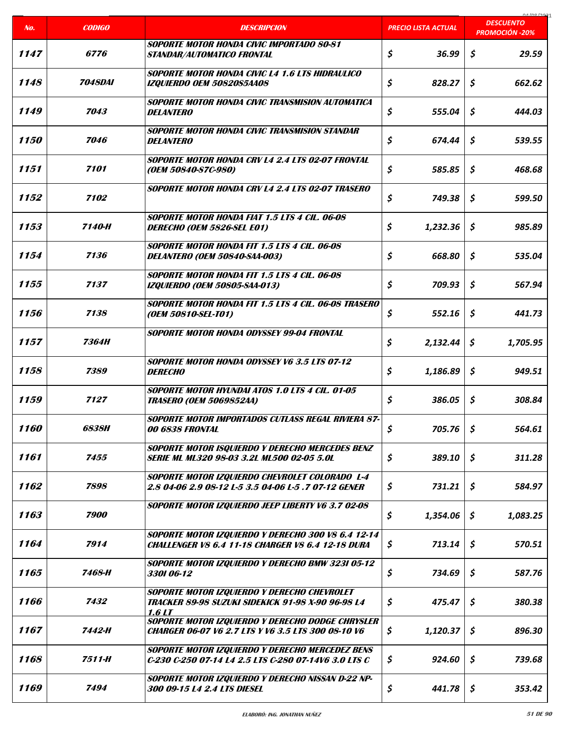| No.  | <b>CODIGO</b>         | <b>DESCRIPCION</b>                                                                                             | PRECIO LISTA ACTUAL | 01/00/202<br><b>DESCUENTO</b><br><b>PROMOCIÓN -20%</b> |
|------|-----------------------|----------------------------------------------------------------------------------------------------------------|---------------------|--------------------------------------------------------|
| 1147 | <i><b>6776</b></i>    | <b>SOPORTE MOTOR HONDA CIVIC IMPORTADO 80-81</b><br>STANDAR/AUTOMATICO FRONTAL                                 | \$<br>36.99         | \$<br>29.59                                            |
| 1148 | <i><b>7048DAI</b></i> | <b>SOPORTE MOTOR HONDA CIVIC L4 1.6 LTS HIDRAULICO</b><br><b>IZQUIERDO OEM 50820S5AA08</b>                     | \$<br>828.27        | \$<br>662.62                                           |
| 1149 | 7043                  | SOPORTE MOTOR HONDA CIVIC TRANSMISION AUTOMATICA<br><b>DELANTERO</b>                                           | \$<br>555.04        | \$<br>444.03                                           |
| 1150 | 7046                  | <b>SOPORTE MOTOR HONDA CIVIC TRANSMISION STANDAR</b><br><b>DELANTERO</b>                                       | \$<br>674.44        | \$<br>539.55                                           |
| 1151 | 7101                  | SOPORTE MOTOR HONDA CRV L4 2.4 LTS 02-07 FRONTAL<br>(OEM 50840-S7C-980)                                        | \$<br>585.85        | \$<br>468.68                                           |
| 1152 | 7102                  | <b>SOPORTE MOTOR HONDA CRV L4 2.4 LTS 02-07 TRASERO</b>                                                        | \$<br>749.38        | \$<br>599.50                                           |
| 1153 | 7140-H                | <b>SOPORTE MOTOR HONDA FIAT 1.5 LTS 4 CIL. 06-08</b><br>DERECHO (OEM 5826-SEL E01)                             | \$<br>1,232.36      | \$<br>985.89                                           |
| 1154 | 7136                  | <b>SOPORTE MOTOR HONDA FIT 1.5 LTS 4 CIL. 06-08</b><br><b>DELANTERO (OEM 50840-SAA-003)</b>                    | \$<br>668.80        | Ś.<br>535.04                                           |
| 1155 | 7137                  | <b>SOPORTE MOTOR HONDA FIT 1.5 LTS 4 CIL. 06-08</b><br><b>IZQUIERDO (OEM 50805-SAA-013)</b>                    | \$<br>709.93        | \$<br>567.94                                           |
| 1156 | 7138                  | SOPORTE MOTOR HONDA FIT 1.5 LTS 4 CIL. 06-08 TRASERO<br>(OEM 50810-SEL-T01)                                    | \$<br>552.16        | \$<br>441.73                                           |
| 1157 | <b>7364H</b>          | <b>SOPORTE MOTOR HONDA ODYSSEY 99-04 FRONTAL</b>                                                               | \$<br>2,132.44      | \$<br>1,705.95                                         |
| 1158 | 7389                  | <b>SOPORTE MOTOR HONDA ODYSSEY V6 3.5 LTS 07-12</b><br><b>DERECHO</b>                                          | \$<br>1,186.89      | \$<br>949.51                                           |
| 1159 | 7127                  | SOPORTE MOTOR HYUNDAI ATOS 1.0 LTS 4 CIL. 01-05<br><b>TRASERO (OEM 5069852AA)</b>                              | \$<br>386.05        | \$<br>308.84                                           |
| 1160 | <i>6838H</i>          | <b>SOPORTE MOTOR IMPORTADOS CUTLASS REGAL RIVIERA 87-</b><br>00 6838 FRONTAL                                   | \$<br>705.76        | \$<br>564.61                                           |
| 1161 | 7455                  | SOPORTE MOTOR ISQUIERDO Y DERECHO MERCEDES BENZ<br>SERIE ML ML320 98-03 3.2L ML500 02-05 5.0L                  | \$<br>389.10        | \$<br>311.28                                           |
| 1162 | 7898                  | SOPORTE MOTOR IZQUIERDO CHEVROLET COLORADO L-4<br>2.8 04-06 2.9 08-12 L-5 3.5 04-06 L-5 .7 07-12 GENER         | \$<br>731.21        | \$<br>584.97                                           |
| 1163 | 7900                  | SOPORTE MOTOR IZQUIERDO JEEP LIBERTY V6 3.7 02-08                                                              | \$<br>1,354.06      | \$<br>1,083.25                                         |
| 1164 | 7914                  | SOPORTE MOTOR IZQUIERDO Y DERECHO 300 V8 6.4 12-14<br><b>CHALLENGER V8 6.4 11-18 CHARGER V8 6.4 12-18 DURA</b> | \$<br>713.14        | \$<br>570.51                                           |
| 1165 | 7468-H                | SOPORTE MOTOR IZQUIERDO Y DERECHO BMW 3231 05-12<br>3301 06-12                                                 | \$<br>734.69        | \$<br>587.76                                           |
| 1166 | 7432                  | SOPORTE MOTOR IZQUIERDO Y DERECHO CHEVROLET<br>TRACKER 89-98 SUZUKI SIDEKICK 91-98 X-90 96-98 L4<br>1.6LI      | \$<br>475.47        | \$<br>380.38                                           |
| 1167 | 7442-H                | SOPORTE MOTOR IZQUIERDO Y DERECHO DODGE CHRYSLER<br><b>CHARGER 06-07 V6 2.7 LTS Y V6 3.5 LTS 300 08-10 V6</b>  | \$<br>1,120.37      | \$<br>896.30                                           |
| 1168 | 7511-H                | SOPORTE MOTOR IZQUIERDO Y DERECHO MERCEDEZ BENS<br>C-230 C-250 07-14 L4 2.5 LTS C-280 07-14V6 3.0 LTS C        | \$<br>924.60        | \$<br>739.68                                           |
| 1169 | 7494                  | SOPORTE MOTOR IZQUIERDO Y DERECHO NISSAN D-22 NP-<br>300 09-15 L4 2.4 LTS DIESEL                               | \$<br>441.78        | \$<br>353.42                                           |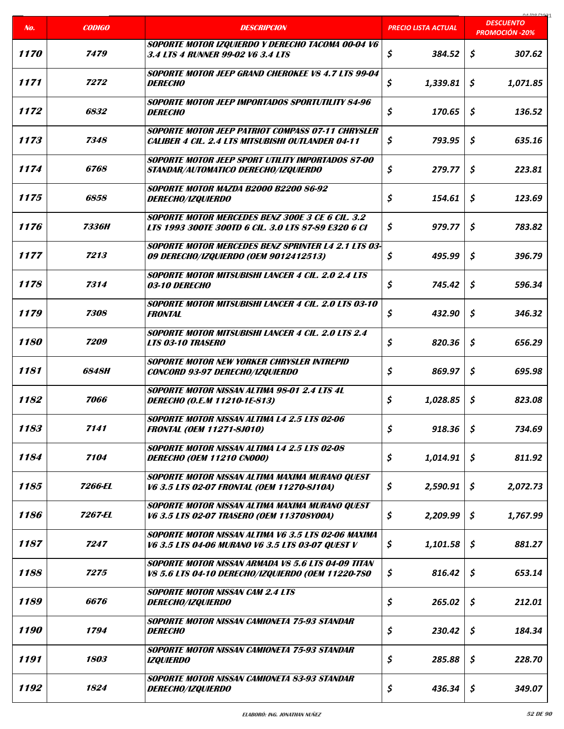| No.                | <b>CODIGO</b> | <b>DESCRIPCION</b>                                                                                             | <b>PRECIO LISTA ACTUAL</b> | 01/00/2021<br><b>DESCUENTO</b> |
|--------------------|---------------|----------------------------------------------------------------------------------------------------------------|----------------------------|--------------------------------|
|                    |               |                                                                                                                |                            | <b>PROMOCIÓN -20%</b>          |
| <i><b>1170</b></i> | 7479          | SOPORTE MOTOR IZQUIERDO Y DERECHO TACOMA 00-04 V6<br>3.4 LTS 4 RUNNER 99-02 V6 3.4 LTS                         | \$<br>384.52               | \$<br>307.62                   |
| 1171               | 7272          | <b>SOPORTE MOTOR JEEP GRAND CHEROKEE V8 4.7 LTS 99-04</b><br><b>DERECHO</b>                                    | \$<br>1,339.81             | \$<br>1,071.85                 |
| 1172               | 6832          | <b>SOPORTE MOTOR JEEP IMPORTADOS SPORTUTILITY 84-96</b><br><b>DERECHO</b>                                      | \$<br>170.65               | \$<br>136.52                   |
| 1173               | 7348          | SOPORTE MOTOR JEEP PATRIOT COMPASS 07-11 CHRYSLER<br><b>CALIBER 4 CIL. 2.4 LTS MITSUBISHI OUTLANDER 04-11</b>  | \$<br>793.95               | \$<br>635.16                   |
| 1174               | <i>6768</i>   | SOPORTE MOTOR JEEP SPORT UTILITY IMPORTADOS 87-00<br>STANDAR/AUTOMATICO DERECHO/IZQUIERDO                      | \$<br>279.77               | \$<br>223.81                   |
| 1175               | 6858          | <b>SOPORTE MOTOR MAZDA B2000 B2200 86-92</b><br><i>DERECHO/IZQUIERDO</i>                                       | \$<br>154.61               | \$<br>123.69                   |
| 1176               | <b>7336H</b>  | <b>SOPORTE MOTOR MERCEDES BENZ 300E 3 CE 6 CIL. 3.2</b><br>LTS 1993 300TE 300TD 6 CIL. 3.0 LTS 87-89 E320 6 CI | \$<br>979.77               | Ś.<br>783.82                   |
| 1177               | 7213          | <b>SOPORTE MOTOR MERCEDES BENZ SPRINTER L4 2.1 LTS 03-</b><br>09 DERECHO/IZQUIERDO (OEM 9012412513)            | \$<br>495.99               | \$<br>396.79                   |
| 1178               | 7314          | <b>SOPORTE MOTOR MITSUBISHI LANCER 4 CIL. 2.0 2.4 LTS</b><br>03-10 DERECHO                                     | \$<br>745.42               | \$<br>596.34                   |
| 1179               | 7308          | SOPORTE MOTOR MITSUBISHI LANCER 4 CIL. 2.0 LTS 03-10<br><b>FRONTAL</b>                                         | \$<br>432.90               | \$<br>346.32                   |
| 1180               | 7209          | <b>SOPORTE MOTOR MITSUBISHI LANCER 4 CIL. 2.0 LTS 2.4</b><br><b>LTS 03-10 TRASERO</b>                          | \$<br>820.36               | \$<br>656.29                   |
| 1181               | <i>6848H</i>  | <b>SOPORTE MOTOR NEW YORKER CHRYSLER INTREPID</b><br><b>CONCORD 93-97 DERECHO/IZQUIERDO</b>                    | \$<br>869.97               | \$<br>695.98                   |
| 1182               | 7066          | SOPORTE MOTOR NISSAN ALTIMA 98-01 2.4 LTS 4L<br>DERECHO (O.E.M 11210-1E-813)                                   | \$<br>1,028.85             | \$<br>823.08                   |
| 1183               | 7141          | <b>SOPORTE MOTOR NISSAN ALTIMA L4 2.5 LTS 02-06</b><br><b>FRONTAL (OEM 11271-8J010)</b>                        | \$<br>918.36               | \$<br>734.69                   |
| 1184               | 7104          | <b>SOPORTE MOTOR NISSAN ALTIMA L4 2.5 LTS 02-08</b><br><b>DERECHO (OEM 11210 CN000)</b>                        | \$<br>1,014.91             | \$<br>811.92                   |
| 1185               | 7266-EL       | SOPORTE MOTOR NISSAN ALTIMA MAXIMA MURANO QUEST<br>V6 3.5 LTS 02-07 FRONTAL (OEM 11270-8J10A)                  | \$<br>2,590.91             | \$<br>2,072.73                 |
| 1186               | 7267-EL       | SOPORTE MOTOR NISSAN ALTIMA MAXIMA MURANO QUEST<br>V6 3.5 LTS 02-07 TRASERO (OEM 113708Y00A)                   | \$<br>2,209.99             | \$<br>1,767.99                 |
| 1187               | 7247          | SOPORTE MOTOR NISSAN ALTIMA V6 3.5 LTS 02-06 MAXIMA<br>V6 3.5 LTS 04-06 MURANO V6 3.5 LTS 03-07 QUEST V        | \$<br>1,101.58             | \$<br>881.27                   |
| 1188               | 7275          | SOPORTE MOTOR NISSAN ARMADA V8 5.6 LTS 04-09 TITAN<br>V8 5.6 LTS 04-10 DERECHO/IZQUIERDO (OEM 11220-7SO        | \$<br>816.42               | \$<br>653.14                   |
| 1189               | 6676          | <b>SOPORTE MOTOR NISSAN CAM 2.4 LTS</b><br><i>DERECHO/IZQUIERDO</i>                                            | \$<br>265.02               | \$<br>212.01                   |
| 1190               | 1794          | SOPORTE MOTOR NISSAN CAMIONETA 75-93 STANDAR<br><b>DERECHO</b>                                                 | \$<br>230.42               | \$<br>184.34                   |
| 1191               | 1803          | SOPORTE MOTOR NISSAN CAMIONETA 75-93 STANDAR<br><b>IZQUIERDO</b>                                               | \$<br>285.88               | \$<br>228.70                   |
| 1192               | 1824          | SOPORTE MOTOR NISSAN CAMIONETA 83-93 STANDAR<br><i>DERECHO/IZQUIERDO</i>                                       | \$<br>436.34               | \$<br>349.07                   |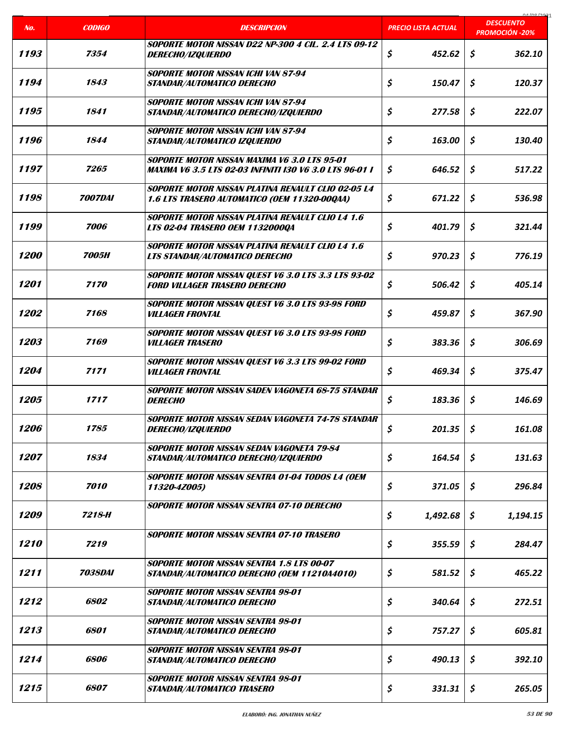| No.                | <b>CODIGO</b>         | <b>DESCRIPCION</b>                                                                                             | <b>PRECIO LISTA ACTUAL</b> | 01000001<br><b>DESCUENTO</b> |
|--------------------|-----------------------|----------------------------------------------------------------------------------------------------------------|----------------------------|------------------------------|
|                    |                       | <b>SOPORTE MOTOR NISSAN D22 NP-300 4 CIL. 2.4 LTS 09-12</b>                                                    |                            | <b>PROMOCIÓN -20%</b>        |
| 1193               | 7354                  | <i>DERECHO/IZQUIERDO</i>                                                                                       | \$<br>452.62               | \$<br>362.10                 |
| 1194               | 1843                  | <b>SOPORTE MOTOR NISSAN ICHI VAN 87-94</b><br>STANDAR/AUTOMATICO DERECHO                                       | \$<br>150.47               | \$<br>120.37                 |
| 1195               | 1841                  | <b>SOPORTE MOTOR NISSAN ICHI VAN 87-94</b><br>STANDAR/AUTOMATICO DERECHO/IZQUIERDO                             | \$<br>277.58               | \$<br>222.07                 |
| 1196               | 1844                  | <b>SOPORTE MOTOR NISSAN ICHI VAN 87-94</b><br>STANDAR/AUTOMATICO IZQUIERDO                                     | \$<br>163.00               | \$<br>130.40                 |
| 1197               | 7265                  | SOPORTE MOTOR NISSAN MAXIMA V6 3.0 LTS 95-01<br><b>MAXIMA V6 3.5 LTS 02-03 INFINITI I30 V6 3.0 LTS 96-01 I</b> | \$<br>646.52               | \$<br>517.22                 |
| 1198               | <i><b>7007DAI</b></i> | <b>SOPORTE MOTOR NISSAN PLATINA RENAULT CLIO 02-05 L4</b><br>1.6 LTS TRASERO AUTOMATICO (OEM 11320-00QAA)      | \$<br>671.22               | \$<br>536.98                 |
| 1199               | 7006                  | <b>SOPORTE MOTOR NISSAN PLATINA RENAULT CLIO L4 1.6</b><br>LTS 02-04 TRASERO OEM 1132000QA                     | \$<br>401.79               | Ś.<br>321.44                 |
| <i><b>1200</b></i> | <b>7005H</b>          | <b>SOPORTE MOTOR NISSAN PLATINA RENAULT CLIO L4 1.6</b><br><b>LTS STANDAR/AUTOMATICO DERECHO</b>               | \$<br>970.23               | \$<br>776.19                 |
| 1201               | 7170                  | <b>SOPORTE MOTOR NISSAN QUEST V6 3.0 LTS 3.3 LTS 93-02</b><br><b>FORD VILLAGER TRASERO DERECHO</b>             | \$<br>506.42               | \$<br>405.14                 |
| 1202               | 7168                  | SOPORTE MOTOR NISSAN QUEST V6 3.0 LTS 93-98 FORD<br><b>VILLAGER FRONTAL</b>                                    | \$<br>459.87               | Ś.<br>367.90                 |
| 1203               | 7169                  | SOPORTE MOTOR NISSAN QUEST V6 3.0 LTS 93-98 FORD<br><b>VILLAGER TRASERO</b>                                    | \$<br>383.36               | \$<br>306.69                 |
| 1204               | 7171                  | SOPORTE MOTOR NISSAN QUEST V6 3.3 LTS 99-02 FORD<br><b>VILLAGER FRONTAL</b>                                    | \$<br>469.34               | \$<br>375.47                 |
| 1205               | 1717                  | SOPORTE MOTOR NISSAN SADEN VAGONETA 68-75 STANDAR<br><b>DERECHO</b>                                            | \$<br>183.36               | \$<br>146.69                 |
| 1206               | 1785                  | Soporte Motor Nissan sedan vagoneta 74-78 standar<br><b>DERECHO/IZQUIERDO</b>                                  | \$<br>201.35               | \$<br>161.08                 |
| 1207               | 1834                  | <b>SOPORTE MOTOR NISSAN SEDAN VAGONETA 79-84</b><br>STANDAR/AUTOMATICO DERECHO/IZQUIERDO                       | \$<br>164.54               | \$<br>131.63                 |
| 1208               | 7010                  | SOPORTE MOTOR NISSAN SENTRA 01-04 TODOS L4 (OEM<br>11320-4Z005)                                                | \$<br>371.05               | \$<br>296.84                 |
| <i><b>1209</b></i> | 7218-H                | SOPORTE MOTOR NISSAN SENTRA 07-10 DERECHO                                                                      | \$<br>1,492.68             | \$<br>1,194.15               |
| 1210               | 7219                  | <b>SOPORTE MOTOR NISSAN SENTRA 07-10 TRASERO</b>                                                               | \$<br>355.59               | \$<br>284.47                 |
| 1211               | <i><b>7038DAI</b></i> | <b>SOPORTE MOTOR NISSAN SENTRA 1.8 LTS 00-07</b><br>STANDAR/AUTOMATICO DERECHO (OEM 11210A4010)                | \$<br>581.52               | \$<br>465.22                 |
| 1212               | <i><b>6802</b></i>    | <b>SOPORTE MOTOR NISSAN SENTRA 98-01</b><br>STANDAR/AUTOMATICO DERECHO                                         | \$<br>340.64               | \$<br>272.51                 |
| 1213               | 6801                  | <b>SOPORTE MOTOR NISSAN SENTRA 98-01</b><br>STANDAR/AUTOMATICO DERECHO                                         | \$<br>757.27               | \$<br>605.81                 |
| 1214               | 6806                  | SOPORTE MOTOR NISSAN SENTRA 98-01<br>STANDAR/AUTOMATICO DERECHO                                                | \$<br>490.13               | \$<br>392.10                 |
| 1215               | 6807                  | SOPORTE MOTOR NISSAN SENTRA 98-01<br>STANDAR/AUTOMATICO TRASERO                                                | \$<br>331.31               | \$<br>265.05                 |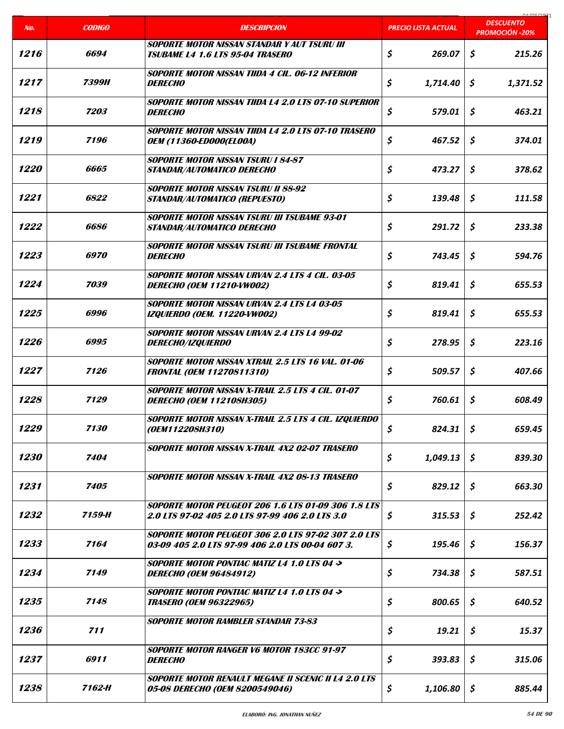|                    |               |                                                                                                                |                            | 01/00/2021<br><b>DESCUENTO</b> |
|--------------------|---------------|----------------------------------------------------------------------------------------------------------------|----------------------------|--------------------------------|
| No.                | <b>CODIGO</b> | <b>DESCRIPCION</b>                                                                                             | <b>PRECIO LISTA ACTUAL</b> | <b>PROMOCIÓN -20%</b>          |
| 1216               | 6694          | <b>SOPORTE MOTOR NISSAN STANDAR Y AUT TSURU III</b><br><b>TSUBAME L4 1.6 LTS 95-04 TRASERO</b>                 | \$<br>269.07               | \$<br>215.26                   |
| 1217               | 7399H         | SOPORTE MOTOR NISSAN TIIDA 4 CIL. 06-12 INFERIOR<br><b>DERECHO</b>                                             | \$<br>1,714.40             | \$<br>1,371.52                 |
| 1218               | 7203          | SOPORTE MOTOR NISSAN TIIDA L4 2.0 LTS 07-10 SUPERIOR<br><i><b>DERECHO</b></i>                                  | \$<br>579.01               | \$<br>463.21                   |
| 1219               | 7196          | <b>SOPORTE MOTOR NISSAN TIIDA L4 2.0 LTS 07-10 TRASERO</b><br><b>OEM (11360-ED000(EL00A)</b>                   | \$<br>467.52               | \$<br>374.01                   |
| <i><b>1220</b></i> | 6665          | <b>SOPORTE MOTOR NISSAN TSURU I 84-87</b><br>STANDAR/AUTOMATICO DERECHO                                        | \$<br>473.27               | \$<br>378.62                   |
| 1221               | 6822          | <b>SOPORTE MOTOR NISSAN TSURU II 88-92</b><br>STANDAR/AUTOMATICO (REPUESTO)                                    | \$<br>139.48               | \$<br>111.58                   |
| 1222               | 6686          | <b>SOPORTE MOTOR NISSAN TSURU III TSUBAME 93-01</b><br>STANDAR/AUTOMATICO DERECHO                              | \$<br>291.72               | \$<br>233.38                   |
| 1223               | 6970          | <b>SOPORTE MOTOR NISSAN TSURU III TSUBAME FRONTAL</b><br><i><b>DERECHO</b></i>                                 | \$<br>743.45               | \$<br>594.76                   |
| 1224               | 7039          | <b>SOPORTE MOTOR NISSAN URVAN 2.4 LTS 4 CIL. 03-05</b><br>DERECHO (OEM 11210-VW002)                            | \$<br>819.41               | \$<br>655.53                   |
| 1225               | 6996          | <b>SOPORTE MOTOR NISSAN URVAN 2.4 LTS L4 03-05</b><br><b>IZQUIERDO (OEM. 11220-VW002)</b>                      | \$<br>819.41               | \$<br>655.53                   |
| 1226               | 6995          | <b>SOPORTE MOTOR NISSAN URVAN 2.4 LTS L4 99-02</b><br><i>DERECHO/IZQUIERDO</i>                                 | \$<br>278.95               | \$<br>223.16                   |
| 1227               | 7126          | <b>SOPORTE MOTOR NISSAN XTRAIL 2.5 LTS 16 VAL. 01-06</b><br><b>FRONTAL (OEM 11270811310)</b>                   | \$<br>509.57               | \$<br>407.66                   |
| 1228               | 7129          | SOPORTE MOTOR NISSAN X-TRAIL 2.5 LTS 4 CIL. 01-07<br><b>DERECHO (OEM 112108H305)</b>                           | \$<br>760.61               | \$<br>608.49                   |
| 1229               | 7130          | SOPORTE MOTOR NISSAN X-TRAIL 2.5 LTS 4 CIL. IZQUIERDO<br>(OEM112208H310)                                       | \$<br>824.31               | \$<br>659.45                   |
| <i><b>1230</b></i> | 7404          | <b>SOPORTE MOTOR NISSAN X-TRAIL 4X2 02-07 TRASERO</b>                                                          | \$<br>1,049.13             | \$<br>839.30                   |
| 1231               | 7405          | <b>SOPORTE MOTOR NISSAN X-TRAIL 4X2 08-13 TRASERO</b>                                                          | \$<br>829.12               | \$<br>663.30                   |
| 1232               | 7159-H        | <b>SOPORTE MOTOR PEUGEOT 206 1.6 LTS 01-09 306 1.8 LTS</b><br>2.0 LTS 97-02 405 2.0 LTS 97-99 406 2.0 LTS 3.0  | \$<br>315.53               | \$<br>252.42                   |
| 1233               | 7164          | <b>SOPORTE MOTOR PEUGEOT 306 2.0 LTS 97-02 307 2.0 LTS</b><br>03-09 405 2.0 LTS 97-99 406 2.0 LTS 00-04 607 3. | \$<br>195.46               | \$<br>156.37                   |
| 1234               | 7149          | <b>SOPORTE MOTOR PONTIAC MATIZ L4 1.0 LTS 04 &gt;</b><br><b>DERECHO (OEM 96484912)</b>                         | \$<br>734.38               | \$<br>587.51                   |
| 1235               | 7148          | SOPORTE MOTOR PONTIAC MATIZ L4 1.0 LTS 04 -><br><b>TRASERO (OEM 96322965)</b>                                  | \$<br>800.65               | \$<br>640.52                   |
| 1236               | 711           | <b>SOPORTE MOTOR RAMBLER STANDAR 73-83</b>                                                                     | \$<br>19.21                | \$<br>15.37                    |
| 1237               | 6911          | SOPORTE MOTOR RANGER V6 MOTOR 183CC 91-97<br><i><b>DERECHO</b></i>                                             | \$<br>393.83               | \$<br>315.06                   |
| 1238               | 7162-H        | <b>SOPORTE MOTOR RENAULT MEGANE II SCENIC II L4 2.0 LTS</b><br>05-08 DERECHO (OEM 8200549046)                  | \$<br>1,106.80             | \$<br>885.44                   |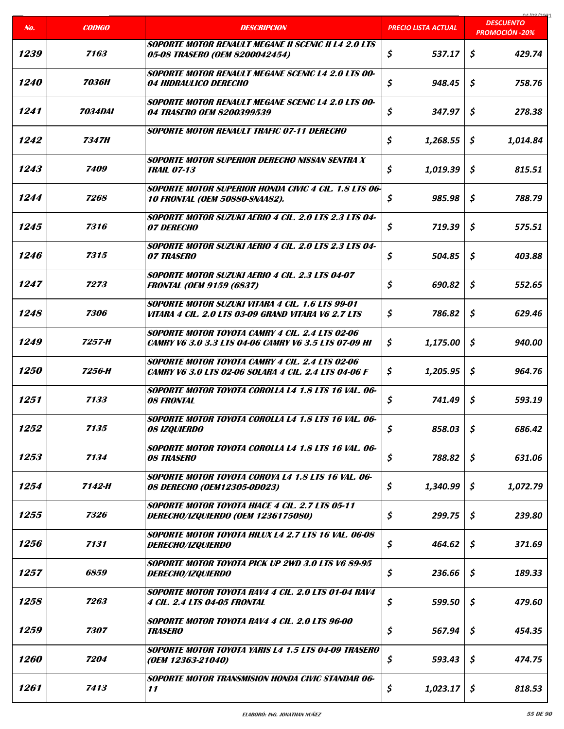| No.                | <b>CODIGO</b>         | <b>DESCRIPCION</b>                                                                                             | <b>PRECIO LISTA ACTUAL</b> | 01000001<br><b>DESCUENTO</b> |
|--------------------|-----------------------|----------------------------------------------------------------------------------------------------------------|----------------------------|------------------------------|
|                    |                       |                                                                                                                |                            | <b>PROMOCIÓN -20%</b>        |
| 1239               | 7163                  | <b>SOPORTE MOTOR RENAULT MEGANE II SCENIC II L4 2.0 LTS</b><br>05-08 TRASERO (OEM 8200042454)                  | \$<br>537.17               | \$<br>429.74                 |
| <i><b>1240</b></i> | 7036H                 | <b>SOPORTE MOTOR RENAULT MEGANE SCENIC L4 2.0 LTS 00-</b><br><i><b>04 HIDRAULICO DERECHO</b></i>               | \$<br>948.45               | Ś.<br>758.76                 |
| 1241               | <i><b>7034DAI</b></i> | <b>SOPORTE MOTOR RENAULT MEGANE SCENIC L4 2.0 LTS 00-</b><br>04 TRASERO OEM 8200399539                         | \$<br>347.97               | \$<br>278.38                 |
| 1242               | 7347H                 | <b>SOPORTE MOTOR RENAULT TRAFIC 07-11 DERECHO</b>                                                              | \$<br>1,268.55             | \$<br>1,014.84               |
| 1243               | 7409                  | SOPORTE MOTOR SUPERIOR DERECHO NISSAN SENTRA X<br><b>TRAIL 07-13</b>                                           | \$<br>1,019.39             | \$<br>815.51                 |
| 1244               | 7268                  | <b>SOPORTE MOTOR SUPERIOR HONDA CIVIC 4 CIL. 1.8 LTS 06-</b><br><b>10 FRONTAL (OEM 50880-SNAA82).</b>          | \$<br>985.98               | \$<br>788.79                 |
| 1245               | 7316                  | <b>SOPORTE MOTOR SUZUKI AERIO 4 CIL. 2.0 LTS 2.3 LTS 04-</b><br><i><b>07 DERECHO</b></i>                       | \$<br>719.39               | Ś.<br>575.51                 |
| 1246               | 7315                  | <b>SOPORTE MOTOR SUZUKI AERIO 4 CIL. 2.0 LTS 2.3 LTS 04-</b><br><b>07 TRASERO</b>                              | \$<br>504.85               | \$<br>403.88                 |
| 1247               | 7273                  | <b>SOPORTE MOTOR SUZUKI AERIO 4 CIL. 2.3 LTS 04-07</b><br><b>FRONTAL (OEM 9159 (6837)</b>                      | \$<br>690.82               | \$<br>552.65                 |
| 1248               | 7306                  | SOPORTE MOTOR SUZUKI VITARA 4 CIL. 1.6 LTS 99-01<br>VITARA 4 CIL. 2.0 LTS 03-09 GRAND VITARA V6 2.7 LTS        | \$<br>786.82               | \$<br>629.46                 |
| 1249               | 7257-H                | SOPORTE MOTOR TOYOTA CAMRY 4 CIL. 2.4 LTS 02-06<br><b>CAMRY V6 3.0 3.3 LTS 04-06 CAMRY V6 3.5 LTS 07-09 HI</b> | \$.<br>1,175.00            | \$<br>940.00                 |
| <i><b>1250</b></i> | 7256-H                | SOPORTE MOTOR TOYOTA CAMRY 4 CIL. 2.4 LTS 02-06<br>CAMRY V6 3.0 LTS 02-06 SOLARA 4 CIL. 2.4 LTS 04-06 F        | \$<br>1,205.95             | \$<br>964.76                 |
| 1251               | 7133                  | SOPORTE MOTOR TOYOTA COROLLA L4 1.8 LTS 16 VAL. 06-<br><b>08 FRONTAL</b>                                       | \$<br>741.49               | \$<br>593.19                 |
| 1252               | 7135                  | SOPORTE MOTOR TOYOTA COROLLA L4 1.8 LTS 16 VAL. 06-<br><b>08 IZQUIERDO</b>                                     | \$<br>858.03               | \$<br>686.42                 |
| 1253               | 7134                  | SOPORTE MOTOR TOYOTA COROLLA L4 1.8 LTS 16 VAL. 06-<br><b>08 TRASERO</b>                                       | \$<br>788.82               | \$<br>631.06                 |
| 1254               | 7142-H                | SOPORTE MOTOR TOYOTA COROYA L4 1.8 LTS 16 VAL. 06-<br>08 DERECHO (OEM12305-0D023)                              | \$<br>1,340.99             | S.<br>1,072.79               |
| 1255               | 7326                  | <b>SOPORTE MOTOR TOYOTA HIACE 4 CIL. 2.7 LTS 05-11</b><br>DERECHO/IZQUIERDO (OEM 1236175080)                   | \$<br>299.75               | \$<br>239.80                 |
| 1256               | 7131                  | SOPORTE MOTOR TOYOTA HILUX L4 2.7 LTS 16 VAL. 06-08<br><i>DERECHO/IZQUIERDO</i>                                | \$<br>464.62               | \$<br>371.69                 |
| 1257               | 6859                  | SOPORTE MOTOR TOYOTA PICK UP 2WD 3.0 LTS V6 89-95<br><i>DERECHO/IZQUIERDO</i>                                  | \$<br>236.66               | \$<br>189.33                 |
| 1258               | 7263                  | SOPORTE MOTOR TOYOTA RAV4 4 CIL. 2.0 LTS 01-04 RAV4<br><b>4 CIL. 2.4 LTS 04-05 FRONTAL</b>                     | \$<br>599.50               | \$<br>479.60                 |
| 1259               | 7307                  | SOPORTE MOTOR TOYOTA RAV4 4 CIL. 2.0 LTS 96-00<br><b>TRASERO</b>                                               | \$<br>567.94               | \$<br>454.35                 |
| 1260               | 7204                  | SOPORTE MOTOR TOYOTA YARIS L4 1.5 LTS 04-09 TRASERO<br>(OEM 12363-21040)                                       | \$<br>593.43               | \$<br>474.75                 |
| 1261               | 7413                  | <b>SOPORTE MOTOR TRANSMISION HONDA CIVIC STANDAR 06-</b><br>11                                                 | \$<br>1,023.17             | \$<br>818.53                 |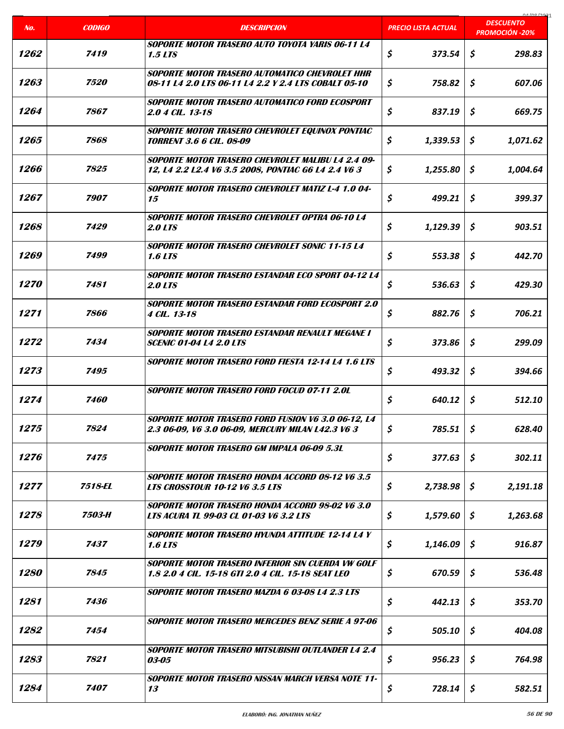| No.                | <b>CODIGO</b>      | <b>DESCRIPCION</b>                                                                                            | PRECIO LISTA ACTUAL | COCI ON AO<br><b>DESCUENTO</b> |
|--------------------|--------------------|---------------------------------------------------------------------------------------------------------------|---------------------|--------------------------------|
|                    |                    |                                                                                                               |                     | <b>PROMOCIÓN -20%</b>          |
| 1262               | 7419               | SOPORTE MOTOR TRASERO AUTO TOYOTA YARIS 06-11 I 4<br><b>1.5 LTS</b>                                           | \$<br>373.54        | \$<br>298.83                   |
| 1263               | <i><b>7520</b></i> | <b>SOPORTE MOTOR TRASERO AUTOMATICO CHEVROLET HHR</b><br>08-11 L4 2.0 LTS 06-11 L4 2.2 Y 2.4 LTS COBALT 05-10 | \$<br>758.82        | \$<br>607.06                   |
| 1264               | 7867               | SOPORTE MOTOR TRASERO AUTOMATICO FORD ECOSPORT<br>2.0 4 CIL. 13-18                                            | \$<br>837.19        | \$<br>669.75                   |
| 1265               | 7868               | SOPORTE MOTOR TRASERO CHEVROLET EQUINOX PONTIAC<br><i><b>TORRENT 3.6 6 CIL. 08-09</b></i>                     | \$<br>1,339.53      | \$<br>1,071.62                 |
| 1266               | 7825               | SOPORTE MOTOR TRASERO CHEVROLET MALIBU L4 2.4 09-<br>12, 14 2.2 12.4 V6 3.5 2008, PONTIAC G6 14 2.4 V6 3      | \$<br>1,255.80      | \$<br>1,004.64                 |
| 1267               | 7907               | <b>SOPORTE MOTOR TRASERO CHEVROLET MATIZ L-4 1.0 04-</b><br>15                                                | \$<br>499.21        | \$<br>399.37                   |
| 1268               | 7429               | <b>SOPORTE MOTOR TRASERO CHEVROLET OPTRA 06-10 L4</b><br><b>2.0 LTS</b>                                       | \$<br>1,129.39      | \$<br>903.51                   |
| 1269               | 7499               | <b>SOPORTE MOTOR TRASERO CHEVROLET SONIC 11-15 L4</b><br><b>1.6 LTS</b>                                       | \$<br>553.38        | \$<br>442.70                   |
| 1270               | 7481               | <b>SOPORTE MOTOR TRASERO ESTANDAR ECO SPORT 04-12 L4</b><br><b>2.0 LTS</b>                                    | \$<br>536.63        | \$<br>429.30                   |
| 1271               | 7866               | <b>SOPORTE MOTOR TRASERO ESTANDAR FORD ECOSPORT 2.0</b><br>4 CIL. 13-18                                       | \$<br>882.76        | \$<br>706.21                   |
| 1272               | 7434               | SOPORTE MOTOR TRASERO ESTANDAR RENAULT MEGANE I<br><b>SCENIC 01-04 L4 2.0 LTS</b>                             | \$<br>373.86        | \$<br>299.09                   |
| 1273               | 7495               | <b>SOPORTE MOTOR TRASERO FORD FIESTA 12-14 L4 1.6 LTS</b>                                                     | \$<br>493.32        | \$<br>394.66                   |
| 1274               | 7460               | <b>SOPORTE MOTOR TRASERO FORD FOCUD 07-11 2.0L</b>                                                            | \$<br>640.12        | \$<br>512.10                   |
| 1275               | 7824               | SOPORTE MOTOR TRASERO FORD FUSION V6 3.0 06-12, L4<br>2.3 06-09, V6 3.0 06-09, MERCURY MILAN L42.3 V6 3       | \$<br>785.51        | \$<br>628.40                   |
| 1276               | 7475               | SOPORTE MOTOR TRASERO GM IMPALA 06-09 5.3L                                                                    | \$<br>377.63        | \$<br>302.11                   |
| 1277               | 7518-EL            | <b>SOPORTE MOTOR TRASERO HONDA ACCORD 08-12 V6 3.5</b><br><b>LTS CROSSTOUR 10-12 V6 3.5 LTS</b>               | \$<br>2,738.98      | S.<br>2,191.18                 |
| 1278               | 7503-H             | SOPORTE MOTOR TRASERO HONDA ACCORD 98-02 V6 3.0<br>LTS ACURA TL 99-03 CL 01-03 V6 3.2 LTS                     | \$<br>1,579.60      | \$<br>1,263.68                 |
| 1279               | 7437               | SOPORTE MOTOR TRASERO HYUNDA ATTITUDE 12-14 L4 Y<br><b>1.6 LTS</b>                                            | \$<br>1,146.09      | \$<br>916.87                   |
| <i><b>1280</b></i> | 7845               | SOPORTE MOTOR TRASERO INFERIOR SIN CUERDA VW GOLF<br>1.8 2.0 4 CIL. 15-18 GTI 2.0 4 CIL. 15-18 SEAT LEO       | \$<br>670.59        | \$<br>536.48                   |
| 1281               | 7436               | <b>SOPORTE MOTOR TRASERO MAZDA 6 03-08 L4 2.3 LTS</b>                                                         | \$<br>442.13        | \$<br>353.70                   |
| 1282               | 7454               | SOPORTE MOTOR TRASERO MERCEDES BENZ SERIE A 97-06                                                             | \$<br>505.10        | \$<br>404.08                   |
| 1283               | 7821               | <b>SOPORTE MOTOR TRASERO MITSUBISHI OUTLANDER L4 2.4</b><br>03-05                                             | \$<br>956.23        | \$<br>764.98                   |
| 1284               | 7407               | SOPORTE MOTOR TRASERO NISSAN MARCH VERSA NOTE 11-<br>13                                                       | \$<br>728.14        | \$<br>582.51                   |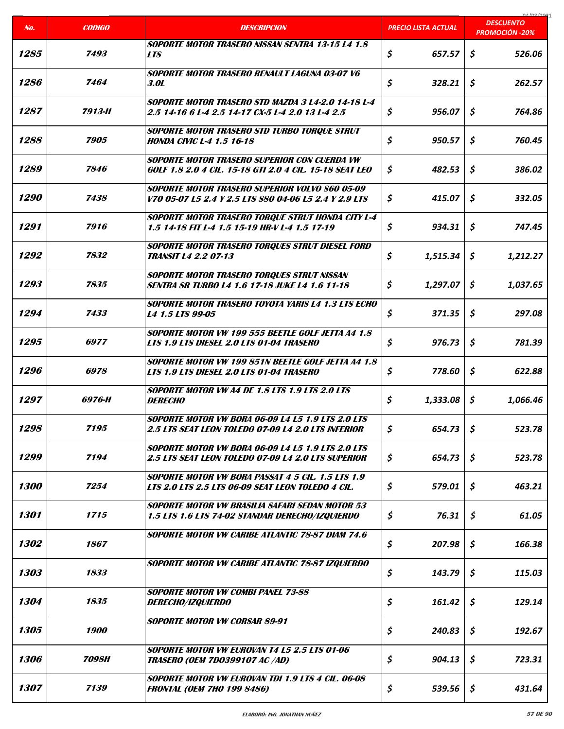|                    |               |                                                                                                                       |                            | coclonina                                 |
|--------------------|---------------|-----------------------------------------------------------------------------------------------------------------------|----------------------------|-------------------------------------------|
| No.                | <b>CODIGO</b> | <b>DESCRIPCION</b>                                                                                                    | <b>PRECIO LISTA ACTUAL</b> | <b>DESCUENTO</b><br><b>PROMOCIÓN -20%</b> |
| 1285               | 7493          | <b>SOPORTE MOTOR TRASERO NISSAN SENTRA 13-15 L4 1.8</b><br><b>LTS</b>                                                 | \$<br>657.57               | \$<br>526.06                              |
| 1286               | 7464          | SOPORTE MOTOR TRASERO RENAULT LAGUNA 03-07 V6<br><b>3.0L</b>                                                          | \$<br>328.21               | \$<br>262.57                              |
| 1287               | 7913-H        | SOPORTE MOTOR TRASERO STD MAZDA 3 L4-2.0 14-18 L-4<br>2.5 14-16 6 1-4 2.5 14-17 CX-5 1-4 2.0 13 1-4 2.5               | \$<br>956.07               | \$<br>764.86                              |
| 1288               | 7905          | SOPORTE MOTOR TRASERO STD TURBO TORQUE STRUT<br><i><b>HONDA CIVIC L-4 1.5 16-18</b></i>                               | \$<br>950.57               | \$<br>760.45                              |
| 1289               | 7846          | SOPORTE MOTOR TRASERO SUPERIOR CON CUERDA VW<br>GOLF 1.8 2.0 4 CIL. 15-18 GTI 2.0 4 CIL. 15-18 SEAT LEO               | \$<br>482.53               | \$<br>386.02                              |
| <i><b>1290</b></i> | 7438          | <b>SOPORTE MOTOR TRASERO SUPERIOR VOLVO S60 05-09</b><br>V70 05-07 L5 2.4 Y 2.5 LTS S80 04-06 L5 2.4 Y 2.9 LTS        | \$<br>415.07               | \$<br>332.05                              |
| 1291               | 7916          | SOPORTE MOTOR TRASERO TORQUE STRUT HONDA CITY L-4<br>1.5 14-18 FIT L-4 1.5 15-19 HR-V L-4 1.5 17-19                   | \$<br>934.31               | \$<br>747.45                              |
| 1292               | 7832          | SOPORTE MOTOR TRASERO TORQUES STRUT DIESEL FORD<br><b>TRANSIT L4 2.2 07-13</b>                                        | \$<br>1,515.34             | \$<br>1,212.27                            |
| 1293               | 7835          | SOPORTE MOTOR TRASERO TORQUES STRUT NISSAN<br><b>SENTRA SR TURBO L4 1.6 17-18 JUKE L4 1.6 11-18</b>                   | \$<br>1,297.07             | \$<br>1,037.65                            |
| 1294               | 7433          | <b>SOPORTE MOTOR TRASERO TOYOTA YARIS L4 1.3 LTS ECHO</b><br>L4 1.5 LTS 99-05                                         | \$<br>371.35               | \$<br>297.08                              |
| 1295               | 6977          | SOPORTE MOTOR VW 199 555 BEETLE GOLF JETTA A4 1.8<br>LTS 1.9 LTS DIESEL 2.0 LTS 01-04 TRASERO                         | \$<br>976.73               | \$<br>781.39                              |
| 1296               | 6978          | SOPORTE MOTOR VW 199 851N BEETLE GOLF JETTA A4 1.8<br>LTS 1.9 LTS DIESEL 2.0 LTS 01-04 TRASERO                        | \$<br>778.60               | \$<br>622.88                              |
| 1297               | 6976-H        | <b>SOPORTE MOTOR VW A4 DE 1.8 LTS 1.9 LTS 2.0 LTS</b><br><b>DERECHO</b>                                               | \$<br>1,333.08             | \$<br>1,066.46                            |
| 1298               | 7195          | <b>SOPORTE MOTOR VW BORA 06-09 L4 L5 1.9 LTS 2.0 LTS</b><br><b>2.5 LTS SEAT LEON TOLEDO 07-09 L4 2.0 LTS INFERIOR</b> | \$<br>654.73               | \$<br>523.78                              |
| 1299               | 7194          | <b>SOPORTE MOTOR VW BORA 06-09 L4 L5 1.9 LTS 2.0 LTS</b><br>2.5 LTS SEAT LEON TOLEDO 07-09 L4 2.0 LTS SUPERIOR        | \$<br>654.73               | \$<br>523.78                              |
| 1300               | 7254          | <b>SOPORTE MOTOR VW BORA PASSAT 4 5 CIL. 1.5 LTS 1.9</b><br>LTS 2.0 LTS 2.5 LTS 06-09 SEAT LEON TOLEDO 4 CIL.         | \$<br>579.01               | \$<br>463.21                              |
| 1301               | 1715          | SOPORTE MOTOR VW BRASILIA SAFARI SEDAN MOTOR 53<br>1.5 LTS 1.6 LTS 74-02 STANDAR DERECHO/IZQUIERDO                    | \$<br>76.31                | \$<br>61.05                               |
| 1302               | 1867          | SOPORTE MOTOR VW CARIBE ATLANTIC 78-87 DIAM 74.6                                                                      | \$<br>207.98               | \$<br>166.38                              |
| 1303               | 1833          | SOPORTE MOTOR VW CARIBE ATLANTIC 78-87 IZQUIERDO                                                                      | \$<br>143.79               | \$<br>115.03                              |
| 1304               | 1835          | <b>SOPORTE MOTOR VW COMBI PANEL 73-88</b><br><i>DERECHO/IZQUIERDO</i>                                                 | \$<br>161.42               | \$<br>129.14                              |
| 1305               | 1900          | <b>SOPORTE MOTOR VW CORSAR 89-91</b>                                                                                  | \$<br>240.83               | \$<br>192.67                              |
| 1306               | <b>7098H</b>  | <b>SOPORTE MOTOR VW EUROVAN T4 L5 2.5 LTS 01-06</b><br><b>TRASERO (OEM 7D0399107 AC /AD)</b>                          | \$<br>904.13               | \$<br>723.31                              |
| 1307               | 7139          | SOPORTE MOTOR VW EUROVAN TDI 1.9 LTS 4 CIL. 06-08<br><b>FRONTAL (OEM 7HO 199 8486)</b>                                | \$<br>539.56               | \$<br>431.64                              |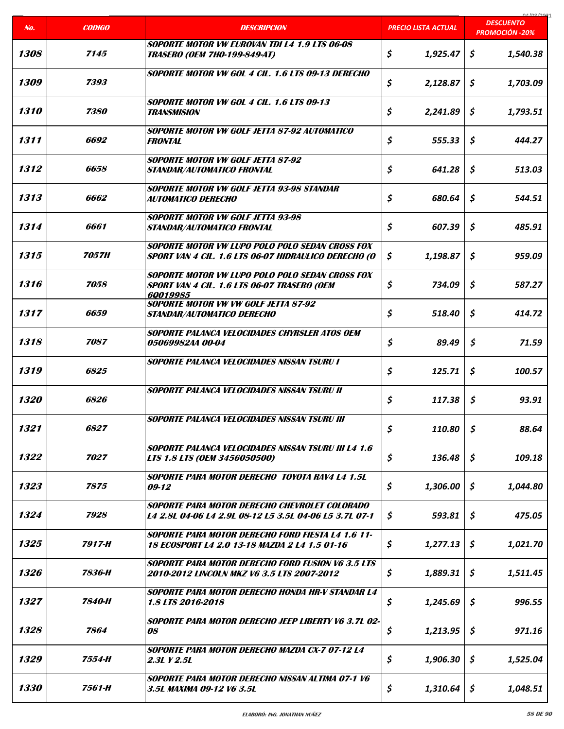|      |                     |                                                                                                                   |                            | na ing ing                                |
|------|---------------------|-------------------------------------------------------------------------------------------------------------------|----------------------------|-------------------------------------------|
| No.  | <b>CODIGO</b>       | <b>DESCRIPCION</b>                                                                                                | <b>PRECIO LISTA ACTUAL</b> | <b>DESCUENTO</b><br><b>PROMOCIÓN -20%</b> |
| 1308 | 7145                | SOPORTE MOTOR VW EUROVAN TDI L4 1.9 LTS 06-08<br><b>TRASERO (OEM 7HO-199-849-AT)</b>                              | \$<br>1,925.47             | \$<br>1,540.38                            |
| 1309 | 7393                | SOPORTE MOTOR VW GOL 4 CIL. 1.6 LTS 09-13 DERECHO                                                                 | \$<br>2,128.87             | \$<br>1,703.09                            |
| 1310 | 7380                | <b>SOPORTE MOTOR VW GOL 4 CIL. 1.6 LTS 09-13</b><br><b>TRANSMISION</b>                                            | \$<br>2,241.89             | \$<br>1,793.51                            |
| 1311 | 6692                | SOPORTE MOTOR VW GOLF JETTA 87-92 AUTOMATICO<br><b>FRONTAL</b>                                                    | \$<br>555.33               | \$<br>444.27                              |
| 1312 | 6658                | <b>SOPORTE MOTOR VW GOLF JETTA 87-92</b><br><b>STANDAR/AUTOMATICO FRONTAL</b>                                     | \$<br>641.28               | \$<br>513.03                              |
| 1313 | 6662                | SOPORTE MOTOR VW GOLF JETTA 93-98 STANDAR<br><b>AUTOMATICO DERECHO</b>                                            | \$<br>680.64               | \$<br>544.51                              |
| 1314 | 6661                | <b>SOPORTE MOTOR VW GOLF JETTA 93-98</b><br><b>STANDAR/AUTOMATICO FRONTAL</b>                                     | \$<br>607.39               | \$<br>485.91                              |
| 1315 | <i><b>7057H</b></i> | SOPORTE MOTOR VW LUPO POLO POLO SEDAN CROSS FOX<br>SPORT VAN 4 CIL. 1.6 LTS 06-07 HIDRAULICO DERECHO (O           | \$<br>1,198.87             | \$<br>959.09                              |
| 1316 | 7058                | <b>SOPORTE MOTOR VW LUPO POLO POLO SEDAN CROSS FOX</b><br>SPORT VAN 4 CIL. 1.6 LTS 06-07 TRASERO (OEM<br>60019985 | \$<br>734.09               | \$<br>587.27                              |
| 1317 | 6659                | <b>SOPORTE MOTOR VW VW GOLF JETTA 87-92</b><br>STANDAR/AUTOMATICO DERECHO                                         | \$<br>518.40               | \$<br>414.72                              |
| 1318 | 7087                | SOPORTE PALANCA VELOCIDADES CHYRSLER ATOS OEM<br>05069982AA 00-04                                                 | \$<br>89.49                | \$<br>71.59                               |
| 1319 | 6825                | <b>SOPORTE PALANCA VELOCIDADES NISSAN TSURU I</b>                                                                 | \$<br>125.71               | \$<br>100.57                              |
| 1320 | 6826                | SOPORTE PALANCA VELOCIDADES NISSAN TSURU II                                                                       | \$<br>117.38               | \$<br>93.91                               |
| 1321 | 6827                | SOPORTE PALANCA VELOCIDADES NISSAN TSURU III                                                                      | \$<br>110.80               | \$<br>88.64                               |
| 1322 | 7027                | <b>SOPORTE PALANCA VELOCIDADES NISSAN TSURU III L4 1.6</b><br>LTS 1.8 LTS (OEM 3456050500)                        | \$<br>136.48               | \$<br>109.18                              |
| 1323 | 7875                | SOPORTE PARA MOTOR DERECHO TOYOTA RAV4 L4 1.5L<br>09-12                                                           | \$<br>1,306.00             | \$<br>1,044.80                            |
| 1324 | 7928                | SOPORTE PARA MOTOR DERECHO CHEVROLET COLORADO<br>L4 2.8L 04-06 L4 2.9L 08-12 L5 3.5L 04-06 L5 3.7L 07-1           | \$<br>593.81               | \$<br>475.05                              |
| 1325 | 7917-H              | <b>SOPORTE PARA MOTOR DERECHO FORD FIESTA L4 1.6 11-</b><br>18 ECOSPORT L4 2.0 13-18 MAZDA 2 L4 1.5 01-16         | \$<br>1,277.13             | \$<br>1,021.70                            |
| 1326 | 7836-H              | <b>SOPORTE PARA MOTOR DERECHO FORD FUSION V6 3.5 LTS</b><br>2010-2012 LINCOLN MKZ V6 3.5 LTS 2007-2012            | \$<br>1,889.31             | Ş.<br>1,511.45                            |
| 1327 | 7840-H              | SOPORTE PARA MOTOR DERECHO HONDA HR-V STANDAR L4<br>1.8 LTS 2016-2018                                             | \$<br>1,245.69             | \$<br>996.55                              |
| 1328 | 7864                | SOPORTE PARA MOTOR DERECHO JEEP LIBERTY V6 3.7L 02-<br><i>08</i>                                                  | \$<br>1,213.95             | \$<br>971.16                              |
| 1329 | 7554-H              | SOPORTE PARA MOTOR DERECHO MAZDA CX-7 07-12 L4<br>2.3L Y 2.5L                                                     | \$<br>1,906.30             | \$<br>1,525.04                            |
| 1330 | 7561-H              | <b>SOPORTE PARA MOTOR DERECHO NISSAN ALTIMA 07-1 V6</b><br>3.5L MAXIMA 09-12 V6 3.5L                              | \$<br>1,310.64             | \$<br>1,048.51                            |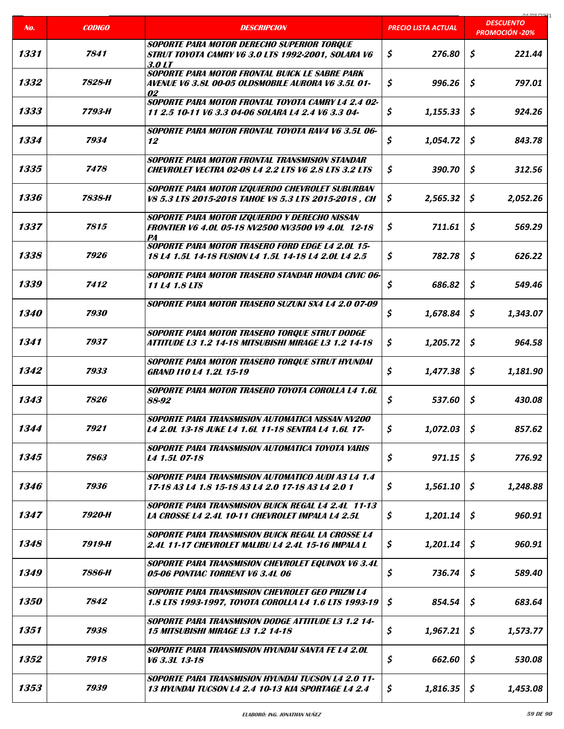| No.                | <b>CODIGO</b> | <b>DESCRIPCION</b>                                                                                                | PRECIO LISTA ACTUAL | 01/00/202<br><b>DESCUENTO</b><br><b>PROMOCIÓN -20%</b> |
|--------------------|---------------|-------------------------------------------------------------------------------------------------------------------|---------------------|--------------------------------------------------------|
|                    |               | <b>SOPORTE PARA MOTOR DERECHO SUPERIOR TORQUE</b>                                                                 |                     |                                                        |
| 1331               | 7841          | STRUT TOYOTA CAMRY V6 3.0 LTS 1992-2001, SOLARA V6<br>3.0 LT                                                      | \$<br>276.80        | \$<br>221.44                                           |
| 1332               | 7828-H        | <b>SOPORTE PARA MOTOR FRONTAL BUICK LE SABRE PARK</b><br>AVENUE V6 3.8L 00-05 OLDSMOBILE AURORA V6 3.5L 01-<br>02 | \$<br>996.26        | \$<br>797.01                                           |
| 1333               | 7793-H        | SOPORTE PARA MOTOR FRONTAL TOYOTA CAMRY L4 2.4 02-<br>11 2.5 10-11 V6 3.3 04-06 SOLARA L4 2.4 V6 3.3 04-          | \$<br>1,155.33      | \$<br>924.26                                           |
| 1334               | 7934          | SOPORTE PARA MOTOR FRONTAL TOYOTA RAV4 V6 3.5L 06-<br>12                                                          | \$<br>1,054.72      | \$<br>843.78                                           |
| 1335               | 7478          | SOPORTE PARA MOTOR FRONTAL TRANSMISION STANDAR<br><b>CHEVROLET VECTRA 02-08 L4 2.2 LTS V6 2.8 LTS 3.2 LTS</b>     | \$<br>390.70        | \$<br>312.56                                           |
| 1336               | 7838-H        | SOPORTE PARA MOTOR IZQUIERDO CHEVROLET SUBURBAN<br>V8 5.3 LTS 2015-2018 TAHOE V8 5.3 LTS 2015-2018, CH            | \$<br>2,565.32      | \$<br>2,052.26                                         |
| 1337               | 7815          | SOPORTE PARA MOTOR IZQUIERDO Y DERECHO NISSAN<br><b>FRONTIER V6 4.0L 05-18 NV2500 NV3500 V9 4.0L 12-18</b><br>PA  | \$<br>711.61        | \$<br>569.29                                           |
| 1338               | 7926          | <b>SOPORTE PARA MOTOR TRASERO FORD EDGE L4 2.0L 15-</b><br>18 L4 1.5L 14-18 FUSION L4 1.5L 14-18 L4 2.0L L4 2.5   | \$<br>782.78        | \$<br>626.22                                           |
| 1339               | 7412          | <b>SOPORTE PARA MOTOR TRASERO STANDAR HONDA CIVIC 06-</b><br>11 L4 1.8 LTS                                        | \$<br>686.82        | \$<br>549.46                                           |
| <i><b>1340</b></i> | 7930          | SOPORTE PARA MOTOR TRASERO SUZUKI SX4 L4 2.0 07-09                                                                | \$<br>1,678.84      | \$<br>1,343.07                                         |
| 1341               | 7937          | SOPORTE PARA MOTOR TRASERO TORQUE STRUT DODGE<br>ATTITUDE L3 1.2 14-18 MITSUBISHI MIRAGE L3 1.2 14-18             | \$<br>1,205.72      | \$<br>964.58                                           |
| 1342               | 7933          | SOPORTE PARA MOTOR TRASERO TORQUE STRUT HYUNDAI<br><b>GRAND 110 L4 1.2L 15-19</b>                                 | \$<br>1,477.38      | \$<br>1,181.90                                         |
| 1343               | 7826          | SOPORTE PARA MOTOR TRASERO TOYOTA COROLLA L4 1.6L<br>88-92                                                        | \$<br>537.60        | \$<br>430.08                                           |
| 1344               | 7921          | SOPORTE PARA TRANSMISION AUTOMATICA NISSAN NV200<br><b>L4 2.0L 13-18 JUKE L4 1.6L 11-18 SENTRA L4 1.6L 17-</b>    | \$<br>1,072.03      | \$<br>857.62                                           |
| 1345               | 7863          | SOPORTE PARA TRANSMISION AUTOMATICA TOYOTA YARIS<br>L4 1.5L 07-18                                                 | \$<br>971.15        | \$<br>776.92                                           |
| 1346               | 7936          | SOPORTE PARA TRANSMISION AUTOMATICO AUDI A3 L4 1.4<br>17-18 A3 L4 1.8 15-18 A3 L4 2.0 17-18 A3 L4 2.0 1           | \$<br>1,561.10      | S.<br>1,248.88                                         |
| 1347               | 7920-H        | <b>SOPORTE PARA TRANSMISION BUICK REGAL L4 2.4L 11-13</b><br>LA CROSSE L4 2.4L 10-11 CHEVROLET IMPALA L4 2.5L     | \$<br>1,201.14      | \$<br>960.91                                           |
| 1348               | 7919-H        | <b>SOPORTE PARA TRANSMISION BUICK REGAL LA CROSSE L4</b><br>2.4L 11-17 CHEVROLET MALIBU L4 2.4L 15-16 IMPALA L    | \$<br>1,201.14      | \$<br>960.91                                           |
| 1349               | 7886-H        | SOPORTE PARA TRANSMISION CHEVROLET EQUINOX V6 3.4L<br>05-06 PONTIAC TORRENT V6 3.4L 06                            | \$<br>736.74        | \$<br>589.40                                           |
| <i><b>1350</b></i> | 7842          | <b>SOPORTE PARA TRANSMISION CHEVROLET GEO PRIZM L4</b><br>1.8 LTS 1993-1997, TOYOTA COROLLA L4 1.6 LTS 1993-19    | \$<br>854.54        | \$<br>683.64                                           |
| 1351               | 7938          | <b>SOPORTE PARA TRANSMISION DODGE ATTITUDE L3 1.2 14-</b><br><b>15 MITSUBISHI MIRAGE L3 1.2 14-18</b>             | \$<br>1,967.21      | \$<br>1,573.77                                         |
| 1352               | 7918          | SOPORTE PARA TRANSMISION HYUNDAI SANTA FE L4 2.0L<br>V6 3.3L 13-18                                                | \$<br>662.60        | \$<br>530.08                                           |
| 1353               | 7939          | <b>SOPORTE PARA TRANSMISION HYUNDAI TUCSON L4 2.0 11-</b><br>13 HYUNDAI TUCSON L4 2.4 10-13 KIA SPORTAGE L4 2.4   | \$<br>1,816.35      | \$<br>1,453.08                                         |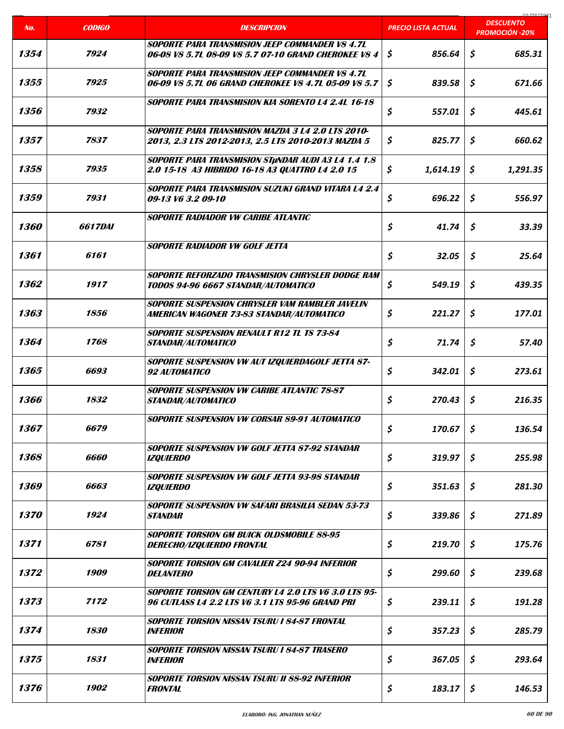|                    |                    |                                                                                                                 |                            | na ing ing                                |
|--------------------|--------------------|-----------------------------------------------------------------------------------------------------------------|----------------------------|-------------------------------------------|
| No.                | <b>CODIGO</b>      | <b>DESCRIPCION</b>                                                                                              | <b>PRECIO LISTA ACTUAL</b> | <b>DESCUENTO</b><br><b>PROMOCIÓN -20%</b> |
| 1354               | 7924               | SOPORTE PARA TRANSMISION JEEP COMMANDER VS 4.7L<br>06-08 V8 5.7L 08-09 V8 5.7 07-10 GRAND CHEROKEE V8 4         | \$<br>856.64               | \$<br>685.31                              |
| 1355               | 7925               | <b>SOPORTE PARA TRANSMISION JEEP COMMANDER VS 4.7L</b><br>06-09 V8 5.7L 06 GRAND CHEROKEE V8 4.7L 05-09 V8 5.7  | \$<br>839.58               | \$<br>671.66                              |
| 1356               | 7932               | <b>SOPORTE PARA TRANSMISION KIA SORENTO L4 2.4L 16-18</b>                                                       | \$<br>557.01               | \$<br>445.61                              |
| 1357               | 7837               | SOPORTE PARA TRANSMISION MAZDA 3 L4 2.0 LTS 2010-<br>2013, 2.3 LTS 2012-2013, 2.5 LTS 2010-2013 MAZDA 5         | \$<br>825.77               | \$<br>660.62                              |
| 1358               | 7935               | <b>SOPORTE PARA TRANSMISION STUNDAR AUDI A3 L4 1.4 1.8</b><br>2.0 15-18 A3 HIBRIDO 16-18 A3 QUATTRO L4 2.0 15   | \$<br>1,614.19             | \$<br>1,291.35                            |
| 1359               | 7931               | <b>SOPORTE PARA TRANSMISION SUZUKI GRAND VITARA L4 2.4</b><br>09-13 V6 3.2 09-10                                | \$<br>696.22               | \$<br>556.97                              |
| 1360               | <i>6617DAI</i>     | <b>SOPORTE RADIADOR VW CARIBE ATLANTIC</b>                                                                      | \$<br>41.74                | \$<br>33.39                               |
| 1361               | 6161               | <b>SOPORTE RADIADOR VW GOLF JETTA</b>                                                                           | \$<br>32.05                | \$<br>25.64                               |
| 1362               | 1917               | <b>SOPORTE REFORZADO TRANSMISION CHRYSLER DODGE RAM</b><br>TODOS 94-96 6667 STANDAR/AUTOMATICO                  | \$<br>549.19               | \$<br>439.35                              |
| 1363               | 1856               | <b>SOPORTE SUSPENSION CHRYSLER VAM RAMBLER JAVELIN</b><br>AMERICAN WAGONER 73-83 STANDAR/AUTOMATICO             | \$<br>221.27               | \$<br>177.01                              |
| 1364               | 1768               | <b>SOPORTE SUSPENSION RENAULT R12 TL TS 73-84</b><br><b>STANDAR/AUTOMATICO</b>                                  | \$<br>71.74                | \$<br>57.40                               |
| 1365               | 6693               | SOPORTE SUSPENSION VW AUT IZQUIERDAGOLF JETTA 87-<br>92 AUTOMATICO                                              | \$<br>342.01               | \$<br>273.61                              |
| 1366               | 1832               | <b>SOPORTE SUSPENSION VW CARIBE ATLANTIC 78-87</b><br><b>STANDAR/AUTOMATICO</b>                                 | \$<br>270.43               | \$<br>216.35                              |
| 1367               | 6679               | SOPORTE SUSPENSION VW CORSAR 89-91 AUTOMATICO                                                                   | \$<br>170.67               | \$<br>136.54                              |
| 1368               | <i><b>6660</b></i> | SOPORTE SUSPENSION VW GOLF JETTA 87-92 STANDAR<br><b>IZQUIERDO</b>                                              | \$<br>319.97               | \$<br>255.98                              |
| 1369               | 6663               | SOPORTE SUSPENSION VW GOLF JETTA 93-98 STANDAR<br><b>IZQUIERDO</b>                                              | \$<br>351.63               | \$<br>281.30                              |
| <i><b>1370</b></i> | 1924               | SOPORTE SUSPENSION VW SAFARI BRASILIA SEDAN 53-73<br><b>STANDAR</b>                                             | \$<br>339.86               | \$<br>271.89                              |
| 1371               | 6781               | <b>SOPORTE TORSION GM BUICK OLDSMOBILE 88-95</b><br>DERECHO/IZQUIERDO FRONTAL                                   | \$<br>219.70               | \$<br>175.76                              |
| 1372               | 1909               | SOPORTE TORSION GM CAVALIER Z24 90-94 INFERIOR<br><b>DELANTERO</b>                                              | \$<br>299.60               | \$<br>239.68                              |
| 1373               | 7172               | <b>SOPORTE TORSION GM CENTURY L4 2.0 LTS V6 3.0 LTS 95-</b><br>96 CUTLASS L4 2.2 LTS V6 3.1 LTS 95-96 GRAND PRI | \$<br>239.11               | \$<br>191.28                              |
| 1374               | 1830               | <b>SOPORTE TORSION NISSAN TSURU I 84-87 FRONTAL</b><br><i><b>INFERIOR</b></i>                                   | \$<br>357.23               | \$<br>285.79                              |
| 1375               | 1831               | <b>SOPORTE TORSION NISSAN TSURU I 84-87 TRASERO</b><br><i><b>INFERIOR</b></i>                                   | \$<br>367.05               | \$<br>293.64                              |
| 1376               | 1902               | <b>SOPORTE TORSION NISSAN TSURU II 88-92 INFERIOR</b><br><b>FRONTAL</b>                                         | \$<br>183.17               | \$<br>146.53                              |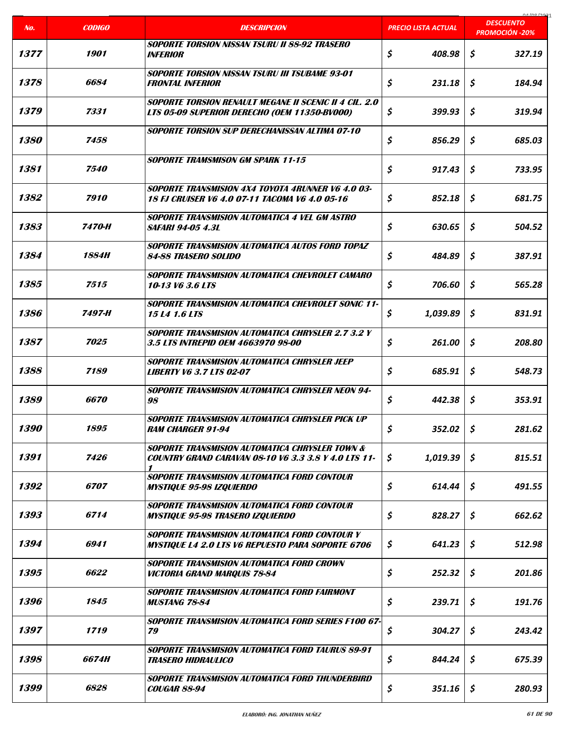| No.                | <b>CODIGO</b>       | <b>DESCRIPCION</b>                                                                                                       | PRECIO LISTA ACTUAL | 01/00/202<br><b>DESCUENTO</b><br><b>PROMOCIÓN -20%</b> |
|--------------------|---------------------|--------------------------------------------------------------------------------------------------------------------------|---------------------|--------------------------------------------------------|
| 1377               | 1901                | <b>SOPORTE TORSION NISSAN TSURU II 88-92 TRASERO</b><br><b>INFERIOR</b>                                                  | \$<br>408.98        | \$<br>327.19                                           |
| 1378               | 6684                | <b>SOPORTE TORSION NISSAN TSURU III TSUBAME 93-01</b><br><b>FRONTAL INFERIOR</b>                                         | \$<br>231.18        | \$<br>184.94                                           |
| 1379               | 7331                | <b>SOPORTE TORSION RENAULT MEGANE II SCENIC II 4 CIL. 2.0</b><br>LTS 05-09 SUPERIOR DERECHO (OEM 11350-BV000)            | \$<br>399.93        | \$<br>319.94                                           |
| <i><b>1380</b></i> | 7458                | <b>SOPORTE TORSION SUP DERECHANISSAN ALTIMA 07-10</b>                                                                    | \$<br>856.29        | \$<br>685.03                                           |
| 1381               | <i><b>7540</b></i>  | <b>SOPORTE TRAMSMISON GM SPARK 11-15</b>                                                                                 | \$<br>917.43        | \$<br>733.95                                           |
| 1382               | 7910                | <b>SOPORTE TRANSMISION 4X4 TOYOTA 4RUNNER V6 4.0 03-</b><br><b>18 FJ CRUISER V6 4.0 07-11 TACOMA V6 4.0 05-16</b>        | \$<br>852.18        | \$<br>681.75                                           |
| 1383               | 7470-H              | <b>SOPORTE TRANSMISION AUTOMATICA 4 VEL GM ASTRO</b><br><i>SAFARI 94-05 4.3L</i>                                         | \$<br>630.65        | \$<br>504.52                                           |
| 1384               | <i><b>1884H</b></i> | <b>SOPORTE TRANSMISION AUTOMATICA AUTOS FORD TOPAZ</b><br><b>84-88 TRASERO SOLIDO</b>                                    | \$<br>484.89        | \$<br>387.91                                           |
| 1385               | 7515                | SOPORTE TRANSMISION AUTOMATICA CHEVROLET CAMARO<br>10-13 V6 3.6 LTS                                                      | \$<br>706.60        | \$<br>565.28                                           |
| 1386               | 7497-H              | SOPORTE TRANSMISION AUTOMATICA CHEVROLET SONIC 11-<br><b>15 L4 1.6 LTS</b>                                               | \$<br>1,039.89      | \$<br>831.91                                           |
| 1387               | 7025                | <b>SOPORTE TRANSMISION AUTOMATICA CHRYSLER 2.7 3.2 Y</b><br>3.5 LTS INTREPID OEM 4663970 98-00                           | \$<br>261.00        | \$<br>208.80                                           |
| 1388               | 7189                | SOPORTE TRANSMISION AUTOMATICA CHRYSLER JEEP<br><b>LIBERTY V6 3.7 LTS 02-07</b>                                          | \$<br>685.91        | \$<br>548.73                                           |
| 1389               | 6670                | <b>SOPORTE TRANSMISION AUTOMATICA CHRYSLER NEON 94-</b><br>98                                                            | \$<br>442.38        | \$<br>353.91                                           |
| <i><b>1390</b></i> | 1895                | SOPORTE TRANSMISION AUTOMATICA CHRYSLER PICK UP<br><b>RAM CHARGER 91-94</b>                                              | \$<br>352.02        | \$<br>281.62                                           |
| 1391               | 7426                | <b>SOPORTE TRANSMISION AUTOMATICA CHRYSLER TOWN &amp;</b><br><b>COUNTRY GRAND CARAVAN 08-10 V6 3.3 3.8 Y 4.0 LTS 11-</b> | \$<br>1,019.39      | \$<br>815.51                                           |
| 1392               | 6707                | SOPORTE TRANSMISION AUTOMATICA FORD CONTOUR<br><b>MYSTIQUE 95-98 IZQUIERDO</b>                                           | \$<br>614.44        | Ŝ.<br>491.55                                           |
| 1393               | 6714                | SOPORTE TRANSMISION AUTOMATICA FORD CONTOUR<br><b>MYSTIQUE 95-98 TRASERO IZQUIERDO</b>                                   | \$<br>828.27        | \$<br>662.62                                           |
| 1394               | 6941                | <b>SOPORTE TRANSMISION AUTOMATICA FORD CONTOUR Y</b><br><i>MYSTIQUE LA 2.0 LTS V6 REPUESTO PARA SOPORTE 6706</i>         | \$<br>641.23        | \$<br>512.98                                           |
| 1395               | 6622                | SOPORTE TRANSMISION AUTOMATICA FORD CROWN<br><b>VICTORIA GRAND MARQUIS 78-84</b>                                         | \$<br>252.32        | \$<br>201.86                                           |
| 1396               | 1845                | SOPORTE TRANSMISION AUTOMATICA FORD FAIRMONT<br><b>MUSTANG 78-84</b>                                                     | \$<br>239.71        | \$<br>191.76                                           |
| 1397               | 1719                | SOPORTE TRANSMISION AUTOMATICA FORD SERIES F100 67-<br>79                                                                | \$<br>304.27        | \$<br>243.42                                           |
| 1398               | <i>6674H</i>        | SOPORTE TRANSMISION AUTOMATICA FORD TAURUS 89-91<br><b>TRASERO HIDRAULICO</b>                                            | \$<br>844.24        | \$<br>675.39                                           |
| 1399               | 6828                | SOPORTE TRANSMISION AUTOMATICA FORD THUNDERBIRD<br><b>COUGAR 88-94</b>                                                   | \$<br>351.16        | \$<br>280.93                                           |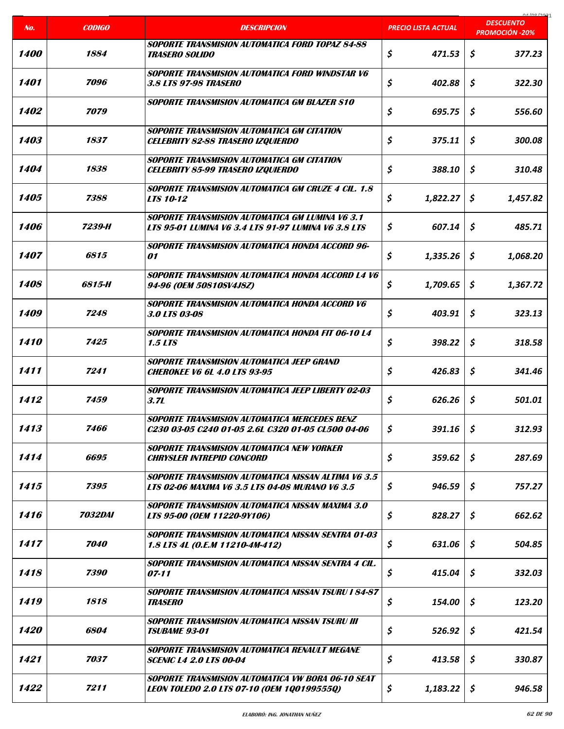|                    |                       |                                                                                                                      |                            | na ing ing                                |
|--------------------|-----------------------|----------------------------------------------------------------------------------------------------------------------|----------------------------|-------------------------------------------|
| No.                | <b>CODIGO</b>         | <b>DESCRIPCION</b>                                                                                                   | <b>PRECIO LISTA ACTUAL</b> | <b>DESCUENTO</b><br><b>PROMOCIÓN -20%</b> |
| <i><b>1400</b></i> | 1884                  | SOPORTE TRANSMISION AUTOMATICA FORD TOPAZ 84-88<br><b>TRASERO SOLIDO</b>                                             | \$<br>471.53               | \$<br>377.23                              |
| 1401               | 7096                  | <b>SOPORTE TRANSMISION AUTOMATICA FORD WINDSTAR V6</b><br>3.8 LTS 97-98 TRASERO                                      | \$<br>402.88               | \$<br>322.30                              |
| 1402               | 7079                  | SOPORTE TRANSMISION AUTOMATICA GM BLAZER S10                                                                         | \$<br>695.75               | \$<br>556.60                              |
| 1403               | 1837                  | <b>SOPORTE TRANSMISION AUTOMATICA GM CITATION</b><br><b>CELEBRITY 82-88 TRASERO IZQUIERDO</b>                        | \$<br>375.11               | \$<br>300.08                              |
| 1404               | 1838                  | <b>SOPORTE TRANSMISION AUTOMATICA GM CITATION</b><br><b>CELEBRITY 85-99 TRASERO IZQUIERDO</b>                        | \$<br>388.10               | \$<br>310.48                              |
| 1405               | 7388                  | <b>SOPORTE TRANSMISION AUTOMATICA GM CRUZE 4 CIL. 1.8</b><br><b>LTS 10-12</b>                                        | \$<br>1,822.27             | \$<br>1.457.82                            |
| 1406               | 7239-H                | <b>SOPORTE TRANSMISION AUTOMATICA GM LUMINA V6 3.1</b><br><b>LTS 95-01 LUMINA V6 3.4 LTS 91-97 LUMINA V6 3.8 LTS</b> | \$<br>607.14               | \$<br>485.71                              |
| 1407               | 6815                  | SOPORTE TRANSMISION AUTOMATICA HONDA ACCORD 96-<br>01                                                                | \$<br>1,335.26             | \$<br>1,068.20                            |
| 1408               | 6815-H                | SOPORTE TRANSMISION AUTOMATICA HONDA ACCORD L4 V6<br>94-96 (OEM 50810SV4J8Z)                                         | \$<br>1,709.65             | \$<br>1,367.72                            |
| 1409               | 7248                  | SOPORTE TRANSMISION AUTOMATICA HONDA ACCORD V6<br>3.0 LTS 03-08                                                      | \$<br>403.91               | \$<br>323.13                              |
| 1410               | 7425                  | SOPORTE TRANSMISION AUTOMATICA HONDA FIT 06-10 L4<br>1.5 LTS                                                         | \$<br>398.22               | \$<br>318.58                              |
| 1411               | 7241                  | SOPORTE TRANSMISION AUTOMATICA JEEP GRAND<br><b>CHEROKEE V6 6L 4.0 LTS 93-95</b>                                     | \$<br>426.83               | Ś.<br>341.46                              |
| 1412               | 7459                  | <b>SOPORTE TRANSMISION AUTOMATICA JEEP LIBERTY 02-03</b><br>3.7L                                                     | \$<br>626.26               | \$<br>501.01                              |
| 1413               | 7466                  | SOPORTE TRANSMISION AUTOMATICA MERCEDES BENZ<br>C230 03-05 C240 01-05 2.6L C320 01-05 CL500 04-06                    | \$<br>391.16               | \$<br>312.93                              |
| 1414               | 6695                  | SOPORTE TRANSMISION AUTOMATICA NEW YORKER<br><b>CHRYSLER INTREPID CONCORD</b>                                        | \$<br>359.62               | \$<br>287.69                              |
| 1415               | 7395                  | <b>SOPORTE TRANSMISION AUTOMATICA NISSAN ALTIMA V6 3.5</b><br><b>LTS 02-06 MAXIMA V6 3.5 LTS 04-08 MURANO V6 3.5</b> | \$<br>946.59               | \$<br>757.27                              |
| 1416               | <i><b>7032DAI</b></i> | <b>SOPORTE TRANSMISION AUTOMATICA NISSAN MAXIMA 3.0</b><br>LTS 95-00 (OEM 11220-9Y106)                               | \$<br>828.27               | \$<br>662.62                              |
| 1417               | 7040                  | <b>SOPORTE TRANSMISION AUTOMATICA NISSAN SENTRA 01-03</b><br>1.8 LTS 4L (O.E.M 11210-4M-412)                         | \$<br>631.06               | \$<br>504.85                              |
| 1418               | 7390                  | SOPORTE TRANSMISION AUTOMATICA NISSAN SENTRA 4 CIL.<br>$07 - 11$                                                     | \$<br>415.04               | \$<br>332.03                              |
| 1419               | 1818                  | <b>SOPORTE TRANSMISION AUTOMATICA NISSAN TSURU I 84-87</b><br><b>TRASERO</b>                                         | \$<br>154.00               | \$<br>123.20                              |
| <i><b>1420</b></i> | 6804                  | Soporte Transmision automatica Nissan Tsuru III<br><b>TSUBAME 93-01</b>                                              | \$<br>526.92               | \$<br>421.54                              |
| 1421               | 7037                  | SOPORTE TRANSMISION AUTOMATICA RENAULT MEGANE<br><b>SCENIC L4 2.0 LTS 00-04</b>                                      | \$<br>413.58               | \$<br>330.87                              |
| 1422               | 7211                  | SOPORTE TRANSMISION AUTOMATICA VW BORA 06-10 SEAT<br>LEON TOLEDO 2.0 LTS 07-10 (OEM 1Q0199555Q)                      | \$<br>1,183.22             | \$<br>946.58                              |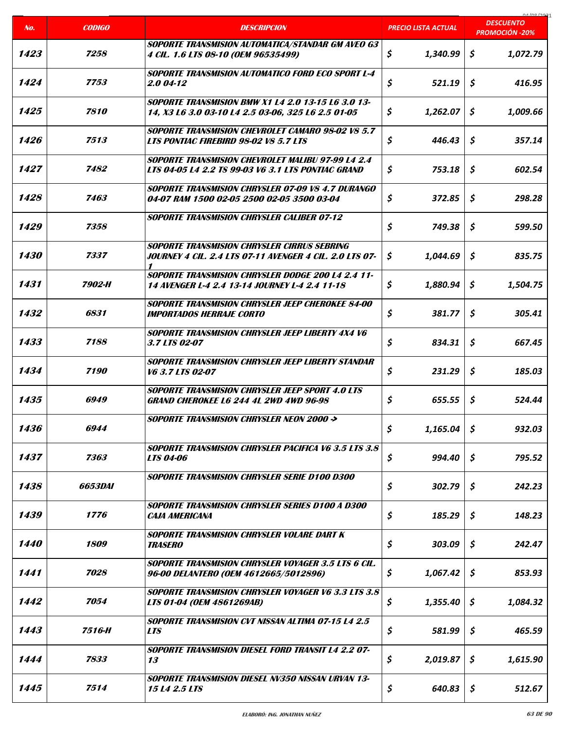|                    |                |                                                                                                                 |                            | COCI ON LO                                |
|--------------------|----------------|-----------------------------------------------------------------------------------------------------------------|----------------------------|-------------------------------------------|
| No.                | <b>CODIGO</b>  | <b>DESCRIPCION</b>                                                                                              | <b>PRECIO LISTA ACTUAL</b> | <b>DESCUENTO</b><br><b>PROMOCIÓN -20%</b> |
| 1423               | 7258           | <b>SOPORTE TRANSMISION AUTOMATICA/STANDAR GM AVEO G3</b><br>4 CIL. 1.6 LTS 08-10 (OEM 96535499)                 | \$<br>1,340.99             | \$<br>1,072.79                            |
| 1424               | 7753           | <b>SOPORTE TRANSMISION AUTOMATICO FORD ECO SPORT L-4</b><br>2.0 04-12                                           | \$<br>521.19               | \$<br>416.95                              |
| 1425               | 7810           | <b>SOPORTE TRANSMISION BMW X1 L4 2.0 13-15 L6 3.0 13-</b><br>14, X3 L6 3.0 03-10 L4 2.5 03-06, 325 L6 2.5 01-05 | \$<br>1,262.07             | S<br>1,009.66                             |
| 1426               | 7513           | <b>SOPORTE TRANSMISION CHEVROLET CAMARO 98-02 V8 5.7</b><br>LTS PONTIAC FIREBIRD 98-02 V8 5.7 LTS               | \$<br>446.43               | \$<br>357.14                              |
| 1427               | 7482           | <b>SOPORTE TRANSMISION CHEVROLET MALIBU 97-99 L4 2.4</b><br>LTS 04-05 L4 2.2 TS 99-03 V6 3.1 LTS PONTIAC GRAND  | \$<br>753.18               | \$<br>602.54                              |
| 1428               | 7463           | <b>SOPORTE TRANSMISION CHRYSLER 07-09 VS 4.7 DURANGO</b><br>04-07 RAM 1500 02-05 2500 02-05 3500 03-04          | \$<br>372.85               | \$<br>298.28                              |
| 1429               | 7358           | <b>SOPORTE TRANSMISION CHRYSLER CALIBER 07-12</b>                                                               | \$<br>749.38               | \$<br>599.50                              |
| 1430               | 7337           | SOPORTE TRANSMISION CHRYSLER CIRRUS SEBRING<br>JOURNEY 4 CIL. 2.4 LTS 07-11 AVENGER 4 CIL. 2.0 LTS 07-          | \$<br>1,044.69             | \$<br>835.75                              |
| 1431               | 7902-H         | <b>SOPORTE TRANSMISION CHRYSLER DODGE 200 L4 2.4 11-</b><br>14 AVENGER L-4 2.4 13-14 JOURNEY L-4 2.4 11-18      | \$<br>1,880.94             | \$<br>1,504.75                            |
| 1432               | 6831           | SOPORTE TRANSMISION CHRYSLER JEEP CHEROKEE 84-00<br><b>IMPORTADOS HERRAJE CORTO</b>                             | \$<br>381.77               | \$<br>305.41                              |
| 1433               | 7188           | <b>SOPORTE TRANSMISION CHRYSLER JEEP LIBERTY 4X4 V6</b><br>3.7 LTS 02-07                                        | \$<br>834.31               | \$<br>667.45                              |
| 1434               | 7190           | SOPORTE TRANSMISION CHRYSLER JEEP LIBERTY STANDAR<br>V6 3.7 LTS 02-07                                           | \$<br>231.29               | \$<br>185.03                              |
| 1435               | 6949           | <b>SOPORTE TRANSMISION CHRYSLER JEEP SPORT 4.0 LTS</b><br><b>GRAND CHEROKEE L6 244 4L 2WD 4WD 96-98</b>         | \$<br>655.55               | \$<br>524.44                              |
| 1436               | 6944           | SOPORTE TRANSMISION CHRYSLER NEON 2000 ->                                                                       | \$<br>1,165.04             | $\mathsf{S}$<br>932.03                    |
| 1437               | 7363           | <b>SOPORTE TRANSMISION CHRYSLER PACIFICA V6 3.5 LTS 3.8</b><br><b>LTS 04-06</b>                                 | \$<br>994.40               | \$<br>795.52                              |
| 1438               | <i>6653DAI</i> | <b>SOPORTE TRANSMISION CHRYSLER SERIE D100 D300</b>                                                             | \$<br>302.79               | \$<br>242.23                              |
| 1439               | 1776           | <b>SOPORTE TRANSMISION CHRYSLER SERIES D100 A D300</b><br>CAJA AMERICANA                                        | \$<br>185.29               | \$<br>148.23                              |
| <i><b>1440</b></i> | 1809           | SOPORTE TRANSMISION CHRYSLER VOLARE DART K<br><b>TRASERO</b>                                                    | \$<br>303.09               | \$<br>242.47                              |
| 1441               | 7028           | SOPORTE TRANSMISION CHRYSLER VOYAGER 3.5 LTS 6 CIL.<br>96-00 DELANTERO (OEM 4612665/5012896)                    | \$<br>1,067.42             | \$<br>853.93                              |
| 1442               | 7054           | <b>SOPORTE TRANSMISION CHRYSLER VOYAGER V6 3.3 LTS 3.8</b><br>LTS 01-04 (OEM 4861269AB)                         | \$<br>1,355.40             | \$<br>1,084.32                            |
| 1443               | 7516-H         | <b>SOPORTE TRANSMISION CVT NISSAN ALTIMA 07-15 L4 2.5</b><br><b>LTS</b>                                         | \$<br>581.99               | \$<br>465.59                              |
| 1444               | 7833           | <b>SOPORTE TRANSMISION DIESEL FORD TRANSIT L4 2.2 07-</b><br>13                                                 | \$<br>2,019.87             | \$<br>1,615.90                            |
| 1445               | 7514           | SOPORTE TRANSMISION DIESEL NV350 NISSAN URVAN 13-<br>15 L4 2.5 LTS                                              | \$<br>640.83               | \$<br>512.67                              |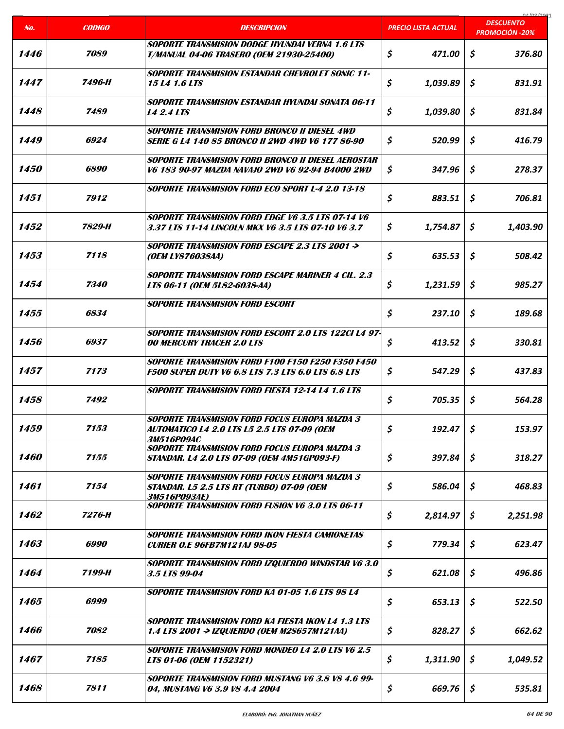|                    |                    |                                                                                                                          |                            | 01/00/2021<br><b>DESCUENTO</b> |
|--------------------|--------------------|--------------------------------------------------------------------------------------------------------------------------|----------------------------|--------------------------------|
| No.                | <b>CODIGO</b>      | <b>DESCRIPCION</b>                                                                                                       | <b>PRECIO LISTA ACTUAL</b> | <b>PROMOCIÓN -20%</b>          |
| 1446               | 7089               | <b>SOPORTE TRANSMISION DODGE HYUNDAI VERNA 1.6 LTS</b><br><b>T/MANUAL 04-06 TRASERO (OEM 21930-25400)</b>                | \$<br>471.00               | \$<br>376.80                   |
| 1447               | 7496-H             | <b>SOPORTE TRANSMISION ESTANDAR CHEVROLET SONIC 11-</b><br><i>15 L4 1.6 LTS</i>                                          | \$<br>1,039.89             | Ś.<br>831.91                   |
| 1448               | 7489               | <b>SOPORTE TRANSMISION ESTANDAR HYUNDAI SONATA 06-11</b><br><b>14 2.4 LTS</b>                                            | \$<br>1,039.80             | \$<br>831.84                   |
| 1449               | 6924               | <b>SOPORTE TRANSMISION FORD BRONCO II DIESEL 4WD</b><br><b>SERIE G L4 140 85 BRONCO II 2WD 4WD V6 177 86-90</b>          | \$<br>520.99               | \$<br>416.79                   |
| <i><b>1450</b></i> | <i><b>6890</b></i> | SOPORTE TRANSMISION FORD BRONCO II DIESEL AEROSTAR<br>V6 183 90-97 MAZDA NAVAJO 2WD V6 92-94 B4000 2WD                   | \$<br>347.96               | \$<br>278.37                   |
| 1451               | 7912               | <b>SOPORTE TRANSMISION FORD ECO SPORT L-4 2.0 13-18</b>                                                                  | \$<br>883.51               | \$<br>706.81                   |
| 1452               | 7829-H             | SOPORTE TRANSMISION FORD EDGE V6 3.5 LTS 07-14 V6<br>3.37 LTS 11-14 LINCOLN MKX V6 3.5 LTS 07-10 V6 3.7                  | \$<br>1,754.87             | Ŝ<br>1,403.90                  |
| 1453               | 7118               | <b>SOPORTE TRANSMISION FORD ESCAPE 2.3 LTS 2001 -&gt;</b><br>(OEM LY876038AA)                                            | \$<br>635.53               | \$<br>508.42                   |
| 1454               | 7340               | <b>SOPORTE TRANSMISION FORD ESCAPE MARINER 4 CIL. 2.3</b><br>LTS 06-11 (OEM 5L82-6038-AA)                                | \$<br>1,231.59             | \$<br>985.27                   |
| 1455               | 6834               | <b>SOPORTE TRANSMISION FORD ESCORT</b>                                                                                   | \$<br>237.10               | \$<br>189.68                   |
| 1456               | 6937               | SOPORTE TRANSMISION FORD ESCORT 2.0 LTS 122CI L4 97-<br><b>00 MERCURY TRACER 2.0 LTS</b>                                 | \$<br>413.52               | \$<br>330.81                   |
| 1457               | 7173               | SOPORTE TRANSMISION FORD F100 F150 F250 F350 F450<br><b>F500 SUPER DUTY V6 6.8 LTS 7.3 LTS 6.0 LTS 6.8 LTS</b>           | \$<br>547.29               | \$<br>437.83                   |
| 1458               | 7492               | <b>SOPORTE TRANSMISION FORD FIESTA 12-14 L4 1.6 LTS</b>                                                                  | \$<br>705.35               | \$<br>564.28                   |
| 1459               | 7153               | <b>SOPORTE TRANSMISION FORD FOCUS EUROPA MAZDA 3</b><br>AUTOMATICO L4 2.0 LTS L5 2.5 LTS 07-09 (OEM<br>3M516P09AC        | \$<br>192.47               | \$<br>153.97                   |
| <i><b>1460</b></i> | 7155               | <b>SOPORTE TRANSMISION FORD FOCUS EUROPA MAZDA 3</b><br>STANDAR. L4 2.0 LTS 07-09 (OEM 4M51GP093-F)                      | \$<br>397.84               | \$<br>318.27                   |
| 1461               | 7154               | <b>SOPORTE TRANSMISION FORD FOCUS EUROPA MAZDA 3</b><br><b>STANDAR. L5 2.5 LTS RT (TURBO) 07-09 (OEM</b><br>3M516P093AE) | \$<br>586.04               | \$<br>468.83                   |
| 1462               | 7276-H             | <b>SOPORTE TRANSMISION FORD FUSION V6 3.0 LTS 06-11</b>                                                                  | \$<br>2,814.97             | \$<br>2,251.98                 |
| 1463               | 6990               | SOPORTE TRANSMISION FORD IKON FIESTA CAMIONETAS<br><b>CURIER O.E 96FB7M121AJ 98-05</b>                                   | \$<br>779.34               | \$<br>623.47                   |
| 1464               | 7199-H             | <b>SOPORTE TRANSMISION FORD IZQUIERDO WINDSTAR V6 3.0</b><br>3.5 LTS 99-04                                               | \$<br>621.08               | \$<br>496.86                   |
| 1465               | 6999               | <b>SOPORTE TRANSMISION FORD KA 01-05 1.6 LTS 98 L4</b>                                                                   | \$<br>653.13               | \$<br>522.50                   |
| 1466               | 7082               | SOPORTE TRANSMISION FORD KA FIESTA IKON L4 1.3 LTS<br>1.4 LTS 2001 -> IZQUIERDO (OEM M2S657M121AA)                       | \$<br>828.27               | \$<br>662.62                   |
| 1467               | 7185               | <b>SOPORTE TRANSMISION FORD MONDEO L4 2.0 LTS V6 2.5</b><br>LTS 01-06 (OEM 1152321)                                      | \$<br>1,311.90             | \$<br>1,049.52                 |
| 1468               | 7811               | <b>SOPORTE TRANSMISION FORD MUSTANG V6 3.8 V8 4.6 99-</b><br>04, MUSTANG V6 3.9 V8 4.4 2004                              | \$<br>669.76               | \$<br>535.81                   |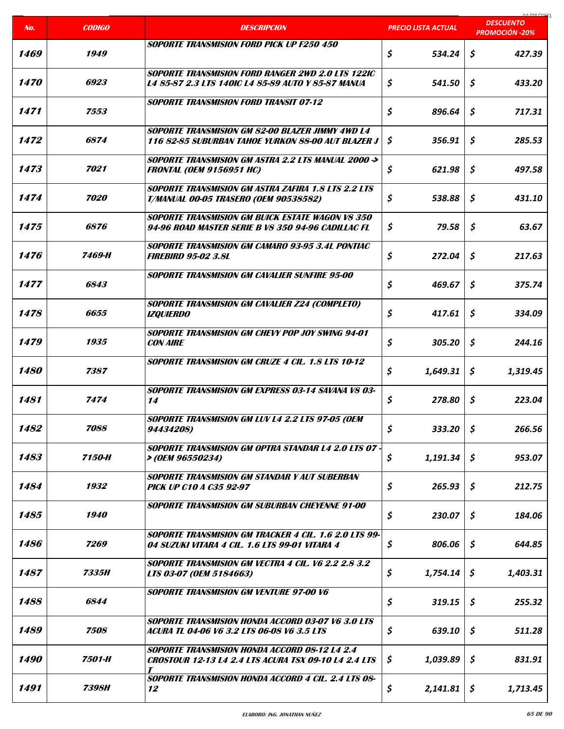| No.                | <b>CODIGO</b>      | <b>DESCRIPCION</b>                                                                                                       | <b>PRECIO LISTA ACTUAL</b> | coclonina<br><b>DESCUENTO</b> |
|--------------------|--------------------|--------------------------------------------------------------------------------------------------------------------------|----------------------------|-------------------------------|
|                    |                    | SOPORTE TRANSMISION FORD PICK UP F250 450                                                                                |                            | <b>PROMOCIÓN -20%</b>         |
| 1469               | 1949               |                                                                                                                          | \$<br>534.24               | \$<br>427.39                  |
| 1470               | 6923               | <b>SOPORTE TRANSMISION FORD RANGER 2WD 2.0 LTS 122IC</b><br>L4 85-87 2.3 LTS 140IC L4 85-89 AUTO Y 85-87 MANUA           | \$<br>541.50               | \$<br>433.20                  |
| 1471               | 7553               | <b>SOPORTE TRANSMISION FORD TRANSIT 07-12</b>                                                                            | \$<br>896.64               | \$<br>717.31                  |
| 1472               | 6874               | SOPORTE TRANSMISION GM 82-00 BI AZER JIMMY 4WD 14<br>116 82-85 SUBURBAN TAHOE YURKON 88-00 AUT BLAZER J                  | \$<br>356.91               | \$<br>285.53                  |
| 1473               | 7021               | SOPORTE TRANSMISION GM ASTRA 2.2 LTS MANUAL 2000 -><br><b>FRONTAL (OEM 9156951 HC)</b>                                   | \$<br>621.98               | \$<br>497.58                  |
| 1474               | 7020               | <b>SOPORTE TRANSMISION GM ASTRA ZAFIRA 1.8 LTS 2.2 LTS</b><br><b>T/MANUAL 00-05 TRASERO (OEM 90538582)</b>               | \$<br>538.88               | \$<br>431.10                  |
| 1475               | <i><b>6876</b></i> | <b>SOPORTE TRANSMISION GM BUICK ESTATE WAGON VS 350</b><br>94-96 ROAD MASTER SERIE B V8 350 94-96 CADILLAC FL            | \$<br>79.58                | \$<br>63.67                   |
| 1476               | 7469-H             | SOPORTE TRANSMISION GM CAMARO 93-95 3.4L PONTIAC<br><b>FIREBIRD 95-02 3.8L</b>                                           | \$<br>272.04               | \$<br>217.63                  |
| 1477               | 6843               | SOPORTE TRANSMISION GM CAVALIER SUNFIRE 95-00                                                                            | \$<br>469.67               | \$<br>375.74                  |
| 1478               | 6655               | <b>SOPORTE TRANSMISION GM CAVALIER Z24 (COMPLETO)</b><br><b>IZQUIERDO</b>                                                | \$<br>417.61               | \$<br>334.09                  |
| 1479               | 1935               | SOPORTE TRANSMISION GM CHEVY POP JOY SWING 94-01<br><b>CON AIRE</b>                                                      | \$<br>305.20               | \$<br>244.16                  |
| <i><b>1480</b></i> | 7387               | <b>SOPORTE TRANSMISION GM CRUZE 4 CIL. 1.8 LTS 10-12</b>                                                                 | \$<br>1,649.31             | S<br>1.319.45                 |
| 1481               | 7474               | SOPORTE TRANSMISION GM EXPRESS 03-14 SAVANA VS 03-<br>14                                                                 | \$<br>278.80               | \$<br>223.04                  |
| 1482               | 7088               | SOPORTE TRANSMISION GM LUV L4 2.2 LTS 97-05 (OEM<br>94434208)                                                            | \$<br>333.20               | \$<br>266.56                  |
| 1483               | 7150-H             | <b>SOPORTE TRANSMISION GM OPTRA STANDAR L4 2.0 LTS 07 -</b><br>> (OEM 96550234)                                          | \$<br>1,191.34             | \$<br>953.07                  |
| 1484               | 1932               | <b>SOPORTE TRANSMISION GM STANDAR Y AUT SUBERBAN</b><br><b>PICK UP C10 A C35 92-97</b>                                   | \$<br>265.93               | \$<br>212.75                  |
| 1485               | 1940               | SOPORTE TRANSMISION GM SUBURBAN CHEYENNE 91-00                                                                           | \$<br>230.07               | \$<br>184.06                  |
| 1486               | 7269               | <b>SOPORTE TRANSMISION GM TRACKER 4 CIL. 1.6 2.0 LTS 99-</b><br>04 SUZUKI VITARA 4 CIL. 1.6 LTS 99-01 VITARA 4           | \$<br>806.06               | \$<br>644.85                  |
| 1487               | 7335H              | <b>SOPORTE TRANSMISION GM VECTRA 4 CIL. V6 2.2 2.8 3.2</b><br>LTS 03-07 (OEM 5184663)                                    | \$<br>1,754.14             | S.<br>1,403.31                |
| 1488               | 6844               | <b>SOPORTE TRANSMISION GM VENTURE 97-00 V6</b>                                                                           | \$<br>319.15               | \$<br>255.32                  |
| 1489               | 7508               | SOPORTE TRANSMISION HONDA ACCORD 03-07 V6 3.0 LTS<br>ACURA TL 04-06 V6 3.2 LTS 06-08 V6 3.5 LTS                          | \$<br>639.10               | Ś.<br>511.28                  |
| <i><b>1490</b></i> | 7501-H             | <b>SOPORTE TRANSMISION HONDA ACCORD 08-12 L4 2.4</b><br><b>CROSTOUR 12-13 L4 2.4 LTS ACURA TSX 09-10 L4 2.4 LTS</b><br>T | Ş<br>1,039.89              | \$<br>831.91                  |
| 1491               | 7398H              | SOPORTE TRANSMISION HONDA ACCORD 4 CIL. 2.4 LTS 08-<br>12                                                                | \$<br>2,141.81             | \$<br>1,713.45                |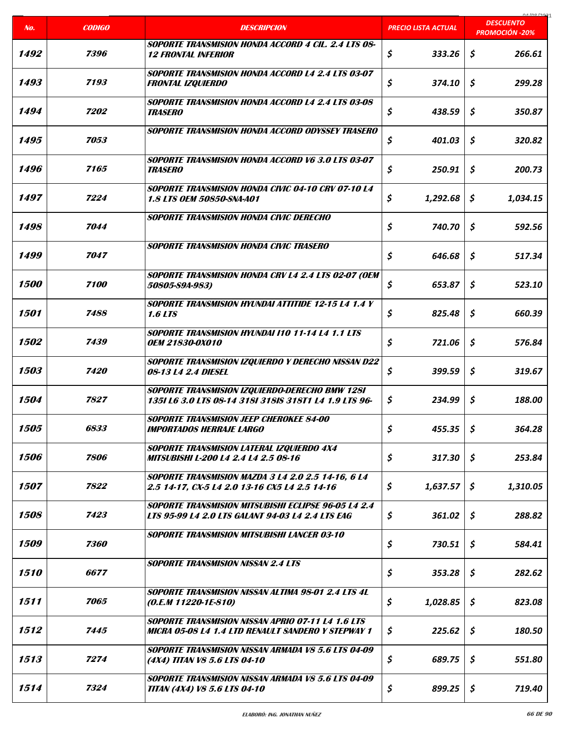|                    |                    |                                                                                                                       |                            | carloo lage                               |
|--------------------|--------------------|-----------------------------------------------------------------------------------------------------------------------|----------------------------|-------------------------------------------|
| No.                | <b>CODIGO</b>      | <b>DESCRIPCION</b>                                                                                                    | <u>PRECIO LISTA ACTUAL</u> | <b>DESCUENTO</b><br><b>PROMOCIÓN -20%</b> |
| 1492               | 7396               | SOPORTE TRANSMISION HONDA ACCORD 4 CIL. 2.4 LTS 08-<br><b>12 FRONTAL INFERIOR</b>                                     | \$<br>333.26               | \$<br>266.61                              |
| 1493               | 7193               | <b>SOPORTE TRANSMISION HONDA ACCORD L4 2.4 LTS 03-07</b><br><b>FRONTAL IZQUIERDO</b>                                  | \$<br>374.10               | \$<br>299.28                              |
| 1494               | <i><b>7202</b></i> | <b>SOPORTE TRANSMISION HONDA ACCORD L4 2.4 LTS 03-08</b><br><b>TRASERO</b>                                            | \$<br>438.59               | \$<br>350.87                              |
| 1495               | 7053               | SOPORTE TRANSMISION HONDA ACCORD ODYSSEY TRASERO                                                                      | \$<br>401.03               | \$<br>320.82                              |
| 1496               | 7165               | SOPORTE TRANSMISION HONDA ACCORD V6 3.0 LTS 03-07<br><b>TRASERO</b>                                                   | \$<br>250.91               | \$<br>200.73                              |
| 1497               | 7224               | <b>SOPORTE TRANSMISION HONDA CIVIC 04-10 CRV 07-10 L4</b><br><b>1.8 LTS OEM 50850-SNA-A01</b>                         | \$<br>1,292.68             | \$<br>1,034.15                            |
| 1498               | 7044               | SOPORTE TRANSMISION HONDA CIVIC DERECHO                                                                               | \$<br>740.70               | Ś.<br>592.56                              |
| 1499               | 7047               | <b>SOPORTE TRANSMISION HONDA CIVIC TRASERO</b>                                                                        | \$<br>646.68               | \$<br>517.34                              |
| <i><b>1500</b></i> | 7100               | SOPORTE TRANSMISION HONDA CRV L4 2.4 LTS 02-07 (OEM<br>50805-59A-983)                                                 | \$<br>653.87               | \$<br>523.10                              |
| 1501               | 7488               | SOPORTE TRANSMISION HYUNDAI ATTITIDE 12-15 L4 1.4 Y<br><b>1.6 LTS</b>                                                 | \$<br>825.48               | \$<br>660.39                              |
| <i><b>1502</b></i> | 7439               | <b>SOPORTE TRANSMISION HYUNDAI I10 11-14 L4 1.1 LTS</b><br><b>OEM 21830-0X010</b>                                     | \$<br>721.06               | \$<br>576.84                              |
| 1503               | 7420               | <b>SOPORTE TRANSMISION IZQUIERDO Y DERECHO NISSAN D22</b><br>08-13 L4 2.4 DIESEL                                      | \$<br>399.59               | Ś.<br>319.67                              |
| 1504               | 7827               | SOPORTE TRANSMISION IZQUIERDO-DERECHO BMW 1281<br>1351 L6 3.0 LTS 08-14 3181 318IS 318T1 L4 1.9 LTS 96-               | \$<br>234.99               | \$<br>188.00                              |
| 1505               | 6833               | SOPORTE TRANSMISION JEEP CHEROKEE 84-00<br><i><b>IMPORTADOS HERRAJE LARGO</b></i>                                     | \$<br>455.35               | \$<br>364.28                              |
| 1506               | 7806               | SOPORTE TRANSMISION LATERAL IZQUIERDO 4X4<br>MITSUBISHI L-200 L4 2.4 L4 2.5 08-16                                     | \$<br>317.30               | \$<br>253.84                              |
| <i><b>1507</b></i> | 7822               | <b>SOPORTE TRANSMISION MAZDA 3 L4 2.0 2.5 14-16, 6 L4</b><br>2.5 14-17, CX-5 L4 2.0 13-16 CX5 L4 2.5 14-16            | \$<br>1,637.57             | \$<br>1,310.05                            |
| 1508               | 7423               | <b>SOPORTE TRANSMISION MITSUBISHI ECLIPSE 96-05 L4 2.4</b><br><b>LTS 95-99 L4 2.0 LTS GALANT 94-03 L4 2.4 LTS EAG</b> | \$<br>361.02               | \$<br>288.82                              |
| <i><b>1509</b></i> | 7360               | <b>SOPORTE TRANSMISION MITSUBISHI LANCER 03-10</b>                                                                    | \$<br>730.51               | \$<br>584.41                              |
| <i><b>1510</b></i> | 6677               | <b>SOPORTE TRANSMISION NISSAN 2.4 LTS</b>                                                                             | \$<br>353.28               | \$<br>282.62                              |
| 1511               | 7065               | <b>SOPORTE TRANSMISION NISSAN ALTIMA 98-01 2.4 LTS 4L</b><br>$(0.E.M 11220-1E-810)$                                   | \$<br>1,028.85             | \$<br>823.08                              |
| 1512               | 7445               | <b>SOPORTE TRANSMISION NISSAN APRIO 07-11 L4 1.6 LTS</b><br>MICRA 05-08 L4 1.4 LTD RENAULT SANDERO Y STEPWAY 1        | \$<br>225.62               | \$<br>180.50                              |
| 1513               | 7274               | <b>SOPORTE TRANSMISION NISSAN ARMADA V8 5.6 LTS 04-09</b><br>(4X4) TITAN V8 5.6 LTS 04-10                             | \$<br>689.75               | \$<br>551.80                              |
| 1514               | 7324               | SOPORTE TRANSMISION NISSAN ARMADA V8 5.6 LTS 04-09<br><b>TITAN (4X4) V8 5.6 LTS 04-10</b>                             | \$<br>899.25               | \$<br>719.40                              |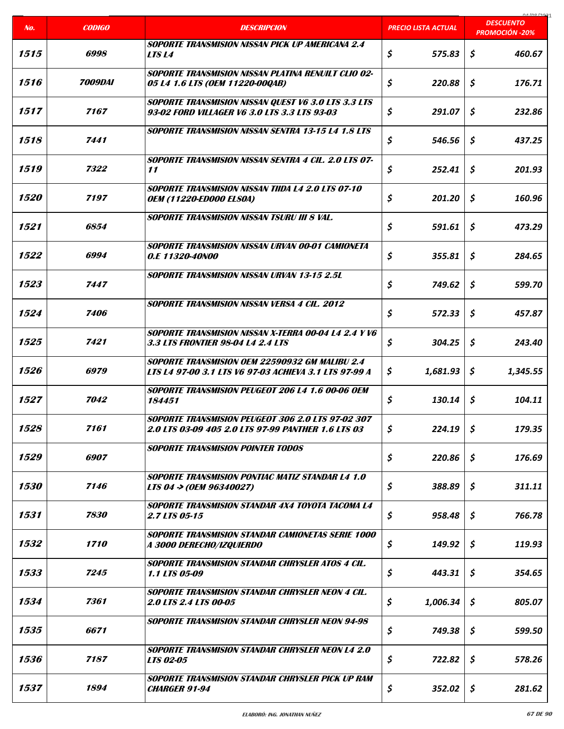|                    |                       |                                                                                                                |                            | $0.4$ in $1201$<br><b>DESCUENTO</b> |
|--------------------|-----------------------|----------------------------------------------------------------------------------------------------------------|----------------------------|-------------------------------------|
| No.                | <b>CODIGO</b>         | <b>DESCRIPCION</b>                                                                                             | <u>PRECIO LISTA ACTUAL</u> | <b>PROMOCIÓN -20%</b>               |
| 1515               | 6998                  | <b>SOPORTE TRANSMISION NISSAN PICK UP AMERICANA 2.4</b><br>LTS L4                                              | \$<br>575.83               | \$<br>460.67                        |
| 1516               | <i><b>7009DAI</b></i> | <b>SOPORTE TRANSMISION NISSAN PLATINA RENUILT CLIO 02-</b><br>05 L4 1.6 LTS (OEM 11220-00QAB)                  | \$<br>220.88               | \$<br>176.71                        |
| 1517               | 7167                  | <b>SOPORTE TRANSMISION NISSAN QUEST V6 3.0 LTS 3.3 LTS</b><br>93-02 FORD VILLAGER V6 3.0 LTS 3.3 LTS 93-03     | \$<br>291.07               | \$<br>232.86                        |
| 1518               | 7441                  | <b>SOPORTE TRANSMISION NISSAN SENTRA 13-15 L4 1.8 LTS</b>                                                      | \$<br>546.56               | \$<br>437.25                        |
| 1519               | 7322                  | <b>SOPORTE TRANSMISION NISSAN SENTRA 4 CIL. 2.0 LTS 07-</b><br>11                                              | \$<br>252.41               | \$<br>201.93                        |
| <i><b>1520</b></i> | 7197                  | <b>SOPORTE TRANSMISION NISSAN TIIDA L4 2.0 LTS 07-10</b><br><b>OEM (11220-ED000 ELSOA)</b>                     | \$<br>201.20               | \$<br>160.96                        |
| 1521               | 6854                  | <b>SOPORTE TRANSMISION NISSAN TSURU III 8 VAL.</b>                                                             | \$<br>591.61               | Ś.<br>473.29                        |
| 1522               | 6994                  | SOPORTE TRANSMISION NISSAN URVAN 00-01 CAMIONETA<br>0.E 11320-40N00                                            | \$<br>355.81               | \$<br>284.65                        |
| 1523               | 7447                  | <b>SOPORTE TRANSMISION NISSAN URVAN 13-15 2.5L</b>                                                             | \$<br>749.62               | \$<br>599.70                        |
| 1524               | 7406                  | <b>SOPORTE TRANSMISION NISSAN VERSA 4 CIL. 2012</b>                                                            | \$<br>572.33               | \$<br>457.87                        |
| 1525               | 7421                  | SOPORTE TRANSMISION NISSAN X-TERRA 00-04 L4 2.4 Y V6<br>3.3 LTS FRONTIER 98-04 L4 2.4 LTS                      | \$<br>304.25               | \$<br>243.40                        |
| 1526               | 6979                  | SOPORTE TRANSMISION OEM 22590932 GM MALIBU 2.4<br>LTS L4 97-00 3.1 LTS V6 97-03 ACHIEVA 3.1 LTS 97-99 A        | \$<br>1,681.93             | \$<br>1,345.55                      |
| 1527               | 7042                  | SOPORTE TRANSMISION PEUGEOT 206 L4 1.6 00-06 OEM<br>184451                                                     | \$<br>130.14               | \$<br>104.11                        |
| 1528               | 7161                  | <b>SOPORTE TRANSMISION PEUGEOT 306 2.0 LTS 97-02 307</b><br>2.0 LTS 03-09 405 2.0 LTS 97-99 PANTHER 1.6 LTS 03 | \$<br>224.19               | \$<br>179.35                        |
| 1529               | 6907                  | <b>SOPORTE TRANSMISION POINTER TODOS</b>                                                                       | \$<br>220.86               | \$<br>176.69                        |
| <i><b>1530</b></i> | 7146                  | <b>SOPORTE TRANSMISION PONTIAC MATIZ STANDAR L4 1.0</b><br>LTS 04 -> (OEM 96340027)                            | \$<br>388.89               | \$<br>311.11                        |
| 1531               | 7830                  | SOPORTE TRANSMISION STANDAR 4X4 TOYOTA TACOMA L4<br>2.7 LTS 05-15                                              | \$<br>958.48               | \$<br>766.78                        |
| 1532               | <i><b>1710</b></i>    | <b>SOPORTE TRANSMISION STANDAR CAMIONETAS SERIE 1000</b><br>A 3000 DERECHO/IZQUIERDO                           | \$<br>149.92               | \$<br>119.93                        |
| 1533               | 7245                  | SOPORTE TRANSMISION STANDAR CHRYSLER ATOS 4 CIL.<br><i><b>1.1 LTS 05-09</b></i>                                | \$<br>443.31               | \$<br>354.65                        |
| 1534               | 7361                  | SOPORTE TRANSMISION STANDAR CHRYSLER NEON 4 CIL.<br>2.0 LTS 2.4 LTS 00-05                                      | \$<br>1,006.34             | \$<br>805.07                        |
| 1535               | 6671                  | <b>SOPORTE TRANSMISION STANDAR CHRYSLER NEON 94-98</b>                                                         | \$<br>749.38               | \$<br>599.50                        |
| 1536               | 7187                  | <b>SOPORTE TRANSMISION STANDAR CHRYSLER NEON L4 2.0</b><br><b>LTS 02-05</b>                                    | \$<br>722.82               | \$<br>578.26                        |
| 1537               | 1894                  | SOPORTE TRANSMISION STANDAR CHRYSLER PICK UP RAM<br><b>CHARGER 91-94</b>                                       | \$<br>352.02               | \$<br>281.62                        |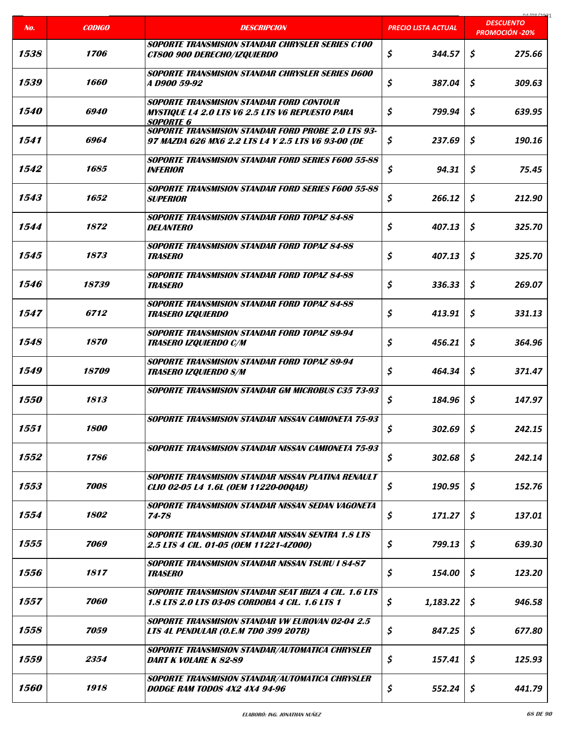|                    |                    |                                                                                                                               |                            | COCI ON LO                                |
|--------------------|--------------------|-------------------------------------------------------------------------------------------------------------------------------|----------------------------|-------------------------------------------|
| No.                | <b>CODIGO</b>      | <b>DESCRIPCION</b>                                                                                                            | <b>PRECIO LISTA ACTUAL</b> | <b>DESCUENTO</b><br><b>PROMOCIÓN -20%</b> |
| 1538               | <i><b>1706</b></i> | SOPORTE TRANSMISION STANDAR CHRYSLER SERIES C100<br><b>CT800 900 DERECHO/IZQUIERDO</b>                                        | \$<br>344.57               | \$<br>275.66                              |
| 1539               | 1660               | <b>SOPORTE TRANSMISION STANDAR CHRYSLER SERIES D600</b><br><i>A D900 59-92</i>                                                | \$<br>387.04               | \$<br>309.63                              |
| 1540               | 6940               | <b>SOPORTE TRANSMISION STANDAR FORD CONTOUR</b><br><b>MYSTIQUE L4 2.0 LTS V6 2.5 LTS V6 REPUESTO PARA</b><br><b>SOPORTE 6</b> | \$<br>799.94               | \$<br>639.95                              |
| 1541               | 6964               | <b>SOPORTE TRANSMISION STANDAR FORD PROBE 2.0 LTS 93-</b><br>97 MAZDA 626 MX6 2.2 LTS L4 Y 2.5 LTS V6 93-00 (DE               | \$<br>237.69               | \$<br>190.16                              |
| 1542               | 1685               | <b>SOPORTE TRANSMISION STANDAR FORD SERIES F600 55-88</b><br><b>INFERIOR</b>                                                  | \$<br>94.31                | \$<br>75.45                               |
| 1543               | 1652               | <b>SOPORTE TRANSMISION STANDAR FORD SERIES F600 55-88</b><br><b>SUPERIOR</b>                                                  | \$<br>266.12               | \$<br>212.90                              |
| 1544               | 1872               | <b>SOPORTE TRANSMISION STANDAR FORD TOPAZ 84-88</b><br><b>DELANTERO</b>                                                       | \$<br>407.13               | \$<br>325.70                              |
| 1545               | 1873               | <b>SOPORTE TRANSMISION STANDAR FORD TOPAZ 84-88</b><br><b>TRASERO</b>                                                         | \$<br>407.13               | \$<br>325.70                              |
| 1546               | 18739              | <b>SOPORTE TRANSMISION STANDAR FORD TOPAZ 84-88</b><br><i><b>TRASERO</b></i>                                                  | \$<br>336.33               | \$<br>269.07                              |
| 1547               | <i><b>6712</b></i> | <b>SOPORTE TRANSMISION STANDAR FORD TOPAZ 84-88</b><br><b>TRASERO IZQUIERDO</b>                                               | \$<br>413.91               | \$<br>331.13                              |
| 1548               | 1870               | SOPORTE TRANSMISION STANDAR FORD TOPAZ 89-94<br><b>TRASERO IZQUIERDO C/M</b>                                                  | \$<br>456.21               | \$<br>364.96                              |
| 1549               | 18709              | <b>SOPORTE TRANSMISION STANDAR FORD TOPAZ 89-94</b><br><b>TRASERO IZQUIERDO S/M</b>                                           | \$<br>464.34               | Ś.<br>371.47                              |
| <i><b>1550</b></i> | 1813               | <b>SOPORTE TRANSMISION STANDAR GM MICROBUS C35 73-93</b>                                                                      | \$<br>184.96               | \$<br>147.97                              |
| 1551               | 1800               | <b>SOPORTE TRANSMISION STANDAR NISSAN CAMIONETA 75-93</b>                                                                     | \$<br>302.69               | \$<br>242.15                              |
| 1552               | 1786               | <b>SOPORTE TRANSMISION STANDAR NISSAN CAMIONETA 75-93</b>                                                                     | \$<br>302.68               | \$<br>242.14                              |
| 1553               | 7008               | SOPORTE TRANSMISION STANDAR NISSAN PLATINA RENAULT<br>CLIO 02-05 L4 1.6L (OEM 11220-00QAB)                                    | \$<br>190.95               | \$<br>152.76                              |
| 1554               | 1802               | SOPORTE TRANSMISION STANDAR NISSAN SEDAN VAGONETA<br>74-78                                                                    | \$<br>171.27               | \$<br>137.01                              |
| 1555               | 7069               | <b>SOPORTE TRANSMISION STANDAR NISSAN SENTRA 1.8 LTS</b><br>2.5 LTS 4 CIL. 01-05 (OEM 11221-4Z000)                            | \$<br>799.13               | \$<br>639.30                              |
| 1556               | 1817               | <b>SOPORTE TRANSMISION STANDAR NISSAN TSURU I 84-87</b><br><b>TRASERO</b>                                                     | \$<br>154.00               | \$<br>123.20                              |
| 1557               | 7060               | <b>SOPORTE TRANSMISION STANDAR SEAT IBIZA 4 CIL. 1.6 LTS</b><br>1.8 LTS 2.0 LTS 03-08 CORDOBA 4 CIL. 1.6 LTS 1                | \$<br>1,183.22             | \$<br>946.58                              |
| 1558               | 7059               | <b>SOPORTE TRANSMISION STANDAR VW EUROVAN 02-04 2.5</b><br><b>LTS 4L PENDULAR (O.E.M 7DO 399 207B)</b>                        | \$<br>847.25               | \$<br>677.80                              |
| 1559               | 2354               | <b>SOPORTE TRANSMISION STANDAR/AUTOMATICA CHRYSLER</b><br>DART K VOLARE K 82-89                                               | \$<br>157.41               | \$<br>125.93                              |
| 1560               | 1918               | <b>SOPORTE TRANSMISION STANDAR/AUTOMATICA CHRYSLER</b><br><b>DODGE RAM TODOS 4X2 4X4 94-96</b>                                | \$<br>552.24               | \$<br>441.79                              |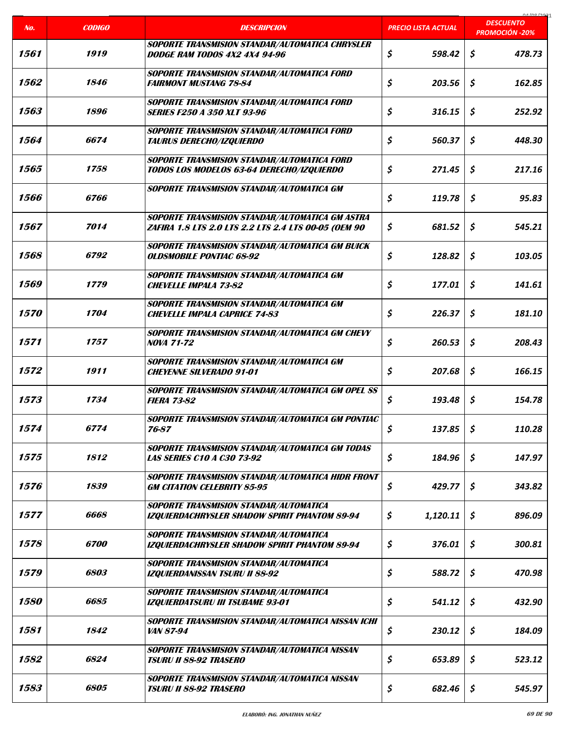|                    |                    |                                                                                                                |                            | COCI ON AO                                |
|--------------------|--------------------|----------------------------------------------------------------------------------------------------------------|----------------------------|-------------------------------------------|
| No.                | <b>CODIGO</b>      | <b>DESCRIPCION</b>                                                                                             | <b>PRECIO LISTA ACTUAL</b> | <b>DESCUENTO</b><br><b>PROMOCIÓN -20%</b> |
| 1561               | 1919               | <b>SOPORTE TRANSMISION STANDAR/AUTOMATICA CHRYSLER</b><br>DODGE RAM TODOS 4X2 4X4 94-96                        | \$<br>598.42               | \$<br>478.73                              |
| 1562               | 1846               | <b>SOPORTE TRANSMISION STANDAR/AUTOMATICA FORD</b><br><b>FAIRMONT MUSTANG 78-84</b>                            | \$<br>203.56               | \$<br>162.85                              |
| 1563               | 1896               | <b>SOPORTE TRANSMISION STANDAR/AUTOMATICA FORD</b><br><b>SERIES F250 A 350 XLT 93-96</b>                       | \$<br>316.15               | \$<br>252.92                              |
| 1564               | 6674               | <b>SOPORTE TRANSMISION STANDAR/AUTOMATICA FORD</b><br><b>TAURUS DERECHO/IZQUIERDO</b>                          | \$<br>560.37               | \$<br>448.30                              |
| 1565               | 1758               | <b>SOPORTE TRANSMISION STANDAR/AUTOMATICA FORD</b><br>TODOS LOS MODELOS 63-64 DERECHO/IZQUIERDO                | \$<br>271.45               | \$<br>217.16                              |
| 1566               | 6766               | SOPORTE TRANSMISION STANDAR/AUTOMATICA GM                                                                      | \$<br>119.78               | \$<br>95.83                               |
| 1567               | 7014               | <b>SOPORTE TRANSMISION STANDAR/AUTOMATICA GM ASTRA</b><br>ZAFIRA 1.8 LTS 2.0 LTS 2.2 LTS 2.4 LTS 00-05 (OEM 90 | \$<br>681.52               | \$<br>545.21                              |
| 1568               | <i><b>6792</b></i> | <b>SOPORTE TRANSMISION STANDAR/AUTOMATICA GM BUICK</b><br><b>OLDSMOBILE PONTIAC 68-92</b>                      | \$<br>128.82               | \$<br>103.05                              |
| 1569               | 1779               | SOPORTE TRANSMISION STANDAR/AUTOMATICA GM<br><b>CHEVELLE IMPALA 73-82</b>                                      | \$<br>177.01               | \$<br>141.61                              |
| <i><b>1570</b></i> | <i><b>1704</b></i> | SOPORTE TRANSMISION STANDAR/AUTOMATICA GM<br><b>CHEVELLE IMPALA CAPRICE 74-83</b>                              | \$<br>226.37               | \$<br>181.10                              |
| 1571               | 1757               | <b>SOPORTE TRANSMISION STANDAR/AUTOMATICA GM CHEVY</b><br><b>NOVA 71-72</b>                                    | \$<br>260.53               | \$<br>208.43                              |
| 1572               | 1911               | SOPORTE TRANSMISION STANDAR/AUTOMATICA GM<br><b>CHEYENNE SILVERADO 91-01</b>                                   | \$<br>207.68               | \$<br>166.15                              |
| 1573               | 1734               | <b>SOPORTE TRANSMISION STANDAR/AUTOMATICA GM OPEL SS</b><br><b>FIERA 73-82</b>                                 | \$<br>193.48               | \$<br>154.78                              |
| 1574               | 6774               | SOPORTE TRANSMISION STANDAR/AUTOMATICA GM PONTIAC<br>76-87                                                     | \$<br>137.85               | \$<br>110.28                              |
| 1575               | 1812               | <b>SOPORTE TRANSMISION STANDAR/AUTOMATICA GM TODAS</b><br><b>LAS SERIES C10 A C30 73-92</b>                    | \$<br>184.96               | \$<br>147.97                              |
| 1576               | 1839               | <b>SOPORTE TRANSMISION STANDAR/AUTOMATICA HIDR FRONT</b><br><b>GM CITATION CELEBRITY 85-95</b>                 | \$<br>429.77               | \$<br>343.82                              |
| 1577               | 6668               | <b>SOPORTE TRANSMISION STANDAR/AUTOMATICA</b><br><b>IZQUIERDACHRYSLER SHADOW SPIRIT PHANTOM 89-94</b>          | \$<br>1,120.11             | \$<br>896.09                              |
| 1578               | <i><b>6700</b></i> | <b>SOPORTE TRANSMISION STANDAR/AUTOMATICA</b><br><b>IZQUIERDACHRYSLER SHADOW SPIRIT PHANTOM 89-94</b>          | \$<br>376.01               | \$<br>300.81                              |
| 1579               | <i><b>6803</b></i> | <b>SOPORTE TRANSMISION STANDAR/AUTOMATICA</b><br><b>IZQUIERDANISSAN TSURU II 88-92</b>                         | \$<br>588.72               | \$<br>470.98                              |
| <i><b>1580</b></i> | 6685               | <b>SOPORTE TRANSMISION STANDAR/AUTOMATICA</b><br><b>IZQUIERDATSURU III TSUBAME 93-01</b>                       | \$<br>541.12               | \$<br>432.90                              |
| 1581               | 1842               | <b>SOPORTE TRANSMISION STANDAR/AUTOMATICA NISSAN ICHI</b><br><i>VAN 87-94</i>                                  | \$<br>230.12               | \$<br>184.09                              |
| 1582               | 6824               | <b>SOPORTE TRANSMISION STANDAR/AUTOMATICA NISSAN</b><br><b>TSURU II 88-92 TRASERO</b>                          | \$<br>653.89               | \$<br>523.12                              |
| 1583               | 6805               | SOPORTE TRANSMISION STANDAR/AUTOMATICA NISSAN<br><b>TSURU II 88-92 TRASERO</b>                                 | \$<br>682.46               | \$<br>545.97                              |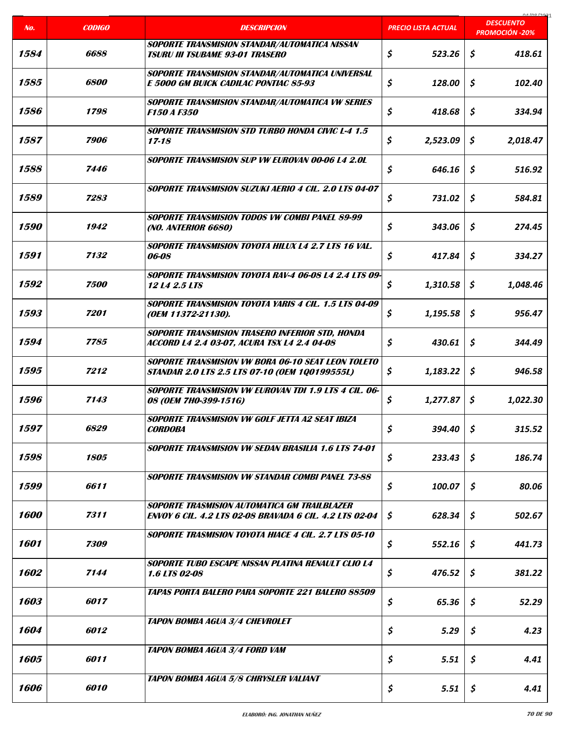|                    |                    |                                                                                                                |                            | COCI ON AO                                |
|--------------------|--------------------|----------------------------------------------------------------------------------------------------------------|----------------------------|-------------------------------------------|
| No.                | <b>CODIGO</b>      | <b>DESCRIPCION</b>                                                                                             | <b>PRECIO LISTA ACTUAL</b> | <b>DESCUENTO</b><br><b>PROMOCIÓN -20%</b> |
| 1584               | 6688               | SOPORTE TRANSMISION STANDAR/AUTOMATICA NISSAN<br><b>TSURU III TSUBAME 93-01 TRASERO</b>                        | \$<br>523.26               | \$<br>418.61                              |
| 1585               | <i><b>6800</b></i> | <b>SOPORTE TRANSMISION STANDAR/AUTOMATICA UNIVERSAL</b><br>E 5000 GM BUICK CADILAC PONTIAC 85-93               | \$<br>128.00               | \$<br>102.40                              |
| 1586               | 1798               | <b>SOPORTE TRANSMISION STANDAR/AUTOMATICA VW SERIES</b><br><b>F150 A F350</b>                                  | \$<br>418.68               | \$<br>334.94                              |
| 1587               | 7906               | <b>SOPORTE TRANSMISION STD TURBO HONDA CIVIC L-4 1.5</b><br>$17 - 18$                                          | \$<br>2,523.09             | \$<br>2,018.47                            |
| 1588               | 7446               | <b>SOPORTE TRANSMISION SUP VW EUROVAN 00-06 L4 2.0L</b>                                                        | \$<br>646.16               | \$<br>516.92                              |
| 1589               | 7283               | SOPORTE TRANSMISION SUZUKI AERIO 4 CIL. 2.0 LTS 04-07                                                          | \$<br>731.02               | \$<br>584.81                              |
| <i><b>1590</b></i> | 1942               | SOPORTE TRANSMISION TODOS VW COMBI PANEL 89-99<br>(NO. ANTERIOR 6680)                                          | \$<br>343.06               | \$<br>274.45                              |
| 1591               | 7132               | <b>SOPORTE TRANSMISION TOYOTA HILUX L4 2.7 LTS 16 VAL.</b><br>06-08                                            | \$<br>417.84               | \$<br>334.27                              |
| 1592               | 7500               | SOPORTE TRANSMISION TOYOTA RAV-4 06-08 L4 2.4 LTS 09-<br>12 L4 2.5 LTS                                         | \$<br>1,310.58             | \$<br>1,048.46                            |
| 1593               | 7201               | <b>SOPORTE TRANSMISION TOYOTA YARIS 4 CIL. 1.5 LTS 04-09</b><br>(OEM 11372-21130).                             | \$<br>1,195.58             | \$<br>956.47                              |
| 1594               | 7785               | <b>SOPORTE TRANSMISION TRASERO INFERIOR STD, HONDA</b><br>ACCORD L4 2.4 03-07, ACURA TSX L4 2.4 04-08          | \$<br>430.61               | \$<br>344.49                              |
| 1595               | 7212               | <b>SOPORTE TRANSMISION VW BORA 06-10 SEAT LEON TOLETO</b><br>STANDAR 2.0 LTS 2.5 LTS 07-10 (OEM 1Q0199555L)    | \$<br>1,183.22             | \$<br>946.58                              |
| 1596               | 7143               | <b>SOPORTE TRANSMISION VW EUROVAN TDI 1.9 LTS 4 CIL. 06-</b><br>08 (OEM 7H0-399-151G)                          | \$<br>1,277.87             | \$<br>1,022.30                            |
| 1597               | 6829               | SOPORTE TRANSMISION VW GOLF JETTA A2 SEAT IBIZA<br><b>CORDOBA</b>                                              | \$<br>394.40               | \$<br>315.52                              |
| 1598               | 1805               | <b>SOPORTE TRANSMISION VW SEDAN BRASILIA 1.6 LTS 74-01</b>                                                     | \$<br>233.43               | \$<br>186.74                              |
| 1599               | 6611               | <b>SOPORTE TRANSMISION VW STANDAR COMBI PANEL 73-88</b>                                                        | \$<br>100.07               | \$<br>80.06                               |
| 1600               | 7311               | SOPORTE TRASMISION AUTOMATICA GM TRAILBLAZER<br><b>ENVOY 6 CIL. 4.2 LTS 02-08 BRAVADA 6 CIL. 4.2 LTS 02-04</b> | \$<br>628.34               | \$<br>502.67                              |
| 1601               | 7309               | <b>SOPORTE TRASMISION TOYOTA HIACE 4 CIL. 2.7 LTS 05-10</b>                                                    | \$<br>552.16               | \$<br>441.73                              |
| 1602               | 7144               | SOPORTE TUBO ESCAPE NISSAN PLATINA RENAULT CLIO L4<br>1.6 LTS 02-08                                            | \$<br>476.52               | \$<br>381.22                              |
| 1603               | 6017               | <b>TAPAS PORTA BALERO PARA SOPORTE 221 BALERO 88509</b>                                                        | \$<br>65.36                | \$<br>52.29                               |
| 1604               | 6012               | <b>TAPON BOMBA AGUA 3/4 CHEVROLET</b>                                                                          | \$<br>5.29                 | \$<br>4.23                                |
| 1605               | 6011               | <b>TAPON BOMBA AGUA 3/4 FORD VAM</b>                                                                           | \$<br>5.51                 | \$<br>4.41                                |
| 1606               | 6010               | <b>TAPON BOMBA AGUA 5/8 CHRYSLER VALIANT</b>                                                                   | \$<br>5.51                 | \$<br>4.41                                |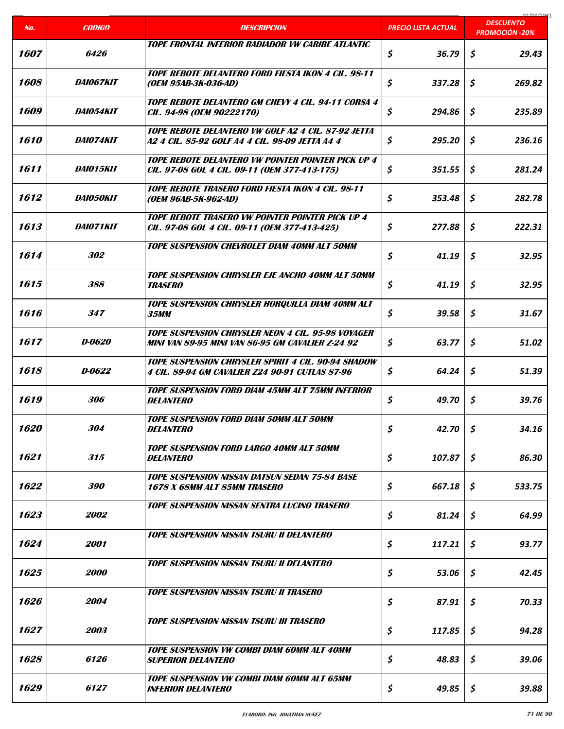|                    |                         |                                                                                                                |                            | coclonina<br><b>DESCUENTO</b> |
|--------------------|-------------------------|----------------------------------------------------------------------------------------------------------------|----------------------------|-------------------------------|
| No.                | <b>CODIGO</b>           | <b>DESCRIPCION</b>                                                                                             | <b>PRECIO LISTA ACTUAL</b> | <b>PROMOCIÓN -20%</b>         |
| 1607               | 6426                    | TOPE FRONTAL INFERIOR RADIADOR VW CARIBE ATLANTIC                                                              | \$<br>36.79                | \$<br>29.43                   |
| 1608               | <i><b>DAIO67KIT</b></i> | <b>TOPE REBOTE DELANTERO FORD FIESTA IKON 4 CIL. 98-11</b><br>(OEM 95AB-3K-036-AD)                             | \$<br>337.28               | \$<br>269.82                  |
| 1609               | <i>DAI054KIT</i>        | TOPE REBOTE DELANTERO GM CHEVY 4 CIL. 94-11 CORSA 4<br>CIL. 94-98 (OEM 90222170)                               | \$<br>294.86               | \$<br>235.89                  |
| 1610               | DAI074KIT               | TOPE REBOTE DELANTERO VW GOLF A2 4 CIL. 87-92 JETTA<br>A2 4 CIL. 85-92 GOLF A4 4 CIL. 98-09 JETTA A4 4         | \$<br>295.20               | \$<br>236.16                  |
| 1611               | <i>DAIO15KIT</i>        | <b>TOPE REBOTE DELANTERO VW POINTER POINTER PICK UP 4</b><br>CIL. 97-08 GOL 4 CIL. 09-11 (OEM 377-413-175)     | \$<br>351.55               | \$<br>281.24                  |
| 1612               | <b>DAI050KIT</b>        | <b>TOPE REBOTE TRASERO FORD FIESTA IKON 4 CIL. 98-11</b><br>(OEM 96AB-5K-962-AD)                               | \$<br>353.48               | \$<br>282.78                  |
| 1613               | <i><b>DAIO71KIT</b></i> | TOPE REBOTE TRASERO VW POINTER POINTER PICK UP 4<br>CIL. 97-08 GOL 4 CIL. 09-11 (OEM 377-413-425)              | \$<br>277.88               | \$<br>222.31                  |
| 1614               | 302                     | <b>TOPE SUSPENSION CHEVROLET DIAM 40MM ALT 50MM</b>                                                            | \$<br>41.19                | \$<br>32.95                   |
| 1615               | 388                     | <b>TOPE SUSPENSION CHRYSLER EJE ANCHO 40MM ALT 50MM</b><br><b>TRASERO</b>                                      | \$<br>41.19                | \$<br>32.95                   |
| 1616               | 347                     | TOPE SUSPENSION CHRYSLER HORQUILLA DIAM 40MM ALT<br><b>35MM</b>                                                | \$<br>39.58                | \$<br>31.67                   |
| 1617               | D-0620                  | TOPE SUSPENSION CHRYSLER NEON 4 CIL. 95-98 VOYAGER<br><b>MINI VAN 89-95 MINI VAN 86-95 GM CAVALIER Z-24 92</b> | \$<br>63.77                | \$<br>51.02                   |
| 1618               | D-0622                  | TOPE SUSPENSION CHRYSLER SPIRIT 4 CIL. 90-94 SHADOW<br>4 CIL. 89-94 GM CAVALIER Z24 90-91 CUTLAS 87-96         | \$<br>64.24                | \$<br>51.39                   |
| 1619               | 306                     | <b>TOPE SUSPENSION FORD DIAM 45MM ALT 75MM INFERIOR</b><br><b>DELANTERO</b>                                    | \$<br>49.70                | \$<br>39.76                   |
| <i><b>1620</b></i> | 304                     | <b>TOPE SUSPENSION FORD DIAM 50MM ALT 50MM</b><br><b>DELANTERO</b>                                             | \$<br>42.70                | \$<br>34.16                   |
| 1621               | 315                     | <b>TOPE SUSPENSION FORD LARGO 40MM ALT 50MM</b><br><i><b>DELANTERO</b></i>                                     | \$<br>107.87               | \$<br>86.30                   |
| 1622               | <i><b>390</b></i>       | <b>TOPE SUSPENSION NISSAN DATSUN SEDAN 75-84 BASE</b><br>1678 X 68MM ALT 85MM TRASERO                          | \$<br>667.18               | \$<br>533.75                  |
| 1623               | <i><b>2002</b></i>      | <b>TOPE SUSPENSION NISSAN SENTRA LUCINO TRASERO</b>                                                            | \$<br>81.24                | \$<br>64.99                   |
| 1624               | 2001                    | <b>TOPE SUSPENSION NISSAN TSURU II DELANTERO</b>                                                               | \$<br>117.21               | \$<br>93.77                   |
| 1625               | <i><b>2000</b></i>      | Tope suspension nissan tsuru II delantero                                                                      | \$<br>53.06                | \$<br>42.45                   |
| 1626               | 2004                    | <b>TOPE SUSPENSION NISSAN TSURU II TRASERO</b>                                                                 | \$<br>87.91                | \$<br>70.33                   |
| 1627               | 2003                    | <b>TOPE SUSPENSION NISSAN TSURU III TRASERO</b>                                                                | \$<br>117.85               | \$<br>94.28                   |
| 1628               | 6126                    | <b>TOPE SUSPENSION VW COMBI DIAM 60MM ALT 40MM</b><br>Superior Delantero                                       | \$<br>48.83                | \$<br>39.06                   |
| 1629               | 6127                    | <b>TOPE SUSPENSION VW COMBI DIAM 60MM ALT 65MM</b><br><i><b>INFERIOR DELANTERO</b></i>                         | \$<br>49.85                | \$<br>39.88                   |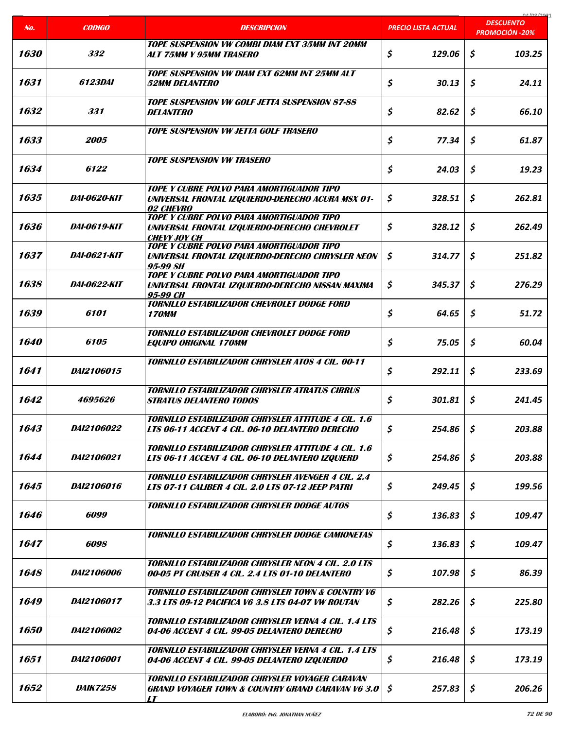|                    |                     |                                                                                                                                               |                     | 01/00/2021<br><b>DESCUENTO</b> |
|--------------------|---------------------|-----------------------------------------------------------------------------------------------------------------------------------------------|---------------------|--------------------------------|
| No.                | <b>CODIGO</b>       | <b>DESCRIPCION</b>                                                                                                                            | PRECIO LISTA ACTUAL | <b>PROMOCIÓN -20%</b>          |
| 1630               | 332                 | <b>TOPE SUSPENSION VW COMBI DIAM EXT 35MM INT 20MM</b><br>ALT 75MM Y 95MM TRASERO                                                             | \$<br>129.06        | \$<br>103.25                   |
| 1631               | <i>6123DAI</i>      | <b>TOPE SUSPENSION VW DIAM EXT 62MM INT 25MM ALT</b><br><i>52MM DELANTERO</i>                                                                 | \$<br>30.13         | \$<br>24.11                    |
| 1632               | 331                 | <b>TOPE SUSPENSION VW GOLF JETTA SUSPENSION 87-88</b><br><i><b>DELANTERO</b></i>                                                              | \$<br>82.62         | \$<br>66.10                    |
| 1633               | 2005                | <b>TOPE SUSPENSION VW JETTA GOLF TRASERO</b>                                                                                                  | \$<br>77.34         | \$<br>61.87                    |
| 1634               | 6122                | <b>TOPE SUSPENSION VW TRASERO</b>                                                                                                             | \$<br>24.03         | \$<br>19.23                    |
| 1635               | <b>DAI-0620-KIT</b> | TOPE Y CUBRE POLVO PARA AMORTIGUADOR TIPO<br>UNIVERSAL FRONTAL IZQUIERDO-DERECHO ACURA MSX 01-<br>02 CHEVRO                                   | \$<br>328.51        | \$<br>262.81                   |
| 1636               | <i>DAI-0619-KIT</i> | TOPE Y CUBRE POLVO PARA AMORTIGUADOR TIPO<br>UNIVERSAL FRONTAL IZQUIERDO-DERECHO CHEVROLET<br><i><b>CHEVY JOY CH</b></i>                      | \$<br>328.12        | \$<br>262.49                   |
| 1637               | <i>DAI-0621-KIT</i> | <b>TOPE Y CUBRE POLVO PARA AMORTIGUADOR TIPO</b><br>UNIVERSAL FRONTAL IZQUIERDO-DERECHO CHRYSLER NEON<br>95-99 SH                             | \$<br>314.77        | \$<br>251.82                   |
| 1638               | <i>DAI-0622-KIT</i> | TOPE Y CUBRE POLVO PARA AMORTIGUADOR TIPO<br>UNIVERSAL FRONTAL IZQUIERDO-DERECHO NISSAN MAXIMA<br>95-99 CH                                    | \$<br>345.37        | \$<br>276.29                   |
| 1639               | 6101                | TORNILLO ESTABILIZADOR CHEVROLET DODGE FORD<br><b>170MM</b>                                                                                   | \$<br>64.65         | \$<br>51.72                    |
| <i><b>1640</b></i> | 6105                | TORNILLO ESTABILIZADOR CHEVROLET DODGE FORD<br><b>EQUIPO ORIGINAL 170MM</b>                                                                   | \$<br>75.05         | \$<br>60.04                    |
| 1641               | <i>DAI2106015</i>   | TORNILLO ESTABILIZADOR CHRYSLER ATOS 4 CIL. 00-11                                                                                             | \$<br>292.11        | \$<br>233.69                   |
| 1642               | 4695626             | <b>TORNILLO ESTABILIZADOR CHRYSLER ATRATUS CIRRUS</b><br><b>STRATUS DELANTERO TODOS</b>                                                       | \$<br>301.81        | \$<br>241.45                   |
| 1643               | DAI2106022          | TORNILLO ESTABILIZADOR CHRYSLER ATTITUDE 4 CIL. 1.6<br>LTS 06-11 ACCENT 4 CIL. 06-10 DELANTERO DERECHO                                        | \$<br>254.86        | \$<br>203.88                   |
| 1644               | DAI2106021          | TORNILLO ESTABILIZADOR CHRYSLER ATTITUDE 4 CIL. 1.6<br>LTS 06-11 ACCENT 4 CIL. 06-10 DELANTERO IZQUIERD                                       | \$<br>254.86        | \$<br>203.88                   |
| 1645               | <i>DAI2106016</i>   | TORNILLO ESTABILIZADOR CHRYSLER AVENGER 4 CIL. 2.4<br>LTS 07-11 CALIBER 4 CIL. 2.0 LTS 07-12 JEEP PATRI                                       | \$<br>249.45        | \$<br>199.56                   |
| 1646               | 6099                | <b>TORNILLO ESTABILIZADOR CHRYSLER DODGE AUTOS</b>                                                                                            | \$<br>136.83        | \$<br>109.47                   |
| 1647               | 6098                | <b>TORNILLO ESTABILIZADOR CHRYSLER DODGE CAMIONETAS</b>                                                                                       | \$<br>136.83        | \$<br>109.47                   |
| 1648               | <i>DAI2106006</i>   | <b>TORNILLO ESTABILIZADOR CHRYSLER NEON 4 CIL. 2.0 LTS</b><br>00-05 PT CRUISER 4 CIL. 2.4 LTS 01-10 DELANTERO                                 | \$<br>107.98        | \$<br>86.39                    |
| 1649               | DAI2106017          | <b>TORNILLO ESTABILIZADOR CHRYSLER TOWN &amp; COUNTRY V6</b><br>3.3 LTS 09-12 PACIFICA V6 3.8 LTS 04-07 VW ROUTAN                             | \$<br>282.26        | \$<br>225.80                   |
| 1650               | <i>DAI2106002</i>   | <b>TORNILLO ESTABILIZADOR CHRYSLER VERNA 4 CIL. 1.4 LTS</b><br>04-06 ACCENT 4 CIL. 99-05 DELANTERO DERECHO                                    | \$<br>216.48        | Ŝ.<br>173.19                   |
| 1651               | DAI2106001          | TORNILLO ESTABILIZADOR CHRYSLER VERNA 4 CIL. 1.4 LTS<br>04-06 ACCENT 4 CIL. 99-05 DELANTERO IZQUIERDO                                         | \$<br>216.48        | \$<br>173.19                   |
| 1652               | <i>DAIK7258</i>     | TORNILLO ESTABILIZADOR CHRYSLER VOYAGER CARAVAN<br><b>GRAND VOYAGER TOWN &amp; COUNTRY GRAND CARAVAN V6 3.0</b><br>$\boldsymbol{\mathit{LT}}$ | 257.83<br>Ş.        | \$<br>206.26                   |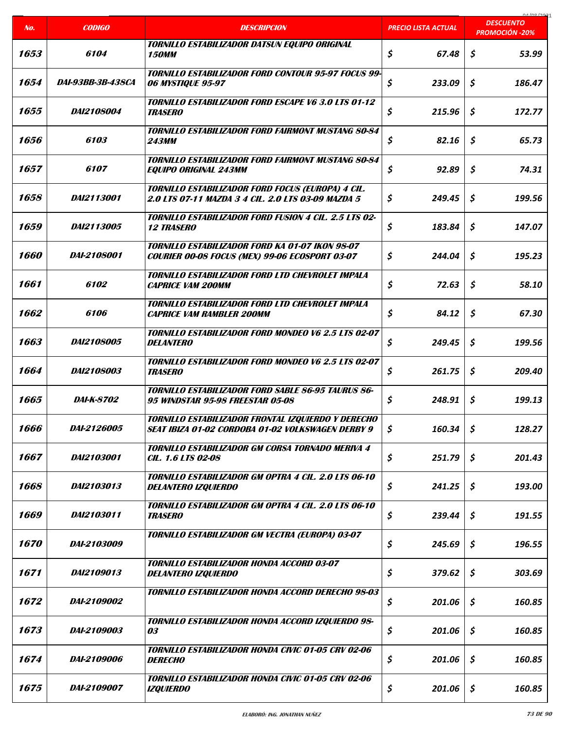| No.                | <b>CODIGO</b>            | <b>DESCRIPCION</b>                                                                                              | <b>PRECIO LISTA ACTUAL</b> | COCI ON AO<br><b>DESCUENTO</b><br><b>PROMOCIÓN -20%</b> |
|--------------------|--------------------------|-----------------------------------------------------------------------------------------------------------------|----------------------------|---------------------------------------------------------|
|                    |                          |                                                                                                                 |                            |                                                         |
| 1653               | 6104                     | TORNILLO ESTABILIZADOR DATSUN EQUIPO ORIGINAL<br><b>150MM</b>                                                   | \$<br>67.48                | \$<br>53.99                                             |
| 1654               | <i>DAI-93BB-3B-438CA</i> | TORNILLO ESTABILIZADOR FORD CONTOUR 95-97 FOCUS 99-<br><b>06 MYSTIQUE 95-97</b>                                 | \$<br>233.09               | \$<br>186.47                                            |
| 1655               | <i>DAI2108004</i>        | <b>TORNILLO ESTABILIZADOR FORD ESCAPE V6 3.0 LTS 01-12</b><br><b>TRASERO</b>                                    | \$<br>215.96               | \$<br>172.77                                            |
| 1656               | 6103                     | <b>TORNILLO ESTABILIZADOR FORD FAIRMONT MUSTANG 80-84</b><br><b>243MM</b>                                       | \$<br>82.16                | \$<br>65.73                                             |
| 1657               | 6107                     | <b>TORNILLO ESTABILIZADOR FORD FAIRMONT MUSTANG 80-84</b><br><b>EQUIPO ORIGINAL 243MM</b>                       | \$<br>92.89                | \$<br>74.31                                             |
| 1658               | DAI2113001               | TORNILLO ESTABILIZADOR FORD FOCUS (EUROPA) 4 CIL.<br>2.0 LTS 07-11 MAZDA 3 4 CIL. 2.0 LTS 03-09 MAZDA 5         | \$<br>249.45               | \$<br>199.56                                            |
| 1659               | <i>DAI2113005</i>        | <b>TORNILLO ESTABILIZADOR FORD FUSION 4 CIL. 2.5 LTS 02-</b><br><b>12 TRASERO</b>                               | \$<br>183.84               | \$<br>147.07                                            |
| <i><b>1660</b></i> | <i>DAI-2108001</i>       | <b>TORNILLO ESTABILIZADOR FORD KA 01-07 IKON 98-07</b><br><b>COURIER 00-08 FOCUS (MEX) 99-06 ECOSPORT 03-07</b> | \$<br>244.04               | \$<br>195.23                                            |
| 1661               | 6102                     | <b>TORNILLO ESTABILIZADOR FORD LTD CHEVROLET IMPALA</b><br><b>CAPRICE VAM 200MM</b>                             | \$<br>72.63                | \$<br>58.10                                             |
| 1662               | 6106                     | <b>TORNILLO ESTABILIZADOR FORD LTD CHEVROLET IMPALA</b><br><b>CAPRICE VAM RAMBLER 200MM</b>                     | \$<br>84.12                | \$<br>67.30                                             |
| 1663               | DAI2108005               | TORNILLO ESTABILIZADOR FORD MONDEO V6 2.5 LTS 02-07<br><b>DELANTERO</b>                                         | \$<br>249.45               | \$<br>199.56                                            |
| 1664               | <i>DAI2108003</i>        | TORNILLO ESTABILIZADOR FORD MONDEO V6 2.5 LTS 02-07<br><b>TRASERO</b>                                           | \$<br>261.75               | Ś.<br>209.40                                            |
| 1665               | <i>DAI-K-8702</i>        | <b>TORNILLO ESTABILIZADOR FORD SABLE 86-95 TAURUS 86-</b><br><b>95 WINDSTAR 95-98 FREESTAR 05-08</b>            | \$<br>248.91               | \$<br>199.13                                            |
| 1666               | DAI-2126005              | TORNILLO ESTABILIZADOR FRONTAL IZQUIERDO Y DERECHO<br>SEAT IBIZA 01-02 CORDOBA 01-02 VOLKSWAGEN DERBY 9         | \$<br>160.34               | \$<br>128.27                                            |
| 1667               | DAI2103001               | TORNILLO ESTABILIZADOR GM CORSA TORNADO MERIVA 4<br><i>CIL. 1.6 LTS 02-08</i>                                   | \$<br>251.79               | \$<br>201.43                                            |
| 1668               | DAI2103013               | TORNILLO ESTABILIZADOR GM OPTRA 4 CIL. 2.0 LTS 06-10<br><b>DELANTERO IZQUIERDO</b>                              | \$<br>241.25               | \$<br>193.00                                            |
| 1669               | <i>DAI2103011</i>        | <b>TORNILLO ESTABILIZADOR GM OPTRA 4 CIL. 2.0 LTS 06-10</b><br><b>TRASERO</b>                                   | \$<br>239.44               | \$<br>191.55                                            |
| 1670               | DAI-2103009              | TORNILLO ESTABILIZADOR GM VECTRA (EUROPA) 03-07                                                                 | \$<br>245.69               | \$<br>196.55                                            |
| 1671               | DAI2109013               | <b>TORNILLO ESTABILIZADOR HONDA ACCORD 03-07</b><br><b>DELANTERO IZQUIERDO</b>                                  | \$<br>379.62               | \$<br>303.69                                            |
| 1672               | DAI-2109002              | TORNILLO ESTABILIZADOR HONDA ACCORD DERECHO 98-03                                                               | \$<br>201.06               | \$<br>160.85                                            |
| 1673               | DAI-2109003              | TORNILLO ESTABILIZADOR HONDA ACCORD IZQUIERDO 98-<br><i>03</i>                                                  | \$<br>201.06               | \$<br>160.85                                            |
| 1674               | <i>DAI-2109006</i>       | TORNILLO ESTABILIZADOR HONDA CIVIC 01-05 CRV 02-06<br><i><b>DERECHO</b></i>                                     | \$<br>201.06               | \$<br>160.85                                            |
| 1675               | DAI-2109007              | TORNILLO ESTABILIZADOR HONDA CIVIC 01-05 CRV 02-06<br><b>IZQUIERDO</b>                                          | \$<br>201.06               | \$<br>160.85                                            |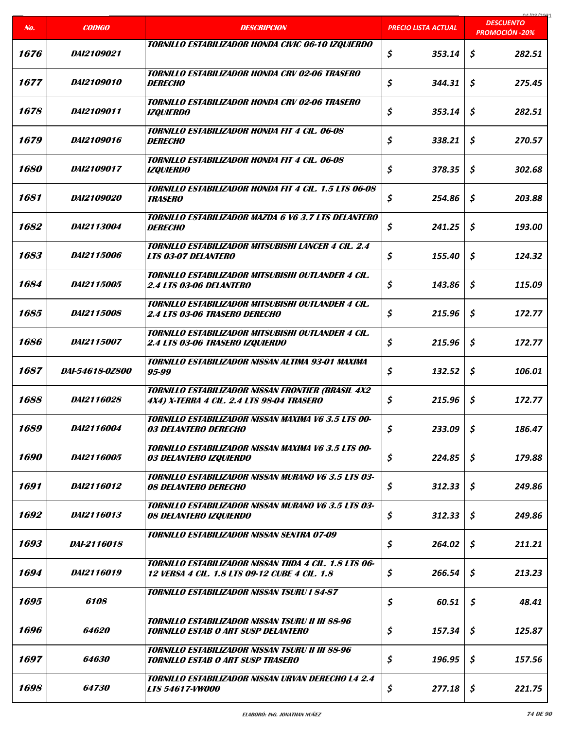|      |                        |                                                                                                         |                            | 01/00/2021<br><b>DESCUENTO</b> |
|------|------------------------|---------------------------------------------------------------------------------------------------------|----------------------------|--------------------------------|
| No.  | <b>CODIGO</b>          | <b>DESCRIPCION</b>                                                                                      | <b>PRECIO LISTA ACTUAL</b> | <b>PROMOCIÓN -20%</b>          |
| 1676 | DAI2109021             | TORNILLO ESTABILIZADOR HONDA CIVIC 06-10 IZQUIERDO                                                      | \$<br>353.14               | \$<br>282.51                   |
| 1677 | <i>DAI2109010</i>      | <b>TORNILLO ESTABILIZADOR HONDA CRV 02-06 TRASERO</b><br><b>DERECHO</b>                                 | \$<br>344.31               | \$<br>275.45                   |
| 1678 | <i>DAI2109011</i>      | <b>TORNILLO ESTABILIZADOR HONDA CRV 02-06 TRASERO</b><br><b>IZQUIERDO</b>                               | \$<br>353.14               | \$<br>282.51                   |
| 1679 | <i>DAI2109016</i>      | TORNILLO ESTABILIZADOR HONDA FIT 4 CIL. 06-08<br><b>DERECHO</b>                                         | \$<br>338.21               | \$<br>270.57                   |
| 1680 | <i>DAI2109017</i>      | <b>TORNILLO ESTABILIZADOR HONDA FIT 4 CIL. 06-08</b><br><b>IZQUIERDO</b>                                | \$<br>378.35               | \$<br>302.68                   |
| 1681 | <i>DAI2109020</i>      | TORNILLO ESTABILIZADOR HONDA FIT 4 CIL. 1.5 LTS 06-08<br><b>TRASERO</b>                                 | \$<br>254.86               | \$<br>203.88                   |
| 1682 | <i>DAI2113004</i>      | <b>TORNILLO ESTABILIZADOR MAZDA 6 V6 3.7 LTS DELANTERO</b><br><b>DERECHO</b>                            | \$<br>241.25               | Ś.<br>193.00                   |
| 1683 | DAI2115006             | TORNILLO ESTABILIZADOR MITSUBISHI LANCER 4 CIL. 2.4<br><b>LTS 03-07 DELANTERO</b>                       | \$<br>155.40               | \$<br>124.32                   |
| 1684 | DAI2115005             | TORNILLO ESTABILIZADOR MITSUBISHI OUTLANDER 4 CIL.<br><b>2.4 LTS 03-06 DELANTERO</b>                    | \$<br>143.86               | \$<br>115.09                   |
| 1685 | <i>DAI2115008</i>      | TORNILLO ESTABILIZADOR MITSUBISHI OUTLANDER 4 CIL.<br><b>2.4 LTS 03-06 TRASERO DERECHO</b>              | \$<br>215.96               | \$<br>172.77                   |
| 1686 | DAI2115007             | TORNILLO ESTABILIZADOR MITSUBISHI OUTLANDER 4 CIL.<br>2.4 LTS 03-06 TRASERO IZQUIERDO                   | \$<br>215.96               | \$<br>172.77                   |
| 1687 | <i>DAI-54618-0Z800</i> | TORNILLO ESTABILIZADOR NISSAN ALTIMA 93-01 MAXIMA<br>95-99                                              | \$<br>132.52               | \$<br>106.01                   |
| 1688 | <i>DAI2116028</i>      | <b>TORNILLO ESTABILIZADOR NISSAN FRONTIER (BRASIL 4X2</b><br>4X4) X-TERRA 4 CIL. 2.4 LTS 98-04 TRASERO  | \$<br>215.96               | \$<br>172.77                   |
| 1689 | DAI2116004             | <b>TORNILLO ESTABILIZADOR NISSAN MAXIMA V6 3.5 LTS 00-</b><br><b>03 DELANTERO DERECHO</b>               | \$<br>233.09               | \$<br>186.47                   |
| 1690 | <i>DAI2116005</i>      | <b>TORNILLO ESTABILIZADOR NISSAN MAXIMA V6 3.5 LTS 00-</b><br><i><b>03 DELANTERO IZQUIERDO</b></i>      | \$<br>224.85               | \$<br>179.88                   |
| 1691 | DAI2116012             | <b>TORNILLO ESTABILIZADOR NISSAN MURANO V6 3.5 LTS 03-</b><br><b>08 DELANTERO DERECHO</b>               | \$<br>312.33               | \$<br>249.86                   |
| 1692 | <i>DAI2116013</i>      | TORNILLO ESTABILIZADOR NISSAN MURANO V6 3.5 LTS 03-<br>08 DELANTERO IZQUIERDO                           | \$<br>312.33               | \$<br>249.86                   |
| 1693 | <i>DAI-2116018</i>     | <b>TORNILLO ESTABILIZADOR NISSAN SENTRA 07-09</b>                                                       | \$<br>264.02               | \$<br>211.21                   |
| 1694 | DAI2116019             | TORNILLO ESTABILIZADOR NISSAN TIIDA 4 CIL. 1.8 LTS 06-<br>12 VERSA 4 CIL. 1.8 LTS 09-12 CUBE 4 CIL. 1.8 | \$<br>266.54               | \$<br>213.23                   |
| 1695 | 6108                   | <b>TORNILLO ESTABILIZADOR NISSAN TSURU I 84-87</b>                                                      | \$<br>60.51                | \$<br>48.41                    |
| 1696 | <i><b>64620</b></i>    | <b>TORNILLO ESTABILIZADOR NISSAN TSURU II III 88-96</b><br><b>TORNILLO ESTAB O ART SUSP DELANTERO</b>   | \$<br>157.34               | \$<br>125.87                   |
| 1697 | 64630                  | <b>TORNILLO ESTABILIZADOR NISSAN TSURU II III 88-96</b><br>TORNILLO ESTAB O ART SUSP TRASERO            | \$<br>196.95               | \$<br>157.56                   |
| 1698 | 64730                  | <b>TORNILLO ESTABILIZADOR NISSAN URVAN DERECHO L4 2.4</b><br><b>LTS 54617-VW000</b>                     | \$<br>277.18               | \$<br>221.75                   |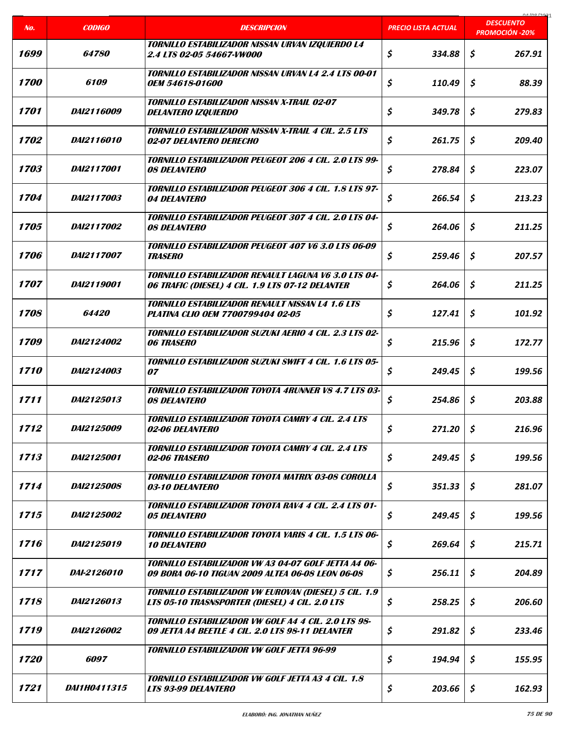|                    |                     |                                                                                                                 |                     | 01/00/2021<br><b>DESCUENTO</b> |
|--------------------|---------------------|-----------------------------------------------------------------------------------------------------------------|---------------------|--------------------------------|
| No.                | <b>CODIGO</b>       | <b>DESCRIPCION</b>                                                                                              | PRECIO LISTA ACTUAL | <b>PROMOCIÓN -20%</b>          |
| 1699               | <i><b>64780</b></i> | TORNILLO ESTABILIZADOR NISSAN URVAN IZQUIERDO L4<br><i><b>2.4 LTS 02-05 54667-VW000</b></i>                     | \$<br>334.88        | \$<br>267.91                   |
| <i><b>1700</b></i> | <i>6109</i>         | <b>TORNILLO ESTABILIZADOR NISSAN URVAN L4 2.4 LTS 00-01</b><br><i><b>OEM 54618-01G00</b></i>                    | \$<br>110.49        | Ś.<br>88.39                    |
| 1701               | <i>DAI2116009</i>   | <b>TORNILLO ESTABILIZADOR NISSAN X-TRAIL 02-07</b><br><b>DELANTERO IZQUIERDO</b>                                | \$<br>349.78        | \$<br>279.83                   |
| 1702               | <i>DAI2116010</i>   | <b>TORNILLO ESTABILIZADOR NISSAN X-TRAIL 4 CIL. 2.5 LTS</b><br>02-07 DELANTERO DERECHO                          | \$<br>261.75        | \$<br>209.40                   |
| <i><b>1703</b></i> | <i>DAI2117001</i>   | <b>TORNILLO ESTABILIZADOR PEUGEOT 206 4 CIL. 2.0 LTS 99-</b><br><i><b>08 DELANTERO</b></i>                      | \$<br>278.84        | \$<br>223.07                   |
| 1704               | <i>DAI2117003</i>   | TORNILLO ESTABILIZADOR PEUGEOT 306 4 CIL. 1.8 LTS 97-<br>04 DELANTERO                                           | \$<br>266.54        | \$<br>213.23                   |
| 1705               | <i>DAI2117002</i>   | <b>TORNILLO ESTABILIZADOR PEUGEOT 307 4 CIL. 2.0 LTS 04-</b><br><b>08 DELANTERO</b>                             | \$<br>264.06        | \$<br>211.25                   |
| <i><b>1706</b></i> | DAI2117007          | TORNILLO ESTABILIZADOR PEUGEOT 407 V6 3.0 LTS 06-09<br><b>TRASERO</b>                                           | \$<br>259.46        | \$<br>207.57                   |
| 1707               | <i>DAI2119001</i>   | <b>TORNILLO ESTABILIZADOR RENAULT LAGUNA V6 3.0 LTS 04-</b><br>06 TRAFIC (DIESEL) 4 CIL. 1.9 LTS 07-12 DELANTER | \$<br>264.06        | \$<br>211.25                   |
| 1708               | <i><b>64420</b></i> | <b>TORNILLO ESTABILIZADOR RENAULT NISSAN L4 1.6 LTS</b><br><b>PLATINA CLIO OEM 7700799404 02-05</b>             | \$<br>127.41        | \$<br>101.92                   |
| <i><b>1709</b></i> | <i>DAI2124002</i>   | <b>TORNILLO ESTABILIZADOR SUZUKI AERIO 4 CIL. 2.3 LTS 02-</b><br><b>06 TRASERO</b>                              | \$<br>215.96        | \$<br>172.77                   |
| <i><b>1710</b></i> | DAI2124003          | TORNILLO ESTABILIZADOR SUZUKI SWIFT 4 CIL. 1.6 LTS 05-<br>07                                                    | \$<br>249.45        | \$<br>199.56                   |
| 1711               | <i>DAI2125013</i>   | TORNILLO ESTABILIZADOR TOYOTA 4RUNNER V8 4.7 LTS 03-<br><b>08 DELANTERO</b>                                     | \$<br>254.86        | \$<br>203.88                   |
| 1712               | <i>DAI2125009</i>   | <b>TORNILLO ESTABILIZADOR TOYOTA CAMRY 4 CIL. 2.4 LTS</b><br>02-06 DELANTERO                                    | \$<br>271.20        | \$<br>216.96                   |
| 1713               | <i>DAI2125001</i>   | <b>TORNILLO ESTABILIZADOR TOYOTA CAMRY 4 CIL. 2.4 LTS</b><br>02-06 TRASERO                                      | \$<br>249.45        | \$<br>199.56                   |
| 1714               | <i>DAI2125008</i>   | <b>TORNILLO ESTABILIZADOR TOYOTA MATRIX 03-08 COROLLA</b><br><i><b>03-10 DELANTERO</b></i>                      | \$<br>351.33        | \$<br>281.07                   |
| 1715               | <i>DAI2125002</i>   | <b>TORNILLO ESTABILIZADOR TOYOTA RAV4 4 CIL. 2.4 LTS 01-</b><br><b>05 DELANTERO</b>                             | \$<br>249.45        | \$<br>199.56                   |
| 1716               | <i>DAI2125019</i>   | <b>TORNILLO ESTABILIZADOR TOYOTA YARIS 4 CIL. 1.5 LTS 06-</b><br><b>10 DELANTERO</b>                            | \$<br>269.64        | \$<br>215.71                   |
| 1717               | DAI-2126010         | <b>TORNILLO ESTABILIZADOR VW A3 04-07 GOLF JETTA A4 06-</b><br>09 BORA 06-10 TIGUAN 2009 ALTEA 06-08 LEON 06-08 | \$<br>256.11        | \$<br>204.89                   |
| 1718               | <i>DAI2126013</i>   | TORNILLO ESTABILIZADOR VW EUROVAN (DIESEL) 5 CIL. 1.9<br>LTS 05-10 TRASNSPORTER (DIESEL) 4 CIL. 2.0 LTS         | \$<br>258.25        | \$<br>206.60                   |
| 1719               | DAI2126002          | TORNILLO ESTABILIZADOR VW GOLF A4 4 CIL. 2.0 LTS 98-<br>09 JETTA A4 BEETLE 4 CIL. 2.0 LTS 98-11 DELANTER        | \$<br>291.82        | \$<br>233.46                   |
| <i><b>1720</b></i> | 6097                | TORNILLO ESTABILIZADOR VW GOLF JETTA 96-99                                                                      | \$<br>194.94        | \$<br>155.95                   |
| 1721               | <i>DAI1H0411315</i> | <b>TORNILLO ESTABILIZADOR VW GOLF JETTA A3 4 CIL. 1.8</b><br>LTS 93-99 DELANTERO                                | \$<br>203.66        | \$<br>162.93                   |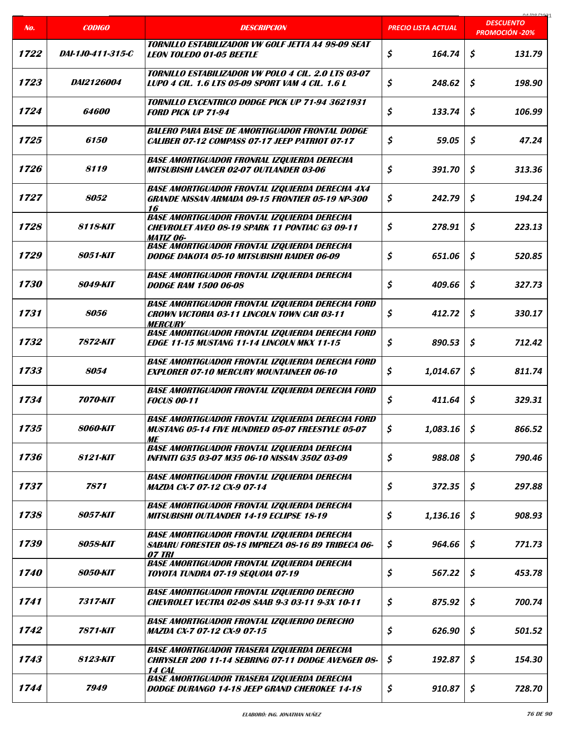|                    |                        |                                                                                                                                  |                            | 01/00/2021<br><b>DESCUENTO</b>      |
|--------------------|------------------------|----------------------------------------------------------------------------------------------------------------------------------|----------------------------|-------------------------------------|
| No.                | <b>CODIGO</b>          | <b>DESCRIPCION</b>                                                                                                               | <b>PRECIO LISTA ACTUAL</b> | <b>PROMOCIÓN -20%</b>               |
| 1722               | DAI-1J0-411-315-C      | TORNILLO ESTABILIZADOR VW GOLF JETTA A4 98-09 SEAT<br><b>LEON TOLEDO 01-05 BEETLE</b>                                            | \$<br>164.74               | \$<br>131.79                        |
| 1723               | <i>DAI2126004</i>      | TORNILLO ESTABILIZADOR VW POLO 4 CIL. 2.0 LTS 03-07<br>LUPO 4 CIL. 1.6 LTS 05-09 SPORT VAM 4 CIL. 1.6 L                          | \$<br>248.62               | \$<br>198.90                        |
| 1724               | 64600                  | <b>TORNILLO EXCENTRICO DODGE PICK UP 71-94 3621931</b><br><b>FORD PICK UP 71-94</b>                                              | \$<br>133.74               | \$<br>106.99                        |
| 1725               | <i>6150</i>            | <b>BALERO PARA BASE DE AMORTIGUADOR FRONTAL DODGE</b><br><b>CALIBER 07-12 COMPASS 07-17 JEEP PATRIOT 07-17</b>                   | \$<br>59.05                | \$<br>47.24                         |
| 1726               | 8119                   | <b>BASE AMORTIGUADOR FRONRAL IZQUIERDA DERECHA</b><br><b>MITSUBISHI LANCER 02-07 OUTLANDER 03-06</b>                             | \$<br>391.70               | \$<br>313.36                        |
| 1727               | 8052                   | <b>BASE AMORTIGUADOR FRONTAL IZQUIERDA DERECHA 4X4</b><br><b>GRANDE NISSAN ARMADA 09-15 FRONTIER 05-19 NP-300</b><br>16          | \$<br>242.79               | \$<br>194.24                        |
| 1728               | 8118-KIT               | <b>BASE AMORTIGUADOR FRONTAL IZQUIERDA DERECHA</b><br><b>CHEVROLET AVEO 08-19 SPARK 11 PONTIAC G3 09-11</b><br><b>MATIZ 06-</b>  | \$<br>278.91               | \$<br>223.13                        |
| 1729               | <b>8051-KIT</b>        | <b>BASE AMORTIGUADOR FRONTAL IZQUIERDA DERECHA</b><br><b>DODGE DAKOTA 05-10 MITSUBISHI RAIDER 06-09</b>                          | \$<br>651.06               | \$<br>520.85                        |
| <i><b>1730</b></i> | 8049-KIT               | <b>BASE AMORTIGUADOR FRONTAL IZQUIERDA DERECHA</b><br><b>DODGE RAM 1500 06-08</b>                                                | \$<br>409.66               | \$<br>327.73                        |
| 1731               | 8056                   | <b>BASE AMORTIGUADOR FRONTAL IZQUIERDA DERECHA FORD</b><br><b>CROWN VICTORIA 03-11 LINCOLN TOWN CAR 03-11</b><br><b>MERCURY</b>  | \$<br>412.72               | \$<br>330.17                        |
| 1732               | 7872-KIT               | <b>BASE AMORTIGUADOR FRONTAL IZQUIERDA DERECHA FORD</b><br><b>EDGE 11-15 MUSTANG 11-14 LINCOLN MKX 11-15</b>                     | \$<br>890.53               | \$<br>712.42                        |
| 1733               | 8054                   | <b>BASE AMORTIGUADOR FRONTAL IZQUIERDA DERECHA FORD</b><br><b>EXPLORER 07-10 MERCURY MOUNTAINEER 06-10</b>                       | \$<br>1,014.67             | \$<br>811.74                        |
| 1734               | 7070-KIT               | <b>BASE AMORTIGUADOR FRONTAL IZQUIERDA DERECHA FORD</b><br><b>FOCUS 00-11</b>                                                    | \$<br>411.64               | \$<br>329.31                        |
| 1735               | <b>8060-KIT</b>        | <b>BASE AMORTIGUADOR FRONTAL IZQUIERDA DERECHA FORD</b><br><b>MUSTANG 05-14 FIVE HUNDRED 05-07 FREESTYLE 05-07</b><br>МE         | \$<br>1,083.16             | $\boldsymbol{\mathsf{S}}$<br>866.52 |
| 1736               | 8121-KIT               | <b>BASE AMORTIGUADOR FRONTAL IZQUIERDA DERECHA</b><br>INFINITI G35 03-07 M35 06-10 NISSAN 350Z 03-09                             | \$<br>988.08               | \$<br>790.46                        |
| 1737               | 7871                   | <b>BASE AMORTIGUADOR FRONTAL IZQUIERDA DERECHA</b><br><b>MAZDA CX-7 07-12 CX-9 07-14</b>                                         | \$<br>372.35               | \$<br>297.88                        |
| 1738               | <b>8057-KIT</b>        | <b>BASE AMORTIGUADOR FRONTAL IZQUIERDA DERECHA</b><br><b>MITSUBISHI OUTLANDER 14-19 ECLIPSE 18-19</b>                            | \$<br>1,136.16             | \$<br>908.93                        |
| 1739               | <b>8058-KIT</b>        | <b>BASE AMORTIGUADOR FRONTAL IZQUIERDA DERECHA</b><br>SABARU FORESTER 08-18 IMPREZA 08-16 B9 TRIBECA 06-<br>07 TRI               | \$<br>964.66               | \$<br>771.73                        |
| <i><b>1740</b></i> | <b>8050-KIT</b>        | <b>BASE AMORTIGUADOR FRONTAL IZQUIERDA DERECHA</b><br><b>TOYOTA TUNDRA 07-19 SEQUOIA 07-19</b>                                   | \$<br>567.22               | \$<br>453.78                        |
| 1741               | 7317-KIT               | <b>BASE AMORTIGUADOR FRONTAL IZQUIERDO DERECHO</b><br><b>CHEVROLET VECTRA 02-08 SAAB 9-3 03-11 9-3X 10-11</b>                    | \$<br>875.92               | \$<br>700.74                        |
| 1742               | 7871-KIT               | <b>BASE AMORTIGUADOR FRONTAL IZQUIERDO DERECHO</b><br><b>MAZDA CX-7 07-12 CX-9 07-15</b>                                         | \$<br>626.90               | \$<br>501.52                        |
| 1743               | <i><b>8123-KIT</b></i> | <b>BASE AMORTIGUADOR TRASERA IZQUIERDA DERECHA</b><br><b>CHRYSLER 200 11-14 SEBRING 07-11 DODGE AVENGER 08-</b><br><b>14 CAL</b> | \$<br>192.87               | \$<br>154.30                        |
| 1744               | 7949                   | <b>BASE AMORTIGUADOR TRASERA IZQUIERDA DERECHA</b><br>DODGE DURANGO 14-18 JEEP GRAND CHEROKEE 14-18                              | \$<br>910.87               | \$<br>728.70                        |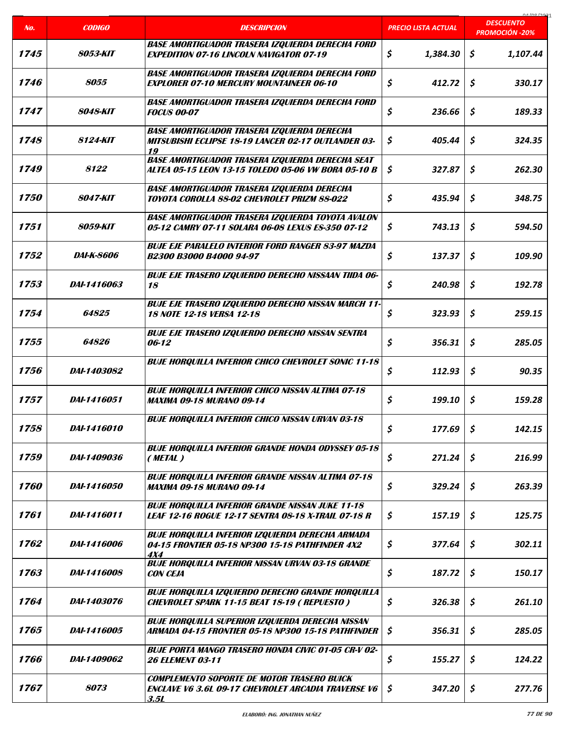| No.                | <b>CODIGO</b>          | <b>DESCRIPCION</b>                                                                                                      | PRECIO LISTA ACTUAL | 01/00/202<br><b>DESCUENTO</b>   |
|--------------------|------------------------|-------------------------------------------------------------------------------------------------------------------------|---------------------|---------------------------------|
|                    |                        |                                                                                                                         |                     | <b>PROMOCIÓN -20%</b>           |
| 1745               | <i><b>8053-KIT</b></i> | <b>BASE AMORTIGUADOR TRASERA IZQUIERDA DERECHA FORD</b><br><b>EXPEDITION 07-16 LINCOLN NAVIGATOR 07-19</b>              | \$<br>1,384.30      | \$<br>1,107.44                  |
| 1746               | 8055                   | <b>BASE AMORTIGUADOR TRASERA IZQUIERDA DERECHA FORD</b><br><b>EXPLORER 07-10 MERCURY MOUNTAINEER 06-10</b>              | \$<br>412.72        | \$<br>330.17                    |
| 1747               | 8048-KIT               | <b>BASE AMORTIGUADOR TRASERA IZQUIERDA DERECHA FORD</b><br><b>FOCUS 00-07</b>                                           | \$<br>236.66        | \$<br>189.33                    |
| 1748               | <i><b>8124-KIT</b></i> | <b>BASE AMORTIGUADOR TRASERA IZQUIERDA DERECHA</b><br><b>MITSUBISHI ECLIPSE 18-19 LANCER 02-17 OUTLANDER 03-</b><br>19  | \$<br>405.44        | \$<br>324.35                    |
| 1749               | 8122                   | <b>BASE AMORTIGUADOR TRASERA IZQUIERDA DERECHA SEAT</b><br>ALTEA 05-15 LEON 13-15 TOLEDO 05-06 VW BORA 05-10 B          | \$<br>327.87        | \$<br>262.30                    |
| <i><b>1750</b></i> | <b>8047-KIT</b>        | <b>BASE AMORTIGUADOR TRASERA IZQUIERDA DERECHA</b><br><b>TOYOTA COROLLA 88-02 CHEVROLET PRIZM 88-022</b>                | \$<br>435.94        | \$<br>348.75                    |
| 1751               | <b>8059-KIT</b>        | <b>BASE AMORTIGUADOR TRASERA IZQUIERDA TOYOTA AVALON</b><br>05-12 CAMRY 07-11 SOLARA 06-08 LEXUS ES-350 07-12           | \$<br>743.13        | \$<br>594.50                    |
| 1752               | <i>DAI-K-8606</i>      | <b>BUJE EJE PARALELO INTERIOR FORD RANGER 83-97 MAZDA</b><br><b>B2300 B3000 B4000 94-97</b>                             | \$<br>137.37        | \$<br>109.90                    |
| 1753               | DAI-1416063            | <b>BUJE EJE TRASERO IZQUIERDO DERECHO NISSAAN TIIDA 06-</b><br>18                                                       | \$<br>240.98        | $\mathsf{\mathsf{S}}$<br>192.78 |
| 1754               | 64825                  | <b>BUJE EJE TRASERO IZQUIERDO DERECHO NISSAN MARCH 11-</b><br><b>18 NOTE 12-18 VERSA 12-18</b>                          | \$<br>323.93        | \$<br>259.15                    |
| 1755               | <i><b>64826</b></i>    | <b>BUJE EJE TRASERO IZQUIERDO DERECHO NISSAN SENTRA</b><br>06-12                                                        | \$<br>356.31        | \$<br>285.05                    |
| 1756               | DAI-1403082            | <b>BUJE HORQUILLA INFERIOR CHICO CHEVROLET SONIC 11-18</b>                                                              | \$<br>112.93        | $\mathsf{S}$<br>90.35           |
| 1757               | DAI-1416051            | <b>BUJE HORQUILLA INFERIOR CHICO NISSAN ALTIMA 07-18</b><br><b>MAXIMA 09-18 MURANO 09-14</b>                            | \$<br>199.10        | \$<br>159.28                    |
| 1758               | DAI-1416010            | <b>BUJE HORQUILLA INFERIOR CHICO NISSAN URVAN 03-18</b>                                                                 | \$<br>177.69        | \$<br>142.15                    |
| 1759               | DAI-1409036            | <b>BUJE HORQUILLA INFERIOR GRANDE HONDA ODYSSEY 05-18</b><br>(METAL)                                                    | \$<br>271.24        | \$<br>216.99                    |
| 1760               | DAI-1416050            | <b>BUJE HORQUILLA INFERIOR GRANDE NISSAN ALTIMA 07-18</b><br><b>MAXIMA 09-18 MURANO 09-14</b>                           | \$<br>329.24        | \$<br>263.39                    |
| 1761               | DAI-1416011            | <b>BUJE HORQUILLA INFERIOR GRANDE NISSAN JUKE 11-18</b><br><b>LEAF 12-16 ROGUE 12-17 SENTRA 08-18 X-TRAIL 07-18 R</b>   | \$<br>157.19        | \$<br>125.75                    |
| 1762               | DAI-1416006            | <b>BUJE HORQUILLA INFERIOR IZQUIERDA DERECHA ARMADA</b><br>04-15 FRONTIER 05-18 NP300 15-18 PATHFINDER 4X2<br>4X4       | \$<br>377.64        | \$<br>302.11                    |
| 1763               | <i>DAI-1416008</i>     | <b>BUJE HORQUILLA INFERIOR NISSAN URVAN 03-18 GRANDE</b><br><b>CON CEJA</b>                                             | \$<br>187.72        | \$<br>150.17                    |
| 1764               | <i>DAI-1403076</i>     | <b>BUJE HORQUILLA IZQUIERDO DERECHO GRANDE HORQUILLA</b><br><b>CHEVROLET SPARK 11-15 BEAT 18-19 (REPUESTO)</b>          | \$<br>326.38        | \$<br>261.10                    |
| 1765               | DAI-1416005            | <b>BUJE HORQUILLA SUPERIOR IZQUIERDA DERECHA NISSAN</b><br>ARMADA 04-15 FRONTIER 05-18 NP300 15-18 PATHFINDER           | \$<br>356.31        | \$<br>285.05                    |
| 1766               | DAI-1409062            | <b>BUJE PORTA MANGO TRASERO HONDA CIVIC 01-05 CR-V 02-</b><br><b>26 ELEMENT 03-11</b>                                   | \$<br>155.27        | \$<br>124.22                    |
| 1767               | <i><b>8073</b></i>     | <b>COMPLEMENTO SOPORTE DE MOTOR TRASERO BUICK</b><br><b>ENCLAVE V6 3.6L 09-17 CHEVROLET ARCADIA TRAVERSE V6</b><br>3.5L | \$<br>347.20        | \$<br>277.76                    |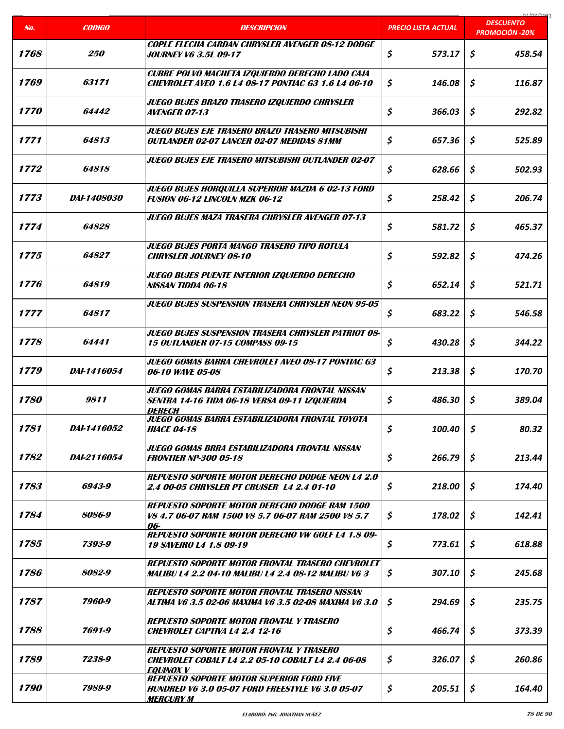|                    |                    |                                                                                                                                 |                            | COCI ON LO                                |
|--------------------|--------------------|---------------------------------------------------------------------------------------------------------------------------------|----------------------------|-------------------------------------------|
| No.                | <b>CODIGO</b>      | <b>DESCRIPCION</b>                                                                                                              | <b>PRECIO LISTA ACTUAL</b> | <b>DESCUENTO</b><br><b>PROMOCIÓN -20%</b> |
| 1768               | <i><b>250</b></i>  | <b>COPLE FLECHA CARDAN CHRYSLER AVENGER 08-12 DODGE</b><br><b>JOURNEY V6 3.5L 09-17</b>                                         | \$<br>573.17               | \$<br>458.54                              |
| 1769               | 63171              | CUBRE POLVO MACHETA IZQUIERDO DERECHO LADO CAJA<br><b>CHEVROLET AVEO 1.6 L4 08-17 PONTIAC G3 1.6 L4 06-10</b>                   | \$<br>146.08               | \$<br>116.87                              |
| <i><b>1770</b></i> | 64442              | JUEGO BUJES BRAZO TRASERO IZQUIERDO CHRYSLER<br><b>AVENGER 07-13</b>                                                            | \$<br>366.03               | \$<br>292.82                              |
| 1771               | 64813              | <b>JUEGO BUJES EJE TRASERO BRAZO TRASERO MITSUBISHI</b><br><b>OUTLANDER 02-07 LANCER 02-07 MEDIDAS 81MM</b>                     | \$<br>657.36               | \$<br>525.89                              |
| 1772               | 64818              | JUEGO BUJES EJE TRASERO MITSUBISHI OUTLANDER 02-07                                                                              | \$<br>628.66               | \$<br>502.93                              |
| 1773               | <i>DAI-1408030</i> | <b>JUEGO BUJES HORQUILLA SUPERIOR MAZDA 6 02-13 FORD</b><br><b>FUSION 06-12 LINCOLN MZK 06-12</b>                               | \$<br>258.42               | \$<br>206.74                              |
| 1774               | 64828              | <b>JUEGO BUJES MAZA TRASERA CHRYSLER AVENGER 07-13</b>                                                                          | \$<br>581.72               | \$<br>465.37                              |
| 1775               | 64827              | JUEGO BUJES PORTA MANGO TRASERO TIPO ROTULA<br><b>CHRYSLER JOURNEY 08-10</b>                                                    | \$<br>592.82               | \$<br>474.26                              |
| 1776               | 64819              | JUEGO BUJES PUENTE INFERIOR IZQUIERDO DERECHO<br>NISSAN TIDDA 06-18                                                             | \$<br>652.14               | \$<br>521.71                              |
| 1777               | 64817              | <b>JUEGO BUJES SUSPENSION TRASERA CHRYSLER NEON 95-05</b>                                                                       | \$<br>683.22               | \$<br>546.58                              |
| 1778               | 64441              | <b>JUEGO BUJES SUSPENSION TRASERA CHRYSLER PATRIOT 08-</b><br><b>15 OUTLANDER 07-15 COMPASS 09-15</b>                           | \$<br>430.28               | \$<br>344.22                              |
| 1779               | <i>DAI-1416054</i> | JUEGO GOMAS BARRA CHEVROLET AVEO 08-17 PONTIAC G3<br>06-10 WAVE 05-08                                                           | \$<br>213.38               | \$<br>170.70                              |
| <i><b>1780</b></i> | 9811               | JUEGO GOMAS BARRA ESTABILIZADORA FRONTAL NISSAN<br>SENTRA 14-16 TIDA 06-18 VERSA 09-11 IZQUIERDA<br><i><b>DERECH</b></i>        | \$<br>486.30               | \$<br>389.04                              |
| 1781               | <i>DAI-1416052</i> | <b>JUEGO GOMAS BARRA ESTABILIZADORA FRONTAL TOYOTA</b><br><b>HIACE 04-18</b>                                                    | \$<br>100.40               | \$<br>80.32                               |
| 1782               | <i>DAI-2116054</i> | JUEGO GOMAS BRRA ESTABILIZADORA FRONTAL NISSAN<br><b>FRONTIER NP-300 05-18</b>                                                  | \$<br>266.79               | \$<br>213.44                              |
| 1783               | 6943-9             | <b>REPUESTO SOPORTE MOTOR DERECHO DODGE NEON L4 2.0</b><br>2.4 00-05 CHRYSLER PT CRUISER 14 2.4 01-10                           | \$<br>218.00               | \$<br>174.40                              |
| 1784               | 8086-9             | <b>REPUESTO SOPORTE MOTOR DERECHO DODGE RAM 1500</b><br>V8 4.7 06-07 RAM 1500 V8 5.7 06-07 RAM 2500 V8 5.7<br>06-               | \$<br>178.02               | \$<br>142.41                              |
| 1785               | 7393-9             | <b>REPUESTO SOPORTE MOTOR DERECHO VW GOLF L4 1.8 09-</b><br><i><b>19 SAVEIRO L4 1.8 09-19</b></i>                               | \$<br>773.61               | \$<br>618.88                              |
| 1786               | 8082-9             | <b>REPUESTO SOPORTE MOTOR FRONTAL TRASERO CHEVROLET</b><br>MALIBU L4 2.2 04-10 MALIBU L4 2.4 08-12 MALIBU V6 3                  | \$<br>307.10               | \$<br>245.68                              |
| 1787               | 7960-9             | <b>REPUESTO SOPORTE MOTOR FRONTAL TRASERO NISSAN</b><br>ALTIMA V6 3.5 02-06 MAXIMA V6 3.5 02-08 MAXIMA V6 3.0                   | \$<br>294.69               | \$<br>235.75                              |
| 1788               | 7691-9             | <b>REPUESTO SOPORTE MOTOR FRONTAL Y TRASERO</b><br><b>CHEVROLET CAPTIVA L4 2.4 12-16</b>                                        | \$<br>466.74               | Ŝ.<br>373.39                              |
| 1789               | 7238-9             | <b>REPUESTO SOPORTE MOTOR FRONTAL Y TRASERO</b><br><b>CHEVROLET COBALT L4 2.2 05-10 COBALT L4 2.4 06-08</b><br><i>EQUINOX V</i> | \$<br>326.07               | \$<br>260.86                              |
| 1790               | 7989-9             | <b>REPUESTO SOPORTE MOTOR SUPERIOR FORD FIVE</b><br><b>HUNDRED V6 3.0 05-07 FORD FREESTYLE V6 3.0 05-07</b><br><b>MERCURY M</b> | \$<br>205.51               | \$<br>164.40                              |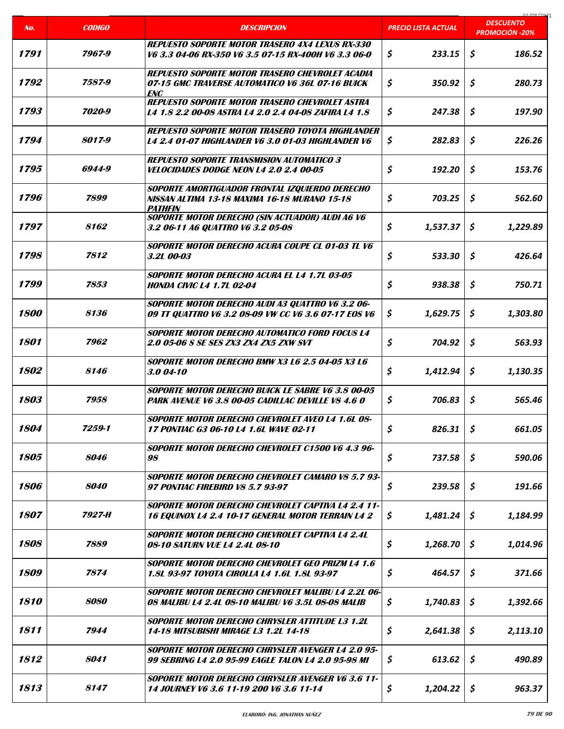|                    |                    |                                                                                                                          |                            | coclonina                                 |
|--------------------|--------------------|--------------------------------------------------------------------------------------------------------------------------|----------------------------|-------------------------------------------|
| No.                | <b>CODIGO</b>      | <b>DESCRIPCION</b>                                                                                                       | <b>PRECIO LISTA ACTUAL</b> | <b>DESCUENTO</b><br><b>PROMOCIÓN -20%</b> |
| 1791               | 7967-9             | <b>REPUESTO SOPORTE MOTOR TRASERO 4X4 LEXUS RX-330</b><br>V6 3.3 04-06 RX-350 V6 3.5 07-15 RX-400H V6 3.3 06-0           | \$<br>233.15               | \$<br>186.52                              |
| 1792               | 7587-9             | <b>REPUESTO SOPORTE MOTOR TRASERO CHEVROLET ACADIA</b><br>07-15 GMC TRAVERSE AUTOMATICO V6 36L 07-16 BUICK<br><b>ENC</b> | \$<br>350.92               | \$<br>280.73                              |
| 1793               | 7020-9             | <b>REPUESTO SOPORTE MOTOR TRASERO CHEVROLET ASTRA</b><br>L4 1.8 2.2 00-08 ASTRA L4 2.0 2.4 04-08 ZAFIRA L4 1.8           | \$<br>247.38               | \$<br>197.90                              |
| 1794               | 8017-9             | <b>REPUESTO SOPORTE MOTOR TRASERO TOYOTA HIGHLANDER</b><br><b>L4 2.4 01-07 HIGHLANDER V6 3.0 01-03 HIGHLANDER V6</b>     | \$<br>282.83               | \$<br>226.26                              |
| 1795               | 6944-9             | <b>REPUESTO SOPORTE TRANSMISION AUTOMATICO 3</b><br><b>VELOCIDADES DODGE NEON L4 2.0 2.4 00-05</b>                       | \$<br>192.20               | \$<br>153.76                              |
| 1796               | 7899               | SOPORTE AMORTIGUADOR FRONTAL IZQUIERDO DERECHO<br>NISSAN ALTIMA 13-18 MAXIMA 16-18 MURANO 15-18<br><b>PATHEIN</b>        | \$<br>703.25               | \$<br>562.60                              |
| 1797               | 8162               | <b>SOPORTE MOTOR DERECHO (SIN ACTUADOR) AUDI A6 V6</b><br>3.2 06-11 A6 QUATTRO V6 3.2 05-08                              | \$<br>1,537.37             | Ŝ.<br>1,229.89                            |
| 1798               | 7812               | SOPORTE MOTOR DERECHO ACURA COUPE CL 01-03 TL V6<br>3.2L 00-03                                                           | \$<br>533.30               | \$<br>426.64                              |
| 1799               | 7853               | SOPORTE MOTOR DERECHO ACURA EL L4 1.7L 03-05<br><b>HONDA CIVIC L4 1.7L 02-04</b>                                         | \$<br>938.38               | \$<br>750.71                              |
| <i><b>1800</b></i> | 8136               | SOPORTE MOTOR DERECHO AUDI A3 QUATTRO V6 3.2 06-<br>09 TT QUATTRO V6 3.2 08-09 VW CC V6 3.6 07-17 E0S V6                 | \$<br>1,629.75             | \$<br>1,303.80                            |
| 1801               | 7962               | <b>SOPORTE MOTOR DERECHO AUTOMATICO FORD FOCUS L4</b><br>2.0 05-06 S SE SES ZX3 ZX4 ZX5 ZXW SVT                          | \$<br>704.92               | \$<br>563.93                              |
| 1802               | 8146               | <b>SOPORTE MOTOR DERECHO BMW X3 L6 2.5 04-05 X3 L6</b><br>$3.004 - 10$                                                   | \$<br>1,412.94             | \$<br>1,130.35                            |
| 1803               | 7958               | SOPORTE MOTOR DERECHO BUICK LE SABRE V6 3.8 00-05<br>PARK AVENUE V6 3.8 00-05 CADILLAC DEVILLE V8 4.6 0                  | \$<br>706.83               | \$<br>565.46                              |
| 1804               | 7259-1             | SOPORTE MOTOR DERECHO CHEVROLET AVEO L4 1.6L 08-<br><b>17 PONTIAC G3 06-10 L4 1.6L WAVE 02-11</b>                        | \$<br>826.31               | \$<br>661.05                              |
| 1805               | <i>8046</i>        | <b>SOPORTE MOTOR DERECHO CHEVROLET C1500 V6 4.3 96-</b><br>98                                                            | \$<br>737.58               | \$<br>590.06                              |
| 1806               | <i><b>8040</b></i> | SOPORTE MOTOR DERECHO CHEVROLET CAMARO V8 5.7 93-<br>97 PONTIAC FIREBIRD V8 5.7 93-97                                    | \$<br>239.58               | \$<br>191.66                              |
| 1807               | 7927-H             | <b>SOPORTE MOTOR DERECHO CHEVROLET CAPTIVA L4 2.4 11-</b><br>16 EQUINOX L4 2.4 10-17 GENERAL MOTOR TERRAIN L4 2          | \$<br>1,481.24             | \$<br>1,184.99                            |
| 1808               | 7889               | SOPORTE MOTOR DERECHO CHEVROLET CAPTIVA L4 2.4L<br>08-10 SATURN VUE L4 2.4L 08-10                                        | \$<br>1,268.70             | 1,014.96<br>\$.                           |
| 1809               | 7874               | <b>SOPORTE MOTOR DERECHO CHEVROLET GEO PRIZM L4 1.6</b><br><b>1.8L 93-97 TOYOTA CIROLLA L4 1.6L 1.8L 93-97</b>           | \$<br>464.57               | \$<br>371.66                              |
| 1810               | <i><b>8080</b></i> | SOPORTE MOTOR DERECHO CHEVROLET MALIBU L4 2.2L 06-<br>08 MALIBU L4 2.4L 08-10 MALIBU V6 3.5L 08-08 MALIB                 | \$<br>1,740.83             | \$<br>1,392.66                            |
| 1811               | 7944               | SOPORTE MOTOR DERECHO CHRYSLER ATTITUDE L3 1.2L<br>14-18 MITSUBISHI MIRAGE L3 1.2L 14-18                                 | \$<br>2,641.38             | S<br>2,113.10                             |
| 1812               | 8041               | <b>SOPORTE MOTOR DERECHO CHRYSLER AVENGER L4 2.0 95-</b><br>99 SEBRING L4 2.0 95-99 EAGLE TALON L4 2.0 95-98 MI          | \$<br>613.62               | \$<br>490.89                              |
| 1813               | 8147               | <b>SOPORTE MOTOR DERECHO CHRYSLER AVENGER V6 3.6 11-</b><br>14 JOURNEY V6 3.6 11-19 200 V6 3.6 11-14                     | \$<br>1,204.22             | \$<br>963.37                              |

a ka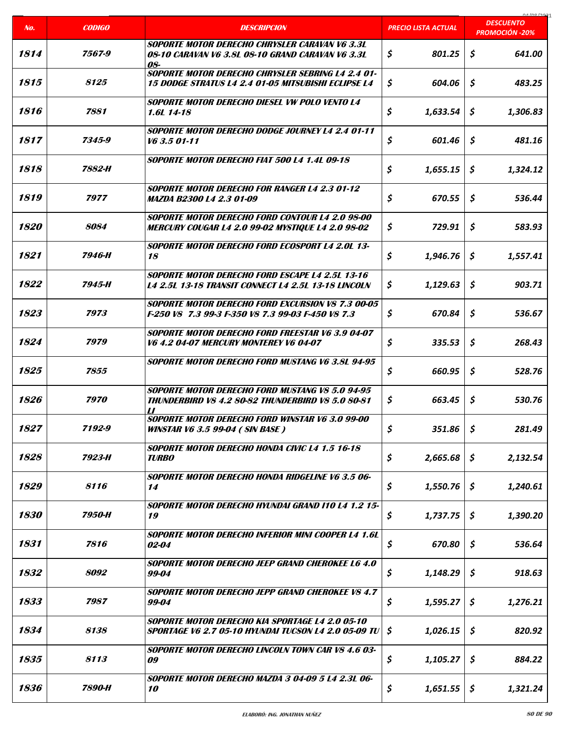|                    |                    |                                                                                                                                      |                            | coclonina<br><b>DESCUENTO</b> |
|--------------------|--------------------|--------------------------------------------------------------------------------------------------------------------------------------|----------------------------|-------------------------------|
| No.                | <b>CODIGO</b>      | <b>DESCRIPCION</b>                                                                                                                   | <b>PRECIO LISTA ACTUAL</b> | <b>PROMOCIÓN -20%</b>         |
| 1814               | 7567-9             | SOPORTE MOTOR DERECHO CHRYSLER CARAVAN V6 3.3L<br>08-10 CARAVAN V6 3.8L 08-10 GRAND CARAVAN V6 3.3L<br>08-                           | \$<br>801.25               | \$<br>641.00                  |
| 1815               | 8125               | SOPORTE MOTOR DERECHO CHRYSLER SEBRING L4 2.4 01-<br><b>15 DODGE STRATUS L4 2.4 01-05 MITSUBISHI ECLIPSE L4</b>                      | \$<br>604.06               | \$<br>483.25                  |
| 1816               | 7881               | SOPORTE MOTOR DERECHO DIESEL VW POLO VENTO L4<br>1.6L 14-18                                                                          | \$<br>1,633.54             | \$<br>1,306.83                |
| 1817               | 7345-9             | <b>SOPORTE MOTOR DERECHO DODGE JOURNEY L4 2.4 01-11</b><br>V6 3.5 01-11                                                              | \$<br>601.46               | \$<br>481.16                  |
| 1818               | 7882-H             | SOPORTE MOTOR DERECHO FIAT 500 L4 1.4L 09-18                                                                                         | \$<br>1,655.15             | \$<br>1,324.12                |
| 1819               | 7977               | <b>SOPORTE MOTOR DERECHO FOR RANGER L4 2.3 01-12</b><br><b>MAZDA B2300 L4 2.3 01-09</b>                                              | \$<br>670.55               | \$<br>536.44                  |
| <i><b>1820</b></i> | 8084               | <b>SOPORTE MOTOR DERECHO FORD CONTOUR L4 2.0 98-00</b><br><b>MERCURY COUGAR L4 2.0 99-02 MYSTIQUE L4 2.0 98-02</b>                   | \$<br>729.91               | \$<br>583.93                  |
| 1821               | 7946-H             | <b>SOPORTE MOTOR DERECHO FORD ECOSPORT L4 2.0L 13-</b><br>18                                                                         | \$<br>1,946.76             | \$<br>1,557.41                |
| 1822               | 7945-H             | <b>SOPORTE MOTOR DERECHO FORD ESCAPE L4 2.5L 13-16</b><br><b>L4 2.5L 13-18 TRANSIT CONNECT L4 2.5L 13-18 LINCOLN</b>                 | 1,129.63<br>\$             | \$<br>903.71                  |
| 1823               | 7973               | <b>SOPORTE MOTOR DERECHO FORD EXCURSION V8 7.3 00-05</b><br>F-250 V8 7.3 99-3 F-350 V8 7.3 99-03 F-450 V8 7.3                        | \$<br>670.84               | \$<br>536.67                  |
| 1824               | 7979               | SOPORTE MOTOR DERECHO FORD FREESTAR V6 3.9 04-07<br><b>V6 4.2 04-07 MERCURY MONTEREY V6 04-07</b>                                    | \$<br>335.53               | \$<br>268.43                  |
| 1825               | 7855               | <b>SOPORTE MOTOR DERECHO FORD MUSTANG V6 3.8L 94-95</b>                                                                              | \$<br>660.95               | Ś.<br>528.76                  |
| 1826               | 7970               | <b>SOPORTE MOTOR DERECHO FORD MUSTANG V8 5.0 94-95</b><br><b>THUNDERBIRD V8 4.2 80-82 THUNDERBIRD V8 5.0 80-81</b><br>$\prime\prime$ | \$<br>663.45               | \$<br>530.76                  |
| 1827               | 7192-9             | SOPORTE MOTOR DERECHO FORD WINSTAR V6 3.0 99-00<br><b>WINSTAR V6 3.5 99-04 (SIN BASE)</b>                                            | \$<br>351.86               | \$<br>281.49                  |
| 1828               | 7923-H             | <b>SOPORTE MOTOR DERECHO HONDA CIVIC L4 1.5 16-18</b><br><b>TURBO</b>                                                                | \$<br>2,665.68             | \$<br>2,132.54                |
| 1829               | 8116               | <b>SOPORTE MOTOR DERECHO HONDA RIDGELINE V6 3.5 06-</b><br>14                                                                        | \$<br>1,550.76             | 1,240.61<br>S                 |
| 1830               | 7950-H             | SOPORTE MOTOR DERECHO HYUNDAI GRAND 110 L4 1.2 15-<br>19                                                                             | \$<br>1,737.75             | \$<br>1,390.20                |
| 1831               | 7816               | SOPORTE MOTOR DERECHO INFERIOR MINI COOPER L4 1.6L<br><i>02-04</i>                                                                   | \$<br>670.80               | \$<br>536.64                  |
| 1832               | <i><b>8092</b></i> | SOPORTE MOTOR DERECHO JEEP GRAND CHEROKEE L6 4.0<br>99-04                                                                            | \$<br>1,148.29             | \$<br>918.63                  |
| 1833               | 7987               | <b>SOPORTE MOTOR DERECHO JEPP GRAND CHEROKEE V8 4.7</b><br>99-04                                                                     | \$<br>1,595.27             | \$<br>1,276.21                |
| 1834               | 8138               | SOPORTE MOTOR DERECHO KIA SPORTAGE L4 2.0 05-10<br><b>SPORTAGE V6 2.7 05-10 HYUNDAI TUCSON L4 2.0 05-09 TU</b>                       | \$<br>1,026.15             | \$<br>820.92                  |
| 1835               | 8113               | <b>SOPORTE MOTOR DERECHO LINCOLN TOWN CAR V8 4.6 03-</b><br>09                                                                       | \$<br>1,105.27             | \$<br>884.22                  |
| 1836               | 7890-H             | SOPORTE MOTOR DERECHO MAZDA 3 04-09 5 L4 2.3L 06-<br><i><b>10</b></i>                                                                | \$<br>1,651.55             | \$<br>1,321.24                |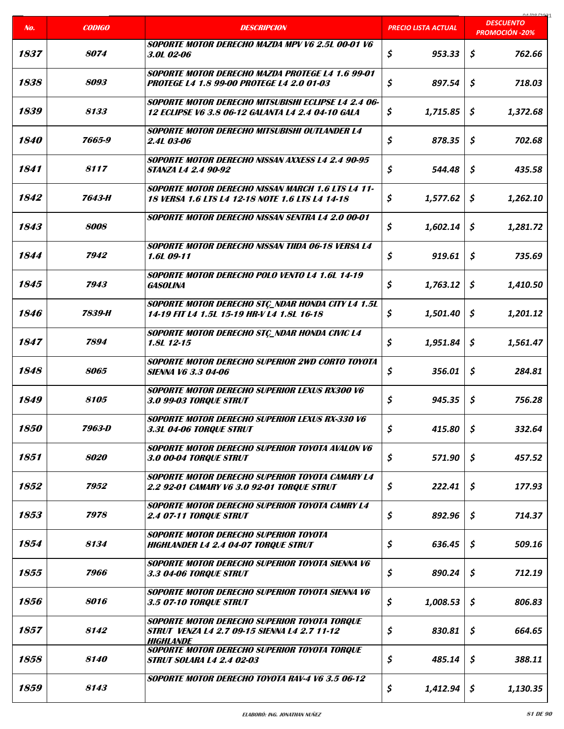|                    |                    |                                                                                                                  |                            | COCI ON AO                                |
|--------------------|--------------------|------------------------------------------------------------------------------------------------------------------|----------------------------|-------------------------------------------|
| No.                | <b>CODIGO</b>      | <b>DESCRIPCION</b>                                                                                               | <b>PRECIO LISTA ACTUAL</b> | <b>DESCUENTO</b><br><b>PROMOCIÓN -20%</b> |
| 1837               | <i><b>8074</b></i> | SOPORTE MOTOR DERECHO MAZDA MPV V6 2.5L 00-01 V6<br>3.0L 02-06                                                   | \$<br>953.33               | \$<br>762.66                              |
| 1838               | 8093               | SOPORTE MOTOR DERECHO MAZDA PROTEGE L4 1.6 99-01<br>PROTEGE L4 1.8 99-00 PROTEGE L4 2.0 01-03                    | \$<br>897.54               | \$<br>718.03                              |
| 1839               | 8133               | SOPORTE MOTOR DERECHO MITSUBISHI ECLIPSE L4 2.4 06-<br>12 ECLIPSE V6 3.8 06-12 GALANTA L4 2.4 04-10 GALA         | \$<br>1,715.85             | \$<br>1,372.68                            |
| <i><b>1840</b></i> | 7665-9             | SOPORTE MOTOR DERECHO MITSUBISHI OUTLANDER L4<br><i><b>2.4L 03-06</b></i>                                        | \$<br>878.35               | \$<br>702.68                              |
| 1841               | 8117               | SOPORTE MOTOR DERECHO NISSAN AXXESS L4 2.4 90-95<br><b>STANZA L4 2.4 90-92</b>                                   | \$<br>544.48               | \$<br>435.58                              |
| 1842               | 7643-H             | <b>SOPORTE MOTOR DERECHO NISSAN MARCH 1.6 LTS L4 11-</b><br>18 VERSA 1.6 LTS L4 12-18 NOTE 1.6 LTS L4 14-18      | \$<br>1,577.62             | \$<br>1,262.10                            |
| 1843               | 8008               | SOPORTE MOTOR DERECHO NISSAN SENTRA L4 2.0 00-01                                                                 | \$<br>1,602.14             | \$<br>1,281.72                            |
| 1844               | 7942               | SOPORTE MOTOR DERECHO NISSAN TIIDA 06-18 VERSA L4<br>1.6L 09-11                                                  | \$<br>919.61               | \$<br>735.69                              |
| 1845               | 7943               | SOPORTE MOTOR DERECHO POLO VENTO L4 1.6L 14-19<br><b>GASOLINA</b>                                                | \$<br>1,763.12             | \$<br>1,410.50                            |
| 1846               | 7839-H             | SOPORTE MOTOR DERECHO STÇ_NDAR HONDA CITY L4 1.5L<br>14-19 FIT L4 1.5L 15-19 HR-V L4 1.8L 16-18                  | \$<br>1,501.40             | \$<br>1,201.12                            |
| 1847               | 7894               | SOPORTE MOTOR DERECHO STÇ_NDAR HONDA CIVIC L4<br>$1.8L$ 12-15                                                    | \$<br>1,951.84             | \$<br>1,561.47                            |
| 1848               | 8065               | SOPORTE MOTOR DERECHO SUPERIOR 2WD CORTO TOYOTA<br><b>SIENNA V6 3.3 04-06</b>                                    | \$<br>356.01               | \$<br>284.81                              |
| 1849               | 8105               | <b>SOPORTE MOTOR DERECHO SUPERIOR LEXUS RX300 V6</b><br>3.0 99-03 TORQUE STRUT                                   | \$<br>945.35               | \$<br>756.28                              |
| 1850               | 7963-D             | SOPORTE MOTOR DERECHO SUPERIOR LEXUS RX-330 V6<br>3.3L 04-06 TORQUE STRUT                                        | \$<br>415.80               | \$<br>332.64                              |
| 1851               | 8020               | SOPORTE MOTOR DERECHO SUPERIOR TOYOTA AVALON V6<br>3.0 00-04 TORQUE STRUT                                        | \$<br>571.90               | \$<br>457.52                              |
| 1852               | 7952               | SOPORTE MOTOR DERECHO SUPERIOR TOYOTA CAMARY L4<br><b>2.2 92-01 CAMARY V6 3.0 92-01 TORQUE STRUT</b>             | \$<br>222.41               | \$<br>177.93                              |
| 1853               | 7978               | SOPORTE MOTOR DERECHO SUPERIOR TOYOTA CAMRY L4<br><b>2.4 07-11 TORQUE STRUT</b>                                  | \$<br>892.96               | \$<br>714.37                              |
| 1854               | 8134               | SOPORTE MOTOR DERECHO SUPERIOR TOYOTA<br><b>HIGHLANDER L4 2.4 04-07 TORQUE STRUT</b>                             | \$<br>636.45               | \$<br>509.16                              |
| 1855               | 7966               | SOPORTE MOTOR DERECHO SUPERIOR TOYOTA SIENNA V6<br>3.3 04-06 TORQUE STRUT                                        | \$<br>890.24               | \$<br>712.19                              |
| 1856               | 8016               | SOPORTE MOTOR DERECHO SUPERIOR TOYOTA SIENNA V6<br>3.5 07-10 TORQUE STRUT                                        | \$<br>1,008.53             | \$<br>806.83                              |
| 1857               | 8142               | SOPORTE MOTOR DERECHO SUPERIOR TOYOTA TORQUE<br>STRUT VENZA L4 2.7 09-15 SIENNA L4 2.7 11-12<br><b>HIGHLANDE</b> | \$<br>830.81               | \$<br>664.65                              |
| 1858               | 8140               | SOPORTE MOTOR DERECHO SUPERIOR TOYOTA TORQUE<br><b>STRUT SOLARA L4 2.4 02-03</b>                                 | \$<br>485.14               | \$<br>388.11                              |
| 1859               | 8143               | SOPORTE MOTOR DERECHO TOYOTA RAV-4 V6 3.5 06-12                                                                  | \$<br>1,412.94             | \$<br>1,130.35                            |

a ka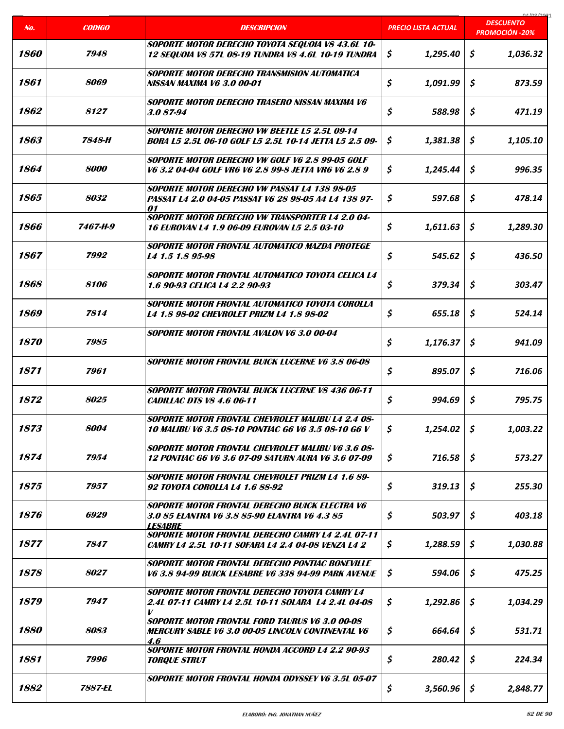|                    |                    |                                                                                                                          |                     | COCI ON LO<br><b>DESCUENTO</b> |
|--------------------|--------------------|--------------------------------------------------------------------------------------------------------------------------|---------------------|--------------------------------|
| No.                | <b>CODIGO</b>      | <b>DESCRIPCION</b>                                                                                                       | PRECIO LISTA ACTUAL | <b>PROMOCIÓN -20%</b>          |
| <i><b>1860</b></i> | 7948               | SOPORTE MOTOR DERECHO TOYOTA SEQUOIA V8 43.6L 10-<br>12 SEQUOIA V8 57L 08-19 TUNDRA V8 4.6L 10-19 TUNDRA                 | 1,295.40<br>\$      | \$<br>1,036.32                 |
| 1861               | 8069               | <b>SOPORTE MOTOR DERECHO TRANSMISION AUTOMATICA</b><br>NISSAN MAXIMA V6 3.0 00-01                                        | \$<br>1,091.99      | Ŝ<br>873.59                    |
| 1862               | 8127               | SOPORTE MOTOR DERECHO TRASERO NISSAN MAXIMA V6<br>3.087-94                                                               | \$<br>588.98        | \$<br>471.19                   |
| 1863               | 7848-H             | SOPORTE MOTOR DERECHO VW BEETLE L5 2.5L 09-14<br>BORA L5 2.5L 06-10 GOLF L5 2.5L 10-14 JETTA L5 2.5 09-                  | \$<br>1,381.38      | \$<br>1,105.10                 |
| 1864               | 8000               | SOPORTE MOTOR DERECHO VW GOLF V6 2.8 99-05 GOLF<br>V6 3.2 04-04 GOLF VR6 V6 2.8 99-8 JETTA VR6 V6 2.8 9                  | \$<br>1,245.44      | \$<br>996.35                   |
| 1865               | 8032               | SOPORTE MOTOR DERECHO VW PASSAT L4 138 98-05<br>PASSAT L4 2.0 04-05 PASSAT V6 28 98-05 A4 L4 138 97-<br>01               | \$<br>597.68        | \$<br>478.14                   |
| 1866               | 7467-H-9           | <b>SOPORTE MOTOR DERECHO VW TRANSPORTER L4 2.0 04-</b><br><b>16 EUROVAN L4 1.9 06-09 EUROVAN L5 2.5 03-10</b>            | \$<br>1,611.63      | S<br>1,289.30                  |
| 1867               | 7992               | <b>SOPORTE MOTOR FRONTAL AUTOMATICO MAZDA PROTEGE</b><br>L4 1.5 1.8 95-98                                                | \$<br>545.62        | \$<br>436.50                   |
| 1868               | 8106               | SOPORTE MOTOR FRONTAL AUTOMATICO TOYOTA CELICA L4<br>1.6 90-93 CELICA L4 2.2 90-93                                       | \$<br>379.34        | \$<br>303.47                   |
| 1869               | 7814               | SOPORTE MOTOR FRONTAL AUTOMATICO TOYOTA COROLLA<br>L4 1.8 98-02 CHEVROLET PRIZM L4 1.8 98-02                             | \$<br>655.18        | \$<br>524.14                   |
| 1870               | 7985               | <b>SOPORTE MOTOR FRONTAL AVALON V6 3.0 00-04</b>                                                                         | \$<br>1,176.37      | \$<br>941.09                   |
| 1871               | 7961               | <b>SOPORTE MOTOR FRONTAL BUICK LUCERNE V6 3.8 06-08</b>                                                                  | \$<br>895.07        | \$<br>716.06                   |
| 1872               | 8025               | <b>SOPORTE MOTOR FRONTAL BUICK LUCERNE V8 436 06-11</b><br><b>CADILLAC DTS V8 4.6 06-11</b>                              | \$<br>994.69        | \$<br>795.75                   |
| 1873               | 8004               | SOPORTE MOTOR FRONTAL CHEVROLET MALIBU L4 2.4 08-<br><b>10 MALIBU V6 3.5 08-10 PONTIAC G6 V6 3.5 08-10 G6 V</b>          | \$<br>1,254.02      | \$<br>1,003.22                 |
| 1874               | 7954               | <b>SOPORTE MOTOR FRONTAL CHEVROLET MALIBU V6 3.6 08-</b><br><b>12 PONTIAC G6 V6 3.6 07-09 SATURN AURA V6 3.6 07-09</b>   | \$<br>716.58        | \$<br>573.27                   |
| 1875               | 7957               | <b>SOPORTE MOTOR FRONTAL CHEVROLET PRIZM L4 1.6 89-</b><br>92 TOYOTA COROLLA L4 1.6 88-92                                | \$<br>319.13        | \$<br>255.30                   |
| 1876               | 6929               | SOPORTE MOTOR FRONTAL DERECHO BUICK ELECTRA V6<br>3.0 85 ELANTRA V6 3.8 85-90 ELANTRA V6 4.3 85<br><b>LESABRE</b>        | \$<br>503.97        | \$<br>403.18                   |
| 1877               | 7847               | <b>SOPORTE MOTOR FRONTAL DERECHO CAMRY L4 2.4L 07-11</b><br>CAMRY L4 2.5L 10-11 SOFARA L4 2.4 04-08 VENZA L4 2           | \$<br>1,288.59      | \$<br>1,030.88                 |
| 1878               | <i><b>8027</b></i> | SOPORTE MOTOR FRONTAL DERECHO PONTIAC BONEVILLE<br>V6 3.8 94-99 BUICK LESABRE V6 338 94-99 PARK AVENUE                   | \$<br>594.06        | \$<br>475.25                   |
| 1879               | 7947               | <b>SOPORTE MOTOR FRONTAL DERECHO TOYOTA CAMRY L4</b><br>2.4L 07-11 CAMRY L4 2.5L 10-11 SOLARA L4 2.4L 04-08<br>V         | \$<br>1,292.86      | \$<br>1,034.29                 |
| 1880               | 8083               | <b>SOPORTE MOTOR FRONTAL FORD TAURUS V6 3.0 00-08</b><br><b>MERCURY SABLE V6 3.0 00-05 LINCOLN CONTINENTAL V6</b><br>4.6 | \$<br>664.64        | \$<br>531.71                   |
| 1881               | 7996               | SOPORTE MOTOR FRONTAL HONDA ACCORD L4 2.2 90-93<br><b>TORQUE STRUT</b>                                                   | \$<br>280.42        | \$<br>224.34                   |
| 1882               | 7887-EL            | <b>SOPORTE MOTOR FRONTAL HONDA ODYSSEY V6 3.5L 05-07</b>                                                                 | \$<br>3,560.96      | \$<br>2,848.77                 |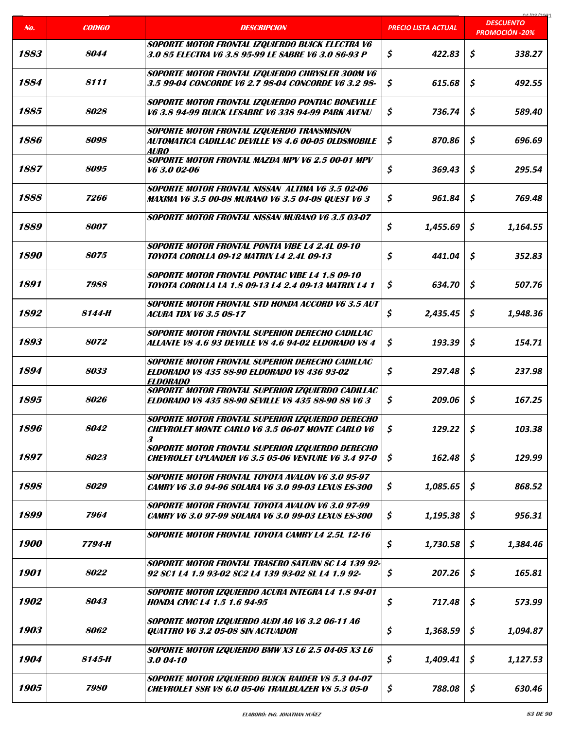|      |                    |                                                                                                                          |                            | na ing ing                                |
|------|--------------------|--------------------------------------------------------------------------------------------------------------------------|----------------------------|-------------------------------------------|
| No.  | <b>CODIGO</b>      | <b>DESCRIPCION</b>                                                                                                       | <b>PRECIO LISTA ACTUAL</b> | <b>DESCUENTO</b><br><b>PROMOCIÓN -20%</b> |
| 1883 | 8044               | SOPORTE MOTOR FRONTAL IZQUIERDO BUICK ELECTRA V6<br>3.0 85 ELECTRA V6 3.8 95-99 LE SABRE V6 3.0 86-93 P                  | \$<br>422.83               | \$<br>338.27                              |
| 1884 | 8111               | SOPORTE MOTOR FRONTAL IZQUIERDO CHRYSLER 300M V6<br>3.5 99-04 CONCORDE V6 2.7 98-04 CONCORDE V6 3.2 98-                  | \$<br>615.68               | \$<br>492.55                              |
| 1885 | 8028               | SOPORTE MOTOR FRONTAL IZQUIERDO PONTIAC BONEVILLE<br>V6 3.8 94-99 BUICK LESABRE V6 338 94-99 PARK AVENU                  | \$<br>736.74               | \$<br>589.40                              |
| 1886 | 8098               | SOPORTE MOTOR FRONTAL IZQUIERDO TRANSMISION<br>AUTOMATICA CADILLAC DEVILLE V8 4.6 00-05 OLDSMOBILE<br>AURO               | \$<br>870.86               | \$<br>696.69                              |
| 1887 | 8095               | SOPORTE MOTOR FRONTAL MAZDA MPV V6 2.5 00-01 MPV<br>V6 3.0 02-06                                                         | \$<br>369.43               | \$<br>295.54                              |
| 1888 | 7266               | SOPORTE MOTOR FRONTAL NISSAN ALTIMA V6 3.5 02-06<br><b>MAXIMA V6 3.5 00-08 MURANO V6 3.5 04-08 QUEST V6 3</b>            | \$<br>961.84               | \$<br>769.48                              |
| 1889 | 8007               | SOPORTE MOTOR FRONTAL NISSAN MURANO V6 3.5 03-07                                                                         | \$<br>1,455.69             | \$<br>1,164.55                            |
| 1890 | 8075               | <b>SOPORTE MOTOR FRONTAL PONTIA VIBE L4 2.4L 09-10</b><br>TOYOTA COROLLA 09-12 MATRIX L4 2.4L 09-13                      | \$<br>441.04               | \$<br>352.83                              |
| 1891 | 7988               | SOPORTE MOTOR FRONTAL PONTIAC VIBE L4 1.8 09-10<br>TOYOTA COROLLA LA 1.8 09-13 L4 2.4 09-13 MATRIX L4 1                  | \$<br>634.70               | \$<br>507.76                              |
| 1892 | 8144-H             | SOPORTE MOTOR FRONTAL STD HONDA ACCORD V6 3.5 AUT<br><i>ACURA TDX V6 3.5 08-17</i>                                       | \$<br>2,435.45             | \$<br>1,948.36                            |
| 1893 | 8072               | SOPORTE MOTOR FRONTAL SUPERIOR DERECHO CADILLAC<br>ALLANTE V8 4.6 93 DEVILLE V8 4.6 94-02 ELDORADO V8 4                  | \$<br>193.39               | \$<br>154.71                              |
| 1894 | 8033               | SOPORTE MOTOR FRONTAL SUPERIOR DERECHO CADILLAC<br><b>ELDORADO V8 435 88-90 ELDORADO V8 436 93-02</b><br><b>ELDORADO</b> | \$<br>297.48               | \$<br>237.98                              |
| 1895 | 8026               | SOPORTE MOTOR FRONTAL SUPERIOR IZQUIERDO CADILLAC<br><b>ELDORADO V8 435 88-90 SEVILLE V8 435 88-90 88 V6 3</b>           | \$<br>209.06               | \$<br>167.25                              |
| 1896 | 8042               | SOPORTE MOTOR FRONTAL SUPERIOR IZQUIERDO DERECHO<br><b>CHEVROLET MONTE CARLO V6 3.5 06-07 MONTE CARLO V6</b><br>3        | \$<br>129.22               | \$<br>103.38                              |
| 1897 | 8023               | SOPORTE MOTOR FRONTAL SUPERIOR IZQUIERDO DERECHO<br><b>CHEVROLET UPLANDER V6 3.5 05-06 VENTURE V6 3.4 97-0</b>           | \$<br>162.48               | \$<br>129.99                              |
| 1898 | 8029               | <b>SOPORTE MOTOR FRONTAL TOYOTA AVALON V6 3.0 95-97</b><br><b>CAMRY V6 3.0 94-96 SOLARA V6 3.0 99-03 LEXUS ES-300</b>    | \$<br>1,085.65             | \$<br>868.52                              |
| 1899 | 7964               | SOPORTE MOTOR FRONTAL TOYOTA AVALON V6 3.0 97-99<br><b>CAMRY V6 3.0 97-99 SOLARA V6 3.0 99-03 LEXUS ES-300</b>           | \$<br>1,195.38             | \$<br>956.31                              |
| 1900 | 7794-H             | SOPORTE MOTOR FRONTAL TOYOTA CAMRY L4 2.5L 12-16                                                                         | \$<br>1,730.58             | \$<br>1,384.46                            |
| 1901 | <i><b>8022</b></i> | SOPORTE MOTOR FRONTAL TRASERO SATURN SC L4 139 92-<br>92 SC1 L4 1.9 93-02 SC2 L4 139 93-02 SL L4 1.9 92-                 | \$<br>207.26               | \$<br>165.81                              |
| 1902 | 8043               | SOPORTE MOTOR IZQUIERDO ACURA INTEGRA L4 1.8 94-01<br><b>HONDA CIVIC L4 1.5 1.6 94-95</b>                                | \$<br>717.48               | \$<br>573.99                              |
| 1903 | 8062               | SOPORTE MOTOR IZQUIERDO AUDI A6 V6 3.2 06-11 A6<br><b>QUATTRO V6 3.2 05-08 SIN ACTUADOR</b>                              | \$<br>1,368.59             | S<br>1,094.87                             |
| 1904 | 8145-H             | SOPORTE MOTOR IZQUIERDO BMW X3 L6 2.5 04-05 X3 L6<br>3.004-10                                                            | \$<br>1,409.41             | \$<br>1,127.53                            |
| 1905 | 7980               | SOPORTE MOTOR IZQUIERDO BUICK RAIDER V8 5.3 04-07<br><b>CHEVROLET SSR V8 6.0 05-06 TRAILBLAZER V8 5.3 05-0</b>           | \$<br>788.08               | \$<br>630.46                              |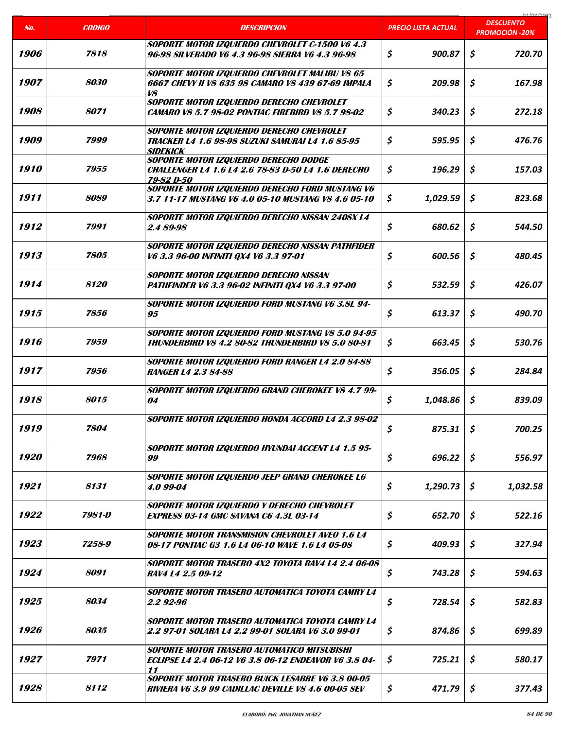|      |               |                                                                                                                         |                            | na ing inna<br><b>DESCUENTO</b> |
|------|---------------|-------------------------------------------------------------------------------------------------------------------------|----------------------------|---------------------------------|
| No.  | <b>CODIGO</b> | <b>DESCRIPCION</b>                                                                                                      | <b>PRECIO LISTA ACTUAL</b> | <b>PROMOCIÓN -20%</b>           |
| 1906 | 7818          | SOPORTE MOTOR IZQUIERDO CHEVROLET C-1500 V6 4.3<br>96-98 SILVERADO V6 4.3 96-98 SIERRA V6 4.3 96-98                     | \$<br>900.87               | \$<br>720.70                    |
| 1907 | 8030          | SOPORTE MOTOR IZQUIERDO CHEVROLET MALIBU V8 65<br>6667 CHEVY II V8 635 98 CAMARO V8 439 67-69 IMPALA<br>V8              | \$<br>209.98               | \$<br>167.98                    |
| 1908 | 8071          | SOPORTE MOTOR IZQUIERDO DERECHO CHEVROLET<br><b>CAMARO V8 5.7 98-02 PONTIAC FIREBIRD V8 5.7 98-02</b>                   | \$<br>340.23               | \$<br>272.18                    |
| 1909 | 7999          | SOPORTE MOTOR IZQUIERDO DERECHO CHEVROLET<br><b>TRACKER L4 1.6 98-98 SUZUKI SAMURAI L4 1.6 85-95</b><br><b>SIDEKICK</b> | \$<br>595.95               | \$<br>476.76                    |
| 1910 | 7955          | SOPORTE MOTOR IZQUIERDO DERECHO DODGE<br><b>CHALLENGER L4 1.6 L4 2.6 78-83 D-50 L4 1.6 DERECHO</b><br>79-82 D-50        | \$<br>196.29               | \$<br>157.03                    |
| 1911 | 8089          | SOPORTE MOTOR IZQUIERDO DERECHO FORD MUSTANG V6<br>3.7 11-17 MUSTANG V6 4.0 05-10 MUSTANG V8 4.6 05-10                  | \$<br>1,029.59             | \$<br>823.68                    |
| 1912 | 7991          | SOPORTE MOTOR IZQUIERDO DERECHO NISSAN 240SX L4<br>2.4 89-98                                                            | \$<br>680.62               | \$<br>544.50                    |
| 1913 | 7805          | SOPORTE MOTOR IZQUIERDO DERECHO NISSAN PATHFIDER<br>V6 3.3 96-00 INFINITI QX4 V6 3.3 97-01                              | \$<br>600.56               | \$<br>480.45                    |
| 1914 | 8120          | SOPORTE MOTOR IZQUIERDO DERECHO NISSAN<br>PATHFINDER V6 3.3 96-02 INFINITI QX4 V6 3.3 97-00                             | \$<br>532.59               | \$<br>426.07                    |
| 1915 | 7856          | SOPORTE MOTOR IZQUIERDO FORD MUSTANG V6 3.8L 94-<br>95                                                                  | \$<br>613.37               | \$<br>490.70                    |
| 1916 | 7959          | SOPORTE MOTOR IZQUIERDO FORD MUSTANG V8 5.0 94-95<br>THUNDERBIRD V8 4.2 80-82 THUNDERBIRD V8 5.0 80-81                  | \$<br>663.45               | \$<br>530.76                    |
| 1917 | 7956          | SOPORTE MOTOR IZQUIERDO FORD RANGER L4 2.0 84-88<br><b>RANGER L4 2.3 84-88</b>                                          | \$<br>356.05               | \$<br>284.84                    |
| 1918 | 8015          | SOPORTE MOTOR IZQUIERDO GRAND CHEROKEE V8 4.7 99-<br>04                                                                 | \$<br>1,048.86             | \$<br>839.09                    |
| 1919 | 7804          | SOPORTE MOTOR IZQUIERDO HONDA ACCORD L4 2.3 98-02                                                                       | \$<br>875.31               | \$<br>700.25                    |
| 1920 | 7968          | SOPORTE MOTOR IZQUIERDO HYUNDAI ACCENT L4 1.5 95-<br>99                                                                 | \$<br>696.22               | \$<br>556.97                    |
| 1921 | 8131          | SOPORTE MOTOR IZQUIERDO JEEP GRAND CHEROKEE L6<br>4.0 99-04                                                             | \$<br>1,290.73             | S.<br>1,032.58                  |
| 1922 | 7981-D        | SOPORTE MOTOR IZQUIERDO Y DERECHO CHEVROLET<br><b>EXPRESS 03-14 GMC SAVANA C6 4.3L 03-14</b>                            | \$<br>652.70               | \$<br>522.16                    |
| 1923 | 7258-9        | <b>SOPORTE MOTOR TRANSMISION CHEVROLET AVEO 1.6 L4</b><br>08-17 PONTIAC G3 1.6 L4 06-10 WAVE 1.6 L4 05-08               | \$<br>409.93               | \$<br>327.94                    |
| 1924 | 8091          | <b>SOPORTE MOTOR TRASERO 4X2 TOYOTA RAV4 L4 2.4 06-08</b><br>RAV4 L4 2.5 09-12                                          | \$<br>743.28               | \$<br>594.63                    |
| 1925 | 8034          | SOPORTE MOTOR TRASERO AUTOMATICA TOYOTA CAMRY L4<br>2.2 92-96                                                           | \$<br>728.54               | \$<br>582.83                    |
| 1926 | 8035          | SOPORTE MOTOR TRASERO AUTOMATICA TOYOTA CAMRY L4<br>2.2 97-01 SOLARA L4 2.2 99-01 SOLARA V6 3.0 99-01                   | \$<br>874.86               | Ŝ.<br>699.89                    |
| 1927 | 7971          | SOPORTE MOTOR TRASERO AUTOMATICO MITSUBISHI<br><b>ECLIPSE L4 2.4 06-12 V6 3.8 06-12 ENDEAVOR V6 3.8 04-</b><br>11       | \$<br>725.21               | \$<br>580.17                    |
| 1928 | 8112          | <b>SOPORTE MOTOR TRASERO BUICK LESABRE V6 3.8 00-05</b><br>RIVIERA V6 3.9 99 CADILLAC DEVILLE V8 4.6 00-05 SEV          | \$<br>471.79               | \$<br>377.43                    |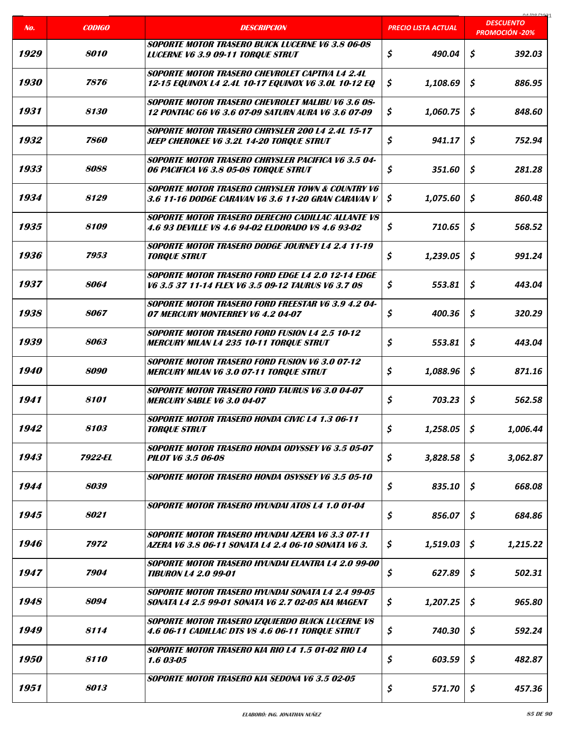| No.                | <b>CODIGO</b>      | <b>DESCRIPCION</b>                                                                                                     | PRECIO LISTA ACTUAL | 01/00/202<br><b>DESCUENTO</b><br><b>PROMOCIÓN -20%</b> |
|--------------------|--------------------|------------------------------------------------------------------------------------------------------------------------|---------------------|--------------------------------------------------------|
| 1929               | <b>8010</b>        | <b>SOPORTE MOTOR TRASERO BUICK LUCERNE V6 3.8 06-08</b><br><b>LUCERNE V6 3.9 09-11 TORQUE STRUT</b>                    | \$<br>490.04        | \$<br>392.03                                           |
|                    |                    |                                                                                                                        |                     |                                                        |
| 1930               | 7876               | <b>SOPORTE MOTOR TRASERO CHEVROLET CAPTIVA L4 2.4L</b><br>12-15 EQUINOX L4 2.4L 10-17 EQUINOX V6 3.0L 10-12 EQ         | \$<br>1,108.69      | \$<br>886.95                                           |
| 1931               | <i><b>8130</b></i> | <b>SOPORTE MOTOR TRASERO CHEVROLET MALIBU V6 3.6 08-</b><br><b>12 PONTIAC G6 V6 3.6 07-09 SATURN AURA V6 3.6 07-09</b> | \$<br>1,060.75      | \$<br>848.60                                           |
| 1932               | <i><b>7860</b></i> | <b>SOPORTE MOTOR TRASERO CHRYSLER 200 L4 2.4L 15-17</b><br><b>JEEP CHEROKEE V6 3.2L 14-20 TORQUE STRUT</b>             | \$<br>941.17        | \$<br>752.94                                           |
| 1933               | 8088               | SOPORTE MOTOR TRASERO CHRYSLER PACIFICA V6 3.5 04-<br>06 PACIFICA V6 3.8 05-08 TORQUE STRUT                            | \$<br>351.60        | \$<br>281.28                                           |
| 1934               | 8129               | <b>SOPORTE MOTOR TRASERO CHRYSLER TOWN &amp; COUNTRY V6</b><br>3.6 11-16 DODGE CARAVAN V6 3.6 11-20 GRAN CARAVAN V     | \$<br>1,075.60      | \$<br>860.48                                           |
| 1935               | 8109               | <b>SOPORTE MOTOR TRASERO DERECHO CADILLAC ALLANTE V8</b><br>4.6 93 DEVILLE V8 4.6 94-02 ELDORADO V8 4.6 93-02          | \$<br>710.65        | \$<br>568.52                                           |
| 1936               | 7953               | SOPORTE MOTOR TRASERO DODGE JOURNEY L4 2.4 11-19<br><b>TORQUE STRUT</b>                                                | \$<br>1,239.05      | \$<br>991.24                                           |
| 1937               | 8064               | <b>SOPORTE MOTOR TRASERO FORD EDGE L4 2.0 12-14 EDGE</b><br>V6 3.5 37 11-14 FLEX V6 3.5 09-12 TAURUS V6 3.7 08         | \$<br>553.81        | \$<br>443.04                                           |
| 1938               | 8067               | <b>SOPORTE MOTOR TRASERO FORD FREESTAR V6 3.9 4.2 04-</b><br>07 MERCURY MONTERREY V6 4.2 04-07                         | \$<br>400.36        | \$<br>320.29                                           |
| 1939               | 8063               | <b>SOPORTE MOTOR TRASERO FORD FUSION L4 2.5 10-12</b><br><b>MERCURY MILAN L4 235 10-11 TORQUE STRUT</b>                | \$<br>553.81        | \$<br>443.04                                           |
| 1940               | 8090               | <b>SOPORTE MOTOR TRASERO FORD FUSION V6 3.0 07-12</b><br><b>MERCURY MILAN V6 3.0 07-11 TORQUE STRUT</b>                | \$<br>1,088.96      | \$<br>871.16                                           |
| 1941               | 8101               | <b>SOPORTE MOTOR TRASERO FORD TAURUS V6 3.0 04-07</b><br><b>MERCURY SABLE V6 3.0 04-07</b>                             | \$<br>703.23        | \$<br>562.58                                           |
| 1942               | 8103               | <b>SOPORTE MOTOR TRASERO HONDA CIVIC L4 1.3 06-11</b><br><b>TORQUE STRUT</b>                                           | \$<br>1,258.05      | \$<br>1,006.44                                         |
| 1943               | 7922-EL            | <b>SOPORTE MOTOR TRASERO HONDA ODYSSEY V6 3.5 05-07</b><br><b>PILOT V6 3.5 06-08</b>                                   | \$<br>3,828.58      | \$<br>3,062.87                                         |
| 1944               | 8039               | SOPORTE MOTOR TRASERO HONDA OSYSSEY V6 3.5 05-10                                                                       | \$<br>835.10        | \$<br>668.08                                           |
| 1945               | 8021               | SOPORTE MOTOR TRASERO HYUNDAI ATOS L4 1.0 01-04                                                                        | \$<br>856.07        | \$<br>684.86                                           |
| 1946               | 7972               | <b>SOPORTE MOTOR TRASERO HYUNDAI AZERA V6 3.3 07-11</b><br>AZERA V6 3.8 06-11 SONATA L4 2.4 06-10 SONATA V6 3.         | \$<br>1,519.03      | \$<br>1,215.22                                         |
| 1947               | 7904               | SOPORTE MOTOR TRASERO HYUNDAI ELANTRA L4 2.0 99-00<br><b>TIBURON L4 2.0 99-01</b>                                      | \$<br>627.89        | \$<br>502.31                                           |
| 1948               | 8094               | <b>SOPORTE MOTOR TRASERO HYUNDAI SONATA L4 2.4 99-05</b><br>SONATA L4 2.5 99-01 SONATA V6 2.7 02-05 KIA MAGENT         | 1,207.25<br>\$      | \$<br>965.80                                           |
| 1949               | 8114               | <b>SOPORTE MOTOR TRASERO IZQUIERDO BUICK LUCERNE VS</b><br><b>4.6 06-11 CADILLAC DTS VS 4.6 06-11 TORQUE STRUT</b>     | \$<br>740.30        | \$<br>592.24                                           |
| <i><b>1950</b></i> | 8110               | <b>SOPORTE MOTOR TRASERO KIA RIO L4 1.5 01-02 RIO L4</b><br>1.6 03-05                                                  | \$<br>603.59        | \$<br>482.87                                           |
| 1951               | 8013               | <b>SOPORTE MOTOR TRASERO KIA SEDONA V6 3.5 02-05</b>                                                                   | \$<br>571.70        | \$<br>457.36                                           |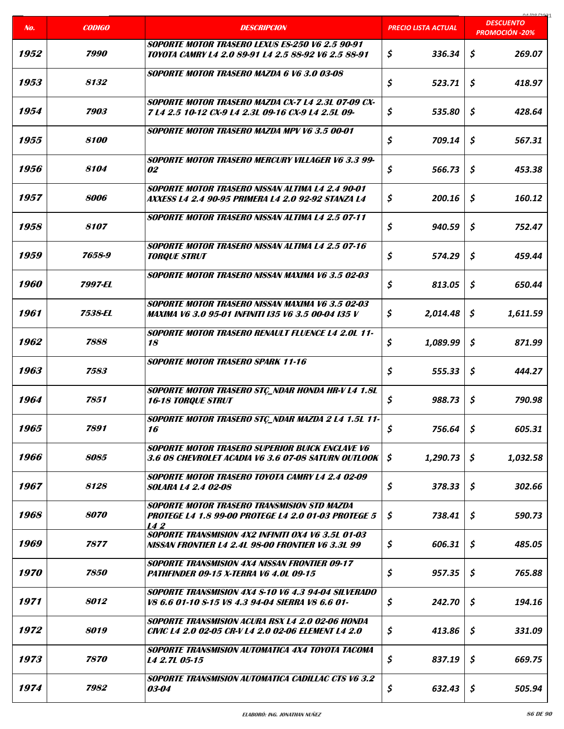|                    |                    |                                                                                                               |                            | 01000001<br><b>DESCUENTO</b> |
|--------------------|--------------------|---------------------------------------------------------------------------------------------------------------|----------------------------|------------------------------|
| No.                | <b>CODIGO</b>      | <b>DESCRIPCION</b>                                                                                            | <b>PRECIO LISTA ACTUAL</b> | <b>PROMOCIÓN -20%</b>        |
| 1952               | 7990               | SOPORTE MOTOR TRASERO LEXUS ES-250 V6 2.5 90-91<br>TOYOTA CAMRY L4 2.0 89-91 L4 2.5 88-92 V6 2.5 88-91        | \$<br>336.34               | \$<br>269.07                 |
| 1953               | 8132               | <b>SOPORTE MOTOR TRASERO MAZDA 6 V6 3.0 03-08</b>                                                             | \$<br>523.71               | Ś.<br>418.97                 |
| 1954               | 7903               | SOPORTE MOTOR TRASERO MAZDA CX-7 L4 2.3L 07-09 CX-<br>7 L4 2.5 10-12 CX-9 L4 2.3L 09-16 CX-9 L4 2.5L 09-      | \$<br>535.80               | \$<br>428.64                 |
| 1955               | 8100               | SOPORTE MOTOR TRASERO MAZDA MPV V6 3.5 00-01                                                                  | \$<br>709.14               | \$<br>567.31                 |
| 1956               | 8104               | SOPORTE MOTOR TRASERO MERCURY VILLAGER V6 3.3 99-<br>02                                                       | \$<br>566.73               | \$<br>453.38                 |
| 1957               | 8006               | SOPORTE MOTOR TRASERO NISSAN ALTIMA LA 2.4 90-01<br>AXXESS L4 2.4 90-95 PRIMERA L4 2.0 92-92 STANZA L4        | \$<br>200.16               | \$<br>160.12                 |
| 1958               | 8107               | SOPORTE MOTOR TRASERO NISSAN ALTIMA L4 2.5 07-11                                                              | \$<br>940.59               | \$<br>752.47                 |
| 1959               | 7658-9             | <b>SOPORTE MOTOR TRASERO NISSAN ALTIMA L4 2.5 07-16</b><br><b>TORQUE STRUT</b>                                | \$<br>574.29               | \$<br>459.44                 |
| <i><b>1960</b></i> | 7997-EL            | SOPORTE MOTOR TRASERO NISSAN MAXIMA V6 3.5 02-03                                                              | \$<br>813.05               | \$<br>650.44                 |
| 1961               | 7538-EL            | SOPORTE MOTOR TRASERO NISSAN MAXIMA V6 3.5 02-03<br>MAXIMA V6 3.0 95-01 INFINITI I35 V6 3.5 00-04 I35 V       | \$<br>2,014.48             | Ŝ<br>1,611.59                |
| 1962               | 7888               | <b>SOPORTE MOTOR TRASERO RENAULT FLUENCE L4 2.0L 11-</b><br>18                                                | \$<br>1,089.99             | \$<br>871.99                 |
| 1963               | 7583               | <b>SOPORTE MOTOR TRASERO SPARK 11-16</b>                                                                      | \$<br>555.33               | \$<br>444.27                 |
| 1964               | 7851               | SOPORTE MOTOR TRASERO STÇ_NDAR HONDA HR-V L4 1.8L<br><b>16-18 TORQUE STRUT</b>                                | \$<br>988.73               | \$<br>790.98                 |
| 1965               | 7891               | SOPORTE MOTOR TRASERO STÇ_NDAR MAZDA 2 L4 1.5L 11-<br>16                                                      | \$<br>756.64               | \$<br>605.31                 |
| 1966               | 8085               | <b>SOPORTE MOTOR TRASERO SUPERIOR BUICK ENCLAVE V6</b><br>3.6 08 CHEVROLET ACADIA V6 3.6 07-08 SATURN OUTLOOK | \$<br>1,290.73             | \$<br>1,032.58               |
| 1967               | 8128               | SOPORTE MOTOR TRASERO TOYOTA CAMRY L4 2.4 02-09<br><i>SOLARA L4 2.4 02-08</i>                                 | \$<br>378.33               | \$<br>302.66                 |
| 1968               | 8070               | SOPORTE MOTOR TRASERO TRANSMISION STD MAZDA<br>PROTEGE L4 1.8 99-00 PROTEGE L4 2.0 01-03 PROTEGE 5<br>142     | \$<br>738.41               | \$<br>590.73                 |
| 1969               | 7877               | SOPORTE TRANSMISION 4X2 INFINITI 0X4 V6 3.5L 01-03<br>NISSAN FRONTIER L4 2.4L 98-00 FRONTIER V6 3.3L 99       | \$<br>606.31               | \$<br>485.05                 |
| <i><b>1970</b></i> | <i><b>7850</b></i> | <b>SOPORTE TRANSMISION 4X4 NISSAN FRONTIER 09-17</b><br>PATHFINDER 09-15 X-TERRA V6 4.0L 09-15                | \$<br>957.35               | \$<br>765.88                 |
| 1971               | 8012               | SOPORTE TRANSMISION 4X4 S-10 V6 4.3 94-04 SILVERADO<br>V8 6.6 01-10 \$-15 V8 4.3 94-04 SIERRA V8 6.6 01-      | \$<br>242.70               | \$<br>194.16                 |
| 1972               | 8019               | SOPORTE TRANSMISION ACURA RSX L4 2.0 02-06 HONDA<br>CIVIC L4 2.0 02-05 CR-V L4 2.0 02-06 ELEMENT L4 2.0       | \$<br>413.86               | \$<br>331.09                 |
| 1973               | 7870               | SOPORTE TRANSMISION AUTOMATICA 4X4 TOYOTA TACOMA<br>L4 2.7L 05-15                                             | \$<br>837.19               | \$<br>669.75                 |
| 1974               | 7982               | <b>SOPORTE TRANSMISION AUTOMATICA CADILLAC CTS V6 3.2</b><br>03-04                                            | \$<br>632.43               | \$<br>505.94                 |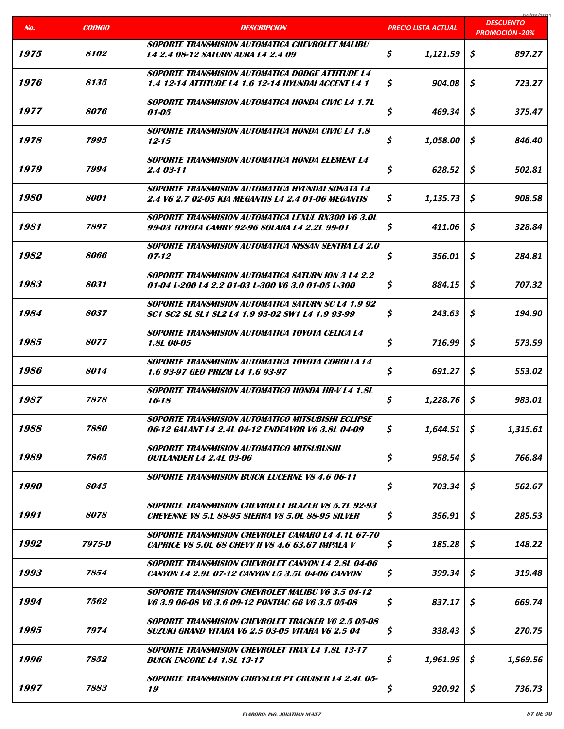|                    |                    |                                                                                                                       |                     | na ing inna                               |
|--------------------|--------------------|-----------------------------------------------------------------------------------------------------------------------|---------------------|-------------------------------------------|
| No.                | <b>CODIGO</b>      | <b>DESCRIPCION</b>                                                                                                    | PRECIO LISTA ACTUAL | <b>DESCUENTO</b><br><b>PROMOCIÓN -20%</b> |
| 1975               | 8102               | <b>SOPORTE TRANSMISION AUTOMATICA CHEVROLET MALIBU</b><br><b>L4 2.4 08-12 SATURN AURA L4 2.4 09</b>                   | \$<br>1,121.59      | \$<br>897.27                              |
| 1976               | 8135               | <b>SOPORTE TRANSMISION AUTOMATICA DODGE ATTITUDE L4</b><br><b>1.4 12-14 ATTITUDE L4 1.6 12-14 HYUNDAI ACCENT L4 1</b> | \$<br>904.08        | \$<br>723.27                              |
| 1977               | <i><b>8076</b></i> | <b>SOPORTE TRANSMISION AUTOMATICA HONDA CIVIC L4 1.7L</b><br>01-05                                                    | \$<br>469.34        | \$<br>375.47                              |
| 1978               | 7995               | <b>SOPORTE TRANSMISION AUTOMATICA HONDA CIVIC L4 1.8</b><br>$12 - 15$                                                 | \$<br>1,058.00      | \$<br>846.40                              |
| 1979               | 7994               | SOPORTE TRANSMISION AUTOMATICA HONDA ELEMENT L4<br>2.4 03-11                                                          | \$<br>628.52        | \$<br>502.81                              |
| <i><b>1980</b></i> | 8001               | <b>SOPORTE TRANSMISION AUTOMATICA HYUNDAI SONATA L4</b><br>2.4 V6 2.7 02-05 KIA MEGANTIS L4 2.4 01-06 MEGANTIS        | \$<br>1,135.73      | \$<br>908.58                              |
| 1981               | 7897               | SOPORTE TRANSMISION AUTOMATICA LEXUL RX300 V6 3.0L<br>99-03 TOYOTA CAMRY 92-96 SOLARA L4 2.2L 99-01                   | \$<br>411.06        | \$<br>328.84                              |
| 1982               | 8066               | <b>SOPORTE TRANSMISION AUTOMATICA NISSAN SENTRA L4 2.0</b><br>07-12                                                   | \$<br>356.01        | \$<br>284.81                              |
| 1983               | 8031               | <b>SOPORTE TRANSMISION AUTOMATICA SATURN ION 3 L4 2.2</b><br>01-04 L-200 L4 2.2 01-03 L-300 V6 3.0 01-05 L-300        | \$<br>884.15        | \$<br>707.32                              |
| 1984               | <i><b>8037</b></i> | <b>SOPORTE TRANSMISION AUTOMATICA SATURN SC L4 1.9 92</b><br>SC1 SC2 SL SL1 SL2 L4 1.9 93-02 SW1 L4 1.9 93-99         | \$<br>243.63        | \$<br>194.90                              |
| 1985               | <i><b>8077</b></i> | SOPORTE TRANSMISION AUTOMATICA TOYOTA CELICA L4<br><b>1.8L 00-05</b>                                                  | \$<br>716.99        | \$<br>573.59                              |
| 1986               | 8014               | SOPORTE TRANSMISION AUTOMATICA TOYOTA COROLLA L4<br>1.6 93-97 GEO PRIZM L4 1.6 93-97                                  | \$<br>691.27        | Ś.<br>553.02                              |
| 1987               | 7878               | <b>SOPORTE TRANSMISION AUTOMATICO HONDA HR-V L4 1.8L</b><br>16-18                                                     | \$<br>1,228.76      | \$<br>983.01                              |
| 1988               | 7880               | SOPORTE TRANSMISION AUTOMATICO MITSUBISHI ECLIPSE<br>06-12 GALANT L4 2.4L 04-12 ENDEAVOR V6 3.8L 04-09                | \$<br>1,644.51      | \$<br>1,315.61                            |
| 1989               | 7865               | <b>SOPORTE TRANSMISION AUTOMATICO MITSUBUSHI</b><br><i><b>OUTLANDER L4 2.4L 03-06</b></i>                             | \$<br>958.54        | \$<br>766.84                              |
| <i><b>1990</b></i> | 8045               | <b>SOPORTE TRANSMISION BUICK LUCERNE VS 4.6 06-11</b>                                                                 | \$<br>703.34        | \$<br>562.67                              |
| 1991               | 8078               | <b>SOPORTE TRANSMISION CHEVROLET BLAZER V8 5.7L 92-93</b><br><b>CHEYENNE V8 5.1 88-95 SIERRA V8 5.01 88-95 SILVER</b> | \$<br>356.91        | \$<br>285.53                              |
| 1992               | 7975-D             | <b>SOPORTE TRANSMISION CHEVROLET CAMARO L4 4.1L 67-70</b><br>CAPRICE V8 5.0L 68 CHEVY II V8 4.6 63.67 IMPALA V        | \$<br>185.28        | \$<br>148.22                              |
| 1993               | 7854               | <b>SOPORTE TRANSMISION CHEVROLET CANYON L4 2.8L 04-06</b><br><b>CANYON L4 2.9L 07-12 CANYON L5 3.5L 04-06 CANYON</b>  | \$<br>399.34        | \$<br>319.48                              |
| 1994               | 7562               | <b>SOPORTE TRANSMISION CHEVROLET MALIBU V6 3.5 04-12</b><br>V6 3.9 06-08 V6 3.6 09-12 PONTIAC G6 V6 3.5 05-08         | \$<br>837.17        | \$<br>669.74                              |
| 1995               | 7974               | <b>SOPORTE TRANSMISION CHEVROLET TRACKER V6 2.5 05-08</b><br>SUZUKI GRAND VITARA V6 2.5 03-05 VITARA V6 2.5 04        | \$<br>338.43        | \$<br>270.75                              |
| 1996               | 7852               | <b>SOPORTE TRANSMISION CHEVROLET TRAX L4 1.8L 13-17</b><br><b>BUICK ENCORE L4 1.8L 13-17</b>                          | \$<br>1,961.95      | \$<br>1,569.56                            |
| 1997               | 7883               | <b>SOPORTE TRANSMISION CHRYSLER PT CRUISER L4 2.4L 05-</b><br>19                                                      | \$<br>920.92        | \$<br>736.73                              |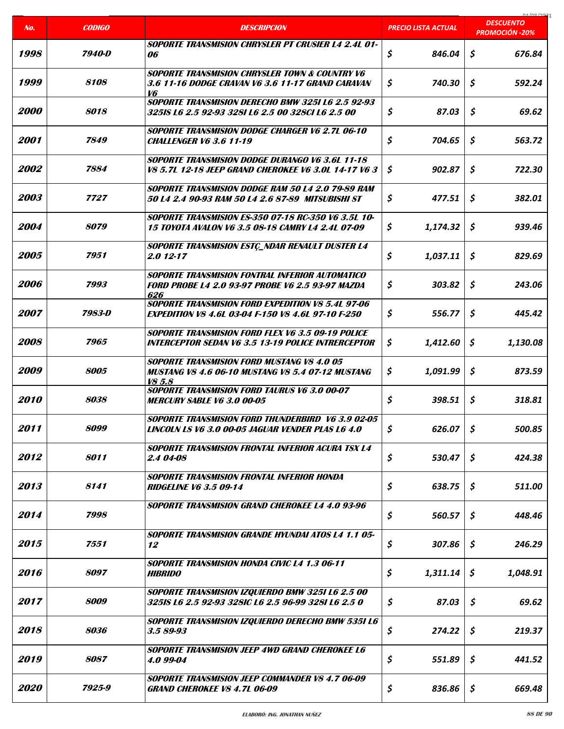| No.                | <b>CODIGO</b>      | <b>DESCRIPCION</b>                                                                                                       | PRECIO LISTA ACTUAL | 01/00/202<br><b>DESCUENTO</b><br><b>PROMOCIÓN -20%</b> |
|--------------------|--------------------|--------------------------------------------------------------------------------------------------------------------------|---------------------|--------------------------------------------------------|
|                    |                    | <b>SOPORTE TRANSMISION CHRYSLER PT CRUSIER L4 2.4L 01-</b>                                                               |                     |                                                        |
| 1998               | 7940-D             | 06                                                                                                                       | \$<br>846.04        | \$<br>676.84                                           |
| 1999               | 8108               | <b>SOPORTE TRANSMISION CHRYSLER TOWN &amp; COUNTRY V6</b><br>3.6 11-16 DODGE CRAVAN V6 3.6 11-17 GRAND CARAVAN<br>V6     | \$<br>740.30        | \$<br>592.24                                           |
| <i>2000</i>        | 8018               | SOPORTE TRANSMISION DERECHO BMW 3251 L6 2.5 92-93<br>32518 L6 2.5 92-93 3281 L6 2.5 00 328Cl L6 2.5 00                   | \$<br>87.03         | \$<br>69.62                                            |
| <i>2001</i>        | 7849               | <b>SOPORTE TRANSMISION DODGE CHARGER V6 2.7L 06-10</b><br><b>CHALLENGER V6 3.6 11-19</b>                                 | \$<br>704.65        | \$<br>563.72                                           |
| <i>2002</i>        | 7884               | <b>SOPORTE TRANSMISION DODGE DURANGO V6 3.6L 11-18</b><br>V8 5.7L 12-18 JEEP GRAND CHEROKEE V6 3.0L 14-17 V6 3           | \$<br>902.87        | \$<br>722.30                                           |
| 2003               | 7727               | SOPORTE TRANSMISION DODGE RAM 50 L4 2.0 79-89 RAM<br>50 L4 2.4 90-93 RAM 50 L4 2.6 87-89 MITSUBISHI ST                   | \$<br>477.51        | \$<br>382.01                                           |
| 2004               | <i><b>8079</b></i> | <b>SOPORTE TRANSMISION ES-350 07-18 RC-350 V6 3.5L 10-</b><br><b>15 TOYOTA AVALON V6 3.5 08-18 CAMRY L4 2.4L 07-09</b>   | \$<br>1,174.32      | Ŝ.<br>939.46                                           |
| 2005               | 7951               | <b>SOPORTE TRANSMISION ESTÇ_NDAR RENAULT DUSTER L4</b><br>2.0 12-17                                                      | \$<br>1,037.11      | \$<br>829.69                                           |
| 2006               | 7993               | <b>SOPORTE TRANSMISION FONTRAL INFERIOR AUTOMATICO</b><br><b>FORD PROBE L4 2.0 93-97 PROBE V6 2.5 93-97 MAZDA</b><br>626 | \$<br>303.82        | \$<br>243.06                                           |
| <i><b>2007</b></i> | 7983-D             | <b>SOPORTE TRANSMISION FORD EXPEDITION V8 5.4L 97-06</b><br><b>EXPEDITION V8 4.6L 03-04 F-150 V8 4.6L 97-10 F-250</b>    | \$<br>556.77        | \$<br>445.42                                           |
| <i>2008</i>        | 7965               | <b>SOPORTE TRANSMISION FORD FLEX V6 3.5 09-19 POLICE</b><br><b>INTERCEPTOR SEDAN V6 3.5 13-19 POLICE INTRERCEPTOR</b>    | Ş.<br>1,412.60      | \$<br>1,130.08                                         |
| <i>2009</i>        | 8005               | <b>SOPORTE TRANSMISION FORD MUSTANG V8 4.0 05</b><br><b>MUSTANG V8 4.6 06-10 MUSTANG V8 5.4 07-12 MUSTANG</b><br>V8 5.8  | \$<br>1,091.99      | \$<br>873.59                                           |
| 2010               | 8038               | <b>SOPORTE TRANSMISION FORD TAURUS V6 3.0 00-07</b><br><b>MERCURY SABLE V6 3.0 00-05</b>                                 | \$<br>398.51        | Ś.<br>318.81                                           |
| 2011               | 8099               | SOPORTE TRANSMISION FORD THUNDERBIRD V6 3.9 02-05<br>LINCOLN LS V6 3.0 00-05 JAGUAR VENDER PLAS L6 4.0                   | \$<br>626.07        | \$<br>500.85                                           |
| 2012               | 8011               | <b>SOPORTE TRANSMISION FRONTAL INFERIOR ACURA TSX L4</b><br>2.4 04-08                                                    | \$<br>530.47        | \$<br>424.38                                           |
| 2013               | 8141               | <b>SOPORTE TRANSMISION FRONTAL INFERIOR HONDA</b><br><b>RIDGELINE V6 3.5 09-14</b>                                       | \$<br>638.75        | \$<br>511.00                                           |
| 2014               | 7998               | <b>SOPORTE TRANSMISION GRAND CHEROKEE L4 4.0 93-96</b>                                                                   | \$<br>560.57        | \$<br>448.46                                           |
| 2015               | 7551               | <b>SOPORTE TRANSMISION GRANDE HYUNDAI ATOS L4 1.1 05-</b><br>12                                                          | \$<br>307.86        | \$<br>246.29                                           |
| 2016               | 8097               | <b>SOPORTE TRANSMISION HONDA CIVIC L4 1.3 06-11</b><br><b>HIBRIDO</b>                                                    | \$<br>1,311.14      | \$<br>1,048.91                                         |
| 2017               | 8009               | SOPORTE TRANSMISION IZQUIERDO BMW 3251 L6 2.5 00<br>325IS L6 2.5 92-93 328IC L6 2.5 96-99 328I L6 2.5 0                  | \$<br>87.03         | \$<br>69.62                                            |
| 2018               | <i><b>8036</b></i> | SOPORTE TRANSMISION IZQUIERDO DERECHO BMW 535I L6<br>3.5 89-93                                                           | \$<br>274.22        | \$<br>219.37                                           |
| 2019               | 8087               | SOPORTE TRANSMISION JEEP 4WD GRAND CHEROKEE L6<br>4.0 99-04                                                              | \$<br>551.89        | \$<br>441.52                                           |
| <i><b>2020</b></i> | 7925-9             | <b>SOPORTE TRANSMISION JEEP COMMANDER VS 4.7 06-09</b><br><i><b>GRAND CHEROKEE V8 4.7L 06-09</b></i>                     | \$<br>836.86        | \$<br>669.48                                           |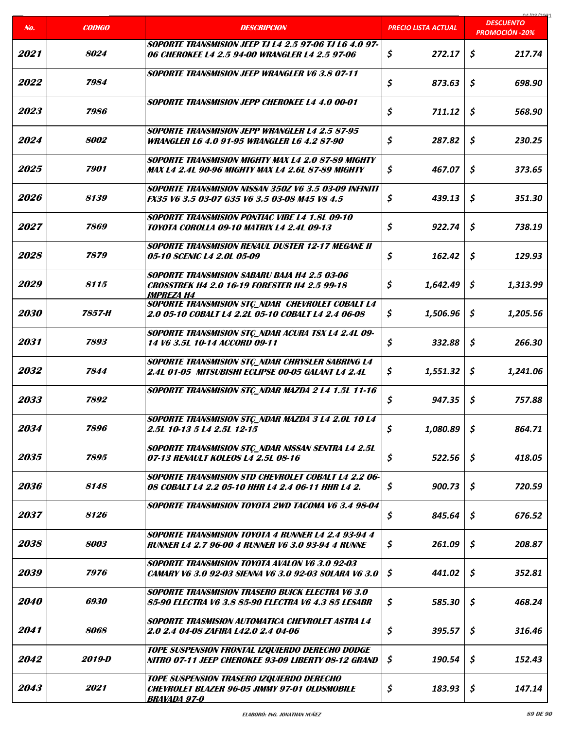|                    |               |                                                                                                                                 |                            | coclonina                                 |
|--------------------|---------------|---------------------------------------------------------------------------------------------------------------------------------|----------------------------|-------------------------------------------|
| No.                | <b>CODIGO</b> | <b>DESCRIPCION</b>                                                                                                              | <b>PRECIO LISTA ACTUAL</b> | <b>DESCUENTO</b><br><b>PROMOCIÓN -20%</b> |
| 2021               | 8024          | <b>SOPORTE TRANSMISION JEEP TJ L4 2.5 97-06 TJ L6 4.0 97-</b><br>06 CHEROKEE L4 2.5 94-00 WRANGLER L4 2.5 97-06                 | \$<br>272.17               | \$<br>217.74                              |
| 2022               | 7984          | <b>SOPORTE TRANSMISION JEEP WRANGLER V6 3.8 07-11</b>                                                                           | \$<br>873.63               | \$<br>698.90                              |
| 2023               | 7986          | SOPORTE TRANSMISION JEPP CHEROKEE L4 4.0 00-01                                                                                  | \$<br>711.12               | \$<br>568.90                              |
| 2024               | 8002          | SOPORTE TRANSMISION JEPP WRANGLER L4 2.5 87-95<br><b>WRANGLER L6 4.0 91-95 WRANGLER L6 4.2 87-90</b>                            | \$<br>287.82               | \$<br>230.25                              |
| 2025               | 7901          | SOPORTE TRANSMISION MIGHTY MAX L4 2.0 87-89 MIGHTY<br>MAX L4 2.4L 90-96 MIGHTY MAX L4 2.6L 87-89 MIGHTY                         | \$<br>467.07               | \$<br>373.65                              |
| 2026               | 8139          | SOPORTE TRANSMISION NISSAN 350Z V6 3.5 03-09 INFINITI<br>FX35 V6 3.5 03-07 G35 V6 3.5 03-08 M45 V8 4.5                          | \$<br>439.13               | \$<br>351.30                              |
| 2027               | 7869          | <b>SOPORTE TRANSMISION PONTIAC VIBE L4 1.8L 09-10</b><br>TOYOTA COROLLA 09-10 MATRIX L4 2.4L 09-13                              | \$<br>922.74               | \$<br>738.19                              |
| 2028               | 7879          | <b>SOPORTE TRANSMISION RENAUL DUSTER 12-17 MEGANE II</b><br>05-10 SCENIC L4 2.0L 05-09                                          | \$<br>162.42               | \$<br>129.93                              |
| 2029               | 8115          | <b>SOPORTE TRANSMISION SABARU BAJA H4 2.5 03-06</b><br><b>CROSSTREK H4 2.0 16-19 FORESTER H4 2.5 99-18</b><br><b>IMPREZA H4</b> | \$<br>1,642.49             | \$<br>1,313.99                            |
| 2030               | 7857-H        | <b>SOPORTE TRANSMISION STC_NDAR CHEVROLET COBALT L4</b><br>2.0 05-10 COBALT L4 2.2L 05-10 COBALT L4 2.4 06-08                   | \$<br>1,506.96             | \$<br>1,205.56                            |
| 2031               | 7893          | <b>SOPORTE TRANSMISION STC_NDAR ACURA TSX L4 2.4L 09-</b><br>14 V6 3.5L 10-14 ACCORD 09-11                                      | \$<br>332.88               | \$<br>266.30                              |
| 2032               | 7844          | <b>SOPORTE TRANSMISION STÇ_NDAR CHRYSLER SABRING L4</b><br>2.4L 01-05 MITSUBISHI ECLIPSE 00-05 GALANT L4 2.4L                   | \$<br>1,551.32             | \$<br>1,241.06                            |
| 2033               | 7892          | <b>SOPORTE TRANSMISION STC_NDAR MAZDA 2 L4 1.5L 11-16</b>                                                                       | \$<br>947.35               | \$<br>757.88                              |
| 2034               | 7896          | <b>SOPORTE TRANSMISION STC_NDAR MAZDA 3 L4 2.0L 10 L4</b><br>2.5L 10-13 5 L4 2.5L 12-15                                         | \$<br>1,080.89             | $\boldsymbol{\zeta}$<br>864.71            |
| 2035               | 7895          | <b>SOPORTE TRANSMISION STC_NDAR NISSAN SENTRA L4 2.5L</b><br>07-13 RENAULT KOLEOS L4 2.5L 08-16                                 | \$<br>522.56               | \$<br>418.05                              |
| 2036               | 8148          | SOPORTE TRANSMISION STD CHEVROLET COBALT L4 2.2 06-<br>08 COBALT L4 2.2 05-10 HHR L4 2.4 06-11 HHR L4 2.                        | \$<br>900.73               | \$<br>720.59                              |
| 2037               | 8126          | SOPORTE TRANSMISION TOYOTA 2WD TACOMA V6 3.4 98-04                                                                              | \$<br>845.64               | \$<br>676.52                              |
| 2038               | 8003          | <b>SOPORTE TRANSMISION TOYOTA 4 RUNNER L4 2.4 93-94 4</b><br><b>RUNNER L4 2.7 96-00 4 RUNNER V6 3.0 93-94 4 RUNNE</b>           | \$<br>261.09               | \$<br>208.87                              |
| <i><b>2039</b></i> | 7976          | SOPORTE TRANSMISION TOYOTA AVALON V6 3.0 92-03<br>CAMARY V6 3.0 92-03 SIENNA V6 3.0 92-03 SOLARA V6 3.0                         | \$<br>441.02               | \$<br>352.81                              |
| <i><b>2040</b></i> | 6930          | <b>SOPORTE TRANSMISION TRASERO BUICK ELECTRA V6 3.0</b><br>85-90 ELECTRA V6 3.8 85-90 ELECTRA V6 4.3 85 LESABR                  | \$<br>585.30               | \$<br>468.24                              |
| 2041               | 8068          | SOPORTE TRASMISION AUTOMATICA CHEVROLET ASTRA L4<br>2.0 2.4 04-08 ZAFIRA L42.0 2.4 04-06                                        | \$<br>395.57               | \$<br>316.46                              |
| 2042               | 2019-D        | TOPE SUSPENSION FRONTAL IZQUIERDO DERECHO DODGE<br>NITRO 07-11 JEEP CHEROKEE 93-09 LIBERTY 08-12 GRAND                          | \$<br>190.54               | \$<br>152.43                              |
| 2043               | 2021          | TOPE SUSPENSION TRASERO IZQUIERDO DERECHO<br>CHEVROLET BLAZER 96-05 JIMMY 97-01 OLDSMOBILE<br><u>BRAVADA 97-0</u>               | \$<br>183.93               | \$<br>147.14                              |